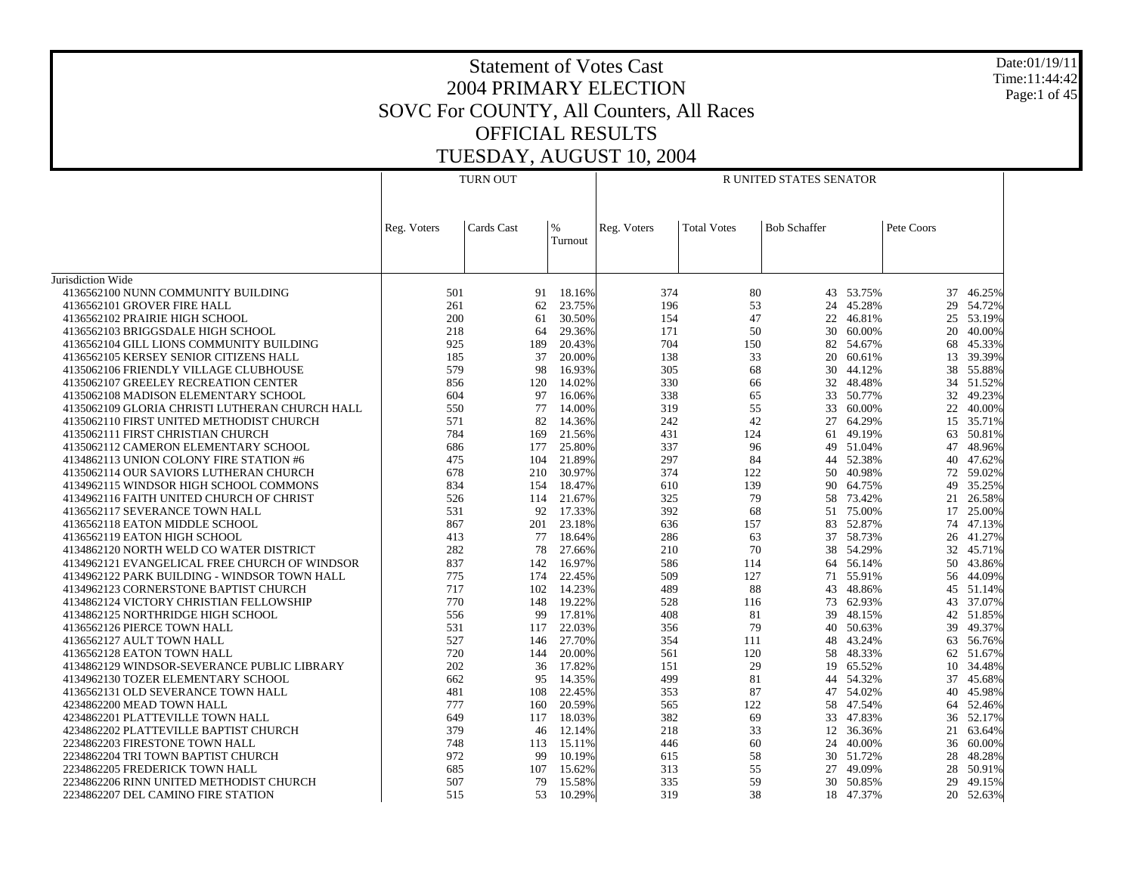Date:01/19/11 Time:11:44:42 Page:1 of 45

|                                                |             | <b>TURN OUT</b> |                  | R UNITED STATES SENATOR |                    |                     |                     |            |                  |  |
|------------------------------------------------|-------------|-----------------|------------------|-------------------------|--------------------|---------------------|---------------------|------------|------------------|--|
|                                                | Reg. Voters | Cards Cast      | %<br>Turnout     | Reg. Voters             | <b>Total Votes</b> | <b>Bob Schaffer</b> |                     | Pete Coors |                  |  |
| Jurisdiction Wide                              |             |                 |                  |                         |                    |                     |                     |            |                  |  |
| 4136562100 NUNN COMMUNITY BUILDING             | 501         | 91              | 18.16%           | 374                     | 80                 |                     | 43 53.75%           | 37         | 46.25%           |  |
| 4136562101 GROVER FIRE HALL                    | 261         | 62              | 23.75%           | 196                     | 53                 | 24                  | 45.28%              | 29         | 54.72%           |  |
| 4136562102 PRAIRIE HIGH SCHOOL                 | 200         | 61              | 30.50%           | 154                     | 47                 |                     | 22 46.81%           | 25         | 53.19%           |  |
| 4136562103 BRIGGSDALE HIGH SCHOOL              | 218         | 64              | 29.36%           | 171                     | 50                 | 30                  | 60.00%              | 20         | 40.00%           |  |
| 4136562104 GILL LIONS COMMUNITY BUILDING       | 925         | 189             | 20.43%           | 704                     | 150                |                     | 82 54.67%           | 68         | 45.33%           |  |
| 4136562105 KERSEY SENIOR CITIZENS HALL         | 185         | 37              | 20.00%           | 138                     | 33                 | 20                  | 60.61%              | 13         | 39.39%           |  |
| 4135062106 FRIENDLY VILLAGE CLUBHOUSE          | 579         | 98              | 16.93%           | 305                     | 68                 |                     | 30 44.12%           | 38         | 55.88%           |  |
| 4135062107 GREELEY RECREATION CENTER           | 856         | 120             | 14.02%           | 330                     | 66                 | 32                  | 48.48%              | 34         | 51.52%           |  |
| 4135062108 MADISON ELEMENTARY SCHOOL           | 604         | 97              | 16.06%           | 338                     | 65                 |                     | 33 50.77%           | 32         | 49.23%           |  |
| 4135062109 GLORIA CHRISTI LUTHERAN CHURCH HALL | 550         | 77              | 14.00%           | 319                     | 55                 | 33                  | 60.00%              | 22         | 40.00%           |  |
| 4135062110 FIRST UNITED METHODIST CHURCH       | 571         | 82              | 14.36%           | 242                     | 42                 | 27                  | 64.29%              | 15         | 35.71%           |  |
|                                                | 784         | 169             |                  | 431                     |                    |                     |                     |            |                  |  |
| 4135062111 FIRST CHRISTIAN CHURCH              | 686         |                 | 21.56%<br>25.80% | 337                     | 124                | 61                  | 49.19%<br>49 51.04% | 63<br>47   | 50.81%<br>48.96% |  |
| 4135062112 CAMERON ELEMENTARY SCHOOL           |             | 177             |                  | 297                     | 96                 |                     | 44 52.38%           |            |                  |  |
| 4134862113 UNION COLONY FIRE STATION #6        | 475         | 104             | 21.89%           |                         | 84                 |                     |                     | 40         | 47.62%           |  |
| 4135062114 OUR SAVIORS LUTHERAN CHURCH         | 678         | 210             | 30.97%           | 374                     | 122                |                     | 50 40.98%           | 72         | 59.02%           |  |
| 4134962115 WINDSOR HIGH SCHOOL COMMONS         | 834         | 154             | 18.47%           | 610                     | 139                |                     | 90 64.75%           | 49         | 35.25%           |  |
| 4134962116 FAITH UNITED CHURCH OF CHRIST       | 526         | 114             | 21.67%           | 325                     | 79                 | 58                  | 73.42%              | 21         | 26.58%           |  |
| 4136562117 SEVERANCE TOWN HALL                 | 531         | 92              | 17.33%           | 392                     | 68                 |                     | 51 75.00%           | 17         | 25.00%           |  |
| 4136562118 EATON MIDDLE SCHOOL                 | 867         | 201             | 23.18%           | 636                     | 157                | 83                  | 52.87%              | 74         | 47.13%           |  |
| 4136562119 EATON HIGH SCHOOL                   | 413         | 77              | 18.64%           | 286                     | 63                 |                     | 37 58.73%           |            | 26 41.27%        |  |
| 4134862120 NORTH WELD CO WATER DISTRICT        | 282         | 78              | 27.66%           | 210                     | 70                 | 38                  | 54.29%              | 32         | 45.71%           |  |
| 4134962121 EVANGELICAL FREE CHURCH OF WINDSOR  | 837         | 142             | 16.97%           | 586                     | 114                |                     | 64 56.14%           | 50         | 43.86%           |  |
| 4134962122 PARK BUILDING - WINDSOR TOWN HALL   | 775         | 174             | 22.45%           | 509                     | 127                | 71                  | 55.91%              | 56         | 44.09%           |  |
| 4134962123 CORNERSTONE BAPTIST CHURCH          | 717         | 102             | 14.23%           | 489                     | 88                 | 43                  | 48.86%              | 45         | 51.14%           |  |
| 4134862124 VICTORY CHRISTIAN FELLOWSHIP        | 770         | 148             | 19.22%           | 528                     | 116                |                     | 73 62.93%           | 43         | 37.07%           |  |
| 4134862125 NORTHRIDGE HIGH SCHOOL              | 556         | 99              | 17.81%           | 408                     | 81                 | 39                  | 48.15%              | 42         | 51.85%           |  |
| 4136562126 PIERCE TOWN HALL                    | 531         | 117             | 22.03%           | 356                     | 79                 |                     | 40 50.63%           | 39         | 49.37%           |  |
| 4136562127 AULT TOWN HALL                      | 527         | 146             | 27.70%           | 354                     | 111                | 48                  | 43.24%              | 63         | 56.76%           |  |
| 4136562128 EATON TOWN HALL                     | 720         | 144             | 20.00%           | 561                     | 120                |                     | 58 48.33%           | 62         | 51.67%           |  |
| 4134862129 WINDSOR-SEVERANCE PUBLIC LIBRARY    | 202         | 36              | 17.82%           | 151                     | 29                 | 19                  | 65.52%              | 10         | 34.48%           |  |
| 4134962130 TOZER ELEMENTARY SCHOOL             | 662         | 95              | 14.35%           | 499                     | 81                 |                     | 44 54.32%           | 37         | 45.68%           |  |
| 4136562131 OLD SEVERANCE TOWN HALL             | 481         | 108             | 22.45%           | 353                     | 87                 |                     | 47 54.02%           | 40         | 45.98%           |  |
| 4234862200 MEAD TOWN HALL                      | 777         | 160             | 20.59%           | 565                     | 122                |                     | 58 47.54%           | 64         | 52.46%           |  |
| 4234862201 PLATTEVILLE TOWN HALL               | 649         | 117             | 18.03%           | 382                     | 69                 | 33                  | 47.83%              | 36         | 52.17%           |  |
| 4234862202 PLATTEVILLE BAPTIST CHURCH          | 379         | 46              | 12.14%           | 218                     | 33                 |                     | 12 36.36%           | 21         | 63.64%           |  |
| 2234862203 FIRESTONE TOWN HALL                 | 748         | 113             | 15.11%           | 446                     | 60                 | 24                  | 40.00%              | 36         | 60.00%           |  |
| 2234862204 TRI TOWN BAPTIST CHURCH             | 972         | 99              | 10.19%           | 615                     | 58                 |                     | 30 51.72%           | 28         | 48.28%           |  |
| 2234862205 FREDERICK TOWN HALL                 | 685         | 107             | 15.62%           | 313                     | 55                 | 27                  | 49.09%              | 28         | 50.91%           |  |
| 2234862206 RINN UNITED METHODIST CHURCH        | 507         | 79              | 15.58%           | 335                     | 59                 |                     | 30 50.85%           | 29         | 49.15%           |  |
| 2234862207 DEL CAMINO FIRE STATION             | 515         | 53              | 10.29%           | 319                     | 38                 |                     | 18 47.37%           | 20         | 52.63%           |  |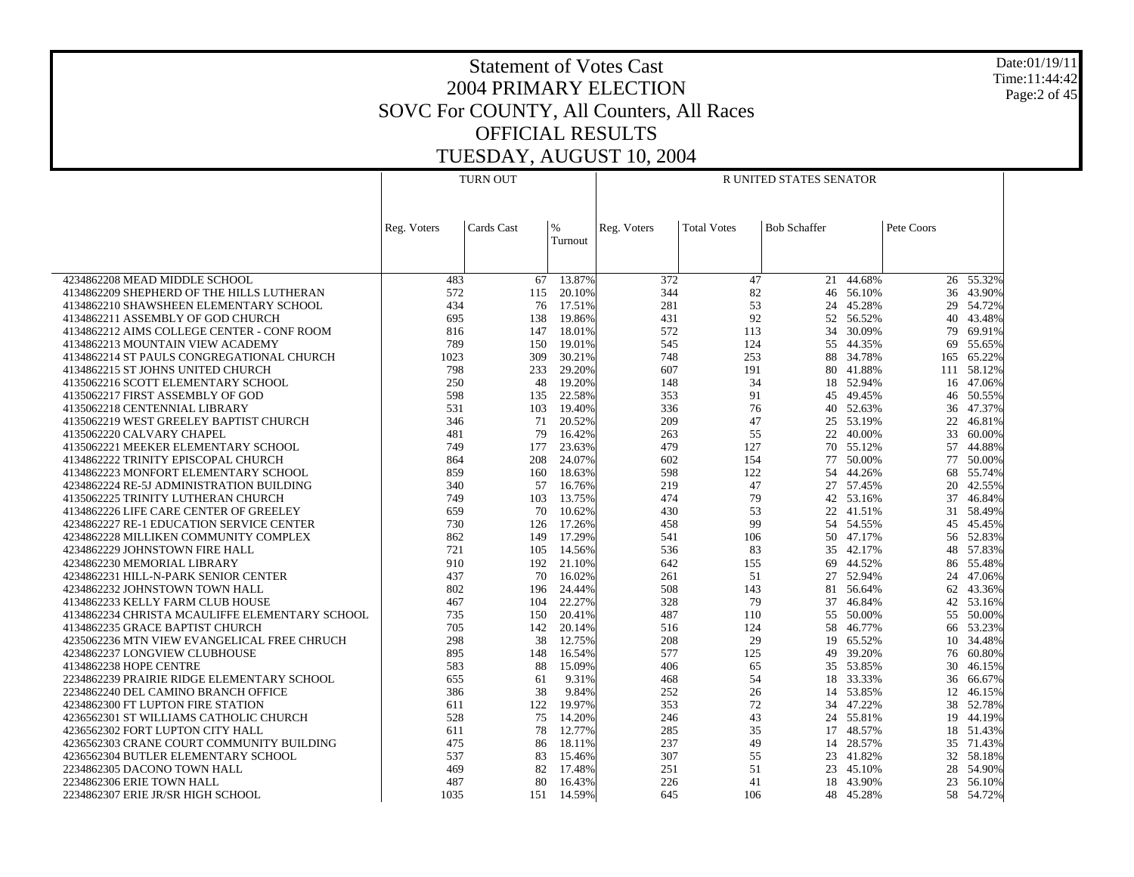Date:01/19/11 Time:11:44:42 Page:2 of 45

|                                                | <b>TURN OUT</b> |            |         | R UNITED STATES SENATOR |                    |                     |           |            |            |
|------------------------------------------------|-----------------|------------|---------|-------------------------|--------------------|---------------------|-----------|------------|------------|
|                                                |                 |            |         |                         |                    |                     |           |            |            |
|                                                |                 |            |         |                         |                    |                     |           |            |            |
|                                                | Reg. Voters     | Cards Cast | $\%$    | Reg. Voters             | <b>Total Votes</b> | <b>Bob Schaffer</b> |           | Pete Coors |            |
|                                                |                 |            | Turnout |                         |                    |                     |           |            |            |
|                                                |                 |            |         |                         |                    |                     |           |            |            |
|                                                |                 |            |         |                         |                    |                     |           |            |            |
| 4234862208 MEAD MIDDLE SCHOOL                  | 483             | 67         | 13.87%  | 372                     | 47                 |                     | 21 44.68% |            | 26 55.32%  |
| 4134862209 SHEPHERD OF THE HILLS LUTHERAN      | 572             | 115        | 20.10%  | 344                     | 82                 | 46                  | 56.10%    | 36         | 43.90%     |
| 4134862210 SHAWSHEEN ELEMENTARY SCHOOL         | 434             | 76         | 17.51%  | 281                     | 53                 | 24                  | 45.28%    | 29         | 54.72%     |
| 4134862211 ASSEMBLY OF GOD CHURCH              | 695             | 138        | 19.86%  | 431                     | 92                 |                     | 52 56.52% | 40         | 43.48%     |
| 4134862212 AIMS COLLEGE CENTER - CONF ROOM     | 816             | 147        | 18.01%  | 572                     | 113                | 34                  | 30.09%    | 79         | 69.91%     |
| 4134862213 MOUNTAIN VIEW ACADEMY               | 789             | 150        | 19.01%  | 545                     | 124                |                     | 55 44.35% | 69         | 55.65%     |
| 4134862214 ST PAULS CONGREGATIONAL CHURCH      | 1023            | 309        | 30.21%  | 748                     | 253                | 88                  | 34.78%    | 165        | 65.22%     |
| 4134862215 ST JOHNS UNITED CHURCH              | 798             | 233        | 29.20%  | 607                     | 191                |                     | 80 41.88% |            | 111 58.12% |
| 4135062216 SCOTT ELEMENTARY SCHOOL             | 250             | 48         | 19.20%  | 148                     | 34                 | 18                  | 52.94%    | 16         | 47.06%     |
| 4135062217 FIRST ASSEMBLY OF GOD               | 598             | 135        | 22.58%  | 353                     | 91                 |                     | 45 49.45% | 46         | 50.55%     |
| 4135062218 CENTENNIAL LIBRARY                  | 531             | 103        | 19.40%  | 336                     | 76                 | 40                  | 52.63%    | 36         | 47.37%     |
| 4135062219 WEST GREELEY BAPTIST CHURCH         | 346             | 71         | 20.52%  | 209                     | 47                 |                     | 25 53.19% | 22         | 46.81%     |
| 4135062220 CALVARY CHAPEL                      | 481             | 79         | 16.42%  | 263                     | 55                 | 22                  | 40.00%    | 33         | 60.00%     |
| 4135062221 MEEKER ELEMENTARY SCHOOL            | 749             | 177        | 23.63%  | 479                     | 127                |                     | 70 55.12% | 57         | 44.88%     |
| 4134862222 TRINITY EPISCOPAL CHURCH            | 864             | 208        | 24.07%  | 602                     | 154                | 77                  | 50.00%    | 77         | 50.00%     |
| 4134862223 MONFORT ELEMENTARY SCHOOL           | 859             | 160        | 18.63%  | 598                     | 122                | 54                  | 44.26%    | 68         | 55.74%     |
| 4234862224 RE-5J ADMINISTRATION BUILDING       | 340             | 57         | 16.76%  | 219                     | 47                 |                     | 27 57.45% | 20         | 42.55%     |
| 4135062225 TRINITY LUTHERAN CHURCH             | 749             | 103        | 13.75%  | 474                     | 79                 | 42                  | 53.16%    | 37         | 46.84%     |
| 4134862226 LIFE CARE CENTER OF GREELEY         | 659             | 70         | 10.62%  | 430                     | 53                 |                     | 22 41.51% | 31         | 58.49%     |
| 4234862227 RE-1 EDUCATION SERVICE CENTER       | 730             | 126        | 17.26%  | 458                     | 99                 | 54                  | 54.55%    | 45         | 45.45%     |
| 4234862228 MILLIKEN COMMUNITY COMPLEX          | 862             | 149        | 17.29%  | 541                     | 106                |                     | 50 47.17% |            | 56 52.83%  |
| 4234862229 JOHNSTOWN FIRE HALL                 | 721             | 105        | 14.56%  | 536                     | 83                 | 35                  | 42.17%    | 48         | 57.83%     |
| 4234862230 MEMORIAL LIBRARY                    | 910             | 192        | 21.10%  | 642                     | 155                | 69                  | 44.52%    | 86         | 55.48%     |
| 4234862231 HILL-N-PARK SENIOR CENTER           | 437             | 70         | 16.02%  | 261                     | 51                 | 27                  | 52.94%    | 24         | 47.06%     |
| 4234862232 JOHNSTOWN TOWN HALL                 | 802             | 196        | 24.44%  | 508                     | 143                |                     | 81 56.64% | 62         | 43.36%     |
| 4134862233 KELLY FARM CLUB HOUSE               | 467             | 104        | 22.27%  | 328                     | 79                 | 37                  | 46.84%    |            | 42 53.16%  |
| 4134862234 CHRISTA MCAULIFFE ELEMENTARY SCHOOL | 735             | 150        | 20.41%  | 487                     | 110                |                     | 55 50.00% | 55         | 50.00%     |
| 4134862235 GRACE BAPTIST CHURCH                | 705             | 142        | 20.14%  | 516                     | 124                | 58                  | 46.77%    | 66         | 53.23%     |
| 4235062236 MTN VIEW EVANGELICAL FREE CHRUCH    | 298             | 38         | 12.75%  | 208                     | 29                 | 19                  | 65.52%    | 10         | 34.48%     |
| 4234862237 LONGVIEW CLUBHOUSE                  | 895             | 148        | 16.54%  | 577                     | 125                |                     | 49 39.20% | 76         | 60.80%     |
| 4134862238 HOPE CENTRE                         | 583             | 88         | 15.09%  | 406                     | 65                 | 35                  | 53.85%    | 30         | 46.15%     |
| 2234862239 PRAIRIE RIDGE ELEMENTARY SCHOOL     | 655             | 61         | 9.31%   | 468                     | 54                 | 18                  | 33.33%    | 36         | 66.67%     |
| 2234862240 DEL CAMINO BRANCH OFFICE            | 386             | 38         | 9.84%   | 252                     | 26                 | 14                  | 53.85%    | 12         | 46.15%     |
| 4234862300 FT LUPTON FIRE STATION              | 611             | 122        | 19.97%  | 353                     | 72                 |                     | 34 47.22% |            | 38 52.78%  |
| 4236562301 ST WILLIAMS CATHOLIC CHURCH         | 528             | 75         | 14.20%  | 246                     | 43                 | 24                  | 55.81%    | 19         | 44.19%     |
| 4236562302 FORT LUPTON CITY HALL               | 611             | 78         | 12.77%  | 285                     | 35                 |                     | 17 48.57% |            | 18 51.43%  |
| 4236562303 CRANE COURT COMMUNITY BUILDING      | 475             | 86         | 18.11%  | 237                     | 49                 | 14                  | 28.57%    |            | 35 71.43%  |
| 4236562304 BUTLER ELEMENTARY SCHOOL            | 537             | 83         | 15.46%  | 307                     | 55                 |                     | 23 41.82% |            | 32 58.18%  |
| 2234862305 DACONO TOWN HALL                    | 469             | 82         | 17.48%  | 251                     | 51                 | 23                  | 45.10%    | 28         | 54.90%     |
| 2234862306 ERIE TOWN HALL                      | 487             | 80         | 16.43%  | 226                     | 41                 | 18                  | 43.90%    | 23         | 56.10%     |
| 2234862307 ERIE JR/SR HIGH SCHOOL              | 1035            | 151        | 14.59%  | 645                     | 106                |                     | 48 45.28% | 58         | 54.72%     |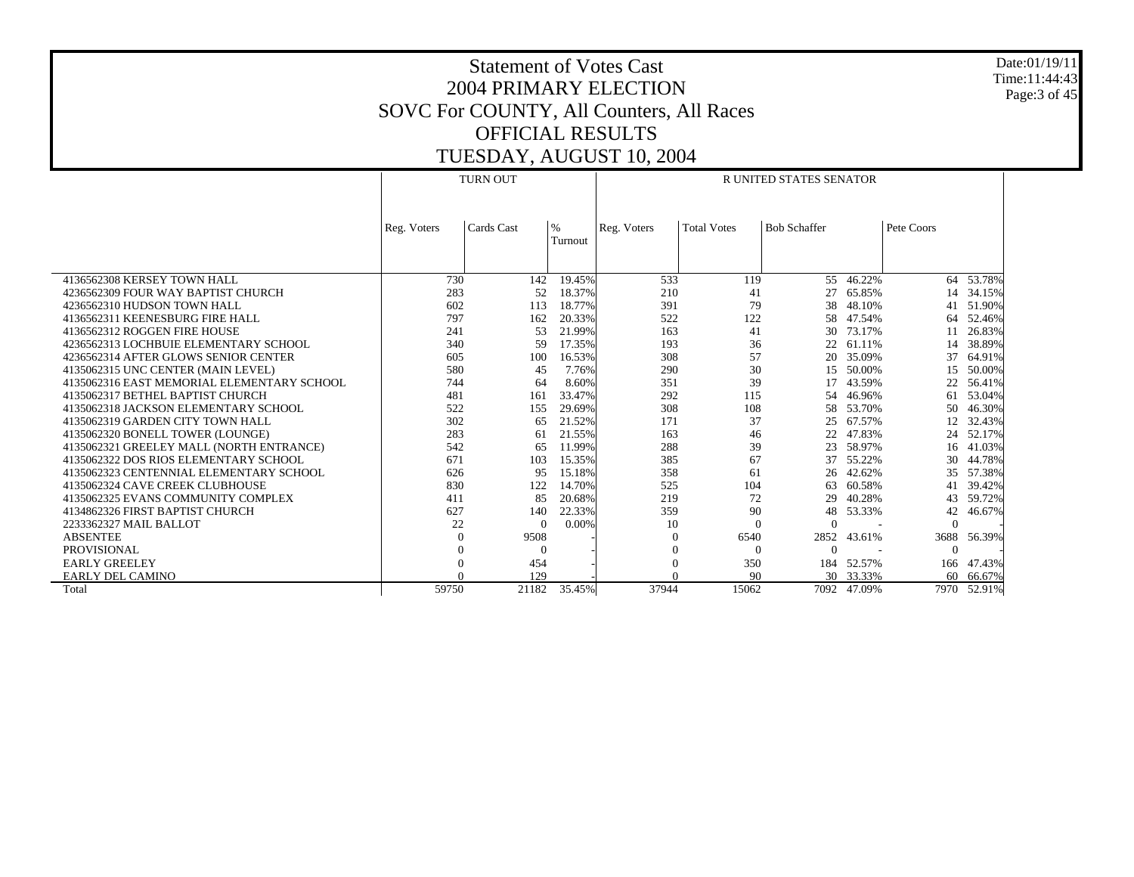Date:01/19/11 Time:11:44:43 Page:3 of 45

|                                            |             | <b>TURN OUT</b> |                          | <b>R UNITED STATES SENATOR</b> |                    |                     |           |            |             |
|--------------------------------------------|-------------|-----------------|--------------------------|--------------------------------|--------------------|---------------------|-----------|------------|-------------|
|                                            |             |                 |                          |                                |                    |                     |           |            |             |
|                                            | Reg. Voters | Cards Cast      | $\frac{9}{6}$<br>Turnout | Reg. Voters                    | <b>Total Votes</b> | <b>Bob Schaffer</b> |           | Pete Coors |             |
|                                            |             |                 |                          |                                |                    |                     |           |            |             |
| 4136562308 KERSEY TOWN HALL                | 730         | 142             | 19.45%                   | 533                            | 119                |                     | 55 46.22% |            | 64 53.78%   |
| 4236562309 FOUR WAY BAPTIST CHURCH         | 283         | 52              | 18.37%                   | 210                            | 41                 | 27                  | 65.85%    | 14         | 34.15%      |
| 4236562310 HUDSON TOWN HALL                | 602         | 113             | 18.77%                   | 391                            | 79                 | 38                  | 48.10%    | 41         | 51.90%      |
| 4136562311 KEENESBURG FIRE HALL            | 797         | 162             | 20.33%                   | 522                            | 122                | 58                  | 47.54%    | 64         | 52.46%      |
| 4136562312 ROGGEN FIRE HOUSE               | 241         | 53              | 21.99%                   | 163                            | 41                 | 30                  | 73.17%    | 11         | 26.83%      |
| 4236562313 LOCHBUIE ELEMENTARY SCHOOL      | 340         | 59              | 17.35%                   | 193                            | 36                 | 22                  | 61.11%    | 14         | 38.89%      |
| 4236562314 AFTER GLOWS SENIOR CENTER       | 605         | 100             | 16.53%                   | 308                            | 57                 | 20                  | 35.09%    | 37         | 64.91%      |
| 4135062315 UNC CENTER (MAIN LEVEL)         | 580         | 45              | 7.76%                    | 290                            | 30                 | 15                  | 50.00%    | 15         | 50.00%      |
| 4135062316 EAST MEMORIAL ELEMENTARY SCHOOL | 744         | 64              | 8.60%                    | 351                            | 39                 | 17                  | 43.59%    | 22         | 56.41%      |
| 4135062317 BETHEL BAPTIST CHURCH           | 481         | 161             | 33.47%                   | 292                            | 115                | 54                  | 46.96%    | 61         | 53.04%      |
| 4135062318 JACKSON ELEMENTARY SCHOOL       | 522         | 155             | 29.69%                   | 308                            | 108                | 58                  | 53.70%    | 50         | 46.30%      |
| 4135062319 GARDEN CITY TOWN HALL           | 302         | 65              | 21.52%                   | 171                            | 37                 | 25                  | 67.57%    | 12         | 32.43%      |
| 4135062320 BONELL TOWER (LOUNGE)           | 283         | 61              | 21.55%                   | 163                            | 46                 | 22                  | 47.83%    | 24         | 52.17%      |
| 4135062321 GREELEY MALL (NORTH ENTRANCE)   | 542         | 65              | 11.99%                   | 288                            | 39                 | 23                  | 58.97%    |            | 16 41.03%   |
| 4135062322 DOS RIOS ELEMENTARY SCHOOL      | 671         | 103             | 15.35%                   | 385                            | 67                 | 37                  | 55.22%    | 30         | 44.78%      |
| 4135062323 CENTENNIAL ELEMENTARY SCHOOL    | 626         | 95              | 15.18%                   | 358                            | 61                 | 26                  | 42.62%    | 35         | 57.38%      |
| 4135062324 CAVE CREEK CLUBHOUSE            | 830         | 122             | 14.70%                   | 525                            | 104                | 63                  | 60.58%    | 41         | 39.42%      |
| 4135062325 EVANS COMMUNITY COMPLEX         | 411         | 85              | 20.68%                   | 219                            | 72                 | 29                  | 40.28%    | 43         | 59.72%      |
| 4134862326 FIRST BAPTIST CHURCH            | 627         | 140             | 22.33%                   | 359                            | 90                 | 48                  | 53.33%    | 42         | 46.67%      |
| 2233362327 MAIL BALLOT                     | 22          | $\Omega$        | $0.00\%$                 | 10                             | $\Omega$           | 0                   |           | $\Omega$   |             |
| <b>ABSENTEE</b>                            | $\Omega$    | 9508            |                          | $\Omega$                       | 6540               | 2852                | 43.61%    | 3688       | 56.39%      |
| <b>PROVISIONAL</b>                         | $\Omega$    | $\Omega$        |                          | $\Omega$                       | $\Omega$           | 0                   |           | $\Omega$   |             |
| <b>EARLY GREELEY</b>                       | $\Omega$    | 454             |                          | $\theta$                       | 350                | 184                 | 52.57%    | 166        | 47.43%      |
| <b>EARLY DEL CAMINO</b>                    |             | 129             |                          |                                | 90                 |                     | 30 33.33% | 60         | 66.67%      |
| Total                                      | 59750       | 21182           | 35.45%                   | 37944                          | 15062              | 7092                | 47.09%    |            | 7970 52.91% |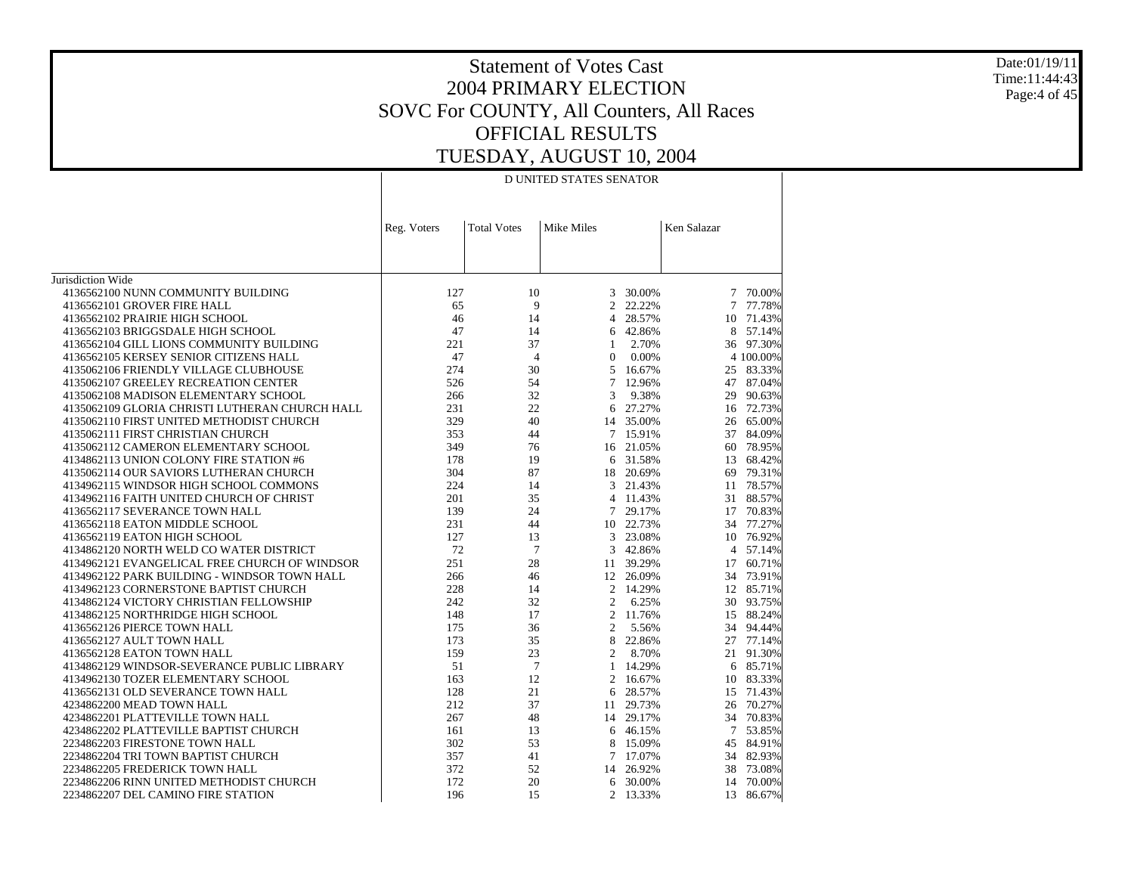Date:01/19/11 Time:11:44:43 Page:4 of 45

# Statement of Votes Cast 2004 PRIMARY ELECTION SOVC For COUNTY, All Counters, All Races OFFICIAL RESULTS TUESDAY, AUGUST 10, 2004

#### D UNITED STATES SENATOR

|                                                | Reg. Voters | <b>Total Votes</b> | Mike Miles     |           | Ken Salazar |                  |
|------------------------------------------------|-------------|--------------------|----------------|-----------|-------------|------------------|
|                                                |             |                    |                |           |             |                  |
|                                                |             |                    |                |           |             |                  |
| Jurisdiction Wide                              |             |                    |                |           |             |                  |
| 4136562100 NUNN COMMUNITY BUILDING             | 127         | 10                 | 3              | 30.00%    | 7           | 70.00%           |
| 4136562101 GROVER FIRE HALL                    | 65          | 9                  | $\overline{c}$ | 22.22%    | 7           | 77.78%           |
| 4136562102 PRAIRIE HIGH SCHOOL                 | 46          | 14                 | $\overline{4}$ | 28.57%    | 10          | 71.43%           |
| 4136562103 BRIGGSDALE HIGH SCHOOL              | 47          | 14                 | 6              | 42.86%    | 8           | 57.14%           |
| 4136562104 GILL LIONS COMMUNITY BUILDING       | 221         | 37                 | 1              | 2.70%     |             | 36 97.30%        |
| 4136562105 KERSEY SENIOR CITIZENS HALL         | 47          | $\overline{4}$     | $\mathbf{0}$   | 0.00%     |             | 4 100,00%        |
| 4135062106 FRIENDLY VILLAGE CLUBHOUSE          | 274         | 30                 | 5              | 16.67%    |             | 83.33%           |
| 4135062107 GREELEY RECREATION CENTER           | 526         | 54                 | $\overline{7}$ | 12.96%    | 25<br>47    | 87.04%           |
| 4135062108 MADISON ELEMENTARY SCHOOL           |             | 32                 | 3              | 9.38%     | 29          |                  |
|                                                | 266<br>231  | 22                 | 6              | 27.27%    |             | 90.63%<br>72.73% |
| 4135062109 GLORIA CHRISTI LUTHERAN CHURCH HALL | 329         | 40                 |                |           | 16          | 65.00%           |
| 4135062110 FIRST UNITED METHODIST CHURCH       | 353         |                    | 14             | 35.00%    | 26          |                  |
| 4135062111 FIRST CHRISTIAN CHURCH              |             | 44                 |                | 7 15.91%  | 37          | 84.09%           |
| 4135062112 CAMERON ELEMENTARY SCHOOL           | 349         | 76<br>19           | 16             | 21.05%    | 60          | 78.95%           |
| 4134862113 UNION COLONY FIRE STATION #6        | 178         |                    | 6              | 31.58%    | 13          | 68.42%           |
| 4135062114 OUR SAVIORS LUTHERAN CHURCH         | 304         | 87                 | 18             | 20.69%    | 69          | 79.31%           |
| 4134962115 WINDSOR HIGH SCHOOL COMMONS         | 224         | 14                 | 3              | 21.43%    | 11          | 78.57%           |
| 4134962116 FAITH UNITED CHURCH OF CHRIST       | 201         | 35                 | 4              | 11.43%    | 31          | 88.57%           |
| 4136562117 SEVERANCE TOWN HALL                 | 139         | 24                 | 7              | 29.17%    | 17          | 70.83%           |
| 4136562118 EATON MIDDLE SCHOOL                 | 231         | 44                 |                | 10 22.73% | 34          | 77.27%           |
| 4136562119 EATON HIGH SCHOOL                   | 127         | 13                 | 3              | 23.08%    | 10          | 76.92%           |
| 4134862120 NORTH WELD CO WATER DISTRICT        | 72          | 7                  | 3              | 42.86%    |             | 4 57.14%         |
| 4134962121 EVANGELICAL FREE CHURCH OF WINDSOR  | 251         | 28                 | 11             | 39.29%    | 17          | 60.71%           |
| 4134962122 PARK BUILDING - WINDSOR TOWN HALL   | 266         | 46                 | 12             | 26.09%    |             | 34 73.91%        |
| 4134962123 CORNERSTONE BAPTIST CHURCH          | 228         | 14                 | $\overline{2}$ | 14.29%    | 12          | 85.71%           |
| 4134862124 VICTORY CHRISTIAN FELLOWSHIP        | 242         | 32                 | $\overline{2}$ | 6.25%     | 30          | 93.75%           |
| 4134862125 NORTHRIDGE HIGH SCHOOL              | 148         | 17                 | $\overline{c}$ | 11.76%    |             | 15 88.24%        |
| 4136562126 PIERCE TOWN HALL                    | 175         | 36                 | 2              | 5.56%     | 34          | 94.44%           |
| 4136562127 AULT TOWN HALL                      | 173         | 35                 | 8              | 22.86%    | 27          | 77.14%           |
| 4136562128 EATON TOWN HALL                     | 159         | 23                 | 2              | 8.70%     | 21          | 91.30%           |
| 4134862129 WINDSOR-SEVERANCE PUBLIC LIBRARY    | 51          | $\tau$             | $\mathbf{1}$   | 14.29%    | 6           | 85.71%           |
| 4134962130 TOZER ELEMENTARY SCHOOL             | 163         | 12                 | 2              | 16.67%    | 10          | 83.33%           |
| 4136562131 OLD SEVERANCE TOWN HALL             | 128         | 21                 | 6              | 28.57%    | 15          | 71.43%           |
| 4234862200 MEAD TOWN HALL                      | 212         | 37                 | 11             | 29.73%    | 26          | 70.27%           |
| 4234862201 PLATTEVILLE TOWN HALL               | 267         | 48                 |                | 14 29.17% | 34          | 70.83%           |
| 4234862202 PLATTEVILLE BAPTIST CHURCH          | 161         | 13                 | 6              | 46.15%    | 7           | 53.85%           |
| 2234862203 FIRESTONE TOWN HALL                 | 302         | 53                 | 8              | 15.09%    | 45          | 84.91%           |
| 2234862204 TRI TOWN BAPTIST CHURCH             | 357         | 41                 | $\tau$         | 17.07%    | 34          | 82.93%           |
| 2234862205 FREDERICK TOWN HALL                 | 372         | 52                 | 14             | 26.92%    | 38          | 73.08%           |
| 2234862206 RINN UNITED METHODIST CHURCH        | 172         | 20                 | 6              | 30.00%    | 14          | 70.00%           |
| 2234862207 DEL CAMINO FIRE STATION             | 196         | 15                 | 2              | 13.33%    | 13          | 86.67%           |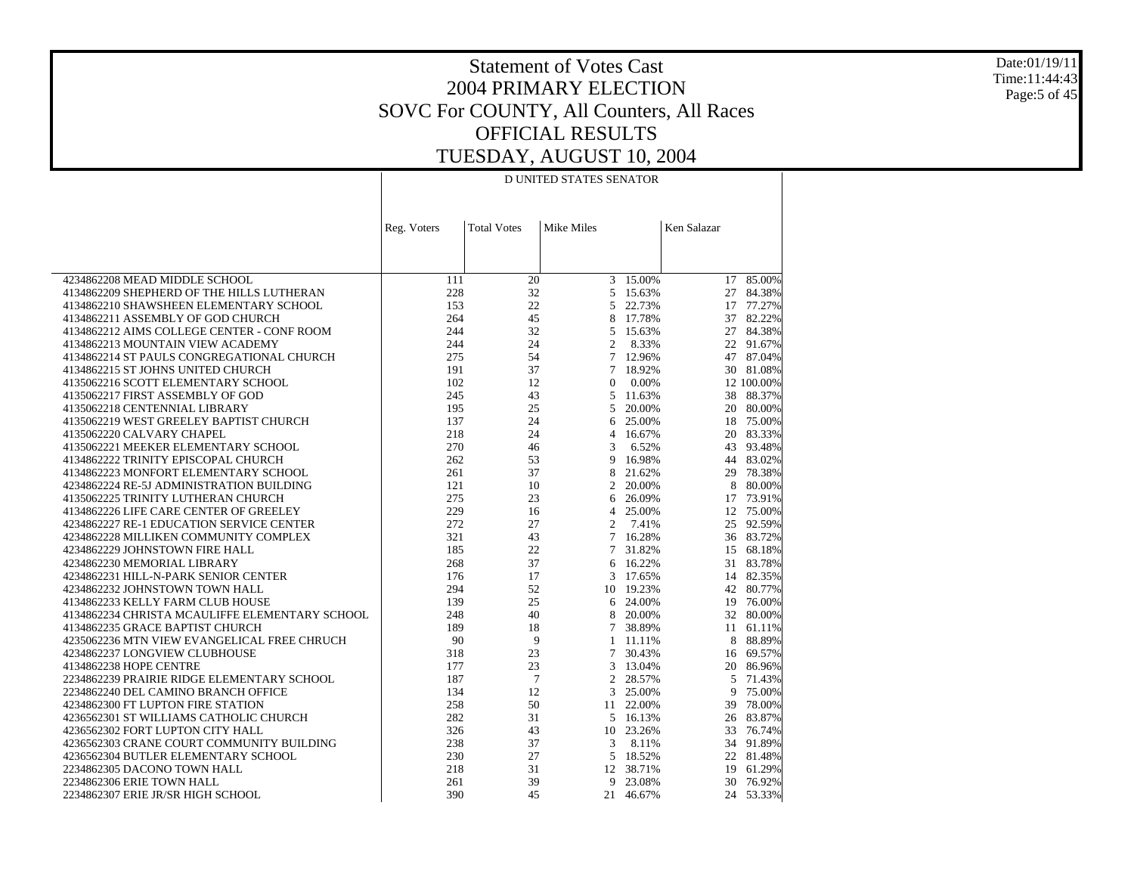Date:01/19/11 Time:11:44:43 Page:5 of 45

# Statement of Votes Cast 2004 PRIMARY ELECTION SOVC For COUNTY, All Counters, All Races OFFICIAL RESULTS TUESDAY, AUGUST 10, 2004

#### D UNITED STATES SENATOR

|                                                | Reg. Voters | <b>Total Votes</b> | Mike Miles     |           | Ken Salazar |            |
|------------------------------------------------|-------------|--------------------|----------------|-----------|-------------|------------|
|                                                |             |                    |                |           |             |            |
|                                                |             |                    |                |           |             |            |
|                                                |             |                    |                |           |             |            |
| 4234862208 MEAD MIDDLE SCHOOL                  | 111         | 20                 |                | 3 15.00%  |             | 17 85.00%  |
| 4134862209 SHEPHERD OF THE HILLS LUTHERAN      | 228         | 32                 | 5              | 15.63%    | 27          | 84.38%     |
| 4134862210 SHAWSHEEN ELEMENTARY SCHOOL         | 153         | 22                 | 5              | 22.73%    | 17          | 77.27%     |
| 4134862211 ASSEMBLY OF GOD CHURCH              | 264         | 45                 | 8              | 17.78%    | 37          | 82.22%     |
| 4134862212 AIMS COLLEGE CENTER - CONF ROOM     | 244         | 32                 | 5              | 15.63%    | 27          | 84.38%     |
| 4134862213 MOUNTAIN VIEW ACADEMY               | 244         | 24                 | $\overline{2}$ | 8.33%     | 22          | 91.67%     |
| 4134862214 ST PAULS CONGREGATIONAL CHURCH      | 275         | 54                 | $\tau$         | 12.96%    | 47          | 87.04%     |
| 4134862215 ST JOHNS UNITED CHURCH              | 191         | 37                 | 7              | 18.92%    | 30          | 81.08%     |
| 4135062216 SCOTT ELEMENTARY SCHOOL             | 102         | 12                 | $\mathbf{0}$   | 0.00%     |             | 12 100.00% |
| 4135062217 FIRST ASSEMBLY OF GOD               | 245         | 43                 | 5              | 11.63%    | 38          | 88.37%     |
| 4135062218 CENTENNIAL LIBRARY                  | 195         | 25                 | 5              | 20.00%    | 20          | 80.00%     |
| 4135062219 WEST GREELEY BAPTIST CHURCH         | 137         | 24                 | 6              | 25.00%    | 18          | 75.00%     |
| 4135062220 CALVARY CHAPEL                      | 218         | 24                 | 4              | 16.67%    | 20          | 83.33%     |
| 4135062221 MEEKER ELEMENTARY SCHOOL            | 270         | 46                 | 3              | 6.52%     | 43          | 93.48%     |
| 4134862222 TRINITY EPISCOPAL CHURCH            | 262         | 53                 | 9              | 16.98%    | 44          | 83.02%     |
| 4134862223 MONFORT ELEMENTARY SCHOOL           | 261         | 37                 | 8              | 21.62%    | 29          | 78.38%     |
| 4234862224 RE-5J ADMINISTRATION BUILDING       | 121         | 10                 | $\overline{2}$ | 20.00%    | 8           | 80.00%     |
| 4135062225 TRINITY LUTHERAN CHURCH             | 275         | 23                 | 6              | 26.09%    | 17          | 73.91%     |
| 4134862226 LIFE CARE CENTER OF GREELEY         | 229         | 16                 | 4              | 25.00%    | 12          | 75.00%     |
| 4234862227 RE-1 EDUCATION SERVICE CENTER       | 272         | 27                 | $\overline{c}$ | 7.41%     | 25          | 92.59%     |
| 4234862228 MILLIKEN COMMUNITY COMPLEX          | 321         | 43                 | 7              | 16.28%    | 36          | 83.72%     |
| 4234862229 JOHNSTOWN FIRE HALL                 | 185         | 22                 | $\tau$         | 31.82%    | 15          | 68.18%     |
| 4234862230 MEMORIAL LIBRARY                    | 268         | 37                 | 6              | 16.22%    | 31          | 83.78%     |
| 4234862231 HILL-N-PARK SENIOR CENTER           | 176         | 17                 | 3              | 17.65%    | 14          | 82.35%     |
| 4234862232 JOHNSTOWN TOWN HALL                 | 294         | 52                 | 10             | 19.23%    | 42          | 80.77%     |
| 4134862233 KELLY FARM CLUB HOUSE               | 139         | 25                 | 6              | 24.00%    | 19          | 76.00%     |
| 4134862234 CHRISTA MCAULIFFE ELEMENTARY SCHOOL | 248         | 40                 | 8              | 20.00%    | 32          | 80.00%     |
| 4134862235 GRACE BAPTIST CHURCH                | 189         | 18                 | 7              | 38.89%    | 11          | 61.11%     |
| 4235062236 MTN VIEW EVANGELICAL FREE CHRUCH    | 90          | 9                  | 1              | 11.11%    | 8           | 88.89%     |
| 4234862237 LONGVIEW CLUBHOUSE                  | 318         | 23                 | 7              | 30.43%    | 16          | 69.57%     |
| 4134862238 HOPE CENTRE                         | 177         | 23                 | 3              | 13.04%    | 20          | 86.96%     |
| 2234862239 PRAIRIE RIDGE ELEMENTARY SCHOOL     | 187         | 7                  | 2              | 28.57%    | 5           | 71.43%     |
| 2234862240 DEL CAMINO BRANCH OFFICE            | 134         | 12                 | 3              | 25.00%    | 9           | 75.00%     |
| 4234862300 FT LUPTON FIRE STATION              | 258         | 50                 | 11             | 22.00%    | 39          | 78.00%     |
| 4236562301 ST WILLIAMS CATHOLIC CHURCH         | 282         | 31                 | 5              | 16.13%    | 26          | 83.87%     |
| 4236562302 FORT LUPTON CITY HALL               | 326         | 43                 | 10             | 23.26%    | 33          | 76.74%     |
| 4236562303 CRANE COURT COMMUNITY BUILDING      | 238         | 37                 | 3              | 8.11%     | 34          | 91.89%     |
| 4236562304 BUTLER ELEMENTARY SCHOOL            | 230         | 27                 | 5              | 18.52%    | 22          | 81.48%     |
| 2234862305 DACONO TOWN HALL                    | 218         | 31                 |                | 12 38.71% | 19          | 61.29%     |
| 2234862306 ERIE TOWN HALL                      | 261         | 39                 | 9              | 23.08%    | 30          | 76.92%     |
| 2234862307 ERIE JR/SR HIGH SCHOOL              | 390         | 45                 |                | 21 46.67% | 24          | 53.33%     |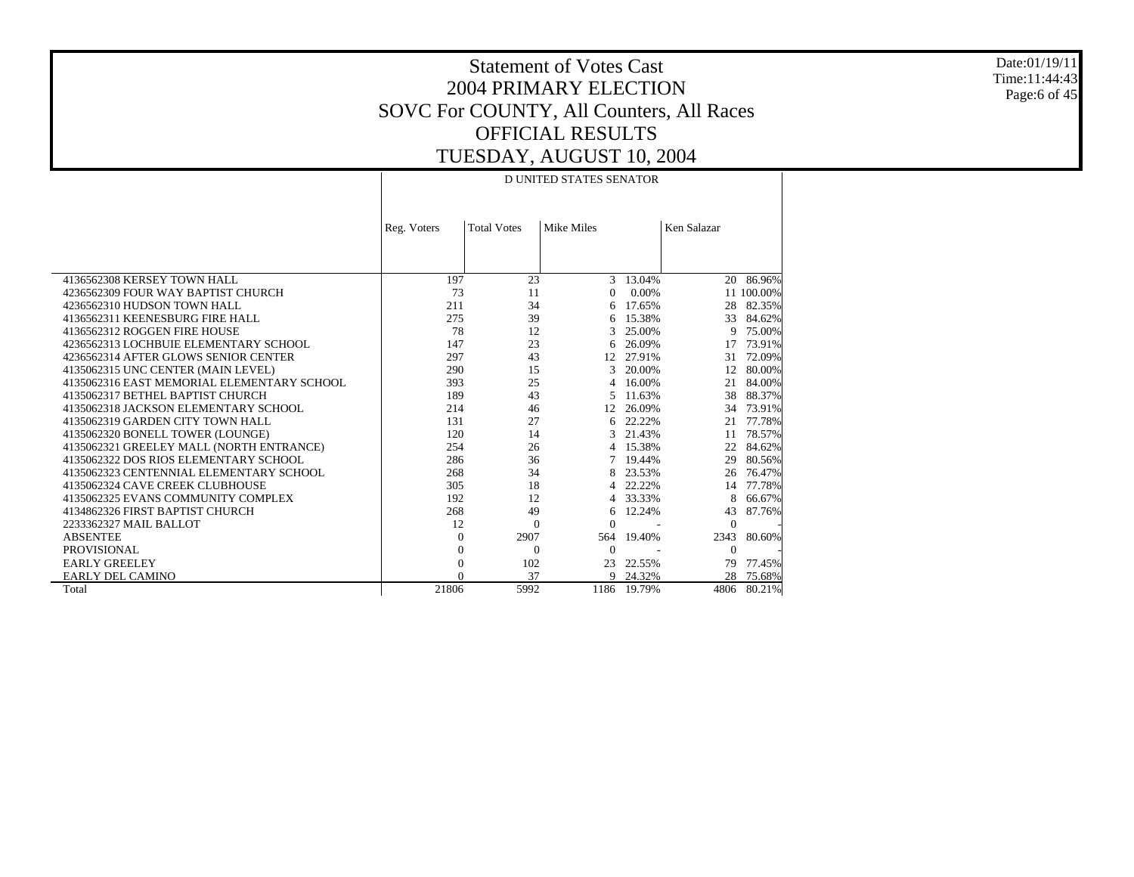Date:01/19/11 Time:11:44:43 Page:6 of 45

# Statement of Votes Cast 2004 PRIMARY ELECTION SOVC For COUNTY, All Counters, All Races OFFICIAL RESULTS TUESDAY, AUGUST 10, 2004

#### D UNITED STATES SENATOR

|                                            | Reg. Voters | <b>Total Votes</b> | Mike Miles    |             | Ken Salazar |            |
|--------------------------------------------|-------------|--------------------|---------------|-------------|-------------|------------|
|                                            |             |                    |               |             |             |            |
|                                            |             |                    |               |             |             |            |
|                                            |             |                    |               |             |             |            |
| 4136562308 KERSEY TOWN HALL                | 197         | 23                 | $\mathcal{R}$ | 13.04%      | 20          | 86.96%     |
| 4236562309 FOUR WAY BAPTIST CHURCH         | 73          | 11                 | 0             | 0.00%       |             | 11 100.00% |
| 4236562310 HUDSON TOWN HALL                | 211         | 34                 | 6             | 17.65%      | 28          | 82.35%     |
| 4136562311 KEENESBURG FIRE HALL            | 275         | 39                 | 6             | 15.38%      | 33          | 84.62%     |
| 4136562312 ROGGEN FIRE HOUSE               | 78          | 12                 | 3             | 25.00%      | 9           | 75.00%     |
| 4236562313 LOCHBUIE ELEMENTARY SCHOOL      | 147         | 23                 | 6             | 26.09%      | 17          | 73.91%     |
| 4236562314 AFTER GLOWS SENIOR CENTER       | 297         | 43                 | 12            | 27.91%      | 31          | 72.09%     |
| 4135062315 UNC CENTER (MAIN LEVEL)         | 290         | 15                 | 3             | 20.00%      | 12          | 80.00%     |
| 4135062316 EAST MEMORIAL ELEMENTARY SCHOOL | 393         | 25                 | 4             | 16.00%      | 21          | 84.00%     |
| 4135062317 BETHEL BAPTIST CHURCH           | 189         | 43                 | 5.            | 11.63%      | 38          | 88.37%     |
| 4135062318 JACKSON ELEMENTARY SCHOOL       | 214         | 46                 | 12            | 26.09%      | 34          | 73.91%     |
| 4135062319 GARDEN CITY TOWN HALL           | 131         | 27                 | 6             | 22.22%      | 21          | 77.78%     |
| 4135062320 BONELL TOWER (LOUNGE)           | 120         | 14                 | 3             | 21.43%      | 11          | 78.57%     |
| 4135062321 GREELEY MALL (NORTH ENTRANCE)   | 254         | 26                 | 4             | 15.38%      | 22          | 84.62%     |
| 4135062322 DOS RIOS ELEMENTARY SCHOOL      | 286         | 36                 | 7             | 19.44%      | 29          | 80.56%     |
| 4135062323 CENTENNIAL ELEMENTARY SCHOOL    | 268         | 34                 | 8             | 23.53%      | 26          | 76.47%     |
| 4135062324 CAVE CREEK CLUBHOUSE            | 305         | 18                 | 4             | 22.22%      | 14          | 77.78%     |
| 4135062325 EVANS COMMUNITY COMPLEX         | 192         | 12                 | 4             | 33.33%      | 8           | 66.67%     |
| 4134862326 FIRST BAPTIST CHURCH            | 268         | 49                 | 6             | 12.24%      | 43          | 87.76%     |
| 2233362327 MAIL BALLOT                     | 12          | $\Omega$           | $\Omega$      |             | $\Omega$    |            |
| <b>ABSENTEE</b>                            | $\Omega$    | 2907               | 564           | 19.40%      | 2343        | 80.60%     |
| PROVISIONAL                                | $\theta$    | $\Omega$           | $\Omega$      |             | $\Omega$    |            |
| <b>EARLY GREELEY</b>                       | 0           | 102                | 23            | 22.55%      | 79          | 77.45%     |
| <b>EARLY DEL CAMINO</b>                    | $\Omega$    | 37                 | 9             | 24.32%      | 28          | 75.68%     |
| Total                                      | 21806       | 5992               |               | 1186 19.79% | 4806        | 80.21%     |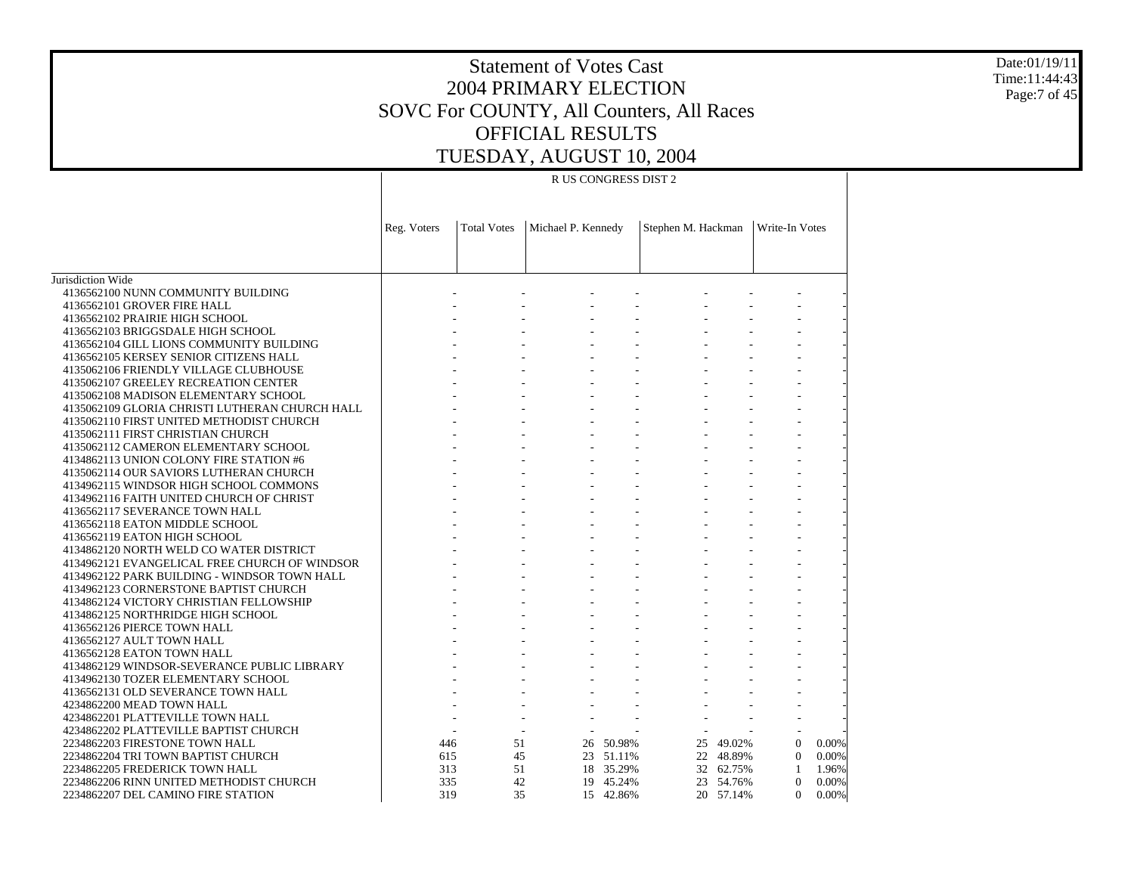#### Statement of Votes Cast 2004 PRIMARY ELECTION SOVC For COUNTY, All Counters, All Races OFFICIAL RESULTS TUESDAY, AUGUST 10, 2004

Date:01/19/11 Time:11:44:43 Page:7 of 45

#### R US CONGRESS DIST 2

|                                                | Reg. Voters | <b>Total Votes</b> | Michael P. Kennedy |           | Stephen M. Hackman | Write-In Votes |                   |  |
|------------------------------------------------|-------------|--------------------|--------------------|-----------|--------------------|----------------|-------------------|--|
|                                                |             |                    |                    |           |                    |                |                   |  |
|                                                |             |                    |                    |           |                    |                |                   |  |
|                                                |             |                    |                    |           |                    |                |                   |  |
| Jurisdiction Wide                              |             |                    |                    |           |                    |                |                   |  |
| 4136562100 NUNN COMMUNITY BUILDING             |             |                    |                    |           |                    |                |                   |  |
| 4136562101 GROVER FIRE HALL                    |             |                    |                    |           |                    |                |                   |  |
| 4136562102 PRAIRIE HIGH SCHOOL                 |             |                    |                    |           |                    |                |                   |  |
| 4136562103 BRIGGSDALE HIGH SCHOOL              |             |                    |                    |           |                    |                |                   |  |
| 4136562104 GILL LIONS COMMUNITY BUILDING       |             |                    |                    |           |                    |                |                   |  |
| 4136562105 KERSEY SENIOR CITIZENS HALL         |             |                    |                    |           |                    |                |                   |  |
| 4135062106 FRIENDLY VILLAGE CLUBHOUSE          |             |                    |                    |           |                    |                |                   |  |
| 4135062107 GREELEY RECREATION CENTER           |             |                    |                    |           |                    |                |                   |  |
| 4135062108 MADISON ELEMENTARY SCHOOL           |             |                    |                    |           |                    |                |                   |  |
| 4135062109 GLORIA CHRISTI LUTHERAN CHURCH HALL |             |                    |                    |           |                    |                |                   |  |
| 4135062110 FIRST UNITED METHODIST CHURCH       |             |                    |                    |           |                    |                |                   |  |
| 4135062111 FIRST CHRISTIAN CHURCH              |             |                    |                    |           |                    |                |                   |  |
| 4135062112 CAMERON ELEMENTARY SCHOOL           |             |                    |                    |           |                    |                |                   |  |
| 4134862113 UNION COLONY FIRE STATION #6        |             |                    |                    |           |                    |                |                   |  |
| 4135062114 OUR SAVIORS LUTHERAN CHURCH         |             |                    |                    |           |                    |                |                   |  |
| 4134962115 WINDSOR HIGH SCHOOL COMMONS         |             |                    |                    |           |                    |                |                   |  |
| 4134962116 FAITH UNITED CHURCH OF CHRIST       |             |                    |                    |           |                    |                |                   |  |
| 4136562117 SEVERANCE TOWN HALL                 |             |                    |                    |           |                    |                |                   |  |
| 4136562118 EATON MIDDLE SCHOOL                 |             |                    |                    |           |                    |                |                   |  |
| 4136562119 EATON HIGH SCHOOL                   |             |                    |                    |           |                    |                |                   |  |
| 4134862120 NORTH WELD CO WATER DISTRICT        |             |                    |                    |           |                    |                |                   |  |
| 4134962121 EVANGELICAL FREE CHURCH OF WINDSOR  |             |                    |                    |           |                    |                |                   |  |
| 4134962122 PARK BUILDING - WINDSOR TOWN HALL   |             |                    |                    |           |                    |                |                   |  |
| 4134962123 CORNERSTONE BAPTIST CHURCH          |             |                    |                    |           |                    |                |                   |  |
| 4134862124 VICTORY CHRISTIAN FELLOWSHIP        |             |                    |                    |           |                    |                |                   |  |
| 4134862125 NORTHRIDGE HIGH SCHOOL              |             |                    |                    |           |                    |                |                   |  |
| 4136562126 PIERCE TOWN HALL                    |             |                    |                    |           |                    |                |                   |  |
| 4136562127 AULT TOWN HALL                      |             |                    |                    |           |                    |                |                   |  |
| 4136562128 EATON TOWN HALL                     |             |                    |                    |           |                    |                |                   |  |
| 4134862129 WINDSOR-SEVERANCE PUBLIC LIBRARY    |             |                    |                    |           |                    |                |                   |  |
| 4134962130 TOZER ELEMENTARY SCHOOL             |             |                    |                    |           |                    |                |                   |  |
| 4136562131 OLD SEVERANCE TOWN HALL             |             |                    |                    |           |                    |                |                   |  |
| 4234862200 MEAD TOWN HALL                      |             |                    |                    |           |                    |                |                   |  |
| 4234862201 PLATTEVILLE TOWN HALL               |             |                    |                    |           |                    |                |                   |  |
| 4234862202 PLATTEVILLE BAPTIST CHURCH          |             |                    |                    |           |                    |                |                   |  |
| 2234862203 FIRESTONE TOWN HALL                 | 446         | 51                 |                    | 26 50.98% | 25 49.02%          |                | $\Omega$<br>0.00% |  |
| 2234862204 TRI TOWN BAPTIST CHURCH             | 615         | 45                 |                    | 23 51.11% | 22 48.89%          |                | $\Omega$<br>0.00% |  |
| 2234862205 FREDERICK TOWN HALL                 | 313         | 51                 |                    | 18 35.29% | 32 62.75%          |                | 1<br>1.96%        |  |
| 2234862206 RINN UNITED METHODIST CHURCH        | 335         | 42                 |                    | 19 45.24% | 23 54.76%          |                | $\Omega$<br>0.00% |  |
| 2234862207 DEL CAMINO FIRE STATION             | 319         | 35                 |                    | 15 42.86% | 20 57.14%          |                | $\Omega$<br>0.00% |  |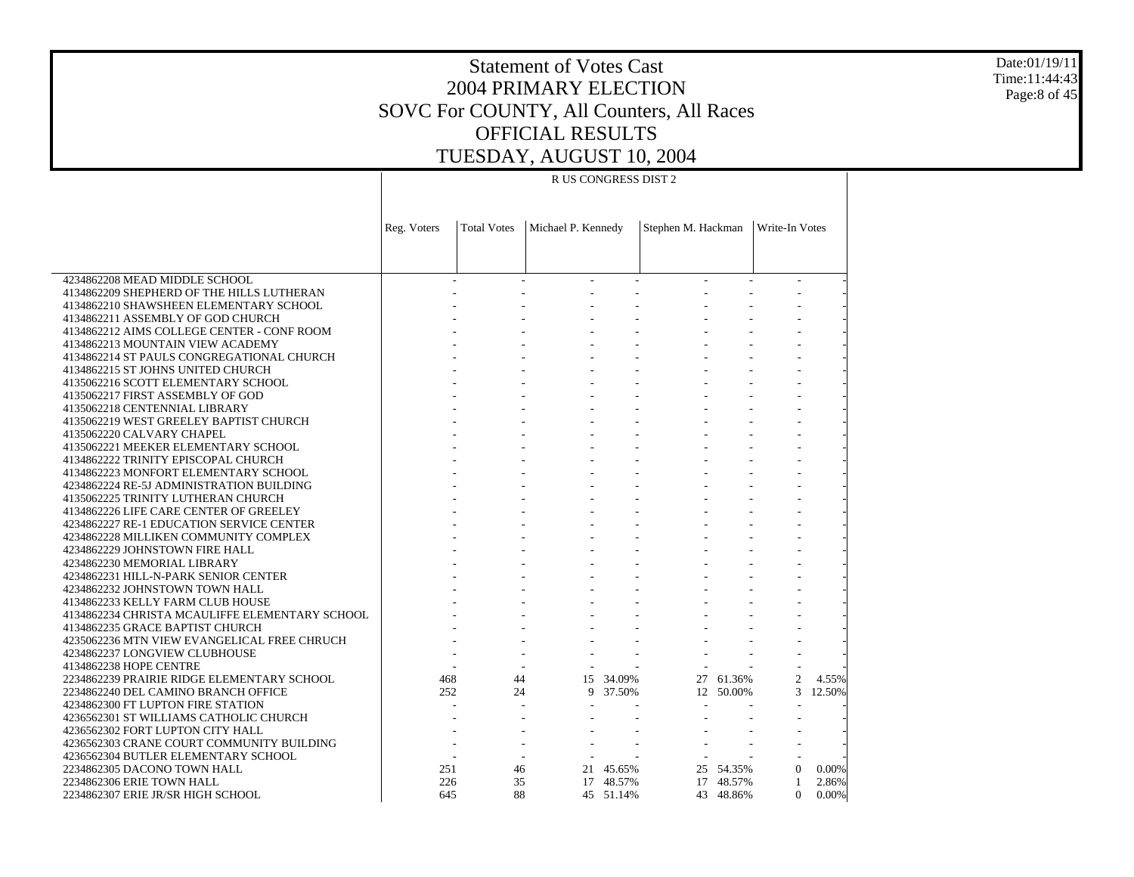Date:01/19/11 Time:11:44:43 Page:8 of 45

# Statement of Votes Cast 2004 PRIMARY ELECTION SOVC For COUNTY, All Counters, All Races OFFICIAL RESULTS TUESDAY, AUGUST 10, 2004

#### R US CONGRESS DIST 2

|                                                                    | Reg. Voters | <b>Total Votes</b> | Michael P. Kennedy |           | Stephen M. Hackman |           | Write-In Votes |        |
|--------------------------------------------------------------------|-------------|--------------------|--------------------|-----------|--------------------|-----------|----------------|--------|
|                                                                    |             |                    |                    |           |                    |           |                |        |
|                                                                    |             |                    |                    |           |                    |           |                |        |
| 4234862208 MEAD MIDDLE SCHOOL                                      |             |                    |                    |           |                    |           |                |        |
| 4134862209 SHEPHERD OF THE HILLS LUTHERAN                          |             |                    |                    |           |                    |           |                |        |
| 4134862210 SHAWSHEEN ELEMENTARY SCHOOL                             |             |                    |                    |           |                    |           |                |        |
| 4134862211 ASSEMBLY OF GOD CHURCH                                  |             |                    |                    |           |                    |           |                |        |
| 4134862212 AIMS COLLEGE CENTER - CONF ROOM                         |             |                    |                    |           |                    |           |                |        |
| 4134862213 MOUNTAIN VIEW ACADEMY                                   |             |                    |                    |           |                    |           |                |        |
| 4134862214 ST PAULS CONGREGATIONAL CHURCH                          |             |                    |                    |           |                    |           |                |        |
| 4134862215 ST JOHNS UNITED CHURCH                                  |             |                    |                    |           |                    |           |                |        |
| 4135062216 SCOTT ELEMENTARY SCHOOL                                 |             |                    |                    |           |                    |           |                |        |
| 4135062217 FIRST ASSEMBLY OF GOD                                   |             |                    |                    |           |                    |           |                |        |
| 4135062218 CENTENNIAL LIBRARY                                      |             |                    |                    |           |                    |           |                |        |
| 4135062219 WEST GREELEY BAPTIST CHURCH                             |             |                    |                    |           |                    |           |                |        |
| 4135062220 CALVARY CHAPEL                                          |             |                    |                    |           |                    |           |                |        |
| 4135062221 MEEKER ELEMENTARY SCHOOL                                |             |                    |                    |           |                    |           |                |        |
| 4134862222 TRINITY EPISCOPAL CHURCH                                |             |                    |                    |           |                    |           |                |        |
| 4134862223 MONFORT ELEMENTARY SCHOOL                               |             |                    |                    |           |                    |           |                |        |
| 4234862224 RE-5J ADMINISTRATION BUILDING                           |             |                    |                    |           |                    |           |                |        |
| 4135062225 TRINITY LUTHERAN CHURCH                                 |             |                    |                    |           |                    |           |                |        |
| 4134862226 LIFE CARE CENTER OF GREELEY                             |             |                    |                    |           |                    |           |                |        |
| 4234862227 RE-1 EDUCATION SERVICE CENTER                           |             |                    |                    |           |                    |           |                |        |
| 4234862228 MILLIKEN COMMUNITY COMPLEX                              |             |                    |                    |           |                    |           |                |        |
| 4234862229 JOHNSTOWN FIRE HALL                                     |             |                    |                    |           |                    |           |                |        |
| 4234862230 MEMORIAL LIBRARY                                        |             |                    |                    |           |                    |           |                |        |
| 4234862231 HILL-N-PARK SENIOR CENTER                               |             |                    |                    |           |                    |           |                |        |
| 4234862232 JOHNSTOWN TOWN HALL                                     |             |                    |                    |           |                    |           |                |        |
| 4134862233 KELLY FARM CLUB HOUSE                                   |             |                    |                    |           |                    |           |                |        |
| 4134862234 CHRISTA MCAULIFFE ELEMENTARY SCHOOL                     |             |                    |                    |           |                    |           |                |        |
| 4134862235 GRACE BAPTIST CHURCH                                    |             |                    |                    |           |                    |           |                |        |
| 4235062236 MTN VIEW EVANGELICAL FREE CHRUCH                        |             |                    |                    |           |                    |           |                |        |
| 4234862237 LONGVIEW CLUBHOUSE                                      |             |                    |                    |           |                    |           |                |        |
| 4134862238 HOPE CENTRE                                             |             |                    |                    |           |                    |           |                |        |
| 2234862239 PRAIRIE RIDGE ELEMENTARY SCHOOL                         | 468         | 44                 |                    | 15 34.09% |                    | 27 61.36% | 2              | 4.55%  |
| 2234862240 DEL CAMINO BRANCH OFFICE                                | 252         | 24                 |                    | 9 37.50%  |                    | 12 50.00% | 3              | 12.50% |
| 4234862300 FT LUPTON FIRE STATION                                  |             |                    | ÷.                 |           |                    |           |                |        |
| 4236562301 ST WILLIAMS CATHOLIC CHURCH                             |             |                    |                    |           |                    |           |                |        |
| 4236562302 FORT LUPTON CITY HALL                                   |             |                    |                    |           |                    |           |                |        |
| 4236562303 CRANE COURT COMMUNITY BUILDING                          |             |                    |                    |           |                    |           |                |        |
| 4236562304 BUTLER ELEMENTARY SCHOOL<br>2234862305 DACONO TOWN HALL | 251         | 46                 |                    | 21 45.65% |                    | 25 54.35% | $\Omega$       | 0.00%  |
| 2234862306 ERIE TOWN HALL                                          | 226         | 35                 |                    | 17 48.57% |                    | 17 48.57% | $\mathbf{1}$   | 2.86%  |
| 2234862307 ERIE JR/SR HIGH SCHOOL                                  | 645         | 88                 |                    | 45 51.14% |                    | 43 48.86% | $\Omega$       | 0.00%  |
|                                                                    |             |                    |                    |           |                    |           |                |        |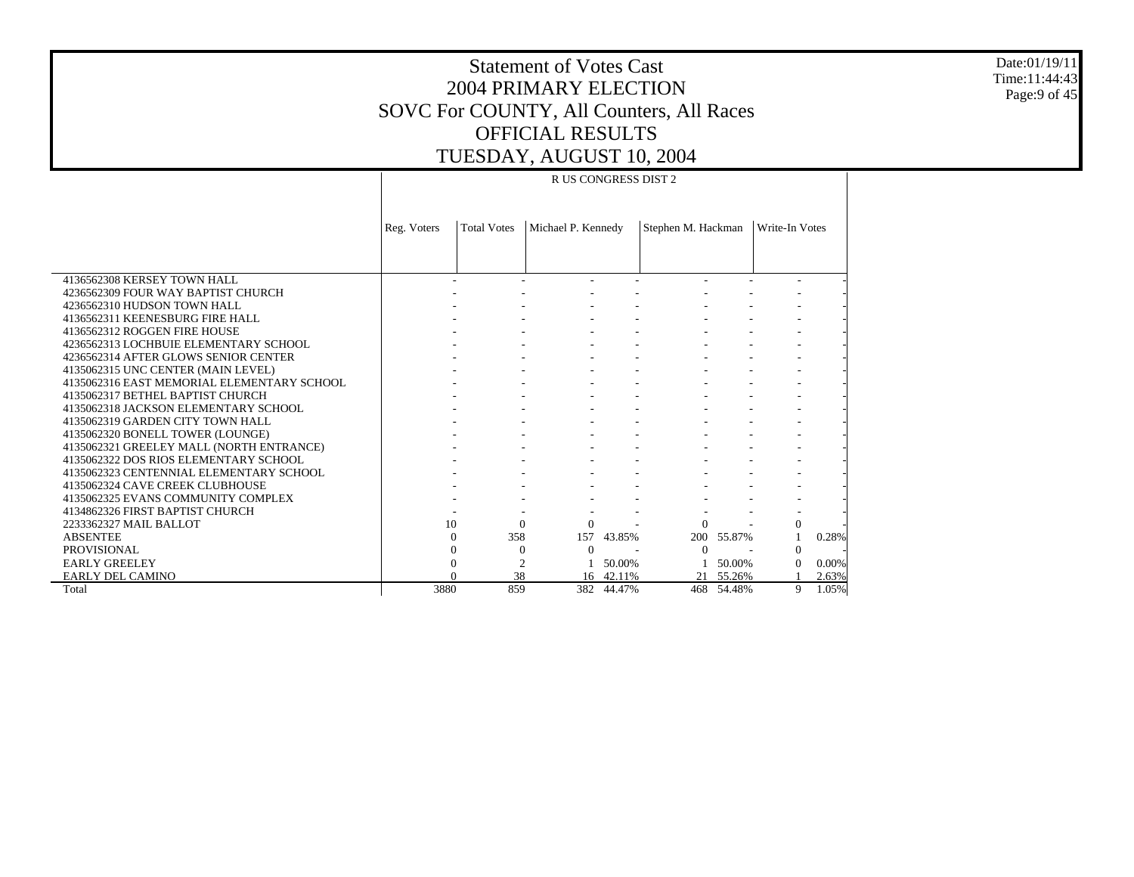Date:01/19/11 Time:11:44:43 Page:9 of 45

# Statement of Votes Cast 2004 PRIMARY ELECTION SOVC For COUNTY, All Counters, All Races OFFICIAL RESULTS TUESDAY, AUGUST 10, 2004

#### R US CONGRESS DIST 2

|                                            | Reg. Voters | <b>Total Votes</b> | Michael P. Kennedy |            | Stephen M. Hackman |        | Write-In Votes |       |
|--------------------------------------------|-------------|--------------------|--------------------|------------|--------------------|--------|----------------|-------|
|                                            |             |                    |                    |            |                    |        |                |       |
|                                            |             |                    |                    |            |                    |        |                |       |
| 4136562308 KERSEY TOWN HALL                |             |                    |                    |            |                    |        |                |       |
| 4236562309 FOUR WAY BAPTIST CHURCH         |             |                    |                    |            |                    |        |                |       |
| 4236562310 HUDSON TOWN HALL                |             |                    |                    |            |                    |        |                |       |
| 4136562311 KEENESBURG FIRE HALL            |             |                    |                    |            |                    |        |                |       |
| 4136562312 ROGGEN FIRE HOUSE               |             |                    |                    |            |                    |        |                |       |
| 4236562313 LOCHBUIE ELEMENTARY SCHOOL      |             |                    |                    |            |                    |        |                |       |
| 4236562314 AFTER GLOWS SENIOR CENTER       |             |                    |                    |            |                    |        |                |       |
| 4135062315 UNC CENTER (MAIN LEVEL)         |             |                    |                    |            |                    |        |                |       |
| 4135062316 EAST MEMORIAL ELEMENTARY SCHOOL |             |                    |                    |            |                    |        |                |       |
| 4135062317 BETHEL BAPTIST CHURCH           |             |                    |                    |            |                    |        |                |       |
| 4135062318 JACKSON ELEMENTARY SCHOOL       |             |                    |                    |            |                    |        |                |       |
| 4135062319 GARDEN CITY TOWN HALL           |             |                    |                    |            |                    |        |                |       |
| 4135062320 BONELL TOWER (LOUNGE)           |             |                    |                    |            |                    |        |                |       |
| 4135062321 GREELEY MALL (NORTH ENTRANCE)   |             |                    |                    |            |                    |        |                |       |
| 4135062322 DOS RIOS ELEMENTARY SCHOOL      |             |                    |                    |            |                    |        |                |       |
| 4135062323 CENTENNIAL ELEMENTARY SCHOOL    |             |                    |                    |            |                    |        |                |       |
| 4135062324 CAVE CREEK CLUBHOUSE            |             |                    |                    |            |                    |        |                |       |
| 4135062325 EVANS COMMUNITY COMPLEX         |             |                    |                    |            |                    |        |                |       |
| 4134862326 FIRST BAPTIST CHURCH            |             |                    |                    |            |                    |        |                |       |
| 2233362327 MAIL BALLOT                     | 10          | $\Omega$           | $\Omega$           |            | $\Omega$           |        | $\mathbf{0}$   |       |
| <b>ABSENTEE</b>                            |             | 358                |                    | 157 43.85% | 200 55.87%         |        |                | 0.28% |
| <b>PROVISIONAL</b>                         |             | $\theta$           | $\Omega$           |            | $\Omega$           |        | $\Omega$       |       |
| <b>EARLY GREELEY</b>                       |             | $\overline{c}$     |                    | 50.00%     |                    | 50.00% | $\Omega$       | 0.00% |
| <b>EARLY DEL CAMINO</b>                    |             | 38                 |                    | 16 42.11%  | 21                 | 55.26% |                | 2.63% |
| Total                                      | 3880        | 859                | 382                | 44.47%     | 468                | 54.48% | 9              | 1.05% |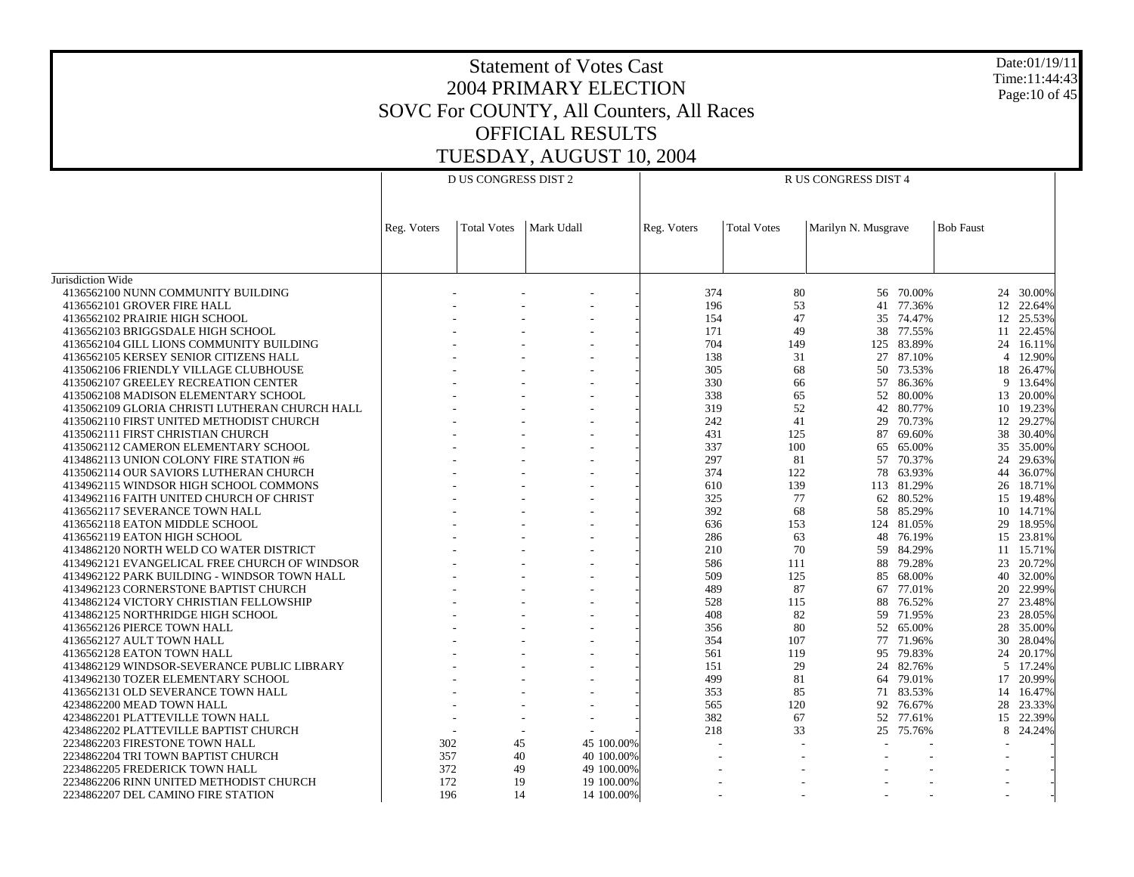Date:01/19/11 Time:11:44:43 Page:10 of 45

|                                                         |             | <b>D US CONGRESS DIST 2</b> |            | R US CONGRESS DIST 4 |                    |                     |            |                  |           |  |
|---------------------------------------------------------|-------------|-----------------------------|------------|----------------------|--------------------|---------------------|------------|------------------|-----------|--|
|                                                         |             |                             |            |                      |                    |                     |            |                  |           |  |
|                                                         |             |                             |            |                      |                    |                     |            |                  |           |  |
|                                                         | Reg. Voters | <b>Total Votes</b>          | Mark Udall | Reg. Voters          | <b>Total Votes</b> | Marilyn N. Musgrave |            | <b>Bob Faust</b> |           |  |
|                                                         |             |                             |            |                      |                    |                     |            |                  |           |  |
|                                                         |             |                             |            |                      |                    |                     |            |                  |           |  |
|                                                         |             |                             |            |                      |                    |                     |            |                  |           |  |
| Jurisdiction Wide<br>4136562100 NUNN COMMUNITY BUILDING |             |                             |            | 374                  | 80                 |                     | 56 70.00%  |                  | 24 30.00% |  |
| 4136562101 GROVER FIRE HALL                             |             |                             |            | 196                  | 53                 | 41                  | 77.36%     |                  | 12 22.64% |  |
| 4136562102 PRAIRIE HIGH SCHOOL                          |             |                             |            | 154                  | 47                 | 35                  | 74.47%     |                  | 12 25.53% |  |
|                                                         |             |                             |            |                      | 49                 |                     | 77.55%     |                  |           |  |
| 4136562103 BRIGGSDALE HIGH SCHOOL                       |             |                             |            | 171<br>704           |                    | 38                  |            |                  | 11 22.45% |  |
| 4136562104 GILL LIONS COMMUNITY BUILDING                |             |                             |            |                      | 149                | 125                 | 83.89%     | 24               | 16.11%    |  |
| 4136562105 KERSEY SENIOR CITIZENS HALL                  |             |                             |            | 138                  | 31                 | 27                  | 87.10%     | $\overline{4}$   | 12.90%    |  |
| 4135062106 FRIENDLY VILLAGE CLUBHOUSE                   |             |                             |            | 305                  | 68                 | 50                  | 73.53%     | 18               | 26.47%    |  |
| 4135062107 GREELEY RECREATION CENTER                    |             |                             |            | 330                  | 66                 | 57                  | 86.36%     | 9                | 13.64%    |  |
| 4135062108 MADISON ELEMENTARY SCHOOL                    |             |                             |            | 338                  | 65                 | 52                  | 80.00%     | 13               | 20.00%    |  |
| 4135062109 GLORIA CHRISTI LUTHERAN CHURCH HALL          |             |                             |            | 319                  | 52                 | 42                  | 80.77%     |                  | 10 19.23% |  |
| 4135062110 FIRST UNITED METHODIST CHURCH                |             |                             |            | 242                  | 41                 | 29                  | 70.73%     | 12               | 29.27%    |  |
| 4135062111 FIRST CHRISTIAN CHURCH                       |             |                             |            | 431                  | 125                | 87                  | 69.60%     |                  | 38 30.40% |  |
| 4135062112 CAMERON ELEMENTARY SCHOOL                    |             |                             |            | 337                  | 100                | 65                  | 65.00%     | 35               | 35.00%    |  |
| 4134862113 UNION COLONY FIRE STATION #6                 |             |                             |            | 297                  | 81                 | 57                  | 70.37%     | 24               | 29.63%    |  |
| 4135062114 OUR SAVIORS LUTHERAN CHURCH                  |             |                             |            | 374                  | 122                | 78                  | 63.93%     | 44               | 36.07%    |  |
| 4134962115 WINDSOR HIGH SCHOOL COMMONS                  |             |                             |            | 610                  | 139                |                     | 113 81.29% |                  | 26 18.71% |  |
| 4134962116 FAITH UNITED CHURCH OF CHRIST                |             |                             |            | 325                  | 77                 | 62                  | 80.52%     | 15               | 19.48%    |  |
| 4136562117 SEVERANCE TOWN HALL                          |             |                             |            | 392                  | 68                 |                     | 58 85.29%  | 10               | 14.71%    |  |
| 4136562118 EATON MIDDLE SCHOOL                          |             |                             |            | 636                  | 153                |                     | 124 81.05% | 29               | 18.95%    |  |
| 4136562119 EATON HIGH SCHOOL                            |             |                             |            | 286                  | 63                 | 48                  | 76.19%     |                  | 15 23.81% |  |
| 4134862120 NORTH WELD CO WATER DISTRICT                 |             |                             |            | 210                  | 70                 | 59                  | 84.29%     | 11               | 15.71%    |  |
| 4134962121 EVANGELICAL FREE CHURCH OF WINDSOR           |             |                             |            | 586                  | 111                | 88                  | 79.28%     |                  | 23 20.72% |  |
| 4134962122 PARK BUILDING - WINDSOR TOWN HALL            |             |                             |            | 509                  | 125                | 85                  | 68.00%     | 40               | 32.00%    |  |
| 4134962123 CORNERSTONE BAPTIST CHURCH                   |             |                             |            | 489                  | 87                 | 67                  | 77.01%     | 20               | 22.99%    |  |
| 4134862124 VICTORY CHRISTIAN FELLOWSHIP                 |             |                             |            | 528                  | 115                | 88                  | 76.52%     | 27               | 23.48%    |  |
| 4134862125 NORTHRIDGE HIGH SCHOOL                       |             |                             |            | 408                  | 82                 | 59                  | 71.95%     | 23               | 28.05%    |  |
| 4136562126 PIERCE TOWN HALL                             |             |                             |            | 356                  | 80                 |                     | 52 65.00%  | 28               | 35.00%    |  |
| 4136562127 AULT TOWN HALL                               |             |                             |            | 354                  | 107                | 77                  | 71.96%     | 30               | 28.04%    |  |
| 4136562128 EATON TOWN HALL                              |             |                             |            | 561                  | 119                | 95                  | 79.83%     | 24               | 20.17%    |  |
| 4134862129 WINDSOR-SEVERANCE PUBLIC LIBRARY             |             |                             |            | 151                  | 29                 | 24                  | 82.76%     | 5                | 17.24%    |  |
| 4134962130 TOZER ELEMENTARY SCHOOL                      |             |                             |            | 499                  | 81                 |                     | 64 79.01%  |                  | 17 20.99% |  |
| 4136562131 OLD SEVERANCE TOWN HALL                      |             |                             |            | 353                  | 85                 | 71                  | 83.53%     |                  | 14 16.47% |  |
| 4234862200 MEAD TOWN HALL                               |             |                             |            | 565                  | 120                |                     | 92 76.67%  |                  | 28 23.33% |  |
| 4234862201 PLATTEVILLE TOWN HALL                        |             |                             |            | 382                  | 67                 |                     | 52 77.61%  | 15               | 22.39%    |  |
| 4234862202 PLATTEVILLE BAPTIST CHURCH                   |             |                             |            | 218                  | 33                 |                     | 25 75.76%  | 8                | 24.24%    |  |
| 2234862203 FIRESTONE TOWN HALL                          | 302         | 45                          | 45 100,00% |                      |                    |                     |            |                  |           |  |
| 2234862204 TRI TOWN BAPTIST CHURCH                      | 357         | 40                          | 40 100.00% |                      |                    |                     |            |                  |           |  |
| 2234862205 FREDERICK TOWN HALL                          | 372         | 49                          | 49 100.00% |                      |                    |                     |            |                  |           |  |
| 2234862206 RINN UNITED METHODIST CHURCH                 | 172         | 19                          | 19 100.00% |                      |                    |                     |            |                  |           |  |
| 2234862207 DEL CAMINO FIRE STATION                      | 196         | 14                          | 14 100.00% |                      |                    |                     |            | $\overline{a}$   |           |  |
|                                                         |             |                             |            |                      |                    |                     |            |                  |           |  |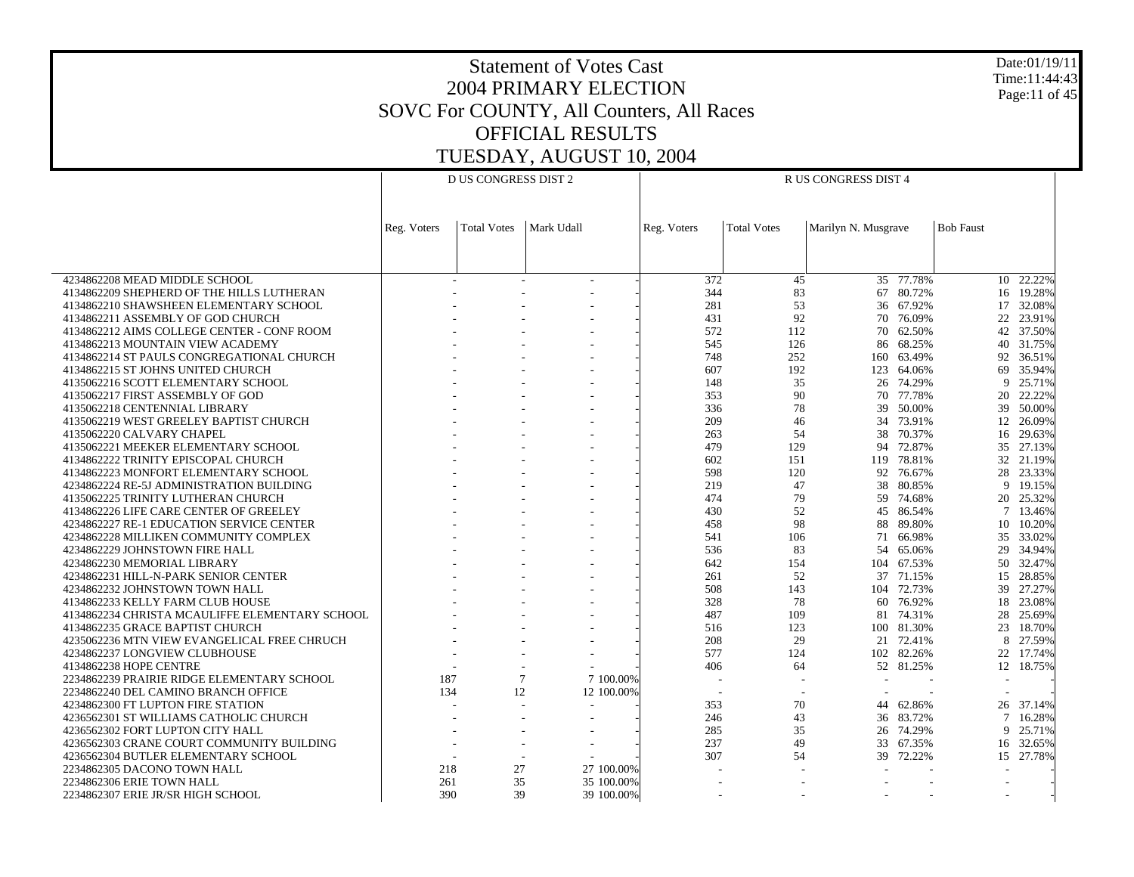Date:01/19/11 Time:11:44:43 Page:11 of 45

|                                                | <b>D US CONGRESS DIST 2</b> |                    |                          |           | R US CONGRESS DIST 4 |                          |                     |            |                          |                           |  |  |
|------------------------------------------------|-----------------------------|--------------------|--------------------------|-----------|----------------------|--------------------------|---------------------|------------|--------------------------|---------------------------|--|--|
|                                                |                             |                    |                          |           |                      |                          |                     |            |                          |                           |  |  |
|                                                |                             |                    |                          |           |                      |                          |                     |            |                          |                           |  |  |
|                                                | Reg. Voters                 | <b>Total Votes</b> | Mark Udall               |           | Reg. Voters          | <b>Total Votes</b>       | Marilyn N. Musgrave |            | <b>Bob Faust</b>         |                           |  |  |
|                                                |                             |                    |                          |           |                      |                          |                     |            |                          |                           |  |  |
|                                                |                             |                    |                          |           |                      |                          |                     |            |                          |                           |  |  |
| 4234862208 MEAD MIDDLE SCHOOL                  |                             |                    | $\overline{\phantom{a}}$ |           | 372                  | 45                       |                     | 35 77.78%  |                          | 10 22.22%                 |  |  |
| 4134862209 SHEPHERD OF THE HILLS LUTHERAN      |                             |                    |                          |           | 344                  | 83                       | 67                  | 80.72%     |                          | 16 19.28%                 |  |  |
| 4134862210 SHAWSHEEN ELEMENTARY SCHOOL         |                             |                    |                          |           | 281                  | 53                       |                     | 36 67.92%  |                          | 17 32.08%                 |  |  |
| 4134862211 ASSEMBLY OF GOD CHURCH              |                             |                    |                          |           | 431                  | 92                       | 70                  | 76.09%     |                          | 22 23.91%                 |  |  |
| 4134862212 AIMS COLLEGE CENTER - CONF ROOM     |                             |                    |                          |           | 572                  | 112                      |                     | 70 62.50%  |                          | 42 37.50%                 |  |  |
| 4134862213 MOUNTAIN VIEW ACADEMY               |                             |                    |                          |           | 545                  | 126                      | 86                  | 68.25%     | 40                       | 31.75%                    |  |  |
| 4134862214 ST PAULS CONGREGATIONAL CHURCH      |                             |                    |                          |           | 748                  | 252                      | 160                 | 63.49%     |                          | 92 36.51%                 |  |  |
| 4134862215 ST JOHNS UNITED CHURCH              |                             |                    |                          |           | 607                  | 192                      | 123                 | 64.06%     | 69                       | 35.94%                    |  |  |
| 4135062216 SCOTT ELEMENTARY SCHOOL             |                             |                    |                          |           | 148                  | 35                       | 26                  | 74.29%     |                          | 9<br>25.71%               |  |  |
| 4135062217 FIRST ASSEMBLY OF GOD               |                             |                    |                          |           | 353                  | 90                       | 70                  | 77.78%     | 20                       | 22.22%                    |  |  |
| 4135062218 CENTENNIAL LIBRARY                  |                             |                    |                          |           | 336                  | 78                       | 39                  | 50.00%     | 39                       | 50.00%                    |  |  |
| 4135062219 WEST GREELEY BAPTIST CHURCH         |                             |                    |                          |           | 209                  | 46                       | 34                  | 73.91%     | 12                       | 26.09%                    |  |  |
| 4135062220 CALVARY CHAPEL                      |                             |                    |                          |           | 263                  | 54                       |                     | 38 70.37%  |                          | 16 29.63%                 |  |  |
| 4135062221 MEEKER ELEMENTARY SCHOOL            |                             |                    |                          |           | 479                  | 129                      | 94                  | 72.87%     |                          | 35 27.13%                 |  |  |
| 4134862222 TRINITY EPISCOPAL CHURCH            |                             |                    |                          |           | 602                  | 151                      |                     | 119 78.81% |                          | 32 21.19%                 |  |  |
| 4134862223 MONFORT ELEMENTARY SCHOOL           |                             |                    |                          |           | 598                  | 120                      | 92                  | 76.67%     |                          | 28 23.33%                 |  |  |
| 4234862224 RE-5J ADMINISTRATION BUILDING       |                             |                    |                          |           | 219                  | 47                       | 38                  | 80.85%     |                          | 9 19.15%                  |  |  |
| 4135062225 TRINITY LUTHERAN CHURCH             |                             |                    |                          |           | 474                  | 79                       | 59                  | 74.68%     |                          | 20 25.32%                 |  |  |
| 4134862226 LIFE CARE CENTER OF GREELEY         |                             |                    |                          |           | 430                  | 52                       |                     | 45 86.54%  |                          | 7 13.46%                  |  |  |
| 4234862227 RE-1 EDUCATION SERVICE CENTER       |                             |                    |                          |           | 458                  | 98                       | 88                  | 89.80%     |                          | 10 10.20%                 |  |  |
| 4234862228 MILLIKEN COMMUNITY COMPLEX          |                             |                    | $\overline{a}$           |           | 541                  | 106                      | 71                  | 66.98%     |                          | 35 33.02%                 |  |  |
| 4234862229 JOHNSTOWN FIRE HALL                 |                             |                    |                          |           | 536                  | 83                       | 54                  | 65.06%     |                          | 29 34.94%                 |  |  |
| 4234862230 MEMORIAL LIBRARY                    |                             |                    |                          |           | 642                  | 154                      |                     | 104 67.53% |                          | 50 32.47%                 |  |  |
| 4234862231 HILL-N-PARK SENIOR CENTER           |                             |                    |                          |           | 261                  | 52                       | 37                  | 71.15%     |                          | 15 28.85%                 |  |  |
| 4234862232 JOHNSTOWN TOWN HALL                 |                             |                    |                          |           | 508                  | 143                      |                     | 104 72.73% | 39                       | 27.27%                    |  |  |
| 4134862233 KELLY FARM CLUB HOUSE               |                             |                    |                          |           | 328                  | 78                       | 60                  | 76.92%     |                          | 18 23.08%                 |  |  |
| 4134862234 CHRISTA MCAULIFFE ELEMENTARY SCHOOL |                             |                    |                          |           | 487                  | 109                      | 81                  | 74.31%     | 28                       | 25.69%                    |  |  |
| 4134862235 GRACE BAPTIST CHURCH                |                             |                    |                          |           | 516                  | 123                      |                     | 100 81.30% | 23                       | 18.70%                    |  |  |
| 4235062236 MTN VIEW EVANGELICAL FREE CHRUCH    |                             |                    |                          |           | 208                  | 29                       | 21                  | 72.41%     |                          | 8<br>27.59%               |  |  |
| 4234862237 LONGVIEW CLUBHOUSE                  |                             |                    |                          |           | 577                  | 124                      |                     | 102 82.26% |                          | 22 17.74%                 |  |  |
| 4134862238 HOPE CENTRE                         |                             |                    |                          |           | 406                  | 64                       |                     | 52 81.25%  |                          | 12 18.75%                 |  |  |
| 2234862239 PRAIRIE RIDGE ELEMENTARY SCHOOL     | 187                         |                    | 7                        | 7 100.00% |                      |                          |                     |            | $\overline{\phantom{a}}$ |                           |  |  |
| 2234862240 DEL CAMINO BRANCH OFFICE            | 134                         | 12                 | 12 100.00%               |           | $\overline{a}$       | $\sim$                   |                     |            |                          |                           |  |  |
| 4234862300 FT LUPTON FIRE STATION              |                             |                    |                          |           | 353                  | 70                       |                     | 44 62.86%  |                          | 26 37.14%                 |  |  |
| 4236562301 ST WILLIAMS CATHOLIC CHURCH         |                             |                    |                          |           | 246                  | 43                       | 36                  | 83.72%     |                          | $7\phantom{.0}$<br>16.28% |  |  |
| 4236562302 FORT LUPTON CITY HALL               |                             | $\sim$             | $\overline{\phantom{a}}$ |           | 285                  | 35                       |                     | 26 74.29%  |                          | 9<br>25.71%               |  |  |
| 4236562303 CRANE COURT COMMUNITY BUILDING      |                             |                    | $\sim$                   |           | 237                  | 49                       | 33                  | 67.35%     |                          | 16 32.65%                 |  |  |
| 4236562304 BUTLER ELEMENTARY SCHOOL            |                             |                    | $\overline{\phantom{a}}$ |           | 307                  | 54                       | 39                  | 72.22%     |                          | 15 27.78%                 |  |  |
| 2234862305 DACONO TOWN HALL                    | 218                         | 27                 | 27 100,00%               |           |                      |                          |                     |            |                          |                           |  |  |
| 2234862306 ERIE TOWN HALL                      | 261                         | 35                 | 35 100.00%               |           |                      | $\overline{\phantom{a}}$ |                     |            |                          | $\overline{\phantom{a}}$  |  |  |
| 2234862307 ERIE JR/SR HIGH SCHOOL              | 390                         | 39                 | 39 100.00%               |           |                      |                          |                     |            |                          | $\sim$                    |  |  |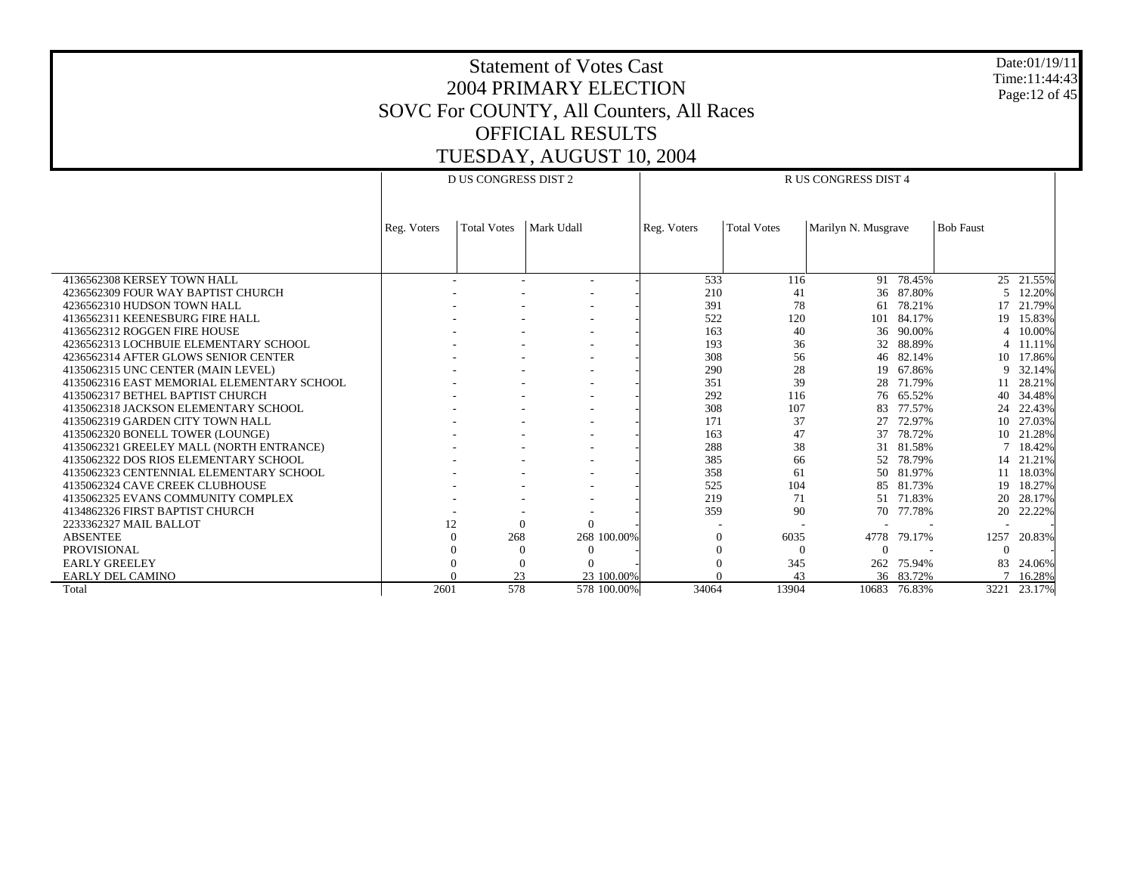Date:01/19/11 Time:11:44:43 Page:12 of 45

|                                            | D US CONGRESS DIST 2 |                    |              | R US CONGRESS DIST 4 |             |                    |                     |            |                  |           |
|--------------------------------------------|----------------------|--------------------|--------------|----------------------|-------------|--------------------|---------------------|------------|------------------|-----------|
|                                            |                      |                    |              |                      |             |                    |                     |            |                  |           |
|                                            |                      |                    | Mark Udall   |                      |             | <b>Total Votes</b> |                     |            | <b>Bob Faust</b> |           |
|                                            | Reg. Voters          | <b>Total Votes</b> |              |                      | Reg. Voters |                    | Marilyn N. Musgrave |            |                  |           |
|                                            |                      |                    |              |                      |             |                    |                     |            |                  |           |
|                                            |                      |                    |              |                      |             |                    |                     |            |                  |           |
| 4136562308 KERSEY TOWN HALL                |                      |                    |              |                      | 533         | 116                |                     | 91 78.45%  |                  | 25 21.55% |
| 4236562309 FOUR WAY BAPTIST CHURCH         |                      |                    |              |                      | 210         | 41                 | 36                  | 87.80%     | .5               | 12.20%    |
| 4236562310 HUDSON TOWN HALL                |                      |                    |              |                      | 391         | 78                 | 61                  | 78.21%     |                  | 17 21.79% |
| 4136562311 KEENESBURG FIRE HALL            |                      |                    |              |                      | 522         | 120                |                     | 101 84.17% | 19               | 15.83%    |
| 4136562312 ROGGEN FIRE HOUSE               |                      |                    |              |                      | 163         | 40                 | 36                  | 90.00%     | $\overline{4}$   | 10.00%    |
| 4236562313 LOCHBUIE ELEMENTARY SCHOOL      |                      |                    |              |                      | 193         | 36                 | 32                  | 88.89%     |                  | 4 11.11%  |
| 4236562314 AFTER GLOWS SENIOR CENTER       |                      |                    |              |                      | 308         | 56                 |                     | 46 82.14%  |                  | 10 17.86% |
| 4135062315 UNC CENTER (MAIN LEVEL)         |                      |                    |              |                      | 290         | 28                 |                     | 19 67.86%  |                  | 9 32.14%  |
| 4135062316 EAST MEMORIAL ELEMENTARY SCHOOL |                      |                    |              |                      | 351         | 39                 | 28                  | 71.79%     | 11               | 28.21%    |
| 4135062317 BETHEL BAPTIST CHURCH           |                      |                    |              |                      | 292         | 116                |                     | 76 65.52%  | 40               | 34.48%    |
| 4135062318 JACKSON ELEMENTARY SCHOOL       |                      |                    |              |                      | 308         | 107                | 83                  | 77.57%     | 24               | 22.43%    |
| 4135062319 GARDEN CITY TOWN HALL           |                      |                    |              |                      | 171         | 37                 | 27                  | 72.97%     | 10               | 27.03%    |
| 4135062320 BONELL TOWER (LOUNGE)           |                      |                    |              |                      | 163         | 47                 | 37                  | 78.72%     | $10-10$          | 21.28%    |
| 4135062321 GREELEY MALL (NORTH ENTRANCE)   |                      |                    |              |                      | 288         | 38                 |                     | 31 81.58%  | $7^{\circ}$      | 18.42%    |
| 4135062322 DOS RIOS ELEMENTARY SCHOOL      |                      |                    |              |                      | 385         | 66                 | 52                  | 78.79%     |                  | 14 21.21% |
| 4135062323 CENTENNIAL ELEMENTARY SCHOOL    |                      |                    |              |                      | 358         | 61                 |                     | 50 81.97%  | 11               | 18.03%    |
| 4135062324 CAVE CREEK CLUBHOUSE            |                      |                    |              |                      | 525         | 104                | 85                  | 81.73%     | 19               | 18.27%    |
| 4135062325 EVANS COMMUNITY COMPLEX         |                      |                    |              |                      | 219         | 71                 |                     | 51 71.83%  | 20               | 28.17%    |
| 4134862326 FIRST BAPTIST CHURCH            |                      |                    |              |                      | 359         | 90                 | 70                  | 77.78%     | 20               | 22.22%    |
| 2233362327 MAIL BALLOT                     | 12                   |                    | $\Omega$     |                      |             |                    |                     |            |                  |           |
| <b>ABSENTEE</b>                            |                      | 268                |              | 268 100.00%          | $\Omega$    | 6035               | 4778                | 79.17%     | 1257             | 20.83%    |
| <b>PROVISIONAL</b>                         |                      |                    | $\mathbf{0}$ | $\Omega$             | $\Omega$    | $\Omega$           | $\Omega$            |            | $\Omega$         |           |
| <b>EARLY GREELEY</b>                       |                      |                    | $\mathbf{0}$ |                      | $\Omega$    | 345                | 262                 | 75.94%     | 83               | 24.06%    |
| EARLY DEL CAMINO                           |                      | 23                 |              | 23 100,00%           |             | 43                 |                     | 36 83.72%  |                  | 16.28%    |
| Total                                      | 2601                 | 578                |              | 578 100.00%          | 34064       | 13904              | 10683               | 76.83%     | 3221             | 23.17%    |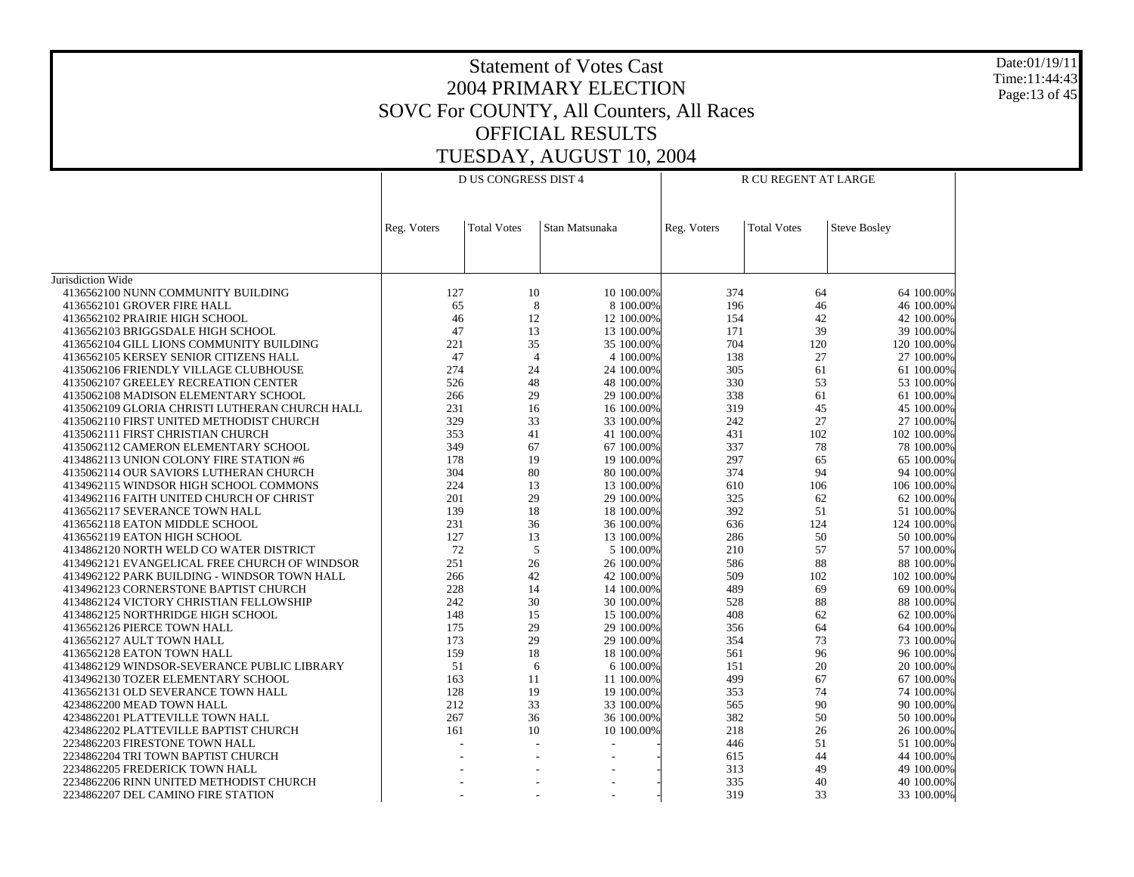Date:01/19/11 Time:11:44:43 Page:13 of 45

|                                                |             | <b>D US CONGRESS DIST 4</b> |                |             | R CU REGENT AT LARGE |                     |  |  |  |
|------------------------------------------------|-------------|-----------------------------|----------------|-------------|----------------------|---------------------|--|--|--|
|                                                | Reg. Voters | <b>Total Votes</b>          | Stan Matsunaka | Reg. Voters | <b>Total Votes</b>   | <b>Steve Bosley</b> |  |  |  |
|                                                |             |                             |                |             |                      |                     |  |  |  |
| Jurisdiction Wide                              |             |                             |                |             |                      |                     |  |  |  |
| 4136562100 NUNN COMMUNITY BUILDING             | 127         | 10                          | 10 100.00%     | 374         | 64                   | 64 100.00%          |  |  |  |
| 4136562101 GROVER FIRE HALL                    | 65          | 8                           | 8 100.00%      | 196         | 46                   | 46 100.00%          |  |  |  |
| 4136562102 PRAIRIE HIGH SCHOOL                 | 46          | 12                          | 12 100.00%     | 154         | 42                   | 42 100.00%          |  |  |  |
| 4136562103 BRIGGSDALE HIGH SCHOOL              | 47          | 13                          | 13 100.00%     | 171         | 39                   | 39 100.00%          |  |  |  |
| 4136562104 GILL LIONS COMMUNITY BUILDING       | 221         | 35                          | 35 100.00%     | 704         | 120                  | 120 100.00%         |  |  |  |
| 4136562105 KERSEY SENIOR CITIZENS HALL         | 47          | $\overline{4}$              | 4 100.00%      | 138         | 27                   | 27 100.00%          |  |  |  |
| 4135062106 FRIENDLY VILLAGE CLUBHOUSE          | 274         | 24                          | 24 100.00%     | 305         | 61                   | 61 100.00%          |  |  |  |
| 4135062107 GREELEY RECREATION CENTER           | 526         | 48                          | 48 100.00%     | 330         | 53                   | 53 100.00%          |  |  |  |
| 4135062108 MADISON ELEMENTARY SCHOOL           | 266         | 29                          | 29 100.00%     | 338         | 61                   | 61 100.00%          |  |  |  |
| 4135062109 GLORIA CHRISTI LUTHERAN CHURCH HALL | 231         | 16                          | 16 100.00%     | 319         | 45                   | 45 100.00%          |  |  |  |
| 4135062110 FIRST UNITED METHODIST CHURCH       | 329         | 33                          | 33 100.00%     | 242         | 27                   | 27 100.00%          |  |  |  |
| 4135062111 FIRST CHRISTIAN CHURCH              | 353         | 41                          | 41 100.00%     | 431         | 102                  | 102 100.00%         |  |  |  |
| 4135062112 CAMERON ELEMENTARY SCHOOL           | 349         | 67                          | 67 100.00%     | 337         | 78                   | 78 100.00%          |  |  |  |
| 4134862113 UNION COLONY FIRE STATION #6        | 178         | 19                          | 19 100.00%     | 297         | 65                   | 65 100.00%          |  |  |  |
| 4135062114 OUR SAVIORS LUTHERAN CHURCH         | 304         | 80                          | 80 100.00%     | 374         | 94                   | 94 100.00%          |  |  |  |
| 4134962115 WINDSOR HIGH SCHOOL COMMONS         | 224         | 13                          | 13 100.00%     | 610         | 106                  | 106 100.00%         |  |  |  |
| 4134962116 FAITH UNITED CHURCH OF CHRIST       | 201         | 29                          | 29 100.00%     | 325         | 62                   | 62 100.00%          |  |  |  |
| 4136562117 SEVERANCE TOWN HALL                 | 139         | 18                          | 18 100.00%     | 392         | 51                   | 51 100.00%          |  |  |  |
| 4136562118 EATON MIDDLE SCHOOL                 | 231         | 36                          | 36 100.00%     | 636         | 124                  | 124 100.00%         |  |  |  |
| 4136562119 EATON HIGH SCHOOL                   | 127         | 13                          | 13 100.00%     | 286         | 50                   | 50 100.00%          |  |  |  |
| 4134862120 NORTH WELD CO WATER DISTRICT        | 72          | 5                           | 5 100.00%      | 210         | 57                   | 57 100.00%          |  |  |  |
| 4134962121 EVANGELICAL FREE CHURCH OF WINDSOR  | 251         | 26                          | 26 100.00%     | 586         | 88                   | 88 100.00%          |  |  |  |
| 4134962122 PARK BUILDING - WINDSOR TOWN HALL   | 266         | $42\,$                      | 42 100.00%     | 509         | 102                  | 102 100.00%         |  |  |  |
| 4134962123 CORNERSTONE BAPTIST CHURCH          | 228         | 14                          | 14 100.00%     | 489         | 69                   | 69 100.00%          |  |  |  |
| 4134862124 VICTORY CHRISTIAN FELLOWSHIP        | 242         | 30                          | 30 100.00%     | 528         | 88                   | 88 100.00%          |  |  |  |
| 4134862125 NORTHRIDGE HIGH SCHOOL              | 148         | 15                          | 15 100.00%     | 408         | 62                   | 62 100.00%          |  |  |  |
| 4136562126 PIERCE TOWN HALL                    | 175         | 29                          | 29 100.00%     | 356         | 64                   | 64 100.00%          |  |  |  |
| 4136562127 AULT TOWN HALL                      | 173         | 29                          | 29 100.00%     | 354         | 73                   | 73 100.00%          |  |  |  |
| 4136562128 EATON TOWN HALL                     | 159         | 18                          | 18 100.00%     | 561         | 96                   | 96 100.00%          |  |  |  |
| 4134862129 WINDSOR-SEVERANCE PUBLIC LIBRARY    | 51          | 6                           | 6 100.00%      | 151         | 20                   | 20 100.00%          |  |  |  |
| 4134962130 TOZER ELEMENTARY SCHOOL             | 163         | 11                          | 11 100.00%     | 499         | 67                   | 67 100.00%          |  |  |  |
| 4136562131 OLD SEVERANCE TOWN HALL             | 128         | 19                          | 19 100.00%     | 353         | 74                   | 74 100.00%          |  |  |  |
| 4234862200 MEAD TOWN HALL                      | 212         | 33                          | 33 100.00%     | 565         | 90                   | 90 100.00%          |  |  |  |
| 4234862201 PLATTEVILLE TOWN HALL               | 267         | 36                          | 36 100.00%     | 382         | 50                   | 50 100.00%          |  |  |  |
| 4234862202 PLATTEVILLE BAPTIST CHURCH          | 161         | 10                          | 10 100.00%     | 218         | 26                   | 26 100.00%          |  |  |  |
| 2234862203 FIRESTONE TOWN HALL                 |             |                             |                | 446         | 51                   | 51 100.00%          |  |  |  |
| 2234862204 TRI TOWN BAPTIST CHURCH             |             |                             |                | 615         | 44                   | 44 100.00%          |  |  |  |
| 2234862205 FREDERICK TOWN HALL                 |             |                             |                | 313         | 49                   | 49 100.00%          |  |  |  |
| 2234862206 RINN UNITED METHODIST CHURCH        |             |                             |                | 335         | 40                   | 40 100.00%          |  |  |  |
| 2234862207 DEL CAMINO FIRE STATION             |             |                             |                | 319         | 33                   | 33 100.00%          |  |  |  |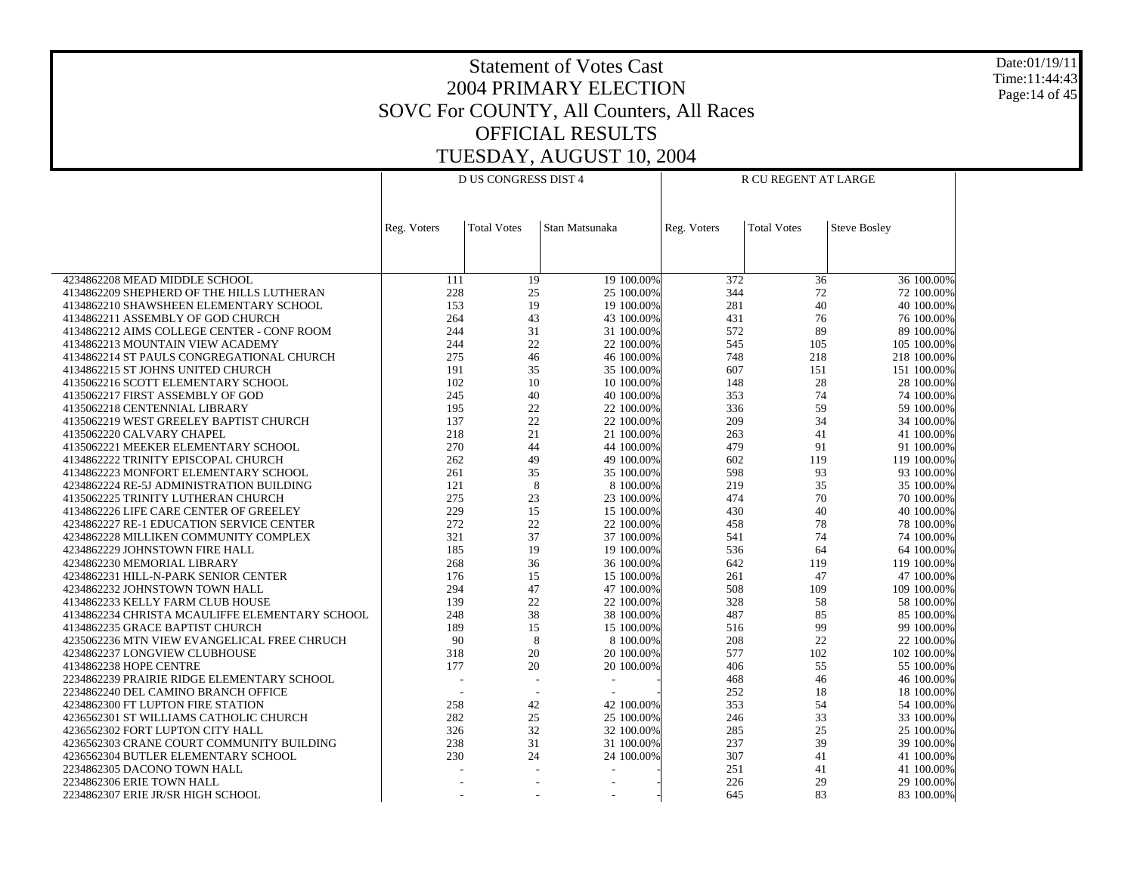Date:01/19/11 Time:11:44:43 Page:14 of 45

|                                                |                          | <b>D US CONGRESS DIST 4</b> |                |             | R CU REGENT AT LARGE |                     |  |  |  |
|------------------------------------------------|--------------------------|-----------------------------|----------------|-------------|----------------------|---------------------|--|--|--|
|                                                |                          |                             |                |             |                      |                     |  |  |  |
|                                                | Reg. Voters              | <b>Total Votes</b>          | Stan Matsunaka | Reg. Voters | <b>Total Votes</b>   | <b>Steve Bosley</b> |  |  |  |
|                                                |                          |                             |                |             |                      |                     |  |  |  |
|                                                |                          |                             |                |             |                      |                     |  |  |  |
| 4234862208 MEAD MIDDLE SCHOOL                  | 111                      | 19                          | 19 100.00%     | 372         | 36                   | 36 100.00%          |  |  |  |
| 4134862209 SHEPHERD OF THE HILLS LUTHERAN      | 228                      | $25\,$                      | 25 100.00%     | 344         | 72                   | 72 100.00%          |  |  |  |
| 4134862210 SHAWSHEEN ELEMENTARY SCHOOL         | 153                      | 19                          | 19 100.00%     | 281         | 40                   | 40 100.00%          |  |  |  |
| 4134862211 ASSEMBLY OF GOD CHURCH              | 264                      | 43                          | 43 100.00%     | 431         | 76                   | 76 100.00%          |  |  |  |
| 4134862212 AIMS COLLEGE CENTER - CONF ROOM     | 244                      | 31                          | 31 100.00%     | 572         | 89                   | 89 100.00%          |  |  |  |
| 4134862213 MOUNTAIN VIEW ACADEMY               | 244                      | 22                          | 22 100.00%     | 545         | 105                  | 105 100.00%         |  |  |  |
| 4134862214 ST PAULS CONGREGATIONAL CHURCH      | 275                      | 46                          | 46 100.00%     | 748         | 218                  | 218 100.00%         |  |  |  |
| 4134862215 ST JOHNS UNITED CHURCH              | 191                      | 35                          | 35 100.00%     | 607         | 151                  | 151 100.00%         |  |  |  |
| 4135062216 SCOTT ELEMENTARY SCHOOL             | 102                      | 10                          | 10 100.00%     | 148         | 28                   | 28 100.00%          |  |  |  |
| 4135062217 FIRST ASSEMBLY OF GOD               | 245                      | 40                          | 40 100.00%     | 353         | 74                   | 74 100.00%          |  |  |  |
| 4135062218 CENTENNIAL LIBRARY                  | 195                      | 22                          | 22 100.00%     | 336         | 59                   | 59 100.00%          |  |  |  |
| 4135062219 WEST GREELEY BAPTIST CHURCH         | 137                      | 22                          | 22 100.00%     | 209         | 34                   | 34 100.00%          |  |  |  |
| 4135062220 CALVARY CHAPEL                      | 218                      | 21                          | 21 100.00%     | 263         | 41                   | 41 100.00%          |  |  |  |
| 4135062221 MEEKER ELEMENTARY SCHOOL            | 270                      | 44                          | 44 100.00%     | 479         | 91                   | 91 100.00%          |  |  |  |
| 4134862222 TRINITY EPISCOPAL CHURCH            | 262                      | 49                          | 49 100.00%     | 602         | 119                  | 119 100.00%         |  |  |  |
| 4134862223 MONFORT ELEMENTARY SCHOOL           | 261                      | 35                          | 35 100.00%     | 598         | 93                   | 93 100.00%          |  |  |  |
| 4234862224 RE-5J ADMINISTRATION BUILDING       | 121                      | 8                           | 8 100.00%      | 219         | 35                   | 35 100.00%          |  |  |  |
| 4135062225 TRINITY LUTHERAN CHURCH             | 275                      | 23                          | 23 100.00%     | 474         | 70                   | 70 100.00%          |  |  |  |
| 4134862226 LIFE CARE CENTER OF GREELEY         | 229                      | 15                          | 15 100.00%     | 430         | 40                   | 40 100.00%          |  |  |  |
| 4234862227 RE-1 EDUCATION SERVICE CENTER       | 272                      | 22                          | 22 100.00%     | 458         | 78                   | 78 100.00%          |  |  |  |
| 4234862228 MILLIKEN COMMUNITY COMPLEX          | 321                      | 37                          | 37 100.00%     | 541         | 74                   | 74 100.00%          |  |  |  |
| 4234862229 JOHNSTOWN FIRE HALL                 | 185                      | 19                          | 19 100.00%     | 536         | 64                   | 64 100,00%          |  |  |  |
| 4234862230 MEMORIAL LIBRARY                    | 268                      | 36                          | 36 100.00%     | 642         | 119                  | 119 100.00%         |  |  |  |
| 4234862231 HILL-N-PARK SENIOR CENTER           | 176                      | 15                          | 15 100.00%     | 261         | 47                   | 47 100.00%          |  |  |  |
| 4234862232 JOHNSTOWN TOWN HALL                 | 294                      | 47                          | 47 100.00%     | 508         | 109                  | 109 100.00%         |  |  |  |
| 4134862233 KELLY FARM CLUB HOUSE               | 139                      | 22                          | 22 100.00%     | 328         | 58                   | 58 100.00%          |  |  |  |
| 4134862234 CHRISTA MCAULIFFE ELEMENTARY SCHOOL | 248                      | 38                          | 38 100.00%     | 487         | 85                   | 85 100.00%          |  |  |  |
| 4134862235 GRACE BAPTIST CHURCH                | 189                      | 15                          | 15 100.00%     | 516         | 99                   | 99 100.00%          |  |  |  |
| 4235062236 MTN VIEW EVANGELICAL FREE CHRUCH    | 90                       | 8                           | 8 100.00%      | 208         | 22                   | 22 100.00%          |  |  |  |
| 4234862237 LONGVIEW CLUBHOUSE                  | 318                      | 20                          | 20 100.00%     | 577         | 102                  | 102 100.00%         |  |  |  |
| 4134862238 HOPE CENTRE                         | 177                      | 20                          | 20 100.00%     | 406         | 55                   | 55 100.00%          |  |  |  |
| 2234862239 PRAIRIE RIDGE ELEMENTARY SCHOOL     | $\overline{\phantom{a}}$ |                             |                | 468         | 46                   | 46 100.00%          |  |  |  |
| 2234862240 DEL CAMINO BRANCH OFFICE            | $\overline{\phantom{a}}$ |                             |                | 252         | 18                   | 18 100.00%          |  |  |  |
| 4234862300 FT LUPTON FIRE STATION              | 258                      | 42                          | 42 100.00%     | 353         | 54                   | 54 100.00%          |  |  |  |
| 4236562301 ST WILLIAMS CATHOLIC CHURCH         | 282                      | 25                          | 25 100.00%     | 246         | 33                   | 33 100.00%          |  |  |  |
| 4236562302 FORT LUPTON CITY HALL               | 326                      | 32                          | 32 100.00%     | 285         | 25                   | 25 100.00%          |  |  |  |
| 4236562303 CRANE COURT COMMUNITY BUILDING      | 238                      | 31                          | 31 100.00%     | 237         | 39                   | 39 100.00%          |  |  |  |
| 4236562304 BUTLER ELEMENTARY SCHOOL            | 230                      | 24                          | 24 100.00%     | 307         | 41                   | 41 100.00%          |  |  |  |
| 2234862305 DACONO TOWN HALL                    |                          |                             |                | 251         | 41                   | 41 100.00%          |  |  |  |
| 2234862306 ERIE TOWN HALL                      |                          |                             |                | 226         | 29                   | 29 100.00%          |  |  |  |
| 2234862307 ERIE JR/SR HIGH SCHOOL              |                          |                             |                | 645         | 83                   | 83 100.00%          |  |  |  |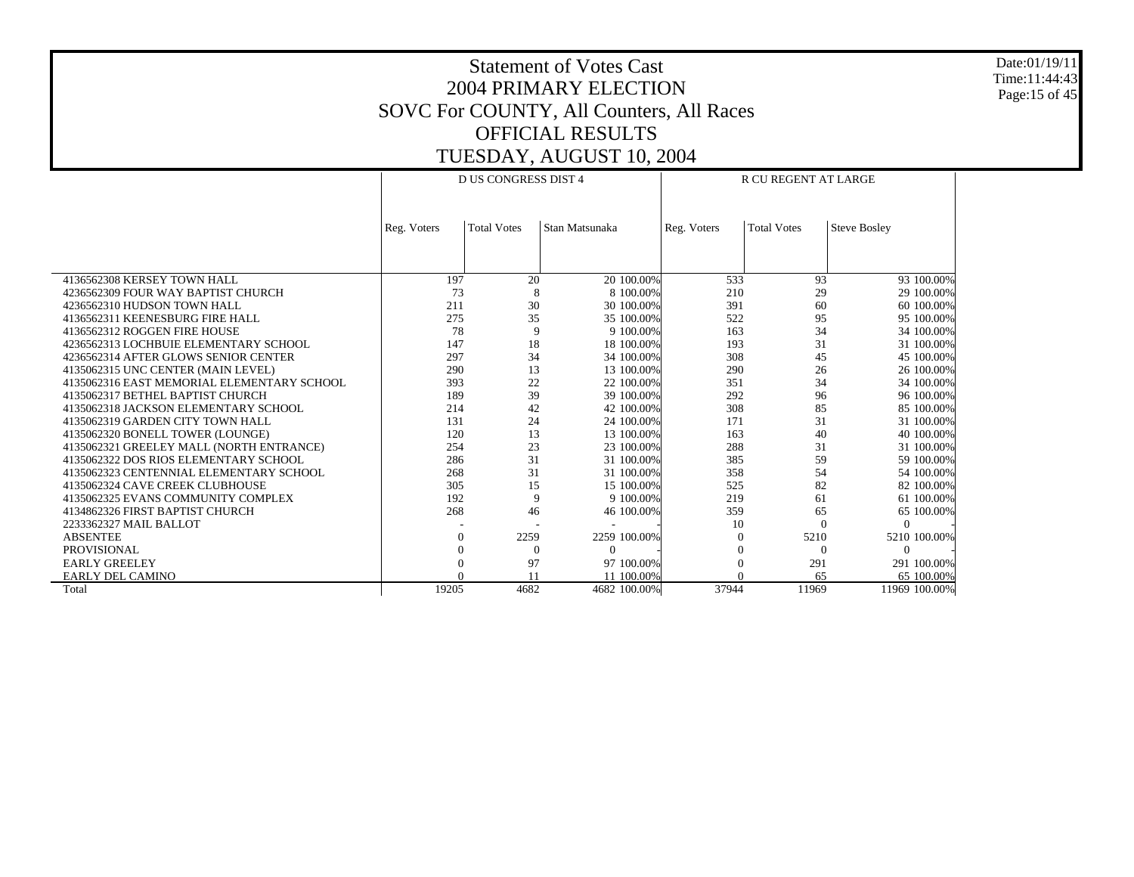Date:01/19/11 Time:11:44:43 Page:15 of 45

|                                            |             | <b>D US CONGRESS DIST 4</b> |                |             | R CU REGENT AT LARGE |                     |
|--------------------------------------------|-------------|-----------------------------|----------------|-------------|----------------------|---------------------|
|                                            | Reg. Voters | <b>Total Votes</b>          | Stan Matsunaka | Reg. Voters | <b>Total Votes</b>   | <b>Steve Bosley</b> |
|                                            |             |                             |                |             |                      |                     |
|                                            |             |                             |                |             |                      |                     |
| 4136562308 KERSEY TOWN HALL                | 197         | 20                          | 20 100,00%     | 533         | 93                   | 93 100.00%          |
| 4236562309 FOUR WAY BAPTIST CHURCH         | 73          | 8                           | 8 100,00%      | 210         | 29                   | 29 100,00%          |
| 4236562310 HUDSON TOWN HALL                | 211         | 30                          | 30 100,00%     | 391         | 60                   | 60 100,00%          |
| 4136562311 KEENESBURG FIRE HALL            | 275         | 35                          | 35 100.00%     | 522         | 95                   | 95 100.00%          |
| 4136562312 ROGGEN FIRE HOUSE               | 78          | 9                           | 9 100.00%      | 163         | 34                   | 34 100.00%          |
| 4236562313 LOCHBUIE ELEMENTARY SCHOOL      | 147         | 18                          | 18 100,00%     | 193         | 31                   | 31 100.00%          |
| 4236562314 AFTER GLOWS SENIOR CENTER       | 297         | 34                          | 34 100.00%     | 308         | 45                   | 45 100.00%          |
| 4135062315 UNC CENTER (MAIN LEVEL)         | 290         | 13                          | 13 100,00%     | 290         | 26                   | 26 100.00%          |
| 4135062316 EAST MEMORIAL ELEMENTARY SCHOOL | 393         | 22                          | 22 100.00%     | 351         | 34                   | 34 100.00%          |
| 4135062317 BETHEL BAPTIST CHURCH           | 189         | 39                          | 39 100.00%     | 292         | 96                   | 96 100.00%          |
| 4135062318 JACKSON ELEMENTARY SCHOOL       | 214         | 42                          | 42 100.00%     | 308         | 85                   | 85 100.00%          |
| 4135062319 GARDEN CITY TOWN HALL           | 131         | 24                          | 24 100,00%     | 171         | 31                   | 31 100,00%          |
| 4135062320 BONELL TOWER (LOUNGE)           | 120         | 13                          | 13 100,00%     | 163         | 40                   | 40 100,00%          |
| 4135062321 GREELEY MALL (NORTH ENTRANCE)   | 254         | 23                          | 23 100.00%     | 288         | 31                   | 31 100.00%          |
| 4135062322 DOS RIOS ELEMENTARY SCHOOL      | 286         | 31                          | 31 100.00%     | 385         | 59                   | 59 100,00%          |
| 4135062323 CENTENNIAL ELEMENTARY SCHOOL    | 268         | 31                          | 31 100.00%     | 358         | 54                   | 54 100.00%          |
| 4135062324 CAVE CREEK CLUBHOUSE            | 305         | 15                          | 15 100,00%     | 525         | 82                   | 82 100,00%          |
| 4135062325 EVANS COMMUNITY COMPLEX         | 192         | 9                           | 9 100.00%      | 219         | 61                   | 61 100.00%          |
| 4134862326 FIRST BAPTIST CHURCH            | 268         | 46                          | 46 100.00%     | 359         | 65                   | 65 100.00%          |
| 2233362327 MAIL BALLOT                     |             |                             |                | 10          | $\Omega$             | $\Omega$            |
| <b>ABSENTEE</b>                            |             | 2259                        | 2259 100.00%   |             | 5210                 | 5210 100.00%        |
| <b>PROVISIONAL</b>                         |             | $\Omega$                    | $\Omega$       | $\theta$    | $\Omega$             | $\Omega$            |
| <b>EARLY GREELEY</b>                       |             | 97                          | 97 100,00%     | $\theta$    | 291                  | 291 100.00%         |
| <b>EARLY DEL CAMINO</b>                    |             |                             | 11 100,00%     |             | 65                   | 65 100,00%          |
| Total                                      | 19205       | 4682                        | 4682 100.00%   | 37944       | 11969                | 11969 100.00%       |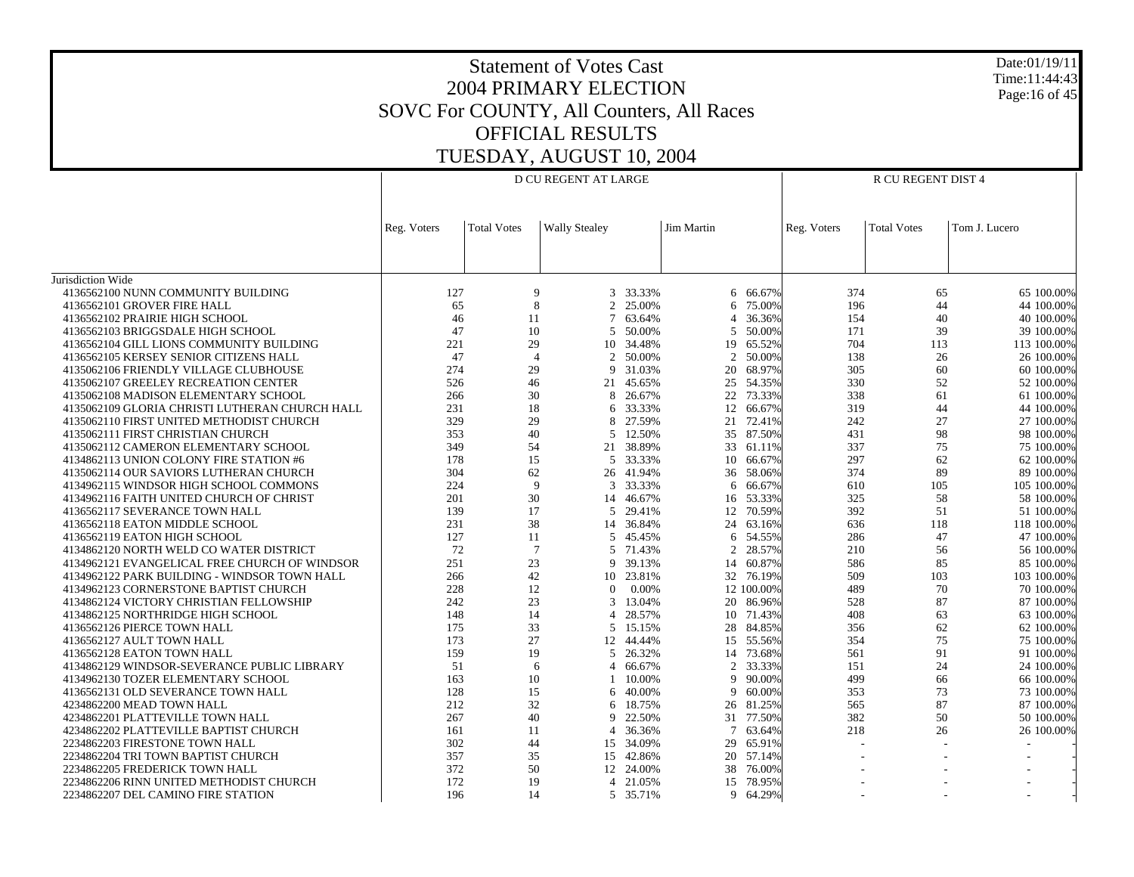### Statement of Votes Cast 2004 PRIMARY ELECTION SOVC For COUNTY, All Counters, All Races OFFICIAL RESULTS TUESDAY, AUGUST 10, 2004

Date:01/19/11 Time:11:44:43Page:16 of 45

|                                                |             |                    | D CU REGENT AT LARGE |           |            |            | R CU REGENT DIST 4 |                    |               |  |
|------------------------------------------------|-------------|--------------------|----------------------|-----------|------------|------------|--------------------|--------------------|---------------|--|
|                                                |             |                    |                      |           |            |            |                    |                    |               |  |
|                                                | Reg. Voters | <b>Total Votes</b> | <b>Wally Stealey</b> |           | Jim Martin |            | Reg. Voters        | <b>Total Votes</b> | Tom J. Lucero |  |
|                                                |             |                    |                      |           |            |            |                    |                    |               |  |
|                                                |             |                    |                      |           |            |            |                    |                    |               |  |
| Jurisdiction Wide                              |             |                    |                      |           |            |            |                    |                    |               |  |
| 4136562100 NUNN COMMUNITY BUILDING             | 127         | 9                  |                      | 3 33.33%  |            | 6 66.67%   | 374                | 65                 | 65 100,00%    |  |
| 4136562101 GROVER FIRE HALL                    | 65          | 8                  |                      | 2 25.00%  |            | 6 75.00%   | 196                | 44                 | 44 100.00%    |  |
| 4136562102 PRAIRIE HIGH SCHOOL                 | 46          | 11                 | 7                    | 63.64%    | 4          | 36.36%     | 154                | 40                 | 40 100.00%    |  |
| 4136562103 BRIGGSDALE HIGH SCHOOL              | 47          | 10                 | 5                    | 50.00%    | 5          | 50.00%     | 171                | 39                 | 39 100,00%    |  |
| 4136562104 GILL LIONS COMMUNITY BUILDING       | 221         | 29                 | 10                   | 34.48%    | 19         | 65.52%     | 704                | 113                | 113 100.00%   |  |
| 4136562105 KERSEY SENIOR CITIZENS HALL         | 47          | $\overline{4}$     | 2                    | 50.00%    | 2          | 50.00%     | 138                | 26                 | 26 100.00%    |  |
| 4135062106 FRIENDLY VILLAGE CLUBHOUSE          | 274         | 29                 | 9                    | 31.03%    | 20         | 68.97%     | 305                | 60                 | 60 100.00%    |  |
| 4135062107 GREELEY RECREATION CENTER           | 526         | 46                 |                      | 21 45.65% |            | 25 54.35%  | 330                | 52                 | 52 100.00%    |  |
| 4135062108 MADISON ELEMENTARY SCHOOL           | 266         | 30                 | 8                    | 26.67%    | 22         | 73.33%     | 338                | 61                 | 61 100.00%    |  |
| 4135062109 GLORIA CHRISTI LUTHERAN CHURCH HALL | 231         | 18                 |                      | 6 33.33%  |            | 12 66.67%  | 319                | 44                 | 44 100.00%    |  |
| 4135062110 FIRST UNITED METHODIST CHURCH       | 329         | 29                 | 8                    | 27.59%    | 21         | 72.41%     | 242                | 27                 | 27 100,00%    |  |
| 4135062111 FIRST CHRISTIAN CHURCH              | 353         | 40                 | 5                    | 12.50%    |            | 35 87.50%  | 431                | 98                 | 98 100.00%    |  |
| 4135062112 CAMERON ELEMENTARY SCHOOL           | 349         | 54                 |                      | 21 38.89% | 33         | 61.11%     | 337                | 75                 | 75 100.00%    |  |
| 4134862113 UNION COLONY FIRE STATION #6        | 178         | 15                 |                      | 5 33.33%  | 10         | 66.67%     | 297                | 62                 | 62 100.00%    |  |
| 4135062114 OUR SAVIORS LUTHERAN CHURCH         | 304         | 62                 |                      | 26 41.94% | 36         | 58.06%     | 374                | 89                 | 89 100.00%    |  |
| 4134962115 WINDSOR HIGH SCHOOL COMMONS         | 224         | 9                  | 3                    | 33.33%    | 6          | 66.67%     | 610                | 105                | 105 100.00%   |  |
| 4134962116 FAITH UNITED CHURCH OF CHRIST       | 201         | 30                 |                      | 14 46.67% | 16         | 53.33%     | 325                | 58                 | 58 100.00%    |  |
| 4136562117 SEVERANCE TOWN HALL                 | 139         | 17                 |                      | 5 29.41%  | 12         | 70.59%     | 392                | 51                 | 51 100,00%    |  |
| 4136562118 EATON MIDDLE SCHOOL                 | 231         | 38                 |                      | 14 36.84% | 24         | 63.16%     | 636                | 118                | 118 100.00%   |  |
| 4136562119 EATON HIGH SCHOOL                   | 127         | 11                 |                      | 5 45.45%  | 6          | 54.55%     | 286                | 47                 | 47 100.00%    |  |
| 4134862120 NORTH WELD CO WATER DISTRICT        | 72          | 7                  |                      | 5 71.43%  | 2          | 28.57%     | 210                | 56                 | 56 100.00%    |  |
| 4134962121 EVANGELICAL FREE CHURCH OF WINDSOR  | 251         | 23                 | 9                    | 39.13%    | 14         | 60.87%     | 586                | 85                 | 85 100.00%    |  |
| 4134962122 PARK BUILDING - WINDSOR TOWN HALL   | 266         | 42                 |                      | 10 23.81% |            | 32 76.19%  | 509                | 103                | 103 100.00%   |  |
| 4134962123 CORNERSTONE BAPTIST CHURCH          | 228         | 12                 | $\theta$             | $0.00\%$  |            | 12 100,00% | 489                | 70                 | 70 100,00%    |  |
| 4134862124 VICTORY CHRISTIAN FELLOWSHIP        | 242         | 23                 | 3                    | 13.04%    |            | 20 86.96%  | 528                | 87                 | 87 100.00%    |  |
| 4134862125 NORTHRIDGE HIGH SCHOOL              | 148         | 14                 | $\overline{4}$       | 28.57%    | 10         | 71.43%     | 408                | 63                 | 63 100.00%    |  |
|                                                |             | 33                 |                      |           |            |            |                    | 62                 |               |  |
| 4136562126 PIERCE TOWN HALL                    | 175         | 27                 |                      | 5 15.15%  |            | 28 84.85%  | 356                | 75                 | 62 100.00%    |  |
| 4136562127 AULT TOWN HALL                      | 173         |                    | 12                   | 44.44%    | 15         | 55.56%     | 354                |                    | 75 100,00%    |  |
| 4136562128 EATON TOWN HALL                     | 159         | 19                 |                      | 5 26.32%  |            | 14 73.68%  | 561                | 91                 | 91 100.00%    |  |
| 4134862129 WINDSOR-SEVERANCE PUBLIC LIBRARY    | 51          | 6                  | $\overline{4}$       | 66.67%    | 2          | 33.33%     | 151                | 24                 | 24 100.00%    |  |
| 4134962130 TOZER ELEMENTARY SCHOOL             | 163         | 10                 |                      | 10.00%    | 9          | 90.00%     | 499                | 66                 | 66 100.00%    |  |
| 4136562131 OLD SEVERANCE TOWN HALL             | 128         | 15                 |                      | 6 40.00%  | 9          | 60.00%     | 353                | 73                 | 73 100.00%    |  |
| 4234862200 MEAD TOWN HALL                      | 212         | 32                 | 6                    | 18.75%    |            | 26 81.25%  | 565                | 87                 | 87 100.00%    |  |
| 4234862201 PLATTEVILLE TOWN HALL               | 267         | 40                 | 9                    | 22.50%    | 31         | 77.50%     | 382                | 50                 | 50 100.00%    |  |
| 4234862202 PLATTEVILLE BAPTIST CHURCH          | 161         | 11                 | $\overline{4}$       | 36.36%    |            | 7 63.64%   | 218                | 26                 | 26 100.00%    |  |
| 2234862203 FIRESTONE TOWN HALL                 | 302         | 44                 |                      | 15 34.09% | 29         | 65.91%     |                    |                    |               |  |
| 2234862204 TRI TOWN BAPTIST CHURCH             | 357         | 35                 |                      | 15 42.86% | 20         | 57.14%     |                    |                    |               |  |
| 2234862205 FREDERICK TOWN HALL                 | 372         | 50                 |                      | 12 24.00% | 38         | 76.00%     |                    |                    |               |  |
| 2234862206 RINN UNITED METHODIST CHURCH        | 172         | 19                 |                      | 4 21.05%  | 15         | 78.95%     |                    |                    |               |  |
| 2234862207 DEL CAMINO FIRE STATION             | 196         | 14                 |                      | 5 35.71%  |            | 9 64.29%   |                    |                    |               |  |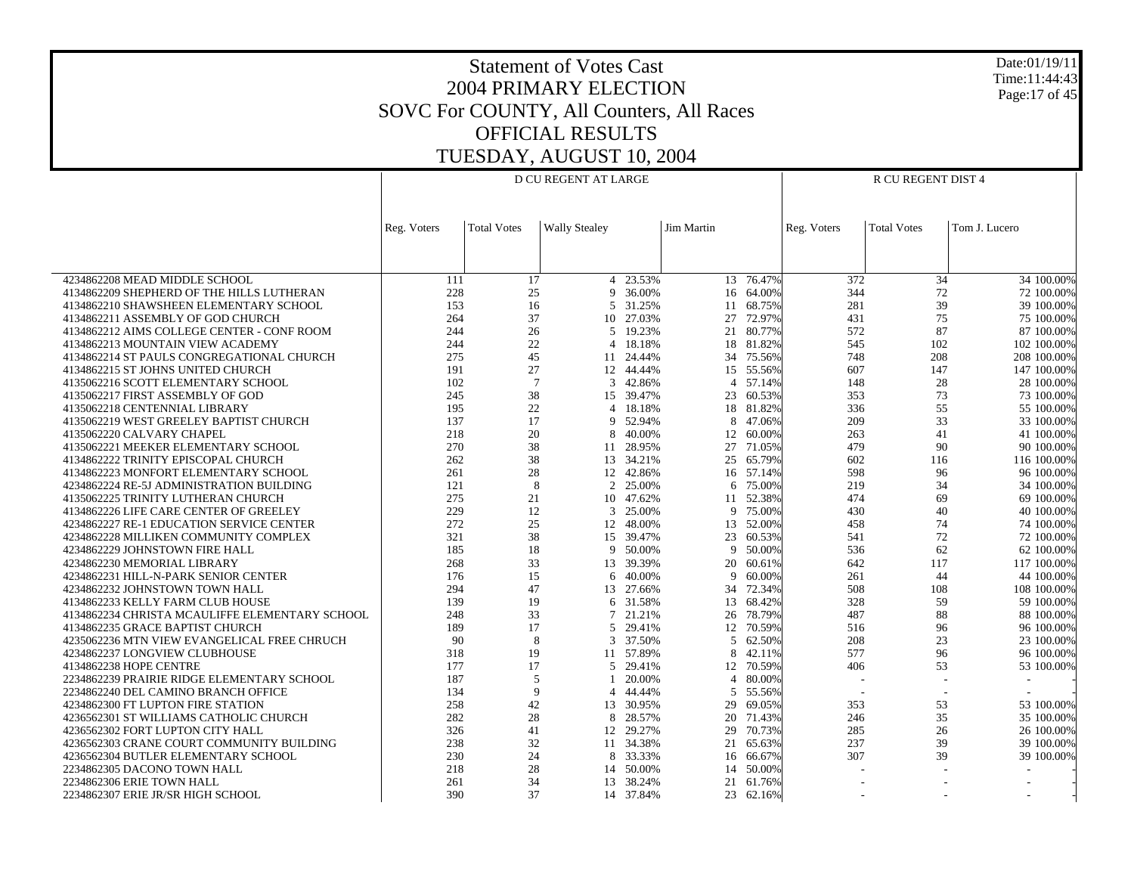Date:01/19/11 Time:11:44:43 Page:17 of 45

|                                                |             |                    | D CU REGENT AT LARGE |              | R CU REGENT DIST 4 |           |                          |                    |               |
|------------------------------------------------|-------------|--------------------|----------------------|--------------|--------------------|-----------|--------------------------|--------------------|---------------|
|                                                | Reg. Voters | <b>Total Votes</b> | <b>Wally Stealey</b> |              | Jim Martin         |           | Reg. Voters              | <b>Total Votes</b> | Tom J. Lucero |
|                                                |             |                    |                      |              |                    |           |                          |                    |               |
| 4234862208 MEAD MIDDLE SCHOOL                  | 111         | 17                 |                      | $4 - 23.53%$ |                    | 13 76.47% | 372                      | 34                 | 34 100.00%    |
| 4134862209 SHEPHERD OF THE HILLS LUTHERAN      | 228         | 25                 | 9                    | 36.00%       | 16                 | 64.00%    | 344                      | 72                 | 72 100.00%    |
| 4134862210 SHAWSHEEN ELEMENTARY SCHOOL         | 153         | 16                 |                      | 5 31.25%     | 11                 | 68.75%    | 281                      | 39                 | 39 100.00%    |
| 4134862211 ASSEMBLY OF GOD CHURCH              | 264         | 37                 | 10                   | 27.03%       | 27                 | 72.97%    | 431                      | 75                 | 75 100.00%    |
| 4134862212 AIMS COLLEGE CENTER - CONF ROOM     | 244         | 26                 |                      | 5 19.23%     |                    | 21 80.77% | 572                      | 87                 | 87 100.00%    |
| 4134862213 MOUNTAIN VIEW ACADEMY               | 244         | 22                 | $\overline{4}$       | 18.18%       | 18                 | 81.82%    | 545                      | 102                | 102 100.00%   |
| 4134862214 ST PAULS CONGREGATIONAL CHURCH      | 275         | 45                 |                      | 11 24.44%    | 34                 | 75.56%    | 748                      | 208                | 208 100.00%   |
| 4134862215 ST JOHNS UNITED CHURCH              | 191         | 27                 |                      | 12 44.44%    | 15                 | 55.56%    | 607                      | 147                | 147 100.00%   |
| 4135062216 SCOTT ELEMENTARY SCHOOL             | 102         | $7\phantom{.0}$    | 3                    | 42.86%       | $\overline{4}$     | 57.14%    | 148                      | 28                 | 28 100.00%    |
| 4135062217 FIRST ASSEMBLY OF GOD               | 245         | 38                 |                      | 15 39.47%    | 23                 | 60.53%    | 353                      | 73                 | 73 100.00%    |
| 4135062218 CENTENNIAL LIBRARY                  | 195         | 22                 | $\overline{4}$       | 18.18%       | 18                 | 81.82%    | 336                      | 55                 | 55 100.00%    |
| 4135062219 WEST GREELEY BAPTIST CHURCH         | 137         | 17                 | 9                    | 52.94%       | 8                  | 47.06%    | 209                      | 33                 | 33 100.00%    |
| 4135062220 CALVARY CHAPEL                      | 218         | 20                 | 8                    | 40.00%       | 12                 | 60.00%    | 263                      | 41                 | 41 100.00%    |
| 4135062221 MEEKER ELEMENTARY SCHOOL            | 270         | 38                 | 11                   | 28.95%       | 27                 | 71.05%    | 479                      | 90                 | 90 100.00%    |
| 4134862222 TRINITY EPISCOPAL CHURCH            | 262         | 38                 |                      | 13 34.21%    | 25                 | 65.79%    | 602                      | 116                | 116 100.00%   |
| 4134862223 MONFORT ELEMENTARY SCHOOL           | 261         | 28                 |                      | 12 42.86%    |                    | 16 57.14% | 598                      | 96                 | 96 100.00%    |
| 4234862224 RE-5J ADMINISTRATION BUILDING       | 121         | 8                  | 2                    | 25.00%       | 6                  | 75.00%    | 219                      | 34                 | 34 100.00%    |
| 4135062225 TRINITY LUTHERAN CHURCH             | 275         | 21                 |                      | 10 47.62%    |                    | 11 52.38% | 474                      | 69                 | 69 100.00%    |
| 4134862226 LIFE CARE CENTER OF GREELEY         | 229         | 12                 | 3                    | 25.00%       | 9                  | 75.00%    | 430                      | 40                 | 40 100.00%    |
| 4234862227 RE-1 EDUCATION SERVICE CENTER       | 272         | 25                 |                      | 12 48.00%    | 13                 | 52.00%    | 458                      | 74                 | 74 100.00%    |
| 4234862228 MILLIKEN COMMUNITY COMPLEX          | 321         | 38                 |                      | 15 39.47%    | 23                 | 60.53%    | 541                      | 72                 | 72 100.00%    |
| 4234862229 JOHNSTOWN FIRE HALL                 | 185         | 18                 | 9                    | 50.00%       | 9                  | 50.00%    | 536                      | 62                 | 62 100.00%    |
| 4234862230 MEMORIAL LIBRARY                    | 268         | 33                 |                      | 13 39.39%    | 20                 | 60.61%    | 642                      | 117                | 117 100.00%   |
| 4234862231 HILL-N-PARK SENIOR CENTER           | 176         | 15                 | 6                    | 40.00%       | 9                  | 60.00%    | 261                      | 44                 | 44 100.00%    |
| 4234862232 JOHNSTOWN TOWN HALL                 | 294         | 47                 |                      | 13 27.66%    |                    | 34 72.34% | 508                      | 108                | 108 100.00%   |
| 4134862233 KELLY FARM CLUB HOUSE               | 139         | 19                 | 6                    | 31.58%       | 13                 | 68.42%    | 328                      | 59                 | 59 100.00%    |
| 4134862234 CHRISTA MCAULIFFE ELEMENTARY SCHOOL | 248         | 33                 | $7\phantom{.0}$      | 21.21%       | 26                 | 78.79%    | 487                      | 88                 | 88 100.00%    |
| 4134862235 GRACE BAPTIST CHURCH                | 189         | 17                 | 5                    | 29.41%       | 12                 | 70.59%    | 516                      | 96                 | 96 100.00%    |
| 4235062236 MTN VIEW EVANGELICAL FREE CHRUCH    | 90          | 8                  | 3                    | 37.50%       | 5                  | 62.50%    | 208                      | 23                 | 23 100.00%    |
| 4234862237 LONGVIEW CLUBHOUSE                  | 318         | 19                 |                      | 11 57.89%    | 8                  | 42.11%    | 577                      | 96                 | 96 100.00%    |
| 4134862238 HOPE CENTRE                         | 177         | 17                 |                      | 5 29.41%     | 12                 | 70.59%    | 406                      | 53                 | 53 100.00%    |
| 2234862239 PRAIRIE RIDGE ELEMENTARY SCHOOL     | 187         | 5                  |                      | 20.00%       | $\overline{4}$     | 80.00%    |                          | $\sim$             |               |
| 2234862240 DEL CAMINO BRANCH OFFICE            | 134         | 9                  | $\overline{4}$       | 44.44%       | 5                  | 55.56%    | $\overline{\phantom{a}}$ | $\sim$             |               |
| 4234862300 FT LUPTON FIRE STATION              | 258         | 42                 |                      | 13 30.95%    | 29                 | 69.05%    | 353                      | 53                 | 53 100,00%    |
| 4236562301 ST WILLIAMS CATHOLIC CHURCH         | 282         | 28                 | 8                    | 28.57%       | 20                 | 71.43%    | 246                      | 35                 | 35 100.00%    |
| 4236562302 FORT LUPTON CITY HALL               | 326         | 41                 | 12                   | 29.27%       | 29                 | 70.73%    | 285                      | 26                 | 26 100.00%    |
| 4236562303 CRANE COURT COMMUNITY BUILDING      | 238         | 32                 |                      | 11 34.38%    | 21                 | 65.63%    | 237                      | 39                 | 39 100.00%    |
| 4236562304 BUTLER ELEMENTARY SCHOOL            | 230         | 24                 | 8                    | 33.33%       | 16                 | 66.67%    | 307                      | 39                 | 39 100.00%    |
| 2234862305 DACONO TOWN HALL                    | 218         | 28                 | 14                   | 50.00%       | 14                 | 50.00%    |                          |                    |               |
| 2234862306 ERIE TOWN HALL                      | 261         | 34                 | 13                   | 38.24%       | 21                 | 61.76%    |                          |                    |               |
| 2234862307 ERIE JR/SR HIGH SCHOOL              | 390         | 37                 |                      | 14 37.84%    | 23                 | 62.16%    |                          |                    |               |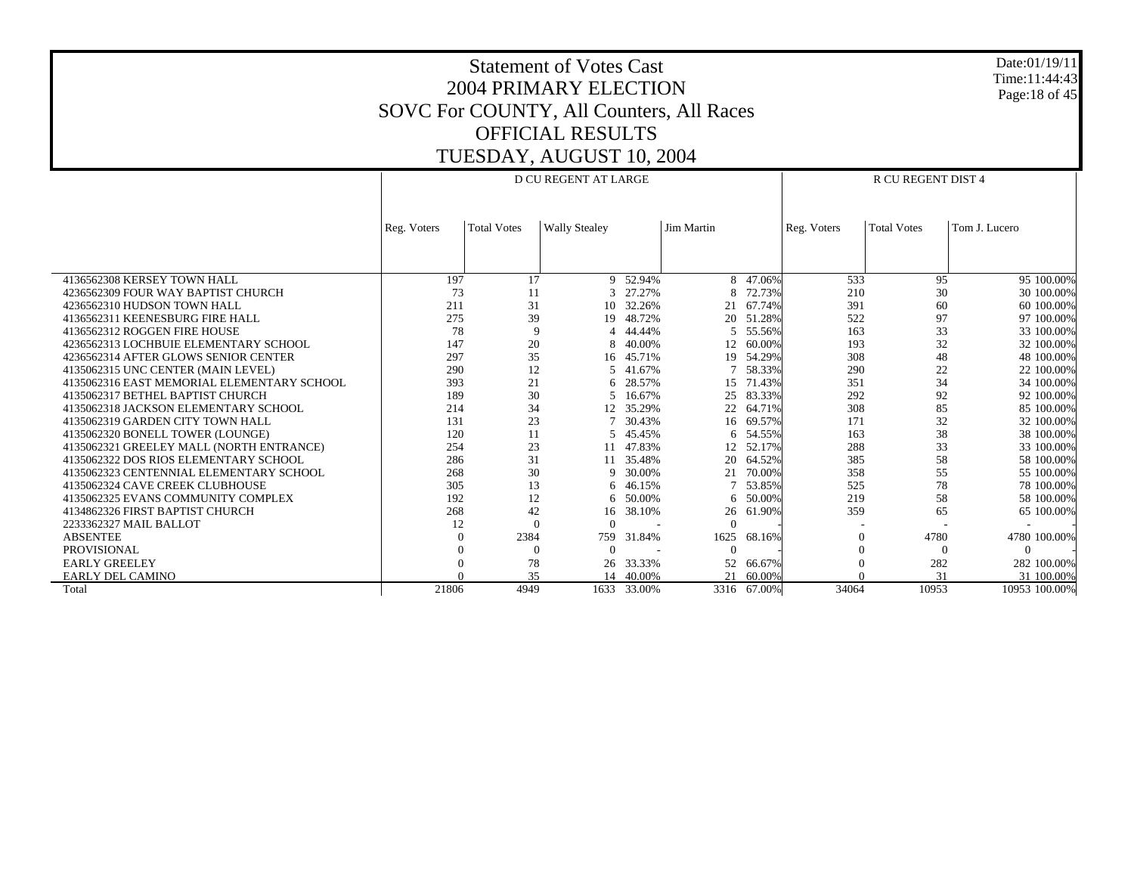Date:01/19/11 Time:11:44:43 Page:18 of 45

|                                            |             |                    | <b>D CU REGENT AT LARGE</b> |             |                   |             | R CU REGENT DIST 4 |                    |               |  |  |
|--------------------------------------------|-------------|--------------------|-----------------------------|-------------|-------------------|-------------|--------------------|--------------------|---------------|--|--|
|                                            | Reg. Voters | <b>Total Votes</b> | <b>Wally Stealey</b>        |             | <b>Jim Martin</b> |             | Reg. Voters        | <b>Total Votes</b> | Tom J. Lucero |  |  |
|                                            |             |                    |                             |             |                   |             |                    |                    |               |  |  |
| 4136562308 KERSEY TOWN HALL                | 197         | 17                 |                             | 9 52.94%    | 8                 | 47.06%      | 533                | 95                 | 95 100.00%    |  |  |
| 4236562309 FOUR WAY BAPTIST CHURCH         | 73          | 11                 |                             | 27.27%      |                   | 72.73%      | 210                | 30                 | 30 100.00%    |  |  |
| 4236562310 HUDSON TOWN HALL                | 211         | 31                 | 10                          | 32.26%      | 21                | 67.74%      | 391                | 60                 | 60 100,00%    |  |  |
| 4136562311 KEENESBURG FIRE HALL            | 275         | 39                 | 19                          | 48.72%      | 20                | 51.28%      | 522                | 97                 | 97 100.00%    |  |  |
| 4136562312 ROGGEN FIRE HOUSE               | 78          | $\mathbf Q$        |                             | 44.44%      | 5.                | 55.56%      | 163                | 33                 | 33 100.00%    |  |  |
| 4236562313 LOCHBUIE ELEMENTARY SCHOOL      | 147         | 20                 | 8                           | 40.00%      | 12                | 60.00%      | 193                | 32                 | 32 100.00%    |  |  |
| 4236562314 AFTER GLOWS SENIOR CENTER       | 297         | 35                 | 16                          | 45.71%      | 19                | 54.29%      | 308                | 48                 | 48 100.00%    |  |  |
| 4135062315 UNC CENTER (MAIN LEVEL)         | 290         | 12                 |                             | 5 41.67%    | 7                 | 58.33%      | 290                | 22                 | 22 100.00%    |  |  |
| 4135062316 EAST MEMORIAL ELEMENTARY SCHOOL | 393         | 21                 | 6                           | 28.57%      | 15                | 71.43%      | 351                | 34                 | 34 100.00%    |  |  |
| 4135062317 BETHEL BAPTIST CHURCH           | 189         | 30                 | 5                           | 16.67%      | 25                | 83.33%      | 292                | 92                 | 92 100.00%    |  |  |
| 4135062318 JACKSON ELEMENTARY SCHOOL       | 214         | 34                 | 12                          | 35.29%      | 22                | 64.71%      | 308                | 85                 | 85 100.00%    |  |  |
| 4135062319 GARDEN CITY TOWN HALL           | 131         | 23                 |                             | 30.43%      | 16                | 69.57%      | 171                | 32                 | 32 100.00%    |  |  |
| 4135062320 BONELL TOWER (LOUNGE)           | 120         | 11                 | 5                           | 45.45%      | 6                 | 54.55%      | 163                | 38                 | 38 100.00%    |  |  |
| 4135062321 GREELEY MALL (NORTH ENTRANCE)   | 254         | 23                 | 11                          | 47.83%      | 12                | 52.17%      | 288                | 33                 | 33 100.00%    |  |  |
| 4135062322 DOS RIOS ELEMENTARY SCHOOL      | 286         | 31                 | 11                          | 35.48%      | 20                | 64.52%      | 385                | 58                 | 58 100,00%    |  |  |
| 4135062323 CENTENNIAL ELEMENTARY SCHOOL    | 268         | 30                 | 9                           | 30.00%      | 21                | 70.00%      | 358                | 55                 | 55 100.00%    |  |  |
| 4135062324 CAVE CREEK CLUBHOUSE            | 305         | 13                 |                             | 6 46.15%    |                   | 53.85%      | 525                | 78                 | 78 100.00%    |  |  |
| 4135062325 EVANS COMMUNITY COMPLEX         | 192         | 12                 | 6                           | 50.00%      | 6                 | 50.00%      | 219                | 58                 | 58 100,00%    |  |  |
| 4134862326 FIRST BAPTIST CHURCH            | 268         | 42                 | 16                          | 38.10%      | 26                | 61.90%      | 359                | 65                 | 65 100.00%    |  |  |
| 2233362327 MAIL BALLOT                     | 12          | $\Omega$           | $\Omega$                    |             | $\Omega$          |             |                    |                    |               |  |  |
| <b>ABSENTEE</b>                            |             | 2384               | 759                         | 31.84%      | 1625              | 68.16%      | $\Omega$           | 4780               | 4780 100.00%  |  |  |
| <b>PROVISIONAL</b>                         |             | $\Omega$           | $\Omega$                    |             | $\Omega$          |             |                    |                    |               |  |  |
| <b>EARLY GREELEY</b>                       |             | 78                 | 26                          | 33.33%      | 52                | 66.67%      | $\Omega$           | 282                | 282 100.00%   |  |  |
| <b>EARLY DEL CAMINO</b>                    |             | 35                 | 14                          | 40.00%      | 21                | 60.00%      |                    | 31                 | 31 100.00%    |  |  |
| Total                                      | 21806       | 4949               |                             | 1633 33.00% |                   | 3316 67.00% | 34064              | 10953              | 10953 100.00% |  |  |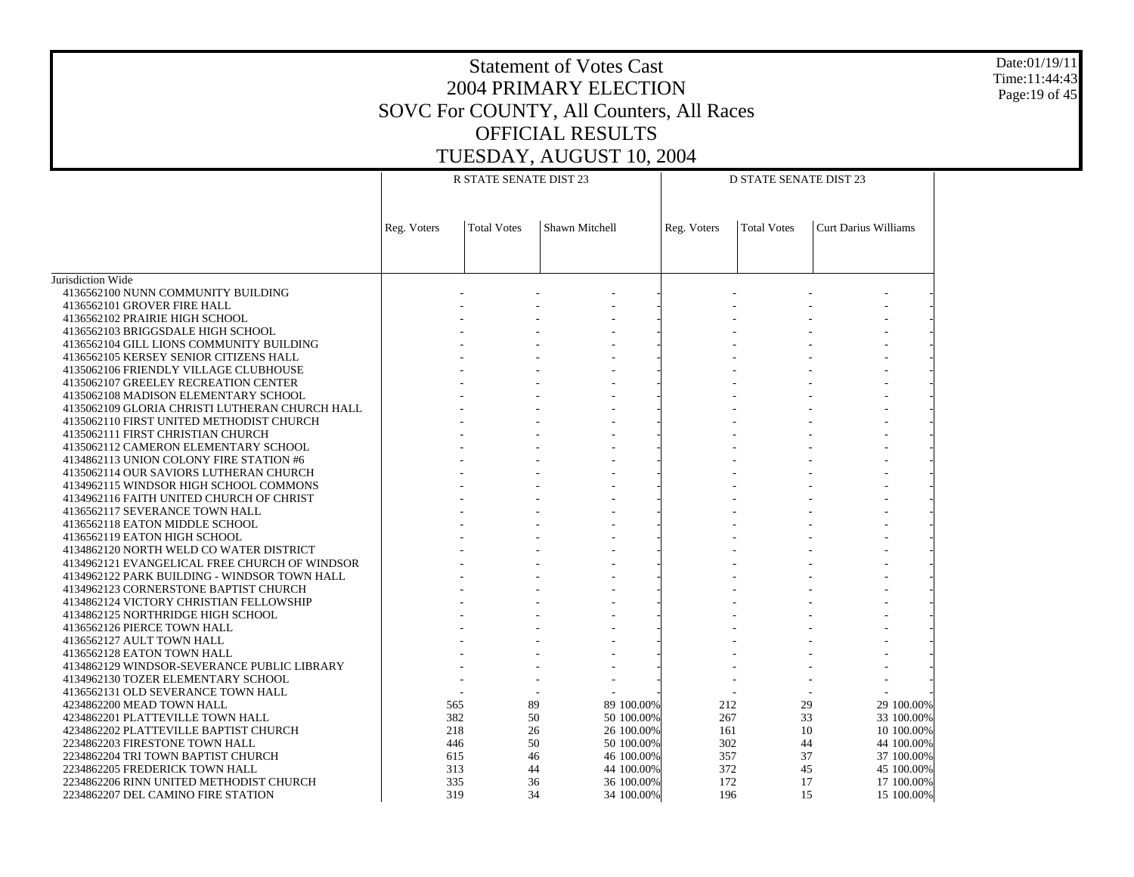Date:01/19/11 Time:11:44:43 Page:19 of 45

|                                                |             | R STATE SENATE DIST 23 |                |             |     | <b>D STATE SENATE DIST 23</b> |                             |  |  |
|------------------------------------------------|-------------|------------------------|----------------|-------------|-----|-------------------------------|-----------------------------|--|--|
|                                                |             |                        |                |             |     |                               |                             |  |  |
|                                                |             |                        |                |             |     |                               |                             |  |  |
|                                                | Reg. Voters | <b>Total Votes</b>     | Shawn Mitchell | Reg. Voters |     | <b>Total Votes</b>            | <b>Curt Darius Williams</b> |  |  |
|                                                |             |                        |                |             |     |                               |                             |  |  |
|                                                |             |                        |                |             |     |                               |                             |  |  |
|                                                |             |                        |                |             |     |                               |                             |  |  |
| Jurisdiction Wide                              |             |                        |                |             |     |                               |                             |  |  |
| 4136562100 NUNN COMMUNITY BUILDING             |             |                        |                |             |     |                               |                             |  |  |
| 4136562101 GROVER FIRE HALL                    |             |                        |                |             |     |                               |                             |  |  |
| 4136562102 PRAIRIE HIGH SCHOOL                 |             |                        |                |             |     |                               |                             |  |  |
| 4136562103 BRIGGSDALE HIGH SCHOOL              |             |                        |                |             |     |                               |                             |  |  |
| 4136562104 GILL LIONS COMMUNITY BUILDING       |             |                        |                |             |     |                               |                             |  |  |
| 4136562105 KERSEY SENIOR CITIZENS HALL         |             |                        |                |             |     |                               |                             |  |  |
| 4135062106 FRIENDLY VILLAGE CLUBHOUSE          |             |                        |                |             |     |                               |                             |  |  |
| 4135062107 GREELEY RECREATION CENTER           |             |                        |                |             |     |                               |                             |  |  |
| 4135062108 MADISON ELEMENTARY SCHOOL           |             |                        |                |             |     |                               |                             |  |  |
| 4135062109 GLORIA CHRISTI LUTHERAN CHURCH HALL |             |                        |                |             |     |                               |                             |  |  |
| 4135062110 FIRST UNITED METHODIST CHURCH       |             |                        |                |             |     |                               |                             |  |  |
| 4135062111 FIRST CHRISTIAN CHURCH              |             |                        |                |             |     |                               |                             |  |  |
| 4135062112 CAMERON ELEMENTARY SCHOOL           |             |                        |                |             |     |                               |                             |  |  |
| 4134862113 UNION COLONY FIRE STATION #6        |             |                        |                |             |     |                               |                             |  |  |
| 4135062114 OUR SAVIORS LUTHERAN CHURCH         |             |                        |                |             |     |                               |                             |  |  |
| 4134962115 WINDSOR HIGH SCHOOL COMMONS         |             |                        |                |             |     |                               |                             |  |  |
| 4134962116 FAITH UNITED CHURCH OF CHRIST       |             |                        |                |             |     |                               |                             |  |  |
| 4136562117 SEVERANCE TOWN HALL                 |             |                        |                |             |     |                               |                             |  |  |
| 4136562118 EATON MIDDLE SCHOOL                 |             |                        |                |             |     |                               |                             |  |  |
| 4136562119 EATON HIGH SCHOOL                   |             |                        |                |             |     |                               |                             |  |  |
| 4134862120 NORTH WELD CO WATER DISTRICT        |             |                        |                |             |     |                               |                             |  |  |
| 4134962121 EVANGELICAL FREE CHURCH OF WINDSOR  |             |                        |                |             |     |                               |                             |  |  |
| 4134962122 PARK BUILDING - WINDSOR TOWN HALL   |             |                        |                |             |     |                               |                             |  |  |
| 4134962123 CORNERSTONE BAPTIST CHURCH          |             |                        |                |             |     |                               |                             |  |  |
| 4134862124 VICTORY CHRISTIAN FELLOWSHIP        |             |                        |                |             |     |                               |                             |  |  |
| 4134862125 NORTHRIDGE HIGH SCHOOL              |             |                        |                |             |     |                               |                             |  |  |
| 4136562126 PIERCE TOWN HALL                    |             |                        |                |             |     |                               |                             |  |  |
| 4136562127 AULT TOWN HALL                      |             |                        |                |             |     |                               |                             |  |  |
| 4136562128 EATON TOWN HALL                     |             |                        |                |             |     |                               |                             |  |  |
| 4134862129 WINDSOR-SEVERANCE PUBLIC LIBRARY    |             |                        |                |             |     |                               |                             |  |  |
| 4134962130 TOZER ELEMENTARY SCHOOL             |             |                        |                |             |     |                               |                             |  |  |
| 4136562131 OLD SEVERANCE TOWN HALL             |             |                        |                |             |     |                               |                             |  |  |
| 4234862200 MEAD TOWN HALL                      | 565         | 89                     | 89 100.00%     |             | 212 | 29                            | 29 100.00%                  |  |  |
| 4234862201 PLATTEVILLE TOWN HALL               | 382         | 50                     | 50 100.00%     |             | 267 | 33                            | 33 100.00%                  |  |  |
| 4234862202 PLATTEVILLE BAPTIST CHURCH          | 218         | 26                     | 26 100.00%     |             | 161 | 10                            | 10 100.00%                  |  |  |
| 2234862203 FIRESTONE TOWN HALL                 | 446         | 50                     | 50 100,00%     |             | 302 | 44                            | 44 100.00%                  |  |  |
| 2234862204 TRI TOWN BAPTIST CHURCH             | 615         | 46                     | 46 100.00%     |             | 357 | 37                            | 37 100.00%                  |  |  |
| 2234862205 FREDERICK TOWN HALL                 | 313         | 44                     | 44 100,00%     |             | 372 | 45                            | 45 100.00%                  |  |  |
| 2234862206 RINN UNITED METHODIST CHURCH        | 335         | 36                     | 36 100.00%     |             | 172 | 17                            | 17 100.00%                  |  |  |
| 2234862207 DEL CAMINO FIRE STATION             | 319         | 34                     | 34 100.00%     |             | 196 | 15                            | 15 100.00%                  |  |  |
|                                                |             |                        |                |             |     |                               |                             |  |  |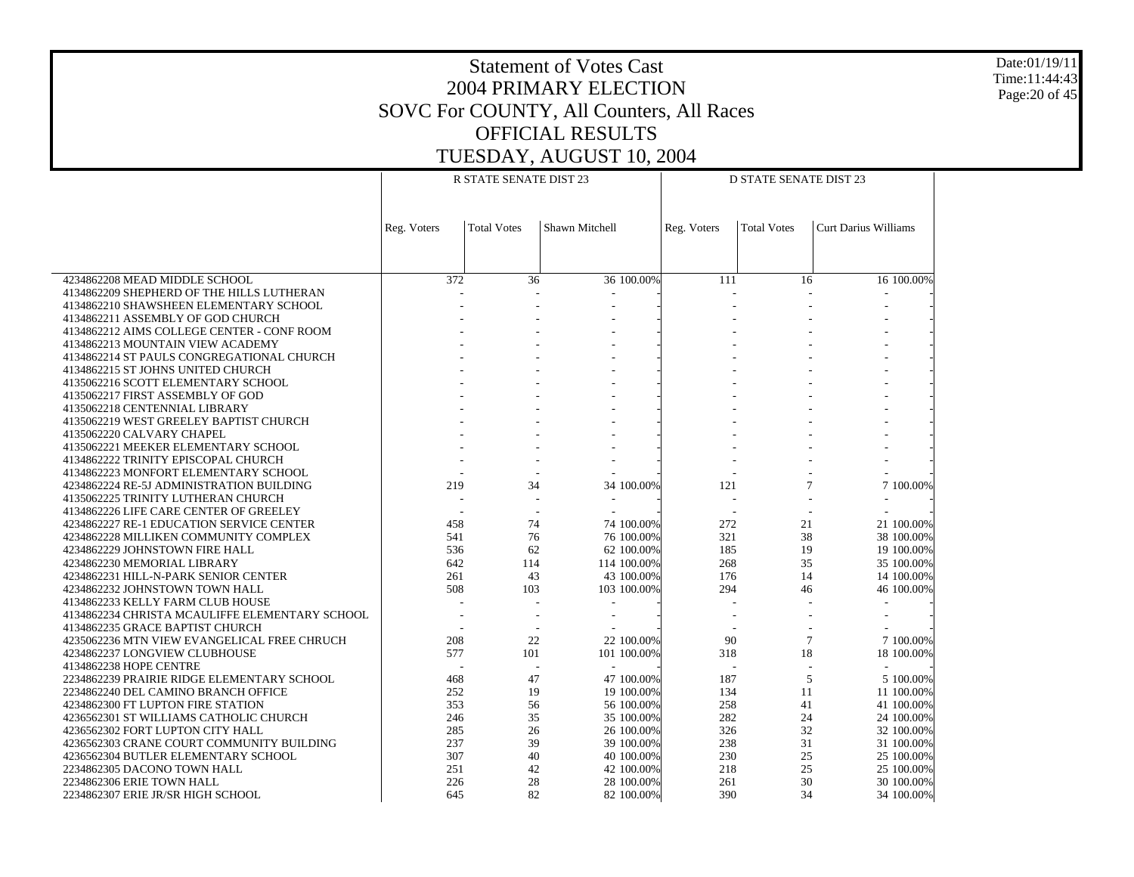Date:01/19/11 Time:11:44:43 Page:20 of 45

|                                                |             | R STATE SENATE DIST 23 |                | <b>D STATE SENATE DIST 23</b> |                          |                    |                             |  |
|------------------------------------------------|-------------|------------------------|----------------|-------------------------------|--------------------------|--------------------|-----------------------------|--|
|                                                |             |                        |                |                               |                          |                    |                             |  |
|                                                | Reg. Voters | <b>Total Votes</b>     | Shawn Mitchell |                               | Reg. Voters              | <b>Total Votes</b> | <b>Curt Darius Williams</b> |  |
|                                                |             |                        |                |                               |                          |                    |                             |  |
|                                                |             |                        |                |                               |                          |                    |                             |  |
| 4234862208 MEAD MIDDLE SCHOOL                  | 372         | 36                     |                | 36 100.00%                    | 111                      | 16                 | 16 100.00%                  |  |
| 4134862209 SHEPHERD OF THE HILLS LUTHERAN      |             |                        |                |                               |                          |                    |                             |  |
| 4134862210 SHAWSHEEN ELEMENTARY SCHOOL         |             |                        |                |                               |                          |                    |                             |  |
| 4134862211 ASSEMBLY OF GOD CHURCH              |             |                        |                |                               |                          |                    |                             |  |
| 4134862212 AIMS COLLEGE CENTER - CONF ROOM     |             |                        |                |                               |                          |                    |                             |  |
| 4134862213 MOUNTAIN VIEW ACADEMY               |             |                        |                |                               |                          |                    |                             |  |
| 4134862214 ST PAULS CONGREGATIONAL CHURCH      |             |                        |                |                               |                          |                    |                             |  |
| 4134862215 ST JOHNS UNITED CHURCH              |             |                        |                |                               |                          |                    |                             |  |
| 4135062216 SCOTT ELEMENTARY SCHOOL             |             |                        |                |                               |                          |                    |                             |  |
| 4135062217 FIRST ASSEMBLY OF GOD               |             |                        |                |                               |                          |                    |                             |  |
| 4135062218 CENTENNIAL LIBRARY                  |             |                        |                |                               |                          |                    |                             |  |
| 4135062219 WEST GREELEY BAPTIST CHURCH         |             |                        |                |                               |                          |                    |                             |  |
| 4135062220 CALVARY CHAPEL                      |             |                        |                |                               |                          |                    |                             |  |
| 4135062221 MEEKER ELEMENTARY SCHOOL            |             |                        |                |                               |                          |                    |                             |  |
| 4134862222 TRINITY EPISCOPAL CHURCH            |             |                        |                |                               |                          |                    |                             |  |
| 4134862223 MONFORT ELEMENTARY SCHOOL           |             |                        |                |                               |                          |                    |                             |  |
| 4234862224 RE-5J ADMINISTRATION BUILDING       | 219         | 34                     |                | 34 100.00%                    | 121                      | 7                  | 7 100.00%                   |  |
| 4135062225 TRINITY LUTHERAN CHURCH             |             |                        |                |                               | $\overline{\phantom{a}}$ |                    |                             |  |
| 4134862226 LIFE CARE CENTER OF GREELEY         | $\sim$      |                        |                |                               | $\overline{\phantom{a}}$ |                    |                             |  |
| 4234862227 RE-1 EDUCATION SERVICE CENTER       | 458         | 74                     |                | 74 100,00%                    | 272                      | 21                 | 21 100.00%                  |  |
| 4234862228 MILLIKEN COMMUNITY COMPLEX          | 541         | 76                     |                | 76 100.00%                    | 321                      | 38                 | 38 100.00%                  |  |
| 4234862229 JOHNSTOWN FIRE HALL                 | 536         | 62                     |                | 62 100.00%                    | 185                      | 19                 | 19 100.00%                  |  |
| 4234862230 MEMORIAL LIBRARY                    | 642         | 114                    |                | 114 100.00%                   | 268                      | 35                 | 35 100.00%                  |  |
| 4234862231 HILL-N-PARK SENIOR CENTER           | 261         | 43                     |                | 43 100.00%                    | 176                      | 14                 | 14 100.00%                  |  |
| 4234862232 JOHNSTOWN TOWN HALL                 | 508         | 103                    |                | 103 100.00%                   | 294                      | 46                 | 46 100.00%                  |  |
| 4134862233 KELLY FARM CLUB HOUSE               |             |                        |                |                               |                          |                    |                             |  |
| 4134862234 CHRISTA MCAULIFFE ELEMENTARY SCHOOL |             |                        |                |                               |                          |                    |                             |  |
| 4134862235 GRACE BAPTIST CHURCH                |             |                        |                |                               |                          |                    |                             |  |
| 4235062236 MTN VIEW EVANGELICAL FREE CHRUCH    | 208         | 22                     |                | 22 100.00%                    | 90                       | $7\phantom{.0}$    | 7 100.00%                   |  |
| 4234862237 LONGVIEW CLUBHOUSE                  | 577         | 101                    |                | 101 100.00%                   | 318                      | 18                 | 18 100.00%                  |  |
| 4134862238 HOPE CENTRE                         |             |                        |                |                               |                          |                    |                             |  |
| 2234862239 PRAIRIE RIDGE ELEMENTARY SCHOOL     | 468         | 47                     |                | 47 100.00%                    | 187                      | 5                  | 5 100.00%                   |  |
| 2234862240 DEL CAMINO BRANCH OFFICE            | 252         | 19                     |                | 19 100.00%                    | 134                      | 11                 | 11 100.00%                  |  |
| 4234862300 FT LUPTON FIRE STATION              | 353         | 56                     |                | 56 100.00%                    | 258                      | 41                 | 41 100.00%                  |  |
| 4236562301 ST WILLIAMS CATHOLIC CHURCH         | 246         | 35                     |                | 35 100.00%                    | 282                      | 24                 | 24 100.00%                  |  |
| 4236562302 FORT LUPTON CITY HALL               | 285         | 26                     |                | 26 100.00%                    | 326                      | 32                 | 32 100.00%                  |  |
| 4236562303 CRANE COURT COMMUNITY BUILDING      | 237         | 39                     |                | 39 100.00%                    | 238                      | 31                 | 31 100.00%                  |  |
| 4236562304 BUTLER ELEMENTARY SCHOOL            | 307         | 40                     |                | 40 100.00%                    | 230                      | 25                 | 25 100.00%                  |  |
| 2234862305 DACONO TOWN HALL                    | 251         | 42                     |                | 42 100.00%                    | 218                      | 25                 | 25 100.00%                  |  |
| 2234862306 ERIE TOWN HALL                      | 226         | 28                     |                | 28 100.00%                    | 261                      | 30                 | 30 100.00%                  |  |
| 2234862307 ERIE JR/SR HIGH SCHOOL              | 645         | 82                     |                | 82 100.00%                    | 390                      | 34                 | 34 100.00%                  |  |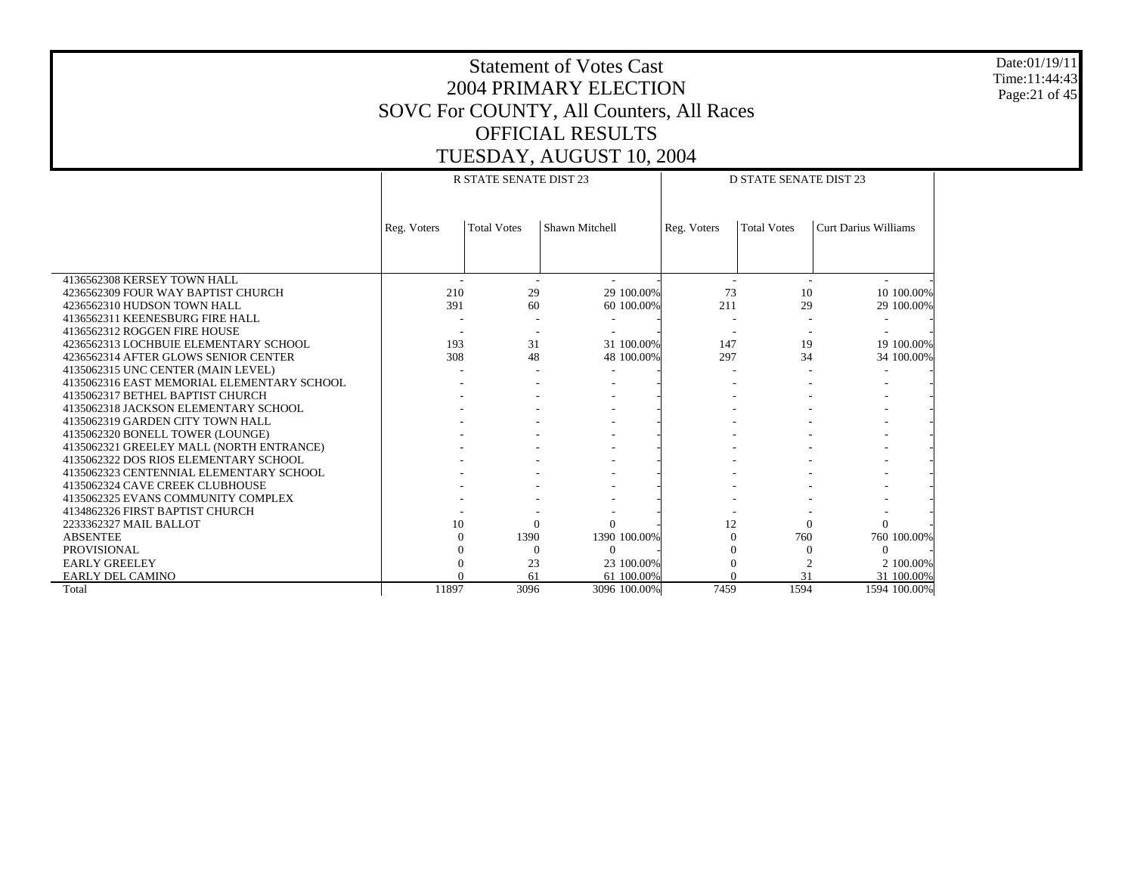Date:01/19/11 Time:11:44:43 Page:21 of 45

|                                            |             | <b>R STATE SENATE DIST 23</b> |                |              | <b>D STATE SENATE DIST 23</b> |                    |                             |  |  |  |
|--------------------------------------------|-------------|-------------------------------|----------------|--------------|-------------------------------|--------------------|-----------------------------|--|--|--|
|                                            |             |                               |                |              |                               |                    |                             |  |  |  |
|                                            | Reg. Voters | <b>Total Votes</b>            | Shawn Mitchell |              | Reg. Voters                   | <b>Total Votes</b> | <b>Curt Darius Williams</b> |  |  |  |
|                                            |             |                               |                |              |                               |                    |                             |  |  |  |
|                                            |             |                               |                |              |                               |                    |                             |  |  |  |
|                                            |             |                               |                |              |                               |                    |                             |  |  |  |
| 4136562308 KERSEY TOWN HALL                |             |                               |                |              |                               |                    |                             |  |  |  |
| 4236562309 FOUR WAY BAPTIST CHURCH         | 210         | 29                            |                | 29 100.00%   | 73                            | 10                 | 10 100.00%                  |  |  |  |
| 4236562310 HUDSON TOWN HALL                | 391         | 60                            |                | 60 100.00%   | 211                           | 29                 | 29 100,00%                  |  |  |  |
| 4136562311 KEENESBURG FIRE HALL            |             |                               |                |              |                               |                    |                             |  |  |  |
| 4136562312 ROGGEN FIRE HOUSE               |             |                               |                |              |                               |                    |                             |  |  |  |
| 4236562313 LOCHBUIE ELEMENTARY SCHOOL      | 193         | 31                            |                | 31 100.00%   | 147                           | 19                 | 19 100.00%                  |  |  |  |
| 4236562314 AFTER GLOWS SENIOR CENTER       | 308         | 48                            |                | 48 100,00%   | 297                           | 34                 | 34 100.00%                  |  |  |  |
| 4135062315 UNC CENTER (MAIN LEVEL)         |             |                               |                |              |                               |                    |                             |  |  |  |
| 4135062316 EAST MEMORIAL ELEMENTARY SCHOOL |             |                               |                |              |                               |                    |                             |  |  |  |
| 4135062317 BETHEL BAPTIST CHURCH           |             |                               |                |              |                               |                    |                             |  |  |  |
| 4135062318 JACKSON ELEMENTARY SCHOOL       |             |                               |                |              |                               |                    |                             |  |  |  |
| 4135062319 GARDEN CITY TOWN HALL           |             |                               |                |              |                               |                    |                             |  |  |  |
| 4135062320 BONELL TOWER (LOUNGE)           |             |                               |                |              |                               |                    |                             |  |  |  |
| 4135062321 GREELEY MALL (NORTH ENTRANCE)   |             |                               |                |              |                               |                    |                             |  |  |  |
| 4135062322 DOS RIOS ELEMENTARY SCHOOL      |             |                               |                |              |                               |                    |                             |  |  |  |
| 4135062323 CENTENNIAL ELEMENTARY SCHOOL    |             |                               |                |              |                               |                    |                             |  |  |  |
| 4135062324 CAVE CREEK CLUBHOUSE            |             |                               |                |              |                               |                    |                             |  |  |  |
| 4135062325 EVANS COMMUNITY COMPLEX         |             |                               |                |              |                               |                    |                             |  |  |  |
| 4134862326 FIRST BAPTIST CHURCH            |             |                               |                |              |                               |                    |                             |  |  |  |
| 2233362327 MAIL BALLOT                     | 10          | $\Omega$                      |                |              | 12                            | $\Omega$           | $\Omega$                    |  |  |  |
| <b>ABSENTEE</b>                            | $\Omega$    | 1390                          |                | 1390 100.00% | $\Omega$                      | 760                | 760 100.00%                 |  |  |  |
| <b>PROVISIONAL</b>                         |             | $\Omega$                      | $\Omega$       |              |                               |                    | $\Omega$                    |  |  |  |
| <b>EARLY GREELEY</b>                       |             | 23                            |                | 23 100.00%   |                               |                    | 2 100.00%                   |  |  |  |
| EARLY DEL CAMINO                           |             | 61                            |                | 61 100.00%   |                               | 31                 | 31 100.00%                  |  |  |  |
| Total                                      | 11897       | 3096                          |                | 3096 100.00% | 7459                          | 1594               | 1594 100.00%                |  |  |  |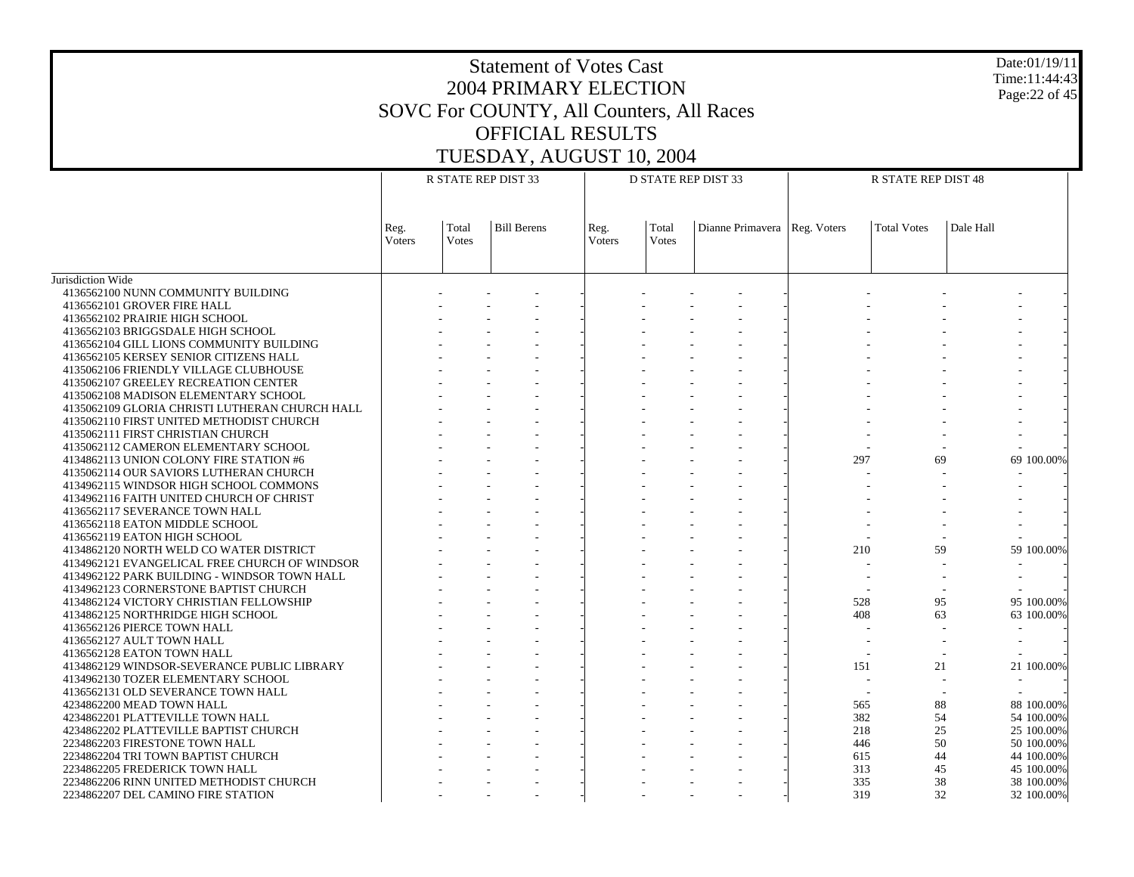#### Date:01/19/11 Time:11:44:43 Page:22 of 45

|                                                | R STATE REP DIST 33 |                       |                    |                | <b>D STATE REP DIST 33</b> |                                | <b>R STATE REP DIST 48</b> |                    |           |            |
|------------------------------------------------|---------------------|-----------------------|--------------------|----------------|----------------------------|--------------------------------|----------------------------|--------------------|-----------|------------|
|                                                |                     |                       |                    |                |                            |                                |                            |                    |           |            |
|                                                | Reg.<br>Voters      | Total<br><b>Votes</b> | <b>Bill Berens</b> | Reg.<br>Voters | Total<br><b>Votes</b>      | Dianne Primavera   Reg. Voters |                            | <b>Total Votes</b> | Dale Hall |            |
|                                                |                     |                       |                    |                |                            |                                |                            |                    |           |            |
| Jurisdiction Wide                              |                     |                       |                    |                |                            |                                |                            |                    |           |            |
| 4136562100 NUNN COMMUNITY BUILDING             |                     |                       |                    |                |                            |                                |                            |                    |           |            |
| 4136562101 GROVER FIRE HALL                    |                     |                       |                    |                |                            |                                |                            |                    |           |            |
| 4136562102 PRAIRIE HIGH SCHOOL                 |                     |                       |                    |                |                            |                                |                            |                    |           |            |
| 4136562103 BRIGGSDALE HIGH SCHOOL              |                     |                       |                    |                |                            |                                |                            |                    |           |            |
| 4136562104 GILL LIONS COMMUNITY BUILDING       |                     |                       |                    |                |                            |                                |                            |                    |           |            |
| 4136562105 KERSEY SENIOR CITIZENS HALL         |                     |                       |                    |                |                            |                                |                            |                    |           |            |
| 4135062106 FRIENDLY VILLAGE CLUBHOUSE          |                     |                       |                    |                |                            |                                |                            |                    |           |            |
| 4135062107 GREELEY RECREATION CENTER           |                     |                       |                    |                |                            |                                |                            |                    |           |            |
| 4135062108 MADISON ELEMENTARY SCHOOL           |                     |                       |                    |                |                            |                                |                            |                    |           |            |
| 4135062109 GLORIA CHRISTI LUTHERAN CHURCH HALL |                     |                       |                    |                |                            |                                |                            |                    |           |            |
| 4135062110 FIRST UNITED METHODIST CHURCH       |                     |                       |                    |                |                            |                                |                            |                    |           |            |
| 4135062111 FIRST CHRISTIAN CHURCH              |                     |                       |                    |                |                            |                                |                            |                    |           |            |
| 4135062112 CAMERON ELEMENTARY SCHOOL           |                     |                       |                    |                |                            |                                |                            |                    |           |            |
| 4134862113 UNION COLONY FIRE STATION #6        |                     |                       |                    |                |                            |                                | 297                        | 69                 |           | 69 100,00% |
| 4135062114 OUR SAVIORS LUTHERAN CHURCH         |                     |                       |                    |                |                            |                                |                            |                    |           |            |
| 4134962115 WINDSOR HIGH SCHOOL COMMONS         |                     |                       |                    |                |                            |                                |                            |                    |           |            |
| 4134962116 FAITH UNITED CHURCH OF CHRIST       |                     |                       |                    |                |                            |                                |                            |                    |           |            |
| 4136562117 SEVERANCE TOWN HALL                 |                     |                       |                    |                |                            |                                |                            |                    |           |            |
| 4136562118 EATON MIDDLE SCHOOL                 |                     |                       |                    |                |                            |                                |                            |                    |           |            |
| 4136562119 EATON HIGH SCHOOL                   |                     |                       |                    |                |                            |                                |                            |                    |           |            |
| 4134862120 NORTH WELD CO WATER DISTRICT        |                     |                       |                    |                |                            |                                | 210                        | 59                 |           | 59 100.00% |
| 4134962121 EVANGELICAL FREE CHURCH OF WINDSOR  |                     |                       |                    |                |                            |                                |                            |                    |           |            |
| 4134962122 PARK BUILDING - WINDSOR TOWN HALL   |                     |                       |                    |                |                            |                                |                            |                    |           |            |
| 4134962123 CORNERSTONE BAPTIST CHURCH          |                     |                       |                    |                |                            |                                |                            |                    |           |            |
| 4134862124 VICTORY CHRISTIAN FELLOWSHIP        |                     |                       |                    |                |                            |                                | 528                        | 95                 |           | 95 100,00% |
| 4134862125 NORTHRIDGE HIGH SCHOOL              |                     |                       |                    |                |                            |                                | 408                        | 63                 |           | 63 100.00% |
| 4136562126 PIERCE TOWN HALL                    |                     |                       |                    |                |                            |                                |                            |                    |           |            |
| 4136562127 AULT TOWN HALL                      |                     |                       |                    |                |                            |                                |                            |                    |           |            |
| 4136562128 EATON TOWN HALL                     |                     |                       |                    |                |                            |                                |                            |                    |           |            |
| 4134862129 WINDSOR-SEVERANCE PUBLIC LIBRARY    |                     |                       |                    |                |                            |                                | 151                        | 21                 |           | 21 100.00% |
| 4134962130 TOZER ELEMENTARY SCHOOL             |                     |                       |                    |                |                            |                                |                            |                    |           |            |
| 4136562131 OLD SEVERANCE TOWN HALL             |                     |                       |                    |                |                            |                                |                            |                    |           |            |
| 4234862200 MEAD TOWN HALL                      |                     |                       |                    |                |                            |                                | 565                        | 88                 |           | 88 100.00% |
| 4234862201 PLATTEVILLE TOWN HALL               |                     |                       |                    |                |                            |                                | 382                        | 54                 |           | 54 100,00% |
| 4234862202 PLATTEVILLE BAPTIST CHURCH          |                     |                       |                    |                |                            |                                | 218                        | 25                 |           | 25 100.00% |
| 2234862203 FIRESTONE TOWN HALL                 |                     |                       |                    |                |                            |                                | 446                        | 50                 |           | 50 100,00% |
| 2234862204 TRI TOWN BAPTIST CHURCH             |                     |                       |                    |                |                            |                                | 615                        | 44                 |           | 44 100.00% |
| 2234862205 FREDERICK TOWN HALL                 |                     |                       |                    |                |                            |                                | 313                        | 45                 |           | 45 100.00% |
| 2234862206 RINN UNITED METHODIST CHURCH        |                     |                       |                    |                |                            |                                | 335                        | 38                 |           | 38 100.00% |
| 2234862207 DEL CAMINO FIRE STATION             |                     |                       |                    |                |                            |                                | 319                        | 32                 |           | 32 100.00% |
|                                                |                     |                       |                    |                |                            |                                |                            |                    |           |            |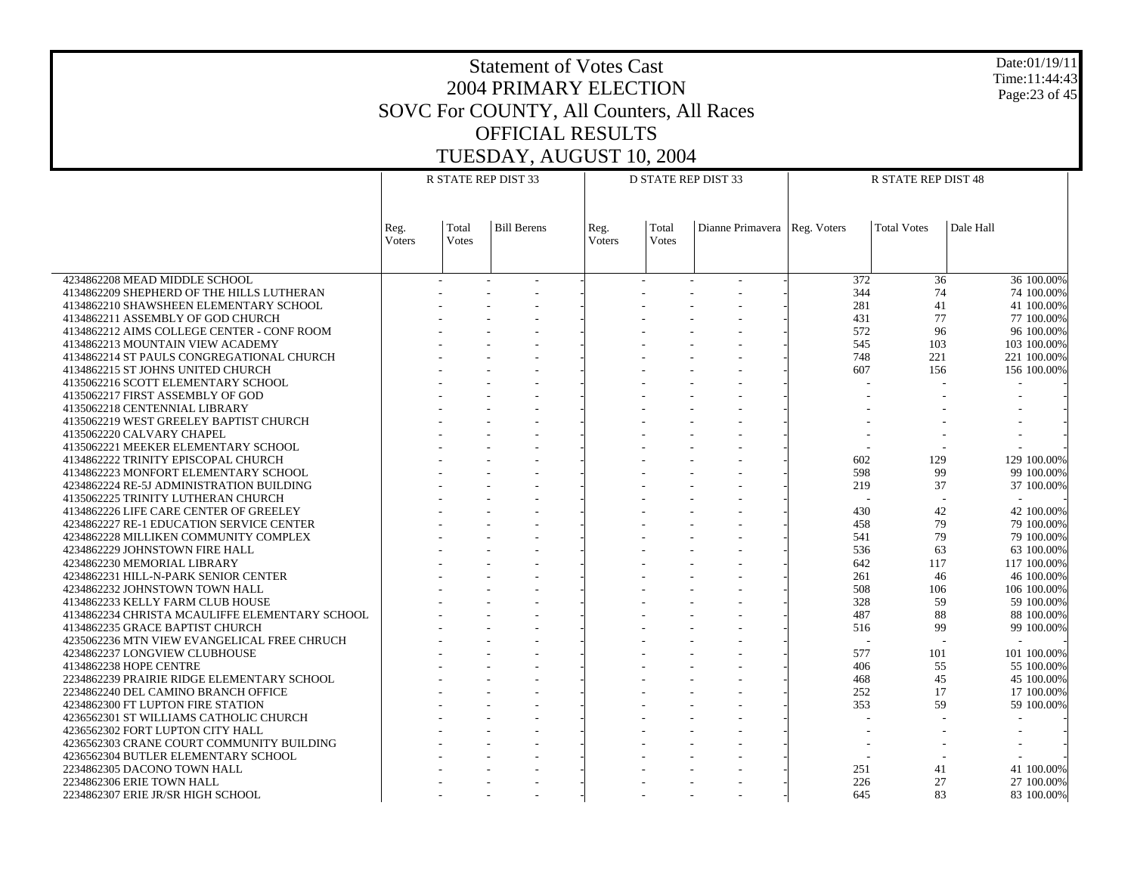Date:01/19/11 Time:11:44:43 Page:23 of 45

|                                                | R STATE REP DIST 33   |                       |                    |                |                | <b>D STATE REP DIST 33</b>     | <b>R STATE REP DIST 48</b> |                    |             |  |
|------------------------------------------------|-----------------------|-----------------------|--------------------|----------------|----------------|--------------------------------|----------------------------|--------------------|-------------|--|
|                                                | Reg.<br><b>Voters</b> | Total<br><b>Votes</b> | <b>Bill Berens</b> | Reg.<br>Voters | Total<br>Votes | Dianne Primavera   Reg. Voters |                            | <b>Total Votes</b> | Dale Hall   |  |
|                                                |                       |                       |                    |                |                |                                |                            |                    |             |  |
| 4234862208 MEAD MIDDLE SCHOOL                  |                       | $\sim$                |                    |                |                |                                | 372<br>344                 | 36<br>74           | 36 100.00%  |  |
| 4134862209 SHEPHERD OF THE HILLS LUTHERAN      |                       |                       |                    |                |                |                                |                            |                    | 74 100.00%  |  |
| 4134862210 SHAWSHEEN ELEMENTARY SCHOOL         |                       |                       |                    |                |                |                                | 281<br>431                 | 41<br>77           | 41 100.00%  |  |
| 4134862211 ASSEMBLY OF GOD CHURCH              |                       |                       |                    |                |                |                                |                            |                    | 77 100.00%  |  |
| 4134862212 AIMS COLLEGE CENTER - CONF ROOM     |                       |                       |                    |                |                |                                | 572                        | 96                 | 96 100.00%  |  |
| 4134862213 MOUNTAIN VIEW ACADEMY               |                       |                       |                    |                |                |                                | 545                        | 103                | 103 100.00% |  |
| 4134862214 ST PAULS CONGREGATIONAL CHURCH      |                       |                       |                    |                |                |                                | 748                        | 221                | 221 100.00% |  |
| 4134862215 ST JOHNS UNITED CHURCH              |                       |                       |                    |                |                |                                | 607                        | 156                | 156 100.00% |  |
| 4135062216 SCOTT ELEMENTARY SCHOOL             |                       |                       |                    |                |                |                                |                            |                    |             |  |
| 4135062217 FIRST ASSEMBLY OF GOD               |                       |                       |                    |                |                |                                |                            |                    |             |  |
| 4135062218 CENTENNIAL LIBRARY                  |                       |                       |                    |                |                |                                |                            |                    |             |  |
| 4135062219 WEST GREELEY BAPTIST CHURCH         |                       |                       |                    |                |                |                                |                            |                    |             |  |
| 4135062220 CALVARY CHAPEL                      |                       |                       |                    |                |                |                                |                            |                    |             |  |
| 4135062221 MEEKER ELEMENTARY SCHOOL            |                       |                       |                    |                |                |                                |                            |                    |             |  |
| 4134862222 TRINITY EPISCOPAL CHURCH            |                       |                       |                    |                |                |                                | 602                        | 129                | 129 100.00% |  |
| 4134862223 MONFORT ELEMENTARY SCHOOL           |                       |                       |                    |                |                |                                | 598                        | 99                 | 99 100.00%  |  |
| 4234862224 RE-5J ADMINISTRATION BUILDING       |                       |                       |                    |                |                |                                | 219                        | 37                 | 37 100.00%  |  |
| 4135062225 TRINITY LUTHERAN CHURCH             |                       |                       |                    |                |                |                                |                            |                    |             |  |
| 4134862226 LIFE CARE CENTER OF GREELEY         |                       |                       |                    |                |                |                                | 430                        | 42                 | 42 100.00%  |  |
| 4234862227 RE-1 EDUCATION SERVICE CENTER       |                       |                       |                    |                |                |                                | 458                        | 79                 | 79 100.00%  |  |
| 4234862228 MILLIKEN COMMUNITY COMPLEX          |                       |                       |                    |                |                |                                | 541                        | 79                 | 79 100.00%  |  |
| 4234862229 JOHNSTOWN FIRE HALL                 |                       |                       |                    |                |                |                                | 536                        | 63                 | 63 100.00%  |  |
| 4234862230 MEMORIAL LIBRARY                    |                       |                       |                    |                |                |                                | 642                        | 117                | 117 100.00% |  |
| 4234862231 HILL-N-PARK SENIOR CENTER           |                       |                       |                    |                |                |                                | 261                        | 46                 | 46 100.00%  |  |
| 4234862232 JOHNSTOWN TOWN HALL                 |                       |                       |                    |                |                |                                | 508                        | 106                | 106 100.00% |  |
| 4134862233 KELLY FARM CLUB HOUSE               |                       |                       |                    |                |                |                                | 328                        | 59                 | 59 100.00%  |  |
| 4134862234 CHRISTA MCAULIFFE ELEMENTARY SCHOOL |                       |                       |                    |                |                |                                | 487                        | 88                 | 88 100.00%  |  |
| 4134862235 GRACE BAPTIST CHURCH                |                       |                       |                    |                |                |                                | 516                        | 99                 | 99 100.00%  |  |
| 4235062236 MTN VIEW EVANGELICAL FREE CHRUCH    |                       |                       |                    |                |                |                                |                            |                    |             |  |
| 4234862237 LONGVIEW CLUBHOUSE                  |                       |                       |                    |                |                |                                | 577                        | 101                | 101 100.00% |  |
| 4134862238 HOPE CENTRE                         |                       |                       |                    |                |                |                                | 406                        | 55                 | 55 100.00%  |  |
| 2234862239 PRAIRIE RIDGE ELEMENTARY SCHOOL     |                       |                       |                    |                |                |                                | 468                        | 45                 | 45 100.00%  |  |
| 2234862240 DEL CAMINO BRANCH OFFICE            |                       |                       |                    |                |                |                                | 252                        | 17                 | 17 100.00%  |  |
| 4234862300 FT LUPTON FIRE STATION              |                       |                       |                    |                |                |                                | 353                        | 59                 | 59 100.00%  |  |
| 4236562301 ST WILLIAMS CATHOLIC CHURCH         |                       |                       |                    |                |                |                                |                            |                    |             |  |
| 4236562302 FORT LUPTON CITY HALL               |                       |                       |                    |                |                |                                |                            |                    |             |  |
| 4236562303 CRANE COURT COMMUNITY BUILDING      |                       |                       |                    |                |                |                                |                            |                    |             |  |
| 4236562304 BUTLER ELEMENTARY SCHOOL            |                       |                       |                    |                |                |                                |                            |                    |             |  |
| 2234862305 DACONO TOWN HALL                    |                       |                       |                    |                |                |                                | 251                        | 41                 | 41 100.00%  |  |
| 2234862306 ERIE TOWN HALL                      |                       |                       |                    |                |                |                                | 226                        | 27                 | 27 100,00%  |  |
| 2234862307 ERIE JR/SR HIGH SCHOOL              |                       |                       |                    |                |                |                                | 645                        | 83                 | 83 100.00%  |  |
|                                                |                       |                       |                    |                |                |                                |                            |                    |             |  |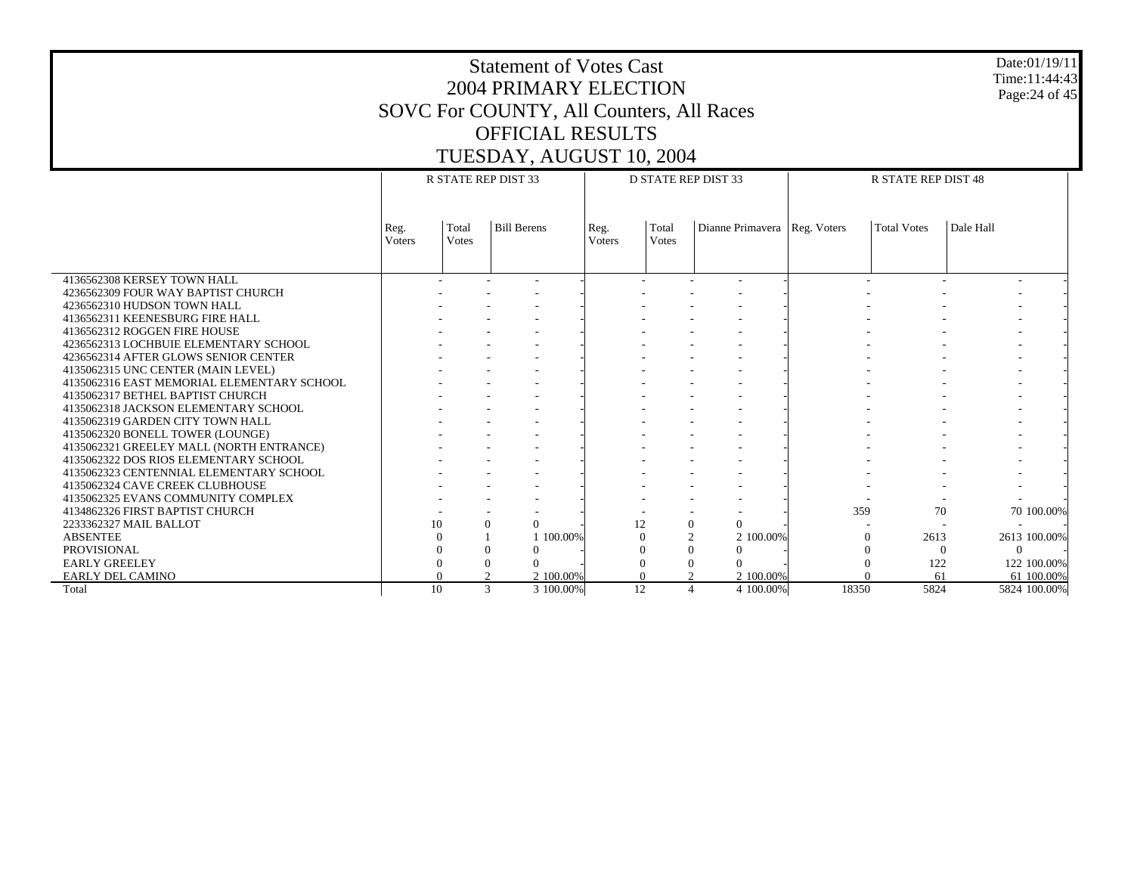#### Date:01/19/11 Time:11:44:43 Page:24 of 45

|                                            | R STATE REP DIST 33   |                       |                      |           |                       | <b>D STATE REP DIST 33</b> |                |           | <b>R STATE REP DIST 48</b>     |                    |           |              |
|--------------------------------------------|-----------------------|-----------------------|----------------------|-----------|-----------------------|----------------------------|----------------|-----------|--------------------------------|--------------------|-----------|--------------|
|                                            |                       |                       |                      |           |                       |                            |                |           |                                |                    |           |              |
|                                            | Reg.<br><b>Voters</b> | Total<br><b>Votes</b> | <b>Bill Berens</b>   |           | Reg.<br><b>Voters</b> | Total<br><b>Votes</b>      |                |           | Dianne Primavera   Reg. Voters | <b>Total Votes</b> | Dale Hall |              |
|                                            |                       |                       |                      |           |                       |                            |                |           |                                |                    |           |              |
| 4136562308 KERSEY TOWN HALL                |                       |                       |                      |           |                       |                            |                |           |                                |                    |           |              |
| 4236562309 FOUR WAY BAPTIST CHURCH         |                       |                       |                      |           |                       |                            |                |           |                                |                    |           |              |
| 4236562310 HUDSON TOWN HALL                |                       |                       |                      |           |                       |                            |                |           |                                |                    |           |              |
| 4136562311 KEENESBURG FIRE HALL            |                       |                       |                      |           |                       |                            |                |           |                                |                    |           |              |
| 4136562312 ROGGEN FIRE HOUSE               |                       |                       |                      |           |                       |                            |                |           |                                |                    |           |              |
| 4236562313 LOCHBUIE ELEMENTARY SCHOOL      |                       |                       |                      |           |                       |                            |                |           |                                |                    |           |              |
| 4236562314 AFTER GLOWS SENIOR CENTER       |                       |                       |                      |           |                       |                            |                |           |                                |                    |           |              |
| 4135062315 UNC CENTER (MAIN LEVEL)         |                       |                       |                      |           |                       |                            |                |           |                                |                    |           |              |
| 4135062316 EAST MEMORIAL ELEMENTARY SCHOOL |                       |                       |                      |           |                       |                            |                |           |                                |                    |           |              |
| 4135062317 BETHEL BAPTIST CHURCH           |                       |                       |                      |           |                       |                            |                |           |                                |                    |           |              |
| 4135062318 JACKSON ELEMENTARY SCHOOL       |                       |                       |                      |           |                       |                            |                |           |                                |                    |           |              |
| 4135062319 GARDEN CITY TOWN HALL           |                       |                       |                      |           |                       |                            |                |           |                                |                    |           |              |
| 4135062320 BONELL TOWER (LOUNGE)           |                       |                       |                      |           |                       |                            |                |           |                                |                    |           |              |
| 4135062321 GREELEY MALL (NORTH ENTRANCE)   |                       |                       |                      |           |                       |                            |                |           |                                |                    |           |              |
| 4135062322 DOS RIOS ELEMENTARY SCHOOL      |                       |                       |                      |           |                       |                            |                |           |                                |                    |           |              |
| 4135062323 CENTENNIAL ELEMENTARY SCHOOL    |                       |                       |                      |           |                       |                            |                |           |                                |                    |           |              |
| 4135062324 CAVE CREEK CLUBHOUSE            |                       |                       |                      |           |                       |                            |                |           |                                |                    |           |              |
| 4135062325 EVANS COMMUNITY COMPLEX         |                       |                       |                      |           |                       |                            |                |           |                                |                    |           |              |
| 4134862326 FIRST BAPTIST CHURCH            |                       |                       |                      |           |                       |                            |                |           | 359                            | 70                 |           | 70 100.00%   |
| 2233362327 MAIL BALLOT                     |                       | 10                    | $\Omega$<br>$\Omega$ |           |                       | 12                         | $\overline{0}$ | $\Omega$  |                                |                    |           |              |
| <b>ABSENTEE</b>                            |                       |                       |                      | 1 100,00% |                       |                            | $\overline{2}$ | 2 100,00% |                                | 2613               |           | 2613 100.00% |
| <b>PROVISIONAL</b>                         |                       |                       |                      |           |                       |                            | $\theta$       | $\Omega$  |                                |                    | $\Omega$  | $\Omega$     |
| <b>EARLY GREELEY</b>                       |                       |                       |                      |           |                       |                            | $\theta$       | $\Omega$  |                                | 122                |           | 122 100.00%  |
| EARLY DEL CAMINO                           |                       |                       |                      | 2 100,00% |                       |                            |                | 2 100,00% |                                | 61                 |           | 61 100.00%   |
| Total                                      |                       | 10                    | 3                    | 3 100.00% |                       | 12                         | $\overline{4}$ | 4 100.00% | 18350                          | 5824               |           | 5824 100.00% |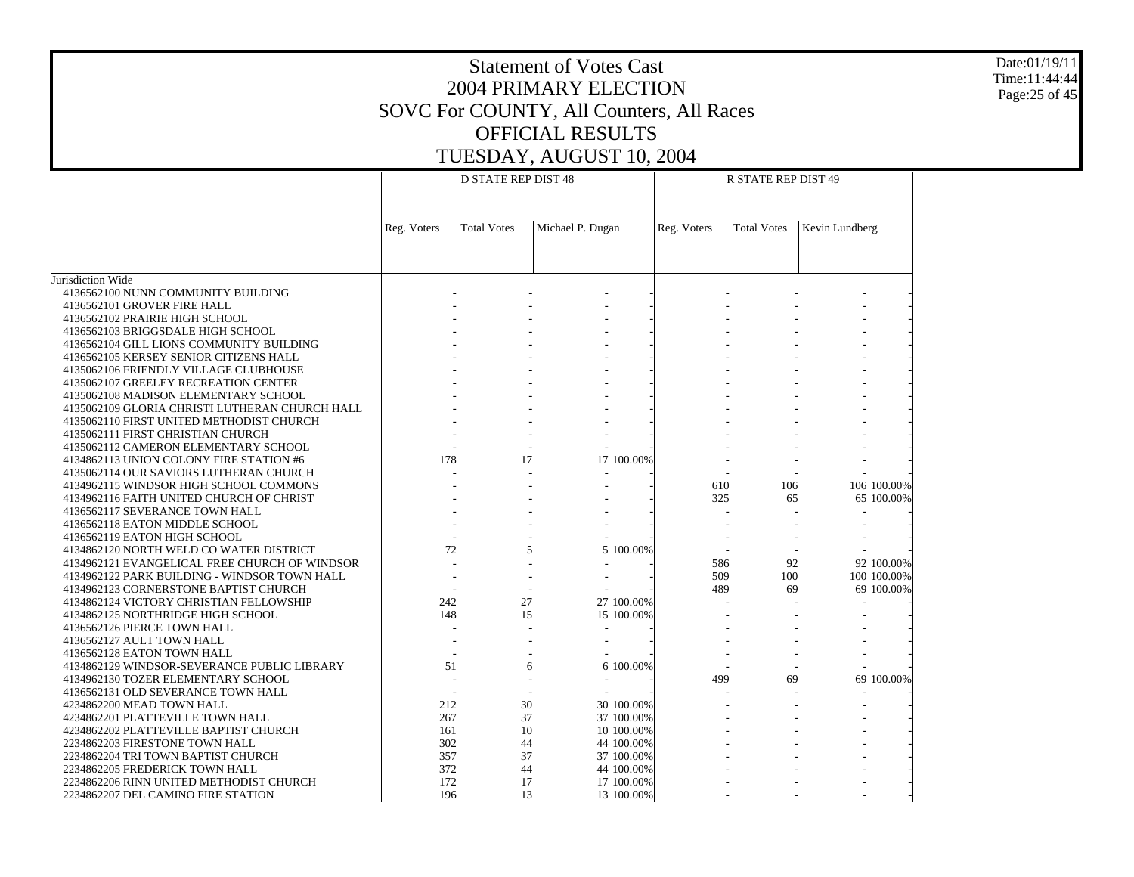Date:01/19/11 Time:11:44:44 Page:25 of 45

|                                                                           |             | <b>D STATE REP DIST 48</b> |                          |             | R STATE REP DIST 49 |                |
|---------------------------------------------------------------------------|-------------|----------------------------|--------------------------|-------------|---------------------|----------------|
|                                                                           |             |                            |                          |             |                     |                |
|                                                                           | Reg. Voters | <b>Total Votes</b>         | Michael P. Dugan         | Reg. Voters | <b>Total Votes</b>  | Kevin Lundberg |
|                                                                           |             |                            |                          |             |                     |                |
|                                                                           |             |                            |                          |             |                     |                |
| Jurisdiction Wide                                                         |             |                            |                          |             |                     |                |
| 4136562100 NUNN COMMUNITY BUILDING                                        |             |                            |                          |             |                     |                |
| 4136562101 GROVER FIRE HALL                                               |             |                            |                          |             |                     |                |
| 4136562102 PRAIRIE HIGH SCHOOL                                            |             |                            |                          |             |                     |                |
| 4136562103 BRIGGSDALE HIGH SCHOOL                                         |             |                            |                          |             |                     |                |
| 4136562104 GILL LIONS COMMUNITY BUILDING                                  |             |                            |                          |             |                     |                |
| 4136562105 KERSEY SENIOR CITIZENS HALL                                    |             |                            |                          |             |                     |                |
| 4135062106 FRIENDLY VILLAGE CLUBHOUSE                                     |             |                            |                          |             |                     |                |
| 4135062107 GREELEY RECREATION CENTER                                      |             |                            |                          |             |                     |                |
| 4135062108 MADISON ELEMENTARY SCHOOL                                      |             |                            |                          |             |                     |                |
| 4135062109 GLORIA CHRISTI LUTHERAN CHURCH HALL                            |             |                            |                          |             |                     |                |
| 4135062110 FIRST UNITED METHODIST CHURCH                                  |             |                            |                          |             |                     |                |
| 4135062111 FIRST CHRISTIAN CHURCH                                         |             |                            |                          |             |                     |                |
| 4135062112 CAMERON ELEMENTARY SCHOOL                                      |             |                            |                          |             |                     |                |
| 4134862113 UNION COLONY FIRE STATION #6                                   | 178         | 17                         | 17 100.00%               |             |                     |                |
| 4135062114 OUR SAVIORS LUTHERAN CHURCH                                    |             |                            |                          |             |                     |                |
| 4134962115 WINDSOR HIGH SCHOOL COMMONS                                    |             |                            |                          | 610         | 106                 | 106 100.00%    |
| 4134962116 FAITH UNITED CHURCH OF CHRIST                                  |             |                            |                          | 325         | 65                  | 65 100.00%     |
| 4136562117 SEVERANCE TOWN HALL                                            |             |                            |                          |             |                     |                |
| 4136562118 EATON MIDDLE SCHOOL                                            |             |                            |                          |             |                     |                |
| 4136562119 EATON HIGH SCHOOL                                              |             |                            |                          |             |                     |                |
| 4134862120 NORTH WELD CO WATER DISTRICT                                   | 72          | 5                          | 5 100.00%                |             |                     |                |
| 4134962121 EVANGELICAL FREE CHURCH OF WINDSOR                             |             |                            |                          | 586         | 92                  | 92 100.00%     |
| 4134962122 PARK BUILDING - WINDSOR TOWN HALL                              |             |                            |                          | 509         | 100                 | 100 100.00%    |
| 4134962123 CORNERSTONE BAPTIST CHURCH                                     |             |                            |                          | 489         | 69                  | 69 100.00%     |
| 4134862124 VICTORY CHRISTIAN FELLOWSHIP                                   | 242         | 27                         | 27 100.00%               |             |                     |                |
| 4134862125 NORTHRIDGE HIGH SCHOOL                                         | 148         | 15                         | 15 100.00%               |             |                     |                |
| 4136562126 PIERCE TOWN HALL                                               |             |                            |                          |             |                     |                |
| 4136562127 AULT TOWN HALL                                                 |             |                            |                          |             |                     |                |
| 4136562128 EATON TOWN HALL                                                |             |                            |                          |             |                     |                |
|                                                                           | 51          | 6                          | 6 100,00%                |             |                     |                |
| 4134962130 TOZER ELEMENTARY SCHOOL                                        |             |                            |                          | 499         | 69                  | 69 100.00%     |
| 4136562131 OLD SEVERANCE TOWN HALL                                        |             |                            |                          |             |                     |                |
| 4234862200 MEAD TOWN HALL                                                 | 212         | 30                         | 30 100.00%               |             |                     |                |
|                                                                           | 267         | 37                         |                          |             |                     |                |
| 4234862201 PLATTEVILLE TOWN HALL<br>4234862202 PLATTEVILLE BAPTIST CHURCH | 161         | 10                         | 37 100.00%<br>10 100.00% |             |                     |                |
|                                                                           |             |                            |                          |             |                     |                |
| 2234862203 FIRESTONE TOWN HALL                                            | 302         | 44                         | 44 100.00%               |             |                     |                |
| 2234862204 TRI TOWN BAPTIST CHURCH                                        | 357         | 37                         | 37 100.00%               |             |                     |                |
| 2234862205 FREDERICK TOWN HALL                                            | 372         | 44                         | 44 100.00%               |             |                     |                |
| 2234862206 RINN UNITED METHODIST CHURCH                                   | 172         | 17                         | 17 100.00%               |             |                     |                |
| 2234862207 DEL CAMINO FIRE STATION                                        | 196         | 13                         | 13 100.00%               |             |                     |                |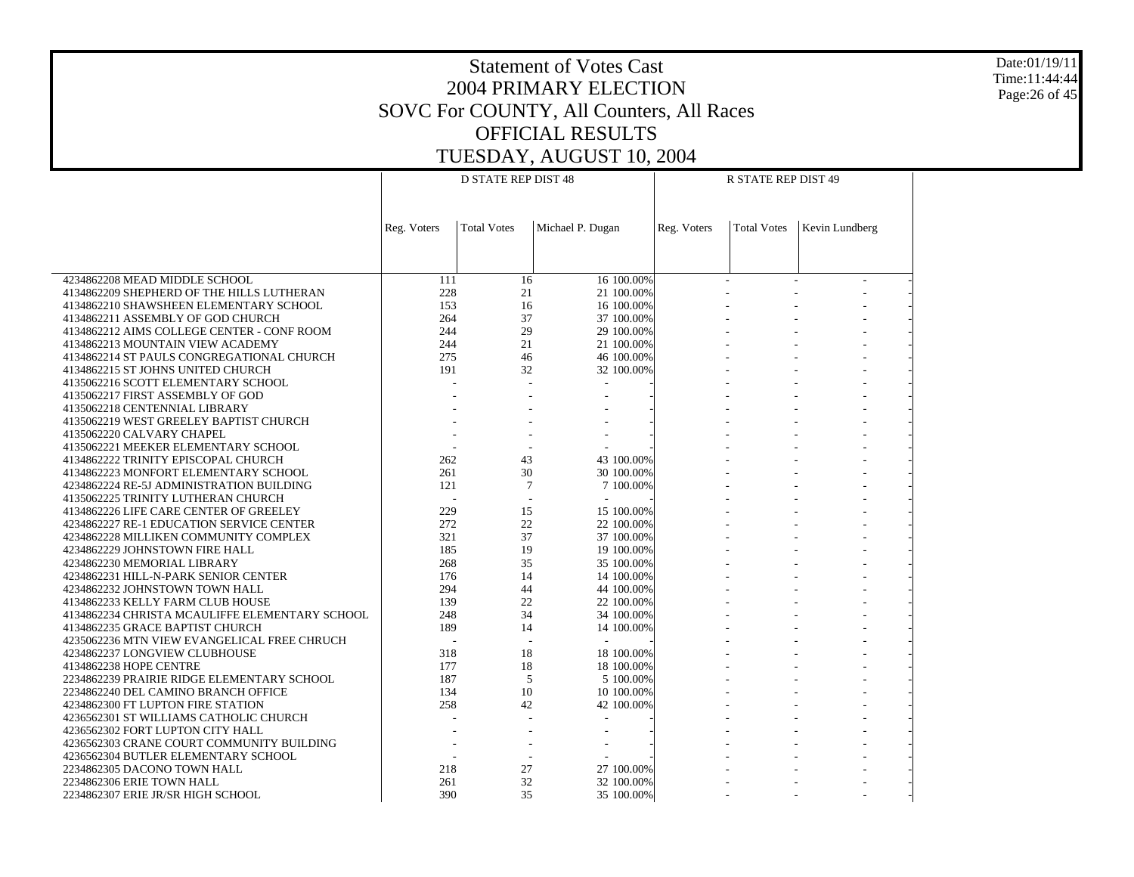Date:01/19/11 Time:11:44:44 Page:26 of 45

| <b>Total Votes</b><br>Michael P. Dugan<br>Kevin Lundberg<br>Reg. Voters<br>Reg. Voters<br><b>Total Votes</b><br>4234862208 MEAD MIDDLE SCHOOL<br>111<br>16 100.00%<br>16<br>4134862209 SHEPHERD OF THE HILLS LUTHERAN<br>228<br>21<br>21 100.00%<br>153<br>16<br>16 100.00%<br>4134862210 SHAWSHEEN ELEMENTARY SCHOOL<br>37<br>4134862211 ASSEMBLY OF GOD CHURCH<br>264<br>37 100.00%<br>244<br>29<br>29 100.00%<br>4134862212 AIMS COLLEGE CENTER - CONF ROOM<br>4134862213 MOUNTAIN VIEW ACADEMY<br>244<br>21<br>21 100.00%<br>275<br>46 100.00%<br>4134862214 ST PAULS CONGREGATIONAL CHURCH<br>46<br>191<br>4134862215 ST JOHNS UNITED CHURCH<br>32<br>32 100.00%<br>4135062216 SCOTT ELEMENTARY SCHOOL<br>4135062217 FIRST ASSEMBLY OF GOD<br>4135062218 CENTENNIAL LIBRARY<br>4135062219 WEST GREELEY BAPTIST CHURCH<br>4135062220 CALVARY CHAPEL<br>4135062221 MEEKER ELEMENTARY SCHOOL<br>262<br>43<br>43 100.00%<br>4134862222 TRINITY EPISCOPAL CHURCH<br>30<br>261<br>4134862223 MONFORT ELEMENTARY SCHOOL<br>30 100.00%<br>$7\phantom{.0}$<br>121<br>4234862224 RE-5J ADMINISTRATION BUILDING<br>7 100.00%<br>4135062225 TRINITY LUTHERAN CHURCH<br>$\overline{\phantom{a}}$<br>229<br>15<br>15 100.00%<br>4134862226 LIFE CARE CENTER OF GREELEY<br>22<br>272<br>4234862227 RE-1 EDUCATION SERVICE CENTER<br>22 100.00%<br>37<br>321<br>37 100.00%<br>4234862228 MILLIKEN COMMUNITY COMPLEX<br>185<br>19<br>19 100.00%<br>4234862229 JOHNSTOWN FIRE HALL<br>35<br>4234862230 MEMORIAL LIBRARY<br>268<br>35 100.00%<br>176<br>14<br>14 100.00%<br>4234862231 HILL-N-PARK SENIOR CENTER<br>294<br>4234862232 JOHNSTOWN TOWN HALL<br>44<br>44 100.00%<br>22<br>139<br>22 100.00%<br>4134862233 KELLY FARM CLUB HOUSE<br>34<br>4134862234 CHRISTA MCAULIFFE ELEMENTARY SCHOOL<br>248<br>34 100.00%<br>189<br>14<br>14 100.00%<br>4134862235 GRACE BAPTIST CHURCH<br>4235062236 MTN VIEW EVANGELICAL FREE CHRUCH<br>318<br>18<br>4234862237 LONGVIEW CLUBHOUSE<br>18 100.00%<br>18<br>4134862238 HOPE CENTRE<br>177<br>18 100.00%<br>187<br>5<br>2234862239 PRAIRIE RIDGE ELEMENTARY SCHOOL<br>5 100.00%<br>10<br>134<br>10 100.00%<br>2234862240 DEL CAMINO BRANCH OFFICE<br>258<br>42<br>4234862300 FT LUPTON FIRE STATION<br>42 100.00%<br>4236562301 ST WILLIAMS CATHOLIC CHURCH<br>4236562302 FORT LUPTON CITY HALL<br>4236562303 CRANE COURT COMMUNITY BUILDING<br>4236562304 BUTLER ELEMENTARY SCHOOL<br>$\blacksquare$<br>218<br>27<br>27 100.00%<br>2234862305 DACONO TOWN HALL<br>32<br>2234862306 ERIE TOWN HALL<br>261<br>32 100.00%<br>390<br>35 |                                   | <b>D STATE REP DIST 48</b> |            | R STATE REP DIST 49 |  |
|-----------------------------------------------------------------------------------------------------------------------------------------------------------------------------------------------------------------------------------------------------------------------------------------------------------------------------------------------------------------------------------------------------------------------------------------------------------------------------------------------------------------------------------------------------------------------------------------------------------------------------------------------------------------------------------------------------------------------------------------------------------------------------------------------------------------------------------------------------------------------------------------------------------------------------------------------------------------------------------------------------------------------------------------------------------------------------------------------------------------------------------------------------------------------------------------------------------------------------------------------------------------------------------------------------------------------------------------------------------------------------------------------------------------------------------------------------------------------------------------------------------------------------------------------------------------------------------------------------------------------------------------------------------------------------------------------------------------------------------------------------------------------------------------------------------------------------------------------------------------------------------------------------------------------------------------------------------------------------------------------------------------------------------------------------------------------------------------------------------------------------------------------------------------------------------------------------------------------------------------------------------------------------------------------------------------------------------------------------------------------------------------------------------------------------------------------------------------------------------------------------------------------------------------------------------------------|-----------------------------------|----------------------------|------------|---------------------|--|
|                                                                                                                                                                                                                                                                                                                                                                                                                                                                                                                                                                                                                                                                                                                                                                                                                                                                                                                                                                                                                                                                                                                                                                                                                                                                                                                                                                                                                                                                                                                                                                                                                                                                                                                                                                                                                                                                                                                                                                                                                                                                                                                                                                                                                                                                                                                                                                                                                                                                                                                                                                       |                                   |                            |            |                     |  |
|                                                                                                                                                                                                                                                                                                                                                                                                                                                                                                                                                                                                                                                                                                                                                                                                                                                                                                                                                                                                                                                                                                                                                                                                                                                                                                                                                                                                                                                                                                                                                                                                                                                                                                                                                                                                                                                                                                                                                                                                                                                                                                                                                                                                                                                                                                                                                                                                                                                                                                                                                                       |                                   |                            |            |                     |  |
|                                                                                                                                                                                                                                                                                                                                                                                                                                                                                                                                                                                                                                                                                                                                                                                                                                                                                                                                                                                                                                                                                                                                                                                                                                                                                                                                                                                                                                                                                                                                                                                                                                                                                                                                                                                                                                                                                                                                                                                                                                                                                                                                                                                                                                                                                                                                                                                                                                                                                                                                                                       |                                   |                            |            |                     |  |
|                                                                                                                                                                                                                                                                                                                                                                                                                                                                                                                                                                                                                                                                                                                                                                                                                                                                                                                                                                                                                                                                                                                                                                                                                                                                                                                                                                                                                                                                                                                                                                                                                                                                                                                                                                                                                                                                                                                                                                                                                                                                                                                                                                                                                                                                                                                                                                                                                                                                                                                                                                       |                                   |                            |            |                     |  |
|                                                                                                                                                                                                                                                                                                                                                                                                                                                                                                                                                                                                                                                                                                                                                                                                                                                                                                                                                                                                                                                                                                                                                                                                                                                                                                                                                                                                                                                                                                                                                                                                                                                                                                                                                                                                                                                                                                                                                                                                                                                                                                                                                                                                                                                                                                                                                                                                                                                                                                                                                                       |                                   |                            |            |                     |  |
|                                                                                                                                                                                                                                                                                                                                                                                                                                                                                                                                                                                                                                                                                                                                                                                                                                                                                                                                                                                                                                                                                                                                                                                                                                                                                                                                                                                                                                                                                                                                                                                                                                                                                                                                                                                                                                                                                                                                                                                                                                                                                                                                                                                                                                                                                                                                                                                                                                                                                                                                                                       |                                   |                            |            |                     |  |
|                                                                                                                                                                                                                                                                                                                                                                                                                                                                                                                                                                                                                                                                                                                                                                                                                                                                                                                                                                                                                                                                                                                                                                                                                                                                                                                                                                                                                                                                                                                                                                                                                                                                                                                                                                                                                                                                                                                                                                                                                                                                                                                                                                                                                                                                                                                                                                                                                                                                                                                                                                       |                                   |                            |            |                     |  |
|                                                                                                                                                                                                                                                                                                                                                                                                                                                                                                                                                                                                                                                                                                                                                                                                                                                                                                                                                                                                                                                                                                                                                                                                                                                                                                                                                                                                                                                                                                                                                                                                                                                                                                                                                                                                                                                                                                                                                                                                                                                                                                                                                                                                                                                                                                                                                                                                                                                                                                                                                                       |                                   |                            |            |                     |  |
|                                                                                                                                                                                                                                                                                                                                                                                                                                                                                                                                                                                                                                                                                                                                                                                                                                                                                                                                                                                                                                                                                                                                                                                                                                                                                                                                                                                                                                                                                                                                                                                                                                                                                                                                                                                                                                                                                                                                                                                                                                                                                                                                                                                                                                                                                                                                                                                                                                                                                                                                                                       |                                   |                            |            |                     |  |
|                                                                                                                                                                                                                                                                                                                                                                                                                                                                                                                                                                                                                                                                                                                                                                                                                                                                                                                                                                                                                                                                                                                                                                                                                                                                                                                                                                                                                                                                                                                                                                                                                                                                                                                                                                                                                                                                                                                                                                                                                                                                                                                                                                                                                                                                                                                                                                                                                                                                                                                                                                       |                                   |                            |            |                     |  |
|                                                                                                                                                                                                                                                                                                                                                                                                                                                                                                                                                                                                                                                                                                                                                                                                                                                                                                                                                                                                                                                                                                                                                                                                                                                                                                                                                                                                                                                                                                                                                                                                                                                                                                                                                                                                                                                                                                                                                                                                                                                                                                                                                                                                                                                                                                                                                                                                                                                                                                                                                                       |                                   |                            |            |                     |  |
|                                                                                                                                                                                                                                                                                                                                                                                                                                                                                                                                                                                                                                                                                                                                                                                                                                                                                                                                                                                                                                                                                                                                                                                                                                                                                                                                                                                                                                                                                                                                                                                                                                                                                                                                                                                                                                                                                                                                                                                                                                                                                                                                                                                                                                                                                                                                                                                                                                                                                                                                                                       |                                   |                            |            |                     |  |
|                                                                                                                                                                                                                                                                                                                                                                                                                                                                                                                                                                                                                                                                                                                                                                                                                                                                                                                                                                                                                                                                                                                                                                                                                                                                                                                                                                                                                                                                                                                                                                                                                                                                                                                                                                                                                                                                                                                                                                                                                                                                                                                                                                                                                                                                                                                                                                                                                                                                                                                                                                       |                                   |                            |            |                     |  |
|                                                                                                                                                                                                                                                                                                                                                                                                                                                                                                                                                                                                                                                                                                                                                                                                                                                                                                                                                                                                                                                                                                                                                                                                                                                                                                                                                                                                                                                                                                                                                                                                                                                                                                                                                                                                                                                                                                                                                                                                                                                                                                                                                                                                                                                                                                                                                                                                                                                                                                                                                                       |                                   |                            |            |                     |  |
|                                                                                                                                                                                                                                                                                                                                                                                                                                                                                                                                                                                                                                                                                                                                                                                                                                                                                                                                                                                                                                                                                                                                                                                                                                                                                                                                                                                                                                                                                                                                                                                                                                                                                                                                                                                                                                                                                                                                                                                                                                                                                                                                                                                                                                                                                                                                                                                                                                                                                                                                                                       |                                   |                            |            |                     |  |
|                                                                                                                                                                                                                                                                                                                                                                                                                                                                                                                                                                                                                                                                                                                                                                                                                                                                                                                                                                                                                                                                                                                                                                                                                                                                                                                                                                                                                                                                                                                                                                                                                                                                                                                                                                                                                                                                                                                                                                                                                                                                                                                                                                                                                                                                                                                                                                                                                                                                                                                                                                       |                                   |                            |            |                     |  |
|                                                                                                                                                                                                                                                                                                                                                                                                                                                                                                                                                                                                                                                                                                                                                                                                                                                                                                                                                                                                                                                                                                                                                                                                                                                                                                                                                                                                                                                                                                                                                                                                                                                                                                                                                                                                                                                                                                                                                                                                                                                                                                                                                                                                                                                                                                                                                                                                                                                                                                                                                                       |                                   |                            |            |                     |  |
|                                                                                                                                                                                                                                                                                                                                                                                                                                                                                                                                                                                                                                                                                                                                                                                                                                                                                                                                                                                                                                                                                                                                                                                                                                                                                                                                                                                                                                                                                                                                                                                                                                                                                                                                                                                                                                                                                                                                                                                                                                                                                                                                                                                                                                                                                                                                                                                                                                                                                                                                                                       |                                   |                            |            |                     |  |
|                                                                                                                                                                                                                                                                                                                                                                                                                                                                                                                                                                                                                                                                                                                                                                                                                                                                                                                                                                                                                                                                                                                                                                                                                                                                                                                                                                                                                                                                                                                                                                                                                                                                                                                                                                                                                                                                                                                                                                                                                                                                                                                                                                                                                                                                                                                                                                                                                                                                                                                                                                       |                                   |                            |            |                     |  |
|                                                                                                                                                                                                                                                                                                                                                                                                                                                                                                                                                                                                                                                                                                                                                                                                                                                                                                                                                                                                                                                                                                                                                                                                                                                                                                                                                                                                                                                                                                                                                                                                                                                                                                                                                                                                                                                                                                                                                                                                                                                                                                                                                                                                                                                                                                                                                                                                                                                                                                                                                                       |                                   |                            |            |                     |  |
|                                                                                                                                                                                                                                                                                                                                                                                                                                                                                                                                                                                                                                                                                                                                                                                                                                                                                                                                                                                                                                                                                                                                                                                                                                                                                                                                                                                                                                                                                                                                                                                                                                                                                                                                                                                                                                                                                                                                                                                                                                                                                                                                                                                                                                                                                                                                                                                                                                                                                                                                                                       |                                   |                            |            |                     |  |
|                                                                                                                                                                                                                                                                                                                                                                                                                                                                                                                                                                                                                                                                                                                                                                                                                                                                                                                                                                                                                                                                                                                                                                                                                                                                                                                                                                                                                                                                                                                                                                                                                                                                                                                                                                                                                                                                                                                                                                                                                                                                                                                                                                                                                                                                                                                                                                                                                                                                                                                                                                       |                                   |                            |            |                     |  |
|                                                                                                                                                                                                                                                                                                                                                                                                                                                                                                                                                                                                                                                                                                                                                                                                                                                                                                                                                                                                                                                                                                                                                                                                                                                                                                                                                                                                                                                                                                                                                                                                                                                                                                                                                                                                                                                                                                                                                                                                                                                                                                                                                                                                                                                                                                                                                                                                                                                                                                                                                                       |                                   |                            |            |                     |  |
|                                                                                                                                                                                                                                                                                                                                                                                                                                                                                                                                                                                                                                                                                                                                                                                                                                                                                                                                                                                                                                                                                                                                                                                                                                                                                                                                                                                                                                                                                                                                                                                                                                                                                                                                                                                                                                                                                                                                                                                                                                                                                                                                                                                                                                                                                                                                                                                                                                                                                                                                                                       |                                   |                            |            |                     |  |
|                                                                                                                                                                                                                                                                                                                                                                                                                                                                                                                                                                                                                                                                                                                                                                                                                                                                                                                                                                                                                                                                                                                                                                                                                                                                                                                                                                                                                                                                                                                                                                                                                                                                                                                                                                                                                                                                                                                                                                                                                                                                                                                                                                                                                                                                                                                                                                                                                                                                                                                                                                       |                                   |                            |            |                     |  |
|                                                                                                                                                                                                                                                                                                                                                                                                                                                                                                                                                                                                                                                                                                                                                                                                                                                                                                                                                                                                                                                                                                                                                                                                                                                                                                                                                                                                                                                                                                                                                                                                                                                                                                                                                                                                                                                                                                                                                                                                                                                                                                                                                                                                                                                                                                                                                                                                                                                                                                                                                                       |                                   |                            |            |                     |  |
|                                                                                                                                                                                                                                                                                                                                                                                                                                                                                                                                                                                                                                                                                                                                                                                                                                                                                                                                                                                                                                                                                                                                                                                                                                                                                                                                                                                                                                                                                                                                                                                                                                                                                                                                                                                                                                                                                                                                                                                                                                                                                                                                                                                                                                                                                                                                                                                                                                                                                                                                                                       |                                   |                            |            |                     |  |
|                                                                                                                                                                                                                                                                                                                                                                                                                                                                                                                                                                                                                                                                                                                                                                                                                                                                                                                                                                                                                                                                                                                                                                                                                                                                                                                                                                                                                                                                                                                                                                                                                                                                                                                                                                                                                                                                                                                                                                                                                                                                                                                                                                                                                                                                                                                                                                                                                                                                                                                                                                       |                                   |                            |            |                     |  |
|                                                                                                                                                                                                                                                                                                                                                                                                                                                                                                                                                                                                                                                                                                                                                                                                                                                                                                                                                                                                                                                                                                                                                                                                                                                                                                                                                                                                                                                                                                                                                                                                                                                                                                                                                                                                                                                                                                                                                                                                                                                                                                                                                                                                                                                                                                                                                                                                                                                                                                                                                                       |                                   |                            |            |                     |  |
|                                                                                                                                                                                                                                                                                                                                                                                                                                                                                                                                                                                                                                                                                                                                                                                                                                                                                                                                                                                                                                                                                                                                                                                                                                                                                                                                                                                                                                                                                                                                                                                                                                                                                                                                                                                                                                                                                                                                                                                                                                                                                                                                                                                                                                                                                                                                                                                                                                                                                                                                                                       |                                   |                            |            |                     |  |
|                                                                                                                                                                                                                                                                                                                                                                                                                                                                                                                                                                                                                                                                                                                                                                                                                                                                                                                                                                                                                                                                                                                                                                                                                                                                                                                                                                                                                                                                                                                                                                                                                                                                                                                                                                                                                                                                                                                                                                                                                                                                                                                                                                                                                                                                                                                                                                                                                                                                                                                                                                       |                                   |                            |            |                     |  |
|                                                                                                                                                                                                                                                                                                                                                                                                                                                                                                                                                                                                                                                                                                                                                                                                                                                                                                                                                                                                                                                                                                                                                                                                                                                                                                                                                                                                                                                                                                                                                                                                                                                                                                                                                                                                                                                                                                                                                                                                                                                                                                                                                                                                                                                                                                                                                                                                                                                                                                                                                                       |                                   |                            |            |                     |  |
|                                                                                                                                                                                                                                                                                                                                                                                                                                                                                                                                                                                                                                                                                                                                                                                                                                                                                                                                                                                                                                                                                                                                                                                                                                                                                                                                                                                                                                                                                                                                                                                                                                                                                                                                                                                                                                                                                                                                                                                                                                                                                                                                                                                                                                                                                                                                                                                                                                                                                                                                                                       |                                   |                            |            |                     |  |
|                                                                                                                                                                                                                                                                                                                                                                                                                                                                                                                                                                                                                                                                                                                                                                                                                                                                                                                                                                                                                                                                                                                                                                                                                                                                                                                                                                                                                                                                                                                                                                                                                                                                                                                                                                                                                                                                                                                                                                                                                                                                                                                                                                                                                                                                                                                                                                                                                                                                                                                                                                       |                                   |                            |            |                     |  |
|                                                                                                                                                                                                                                                                                                                                                                                                                                                                                                                                                                                                                                                                                                                                                                                                                                                                                                                                                                                                                                                                                                                                                                                                                                                                                                                                                                                                                                                                                                                                                                                                                                                                                                                                                                                                                                                                                                                                                                                                                                                                                                                                                                                                                                                                                                                                                                                                                                                                                                                                                                       |                                   |                            |            |                     |  |
|                                                                                                                                                                                                                                                                                                                                                                                                                                                                                                                                                                                                                                                                                                                                                                                                                                                                                                                                                                                                                                                                                                                                                                                                                                                                                                                                                                                                                                                                                                                                                                                                                                                                                                                                                                                                                                                                                                                                                                                                                                                                                                                                                                                                                                                                                                                                                                                                                                                                                                                                                                       |                                   |                            |            |                     |  |
|                                                                                                                                                                                                                                                                                                                                                                                                                                                                                                                                                                                                                                                                                                                                                                                                                                                                                                                                                                                                                                                                                                                                                                                                                                                                                                                                                                                                                                                                                                                                                                                                                                                                                                                                                                                                                                                                                                                                                                                                                                                                                                                                                                                                                                                                                                                                                                                                                                                                                                                                                                       |                                   |                            |            |                     |  |
|                                                                                                                                                                                                                                                                                                                                                                                                                                                                                                                                                                                                                                                                                                                                                                                                                                                                                                                                                                                                                                                                                                                                                                                                                                                                                                                                                                                                                                                                                                                                                                                                                                                                                                                                                                                                                                                                                                                                                                                                                                                                                                                                                                                                                                                                                                                                                                                                                                                                                                                                                                       |                                   |                            |            |                     |  |
|                                                                                                                                                                                                                                                                                                                                                                                                                                                                                                                                                                                                                                                                                                                                                                                                                                                                                                                                                                                                                                                                                                                                                                                                                                                                                                                                                                                                                                                                                                                                                                                                                                                                                                                                                                                                                                                                                                                                                                                                                                                                                                                                                                                                                                                                                                                                                                                                                                                                                                                                                                       |                                   |                            |            |                     |  |
|                                                                                                                                                                                                                                                                                                                                                                                                                                                                                                                                                                                                                                                                                                                                                                                                                                                                                                                                                                                                                                                                                                                                                                                                                                                                                                                                                                                                                                                                                                                                                                                                                                                                                                                                                                                                                                                                                                                                                                                                                                                                                                                                                                                                                                                                                                                                                                                                                                                                                                                                                                       |                                   |                            |            |                     |  |
|                                                                                                                                                                                                                                                                                                                                                                                                                                                                                                                                                                                                                                                                                                                                                                                                                                                                                                                                                                                                                                                                                                                                                                                                                                                                                                                                                                                                                                                                                                                                                                                                                                                                                                                                                                                                                                                                                                                                                                                                                                                                                                                                                                                                                                                                                                                                                                                                                                                                                                                                                                       |                                   |                            |            |                     |  |
|                                                                                                                                                                                                                                                                                                                                                                                                                                                                                                                                                                                                                                                                                                                                                                                                                                                                                                                                                                                                                                                                                                                                                                                                                                                                                                                                                                                                                                                                                                                                                                                                                                                                                                                                                                                                                                                                                                                                                                                                                                                                                                                                                                                                                                                                                                                                                                                                                                                                                                                                                                       |                                   |                            |            |                     |  |
|                                                                                                                                                                                                                                                                                                                                                                                                                                                                                                                                                                                                                                                                                                                                                                                                                                                                                                                                                                                                                                                                                                                                                                                                                                                                                                                                                                                                                                                                                                                                                                                                                                                                                                                                                                                                                                                                                                                                                                                                                                                                                                                                                                                                                                                                                                                                                                                                                                                                                                                                                                       |                                   |                            |            |                     |  |
|                                                                                                                                                                                                                                                                                                                                                                                                                                                                                                                                                                                                                                                                                                                                                                                                                                                                                                                                                                                                                                                                                                                                                                                                                                                                                                                                                                                                                                                                                                                                                                                                                                                                                                                                                                                                                                                                                                                                                                                                                                                                                                                                                                                                                                                                                                                                                                                                                                                                                                                                                                       |                                   |                            |            |                     |  |
|                                                                                                                                                                                                                                                                                                                                                                                                                                                                                                                                                                                                                                                                                                                                                                                                                                                                                                                                                                                                                                                                                                                                                                                                                                                                                                                                                                                                                                                                                                                                                                                                                                                                                                                                                                                                                                                                                                                                                                                                                                                                                                                                                                                                                                                                                                                                                                                                                                                                                                                                                                       |                                   |                            |            |                     |  |
|                                                                                                                                                                                                                                                                                                                                                                                                                                                                                                                                                                                                                                                                                                                                                                                                                                                                                                                                                                                                                                                                                                                                                                                                                                                                                                                                                                                                                                                                                                                                                                                                                                                                                                                                                                                                                                                                                                                                                                                                                                                                                                                                                                                                                                                                                                                                                                                                                                                                                                                                                                       |                                   |                            |            |                     |  |
|                                                                                                                                                                                                                                                                                                                                                                                                                                                                                                                                                                                                                                                                                                                                                                                                                                                                                                                                                                                                                                                                                                                                                                                                                                                                                                                                                                                                                                                                                                                                                                                                                                                                                                                                                                                                                                                                                                                                                                                                                                                                                                                                                                                                                                                                                                                                                                                                                                                                                                                                                                       |                                   |                            |            |                     |  |
|                                                                                                                                                                                                                                                                                                                                                                                                                                                                                                                                                                                                                                                                                                                                                                                                                                                                                                                                                                                                                                                                                                                                                                                                                                                                                                                                                                                                                                                                                                                                                                                                                                                                                                                                                                                                                                                                                                                                                                                                                                                                                                                                                                                                                                                                                                                                                                                                                                                                                                                                                                       | 2234862307 ERIE JR/SR HIGH SCHOOL |                            | 35 100.00% |                     |  |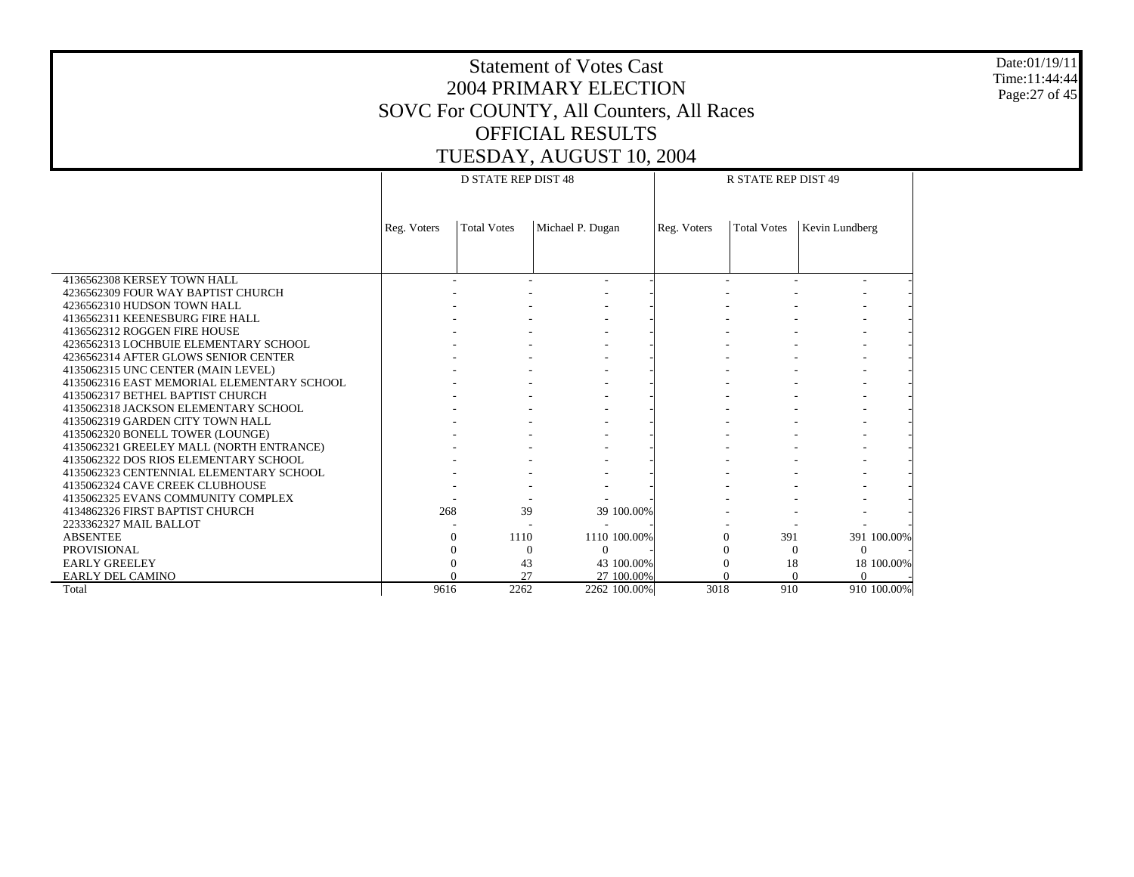Date:01/19/11 Time:11:44:44 Page:27 of 45

|                                            |             | <b>D STATE REP DIST 48</b> |                      |             | <b>R STATE REP DIST 49</b> |                      |
|--------------------------------------------|-------------|----------------------------|----------------------|-------------|----------------------------|----------------------|
|                                            |             |                            |                      |             |                            |                      |
|                                            |             |                            |                      |             |                            |                      |
|                                            | Reg. Voters | <b>Total Votes</b>         | Michael P. Dugan     | Reg. Voters | <b>Total Votes</b>         | Kevin Lundberg       |
|                                            |             |                            |                      |             |                            |                      |
|                                            |             |                            |                      |             |                            |                      |
|                                            |             |                            |                      |             |                            |                      |
| 4136562308 KERSEY TOWN HALL                |             |                            |                      |             |                            |                      |
| 4236562309 FOUR WAY BAPTIST CHURCH         |             |                            |                      |             |                            |                      |
| 4236562310 HUDSON TOWN HALL                |             |                            |                      |             |                            |                      |
| 4136562311 KEENESBURG FIRE HALL            |             |                            |                      |             |                            |                      |
| 4136562312 ROGGEN FIRE HOUSE               |             |                            |                      |             |                            |                      |
| 4236562313 LOCHBUIE ELEMENTARY SCHOOL      |             |                            |                      |             |                            |                      |
| 4236562314 AFTER GLOWS SENIOR CENTER       |             |                            |                      |             |                            |                      |
| 4135062315 UNC CENTER (MAIN LEVEL)         |             |                            |                      |             |                            |                      |
| 4135062316 EAST MEMORIAL ELEMENTARY SCHOOL |             |                            |                      |             |                            |                      |
| 4135062317 BETHEL BAPTIST CHURCH           |             |                            |                      |             |                            |                      |
| 4135062318 JACKSON ELEMENTARY SCHOOL       |             |                            |                      |             |                            |                      |
| 4135062319 GARDEN CITY TOWN HALL           |             |                            |                      |             |                            |                      |
| 4135062320 BONELL TOWER (LOUNGE)           |             |                            |                      |             |                            |                      |
| 4135062321 GREELEY MALL (NORTH ENTRANCE)   |             |                            |                      |             |                            |                      |
| 4135062322 DOS RIOS ELEMENTARY SCHOOL      |             |                            |                      |             |                            |                      |
| 4135062323 CENTENNIAL ELEMENTARY SCHOOL    |             |                            |                      |             |                            |                      |
| 4135062324 CAVE CREEK CLUBHOUSE            |             |                            |                      |             |                            |                      |
| 4135062325 EVANS COMMUNITY COMPLEX         |             |                            |                      |             |                            |                      |
| 4134862326 FIRST BAPTIST CHURCH            | 268         | 39                         | 39 100.00%           |             |                            |                      |
| 2233362327 MAIL BALLOT                     |             |                            |                      |             |                            |                      |
| <b>ABSENTEE</b>                            | $\Omega$    | 1110                       | 1110 100.00%         |             | 391<br>$\Omega$            | 391 100.00%          |
| <b>PROVISIONAL</b>                         |             |                            | $\Omega$<br>$\Omega$ |             | $\Omega$<br>$\Omega$       | $\Omega$             |
| <b>EARLY GREELEY</b>                       |             | 43                         | 43 100.00%           |             | 18<br>$\Omega$             | 18 100.00%           |
| EARLY DEL CAMINO                           |             | 27                         | 27 100.00%           |             | $\Omega$                   | $\theta$<br>$\Omega$ |
| Total                                      | 9616        | 2262                       | 2262 100.00%         | 3018        | 910                        | 910 100.00%          |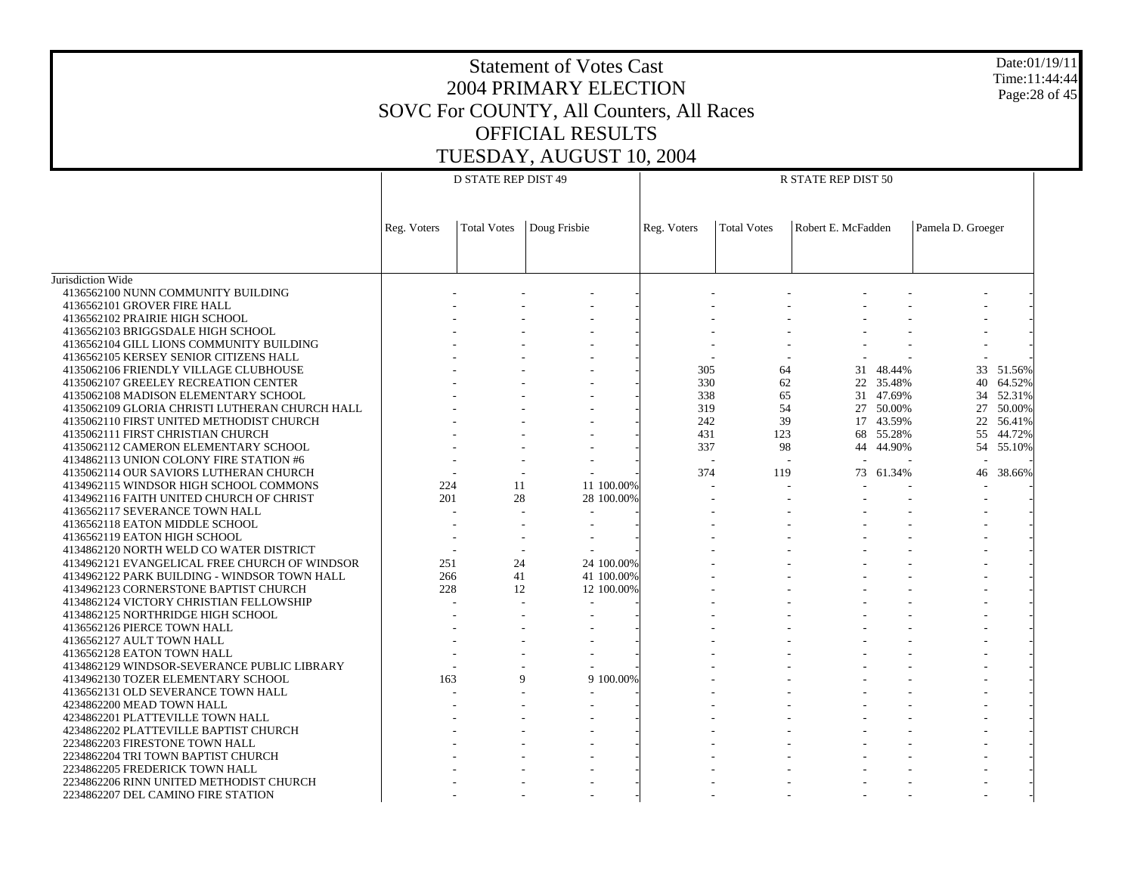Date:01/19/11 Time:11:44:44 Page:28 of 45

|                                                |             | <b>D STATE REP DIST 49</b> |              | R STATE REP DIST 50 |                          |                    |                    |           |                   |           |
|------------------------------------------------|-------------|----------------------------|--------------|---------------------|--------------------------|--------------------|--------------------|-----------|-------------------|-----------|
|                                                |             |                            |              |                     |                          |                    |                    |           |                   |           |
|                                                | Reg. Voters | <b>Total Votes</b>         | Doug Frisbie |                     | Reg. Voters              | <b>Total Votes</b> | Robert E. McFadden |           | Pamela D. Groeger |           |
|                                                |             |                            |              |                     |                          |                    |                    |           |                   |           |
|                                                |             |                            |              |                     |                          |                    |                    |           |                   |           |
| Jurisdiction Wide                              |             |                            |              |                     |                          |                    |                    |           |                   |           |
| 4136562100 NUNN COMMUNITY BUILDING             |             |                            |              |                     |                          |                    |                    |           |                   |           |
| 4136562101 GROVER FIRE HALL                    |             |                            |              |                     |                          |                    |                    |           |                   |           |
| 4136562102 PRAIRIE HIGH SCHOOL                 |             |                            |              |                     |                          |                    |                    |           |                   |           |
| 4136562103 BRIGGSDALE HIGH SCHOOL              |             |                            |              |                     |                          |                    |                    |           |                   |           |
| 4136562104 GILL LIONS COMMUNITY BUILDING       |             |                            |              |                     |                          |                    |                    |           |                   |           |
| 4136562105 KERSEY SENIOR CITIZENS HALL         |             |                            |              |                     |                          |                    |                    |           |                   |           |
| 4135062106 FRIENDLY VILLAGE CLUBHOUSE          |             |                            |              |                     | 305                      | 64                 |                    | 31 48.44% |                   | 33 51.56% |
| 4135062107 GREELEY RECREATION CENTER           |             |                            |              |                     | 330                      | 62                 |                    | 22 35.48% |                   | 40 64.52% |
| 4135062108 MADISON ELEMENTARY SCHOOL           |             |                            |              |                     | 338                      | 65                 |                    | 31 47.69% |                   | 34 52.31% |
| 4135062109 GLORIA CHRISTI LUTHERAN CHURCH HALL |             |                            |              |                     | 319                      | 54                 |                    | 27 50.00% |                   | 27 50.00% |
| 4135062110 FIRST UNITED METHODIST CHURCH       |             |                            |              |                     | 242                      | 39                 |                    | 17 43.59% |                   | 22 56.41% |
| 4135062111 FIRST CHRISTIAN CHURCH              |             |                            |              |                     | 431                      | 123                |                    | 68 55.28% |                   | 55 44.72% |
| 4135062112 CAMERON ELEMENTARY SCHOOL           |             |                            |              |                     | 337                      | 98                 | 44                 | 44.90%    |                   | 54 55.10% |
| 4134862113 UNION COLONY FIRE STATION #6        |             |                            |              |                     | $\overline{\phantom{a}}$ | $\sim$             |                    |           | $\sim$            |           |
|                                                |             |                            |              |                     |                          |                    |                    |           |                   |           |
| 4135062114 OUR SAVIORS LUTHERAN CHURCH         |             |                            |              |                     | 374                      | 119                |                    | 73 61.34% | 46                | 38.66%    |
| 4134962115 WINDSOR HIGH SCHOOL COMMONS         | 224         | 11                         | 11 100,00%   |                     |                          |                    |                    |           |                   |           |
| 4134962116 FAITH UNITED CHURCH OF CHRIST       | 201         | 28                         | 28 100.00%   |                     |                          |                    |                    |           |                   |           |
| 4136562117 SEVERANCE TOWN HALL                 |             |                            |              |                     |                          |                    |                    |           |                   |           |
| 4136562118 EATON MIDDLE SCHOOL                 |             |                            |              |                     |                          |                    |                    |           |                   |           |
| 4136562119 EATON HIGH SCHOOL                   |             |                            |              |                     |                          |                    |                    |           |                   |           |
| 4134862120 NORTH WELD CO WATER DISTRICT        |             |                            |              |                     |                          |                    |                    |           |                   |           |
| 4134962121 EVANGELICAL FREE CHURCH OF WINDSOR  | 251         | 24                         | 24 100.00%   |                     |                          |                    |                    |           |                   |           |
| 4134962122 PARK BUILDING - WINDSOR TOWN HALL   | 266         | 41                         | 41 100.00%   |                     |                          |                    |                    |           |                   |           |
| 4134962123 CORNERSTONE BAPTIST CHURCH          | 228         | 12                         | 12 100.00%   |                     |                          |                    |                    |           |                   |           |
| 4134862124 VICTORY CHRISTIAN FELLOWSHIP        |             |                            |              |                     |                          |                    |                    |           |                   |           |
| 4134862125 NORTHRIDGE HIGH SCHOOL              |             |                            |              |                     |                          |                    |                    |           |                   |           |
| 4136562126 PIERCE TOWN HALL                    |             |                            |              |                     |                          |                    |                    |           |                   |           |
| 4136562127 AULT TOWN HALL                      |             |                            |              |                     |                          |                    |                    |           |                   |           |
| 4136562128 EATON TOWN HALL                     |             |                            |              |                     |                          |                    |                    |           |                   |           |
| 4134862129 WINDSOR-SEVERANCE PUBLIC LIBRARY    |             |                            |              |                     |                          |                    |                    |           |                   |           |
| 4134962130 TOZER ELEMENTARY SCHOOL             | 163         | $\mathbf Q$                | 9 100.00%    |                     |                          |                    |                    |           |                   |           |
| 4136562131 OLD SEVERANCE TOWN HALL             |             |                            |              |                     |                          |                    |                    |           |                   |           |
| 4234862200 MEAD TOWN HALL                      |             |                            |              |                     |                          |                    |                    |           |                   |           |
| 4234862201 PLATTEVILLE TOWN HALL               |             |                            |              |                     |                          |                    |                    |           |                   |           |
| 4234862202 PLATTEVILLE BAPTIST CHURCH          |             |                            |              |                     |                          |                    |                    |           |                   |           |
| 2234862203 FIRESTONE TOWN HALL                 |             |                            |              |                     |                          |                    |                    |           |                   |           |
| 2234862204 TRI TOWN BAPTIST CHURCH             |             |                            |              |                     |                          |                    |                    |           |                   |           |
| 2234862205 FREDERICK TOWN HALL                 |             |                            |              |                     |                          |                    |                    |           |                   |           |
| 2234862206 RINN UNITED METHODIST CHURCH        |             |                            |              |                     |                          |                    |                    |           |                   |           |
| 2234862207 DEL CAMINO FIRE STATION             |             |                            |              |                     |                          |                    |                    |           |                   |           |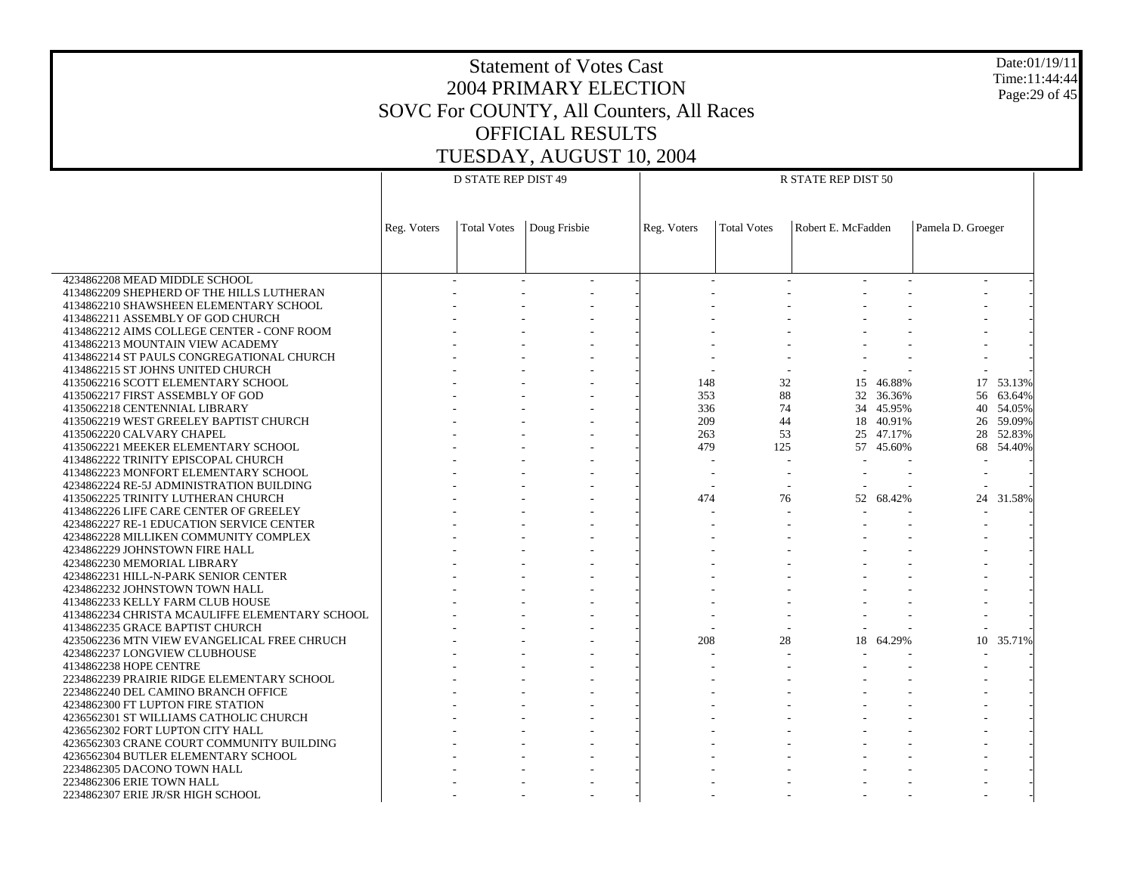Date:01/19/11 Time:11:44:44 Page:29 of 45

|                                                |             | <b>D STATE REP DIST 49</b> |              |             |                    | R STATE REP DIST 50 |           |                   |           |  |
|------------------------------------------------|-------------|----------------------------|--------------|-------------|--------------------|---------------------|-----------|-------------------|-----------|--|
|                                                |             |                            |              |             |                    |                     |           |                   |           |  |
|                                                |             |                            |              |             |                    |                     |           |                   |           |  |
|                                                | Reg. Voters | <b>Total Votes</b>         | Doug Frisbie | Reg. Voters | <b>Total Votes</b> | Robert E. McFadden  |           | Pamela D. Groeger |           |  |
|                                                |             |                            |              |             |                    |                     |           |                   |           |  |
|                                                |             |                            |              |             |                    |                     |           |                   |           |  |
| 4234862208 MEAD MIDDLE SCHOOL                  |             |                            |              |             |                    |                     |           |                   |           |  |
| 4134862209 SHEPHERD OF THE HILLS LUTHERAN      |             |                            |              |             |                    |                     |           |                   |           |  |
| 4134862210 SHAWSHEEN ELEMENTARY SCHOOL         |             |                            |              |             |                    |                     |           |                   |           |  |
| 4134862211 ASSEMBLY OF GOD CHURCH              |             |                            |              |             |                    |                     |           |                   |           |  |
| 4134862212 AIMS COLLEGE CENTER - CONF ROOM     |             |                            |              |             |                    |                     |           |                   |           |  |
| 4134862213 MOUNTAIN VIEW ACADEMY               |             |                            |              |             |                    |                     |           |                   |           |  |
| 4134862214 ST PAULS CONGREGATIONAL CHURCH      |             |                            |              |             |                    |                     |           |                   |           |  |
| 4134862215 ST JOHNS UNITED CHURCH              |             |                            |              |             |                    |                     |           |                   |           |  |
| 4135062216 SCOTT ELEMENTARY SCHOOL             |             |                            |              | 148         | 32                 |                     | 15 46.88% |                   | 17 53.13% |  |
| 4135062217 FIRST ASSEMBLY OF GOD               |             |                            |              | 353         | 88                 |                     | 32 36.36% |                   | 56 63.64% |  |
| 4135062218 CENTENNIAL LIBRARY                  |             |                            |              | 336         | 74                 |                     | 34 45.95% |                   | 40 54.05% |  |
| 4135062219 WEST GREELEY BAPTIST CHURCH         |             |                            |              | 209         | 44                 |                     | 18 40.91% |                   | 26 59.09% |  |
| 4135062220 CALVARY CHAPEL                      |             |                            |              | 263         | 53                 |                     | 25 47.17% |                   | 28 52.83% |  |
| 4135062221 MEEKER ELEMENTARY SCHOOL            |             |                            |              | 479         | 125                |                     | 57 45.60% |                   | 68 54.40% |  |
| 4134862222 TRINITY EPISCOPAL CHURCH            |             |                            |              |             | $\overline{a}$     |                     |           |                   |           |  |
| 4134862223 MONFORT ELEMENTARY SCHOOL           |             |                            |              |             |                    |                     |           |                   |           |  |
| 4234862224 RE-5J ADMINISTRATION BUILDING       |             |                            |              |             |                    |                     |           |                   |           |  |
| 4135062225 TRINITY LUTHERAN CHURCH             |             |                            |              | 474         | 76                 |                     | 52 68.42% |                   | 24 31.58% |  |
| 4134862226 LIFE CARE CENTER OF GREELEY         |             |                            |              |             |                    |                     |           |                   |           |  |
| 4234862227 RE-1 EDUCATION SERVICE CENTER       |             |                            |              |             |                    |                     |           |                   |           |  |
| 4234862228 MILLIKEN COMMUNITY COMPLEX          |             |                            |              |             |                    |                     |           |                   |           |  |
| 4234862229 JOHNSTOWN FIRE HALL                 |             |                            |              |             |                    |                     |           |                   |           |  |
| 4234862230 MEMORIAL LIBRARY                    |             |                            |              |             |                    |                     |           |                   |           |  |
| 4234862231 HILL-N-PARK SENIOR CENTER           |             |                            |              |             |                    |                     |           |                   |           |  |
| 4234862232 JOHNSTOWN TOWN HALL                 |             |                            |              |             |                    |                     |           |                   |           |  |
| 4134862233 KELLY FARM CLUB HOUSE               |             |                            |              |             |                    |                     |           |                   |           |  |
| 4134862234 CHRISTA MCAULIFFE ELEMENTARY SCHOOL |             |                            |              |             |                    |                     |           |                   |           |  |
| 4134862235 GRACE BAPTIST CHURCH                |             |                            |              |             |                    |                     |           |                   |           |  |
| 4235062236 MTN VIEW EVANGELICAL FREE CHRUCH    |             |                            |              | 208         | 28                 |                     | 18 64.29% | 10                | 35.71%    |  |
| 4234862237 LONGVIEW CLUBHOUSE                  |             |                            |              |             |                    |                     |           |                   |           |  |
| 4134862238 HOPE CENTRE                         |             |                            |              |             |                    |                     |           |                   |           |  |
| 2234862239 PRAIRIE RIDGE ELEMENTARY SCHOOL     |             |                            |              |             |                    |                     |           |                   |           |  |
| 2234862240 DEL CAMINO BRANCH OFFICE            |             |                            |              |             |                    |                     |           |                   |           |  |
| 4234862300 FT LUPTON FIRE STATION              |             |                            |              |             |                    |                     |           |                   |           |  |
| 4236562301 ST WILLIAMS CATHOLIC CHURCH         |             |                            |              |             |                    |                     |           |                   |           |  |
| 4236562302 FORT LUPTON CITY HALL               |             |                            |              |             |                    |                     |           |                   |           |  |
| 4236562303 CRANE COURT COMMUNITY BUILDING      |             |                            |              |             |                    |                     |           |                   |           |  |
| 4236562304 BUTLER ELEMENTARY SCHOOL            |             |                            |              |             |                    |                     |           |                   |           |  |
| 2234862305 DACONO TOWN HALL                    |             |                            |              |             |                    |                     |           |                   |           |  |
| 2234862306 ERIE TOWN HALL                      |             |                            |              |             |                    |                     |           |                   |           |  |
| 2234862307 ERIE JR/SR HIGH SCHOOL              |             |                            |              |             |                    |                     |           |                   |           |  |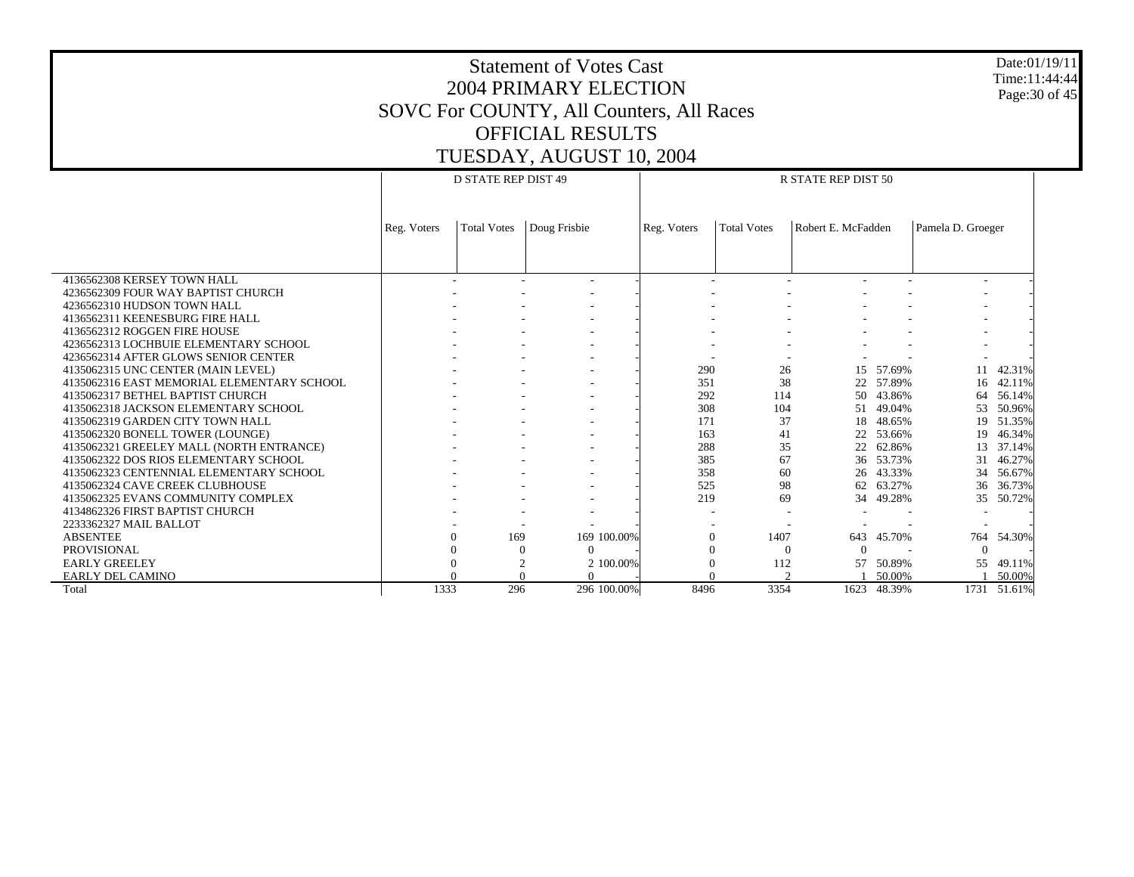Date:01/19/11 Time:11:44:44 Page:30 of 45

|                                            |             | <b>D STATE REP DIST 49</b> |                             |             | R STATE REP DIST 50 |                    |           |                          |             |  |
|--------------------------------------------|-------------|----------------------------|-----------------------------|-------------|---------------------|--------------------|-----------|--------------------------|-------------|--|
|                                            | Reg. Voters | <b>Total Votes</b>         | Doug Frisbie                | Reg. Voters | <b>Total Votes</b>  | Robert E. McFadden |           | Pamela D. Groeger        |             |  |
|                                            |             |                            |                             |             |                     |                    |           |                          |             |  |
| 4136562308 KERSEY TOWN HALL                |             |                            |                             |             |                     |                    |           | $\overline{\phantom{a}}$ |             |  |
| 4236562309 FOUR WAY BAPTIST CHURCH         |             |                            |                             |             |                     |                    |           |                          |             |  |
| 4236562310 HUDSON TOWN HALL                |             |                            |                             |             |                     |                    |           |                          |             |  |
| 4136562311 KEENESBURG FIRE HALL            |             |                            |                             |             |                     |                    |           |                          |             |  |
| 4136562312 ROGGEN FIRE HOUSE               |             |                            |                             |             |                     |                    |           |                          |             |  |
| 4236562313 LOCHBUIE ELEMENTARY SCHOOL      |             |                            |                             |             |                     |                    |           |                          |             |  |
| 4236562314 AFTER GLOWS SENIOR CENTER       |             |                            |                             |             |                     |                    |           |                          |             |  |
| 4135062315 UNC CENTER (MAIN LEVEL)         |             |                            |                             | 290         | 26                  | 15                 | 57.69%    |                          | 42.31%      |  |
| 4135062316 EAST MEMORIAL ELEMENTARY SCHOOL |             |                            |                             | 351         | 38                  | 22                 | 57.89%    | 16                       | 42.11%      |  |
| 4135062317 BETHEL BAPTIST CHURCH           |             |                            |                             | 292         | 114                 | 50                 | 43.86%    | 64                       | 56.14%      |  |
| 4135062318 JACKSON ELEMENTARY SCHOOL       |             |                            |                             | 308         | 104                 | 51                 | 49.04%    | 53                       | 50.96%      |  |
| 4135062319 GARDEN CITY TOWN HALL           |             |                            |                             | 171         | 37                  | 18                 | 48.65%    | 19                       | 51.35%      |  |
| 4135062320 BONELL TOWER (LOUNGE)           |             |                            |                             | 163         | 41                  | 22                 | 53.66%    | 19                       | 46.34%      |  |
| 4135062321 GREELEY MALL (NORTH ENTRANCE)   |             |                            |                             | 288         | 35                  | 22                 | 62.86%    | 13                       | 37.14%      |  |
| 4135062322 DOS RIOS ELEMENTARY SCHOOL      |             |                            |                             | 385         | 67                  |                    | 36 53.73% | 31                       | 46.27%      |  |
| 4135062323 CENTENNIAL ELEMENTARY SCHOOL    |             |                            |                             | 358         | 60                  |                    | 26 43.33% | 34                       | 56.67%      |  |
| 4135062324 CAVE CREEK CLUBHOUSE            |             |                            |                             | 525         | 98                  | 62                 | 63.27%    | 36                       | 36.73%      |  |
| 4135062325 EVANS COMMUNITY COMPLEX         |             |                            |                             | 219         | 69                  | 34                 | 49.28%    | 35                       | 50.72%      |  |
| 4134862326 FIRST BAPTIST CHURCH            |             |                            |                             |             |                     |                    |           | $\overline{\phantom{a}}$ |             |  |
| 2233362327 MAIL BALLOT                     |             |                            |                             |             |                     |                    |           |                          |             |  |
| <b>ABSENTEE</b>                            |             | 169                        | 169 100,00%                 |             | 1407<br>$\Omega$    | 643                | 45.70%    | 764                      | 54.30%      |  |
| <b>PROVISIONAL</b>                         |             |                            | $\Omega$<br>$\mathbf{0}$    | $\Omega$    | $\Omega$            | $\Omega$           |           | $\Omega$                 |             |  |
| <b>EARLY GREELEY</b>                       |             |                            | $\overline{2}$<br>2 100,00% |             | 112                 | 57                 | 50.89%    | 55                       | 49.11%      |  |
| <b>EARLY DEL CAMINO</b>                    |             |                            | $\Omega$                    |             |                     |                    | 50.00%    |                          | 50.00%      |  |
| Total                                      | 1333        | 296                        | 296 100.00%                 | 8496        | 3354                | 1623               | 48.39%    |                          | 1731 51.61% |  |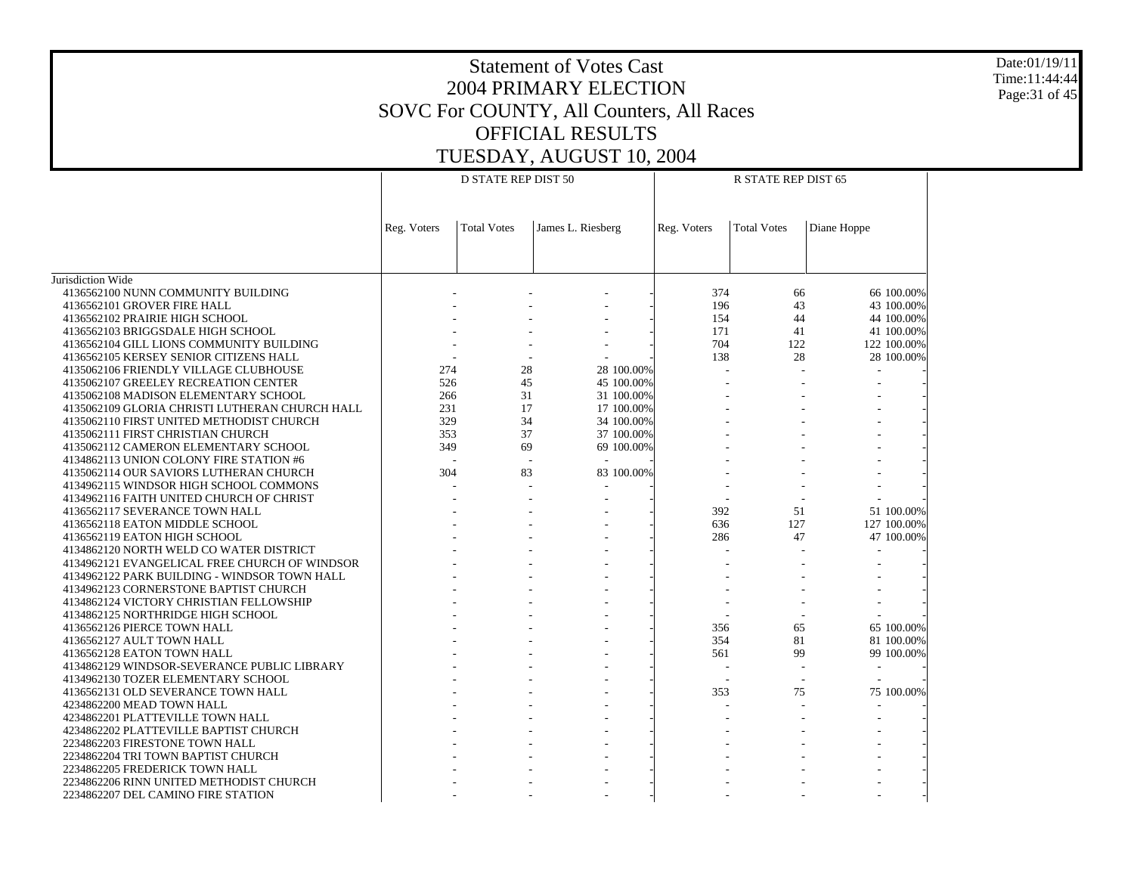Date:01/19/11 Time:11:44:44 Page:31 of 45

|                                                                                   |             | <b>D STATE REP DIST 50</b> |                   |             | R STATE REP DIST 65 |             |  |
|-----------------------------------------------------------------------------------|-------------|----------------------------|-------------------|-------------|---------------------|-------------|--|
|                                                                                   | Reg. Voters | <b>Total Votes</b>         | James L. Riesberg | Reg. Voters | <b>Total Votes</b>  | Diane Hoppe |  |
|                                                                                   |             |                            |                   |             |                     |             |  |
| Jurisdiction Wide                                                                 |             |                            |                   |             |                     |             |  |
| 4136562100 NUNN COMMUNITY BUILDING                                                |             |                            |                   | 374         | 66                  | 66 100.00%  |  |
| 4136562101 GROVER FIRE HALL                                                       |             |                            |                   | 196         | 43                  | 43 100.00%  |  |
| 4136562102 PRAIRIE HIGH SCHOOL                                                    |             |                            |                   | 154         | 44                  | 44 100.00%  |  |
| 4136562103 BRIGGSDALE HIGH SCHOOL                                                 |             |                            |                   | 171         | 41                  | 41 100.00%  |  |
| 4136562104 GILL LIONS COMMUNITY BUILDING                                          |             |                            |                   | 704         | 122                 | 122 100.00% |  |
| 4136562105 KERSEY SENIOR CITIZENS HALL                                            |             |                            |                   | 138         | 28                  | 28 100.00%  |  |
| 4135062106 FRIENDLY VILLAGE CLUBHOUSE                                             | 274         | 28                         | 28 100.00%        |             |                     |             |  |
| 4135062107 GREELEY RECREATION CENTER                                              | 526         | 45                         | 45 100.00%        |             |                     |             |  |
| 4135062108 MADISON ELEMENTARY SCHOOL                                              | 266         | 31                         | 31 100.00%        |             |                     |             |  |
| 4135062109 GLORIA CHRISTI LUTHERAN CHURCH HALL                                    | 231         | 17                         | 17 100.00%        |             |                     |             |  |
| 4135062110 FIRST UNITED METHODIST CHURCH                                          | 329         | 34                         | 34 100.00%        |             |                     |             |  |
| 4135062111 FIRST CHRISTIAN CHURCH                                                 | 353         | 37                         | 37 100.00%        |             |                     |             |  |
| 4135062112 CAMERON ELEMENTARY SCHOOL                                              | 349         | 69                         | 69 100.00%        |             |                     |             |  |
| 4134862113 UNION COLONY FIRE STATION #6                                           |             | $\overline{a}$             | $\mathcal{L}$     |             |                     |             |  |
| 4135062114 OUR SAVIORS LUTHERAN CHURCH                                            | 304         | 83                         | 83 100.00%        |             |                     |             |  |
| 4134962115 WINDSOR HIGH SCHOOL COMMONS                                            |             |                            |                   |             |                     |             |  |
| 4134962116 FAITH UNITED CHURCH OF CHRIST                                          |             |                            |                   |             |                     |             |  |
| 4136562117 SEVERANCE TOWN HALL                                                    |             |                            |                   | 392         | 51                  | 51 100.00%  |  |
| 4136562118 EATON MIDDLE SCHOOL                                                    |             |                            |                   | 636         | 127                 | 127 100.00% |  |
| 4136562119 EATON HIGH SCHOOL                                                      |             |                            |                   | 286         | 47                  | 47 100.00%  |  |
| 4134862120 NORTH WELD CO WATER DISTRICT                                           |             |                            |                   |             |                     |             |  |
| 4134962121 EVANGELICAL FREE CHURCH OF WINDSOR                                     |             |                            |                   |             |                     |             |  |
| 4134962122 PARK BUILDING - WINDSOR TOWN HALL                                      |             |                            |                   |             |                     |             |  |
| 4134962123 CORNERSTONE BAPTIST CHURCH                                             |             |                            |                   |             |                     |             |  |
| 4134862124 VICTORY CHRISTIAN FELLOWSHIP                                           |             |                            |                   |             |                     |             |  |
| 4134862125 NORTHRIDGE HIGH SCHOOL                                                 |             |                            |                   |             |                     |             |  |
| 4136562126 PIERCE TOWN HALL                                                       |             |                            |                   | 356         | 65                  | 65 100.00%  |  |
| 4136562127 AULT TOWN HALL                                                         |             |                            |                   | 354         | 81                  | 81 100.00%  |  |
| 4136562128 EATON TOWN HALL                                                        |             |                            |                   | 561         | 99                  | 99 100.00%  |  |
|                                                                                   |             |                            |                   |             |                     |             |  |
| 4134862129 WINDSOR-SEVERANCE PUBLIC LIBRARY<br>4134962130 TOZER ELEMENTARY SCHOOL |             |                            |                   |             |                     |             |  |
|                                                                                   |             |                            |                   | 353         | 75                  |             |  |
| 4136562131 OLD SEVERANCE TOWN HALL                                                |             |                            |                   |             |                     | 75 100.00%  |  |
| 4234862200 MEAD TOWN HALL                                                         |             |                            |                   |             |                     |             |  |
| 4234862201 PLATTEVILLE TOWN HALL                                                  |             |                            |                   |             |                     |             |  |
| 4234862202 PLATTEVILLE BAPTIST CHURCH                                             |             |                            |                   |             |                     |             |  |
| 2234862203 FIRESTONE TOWN HALL                                                    |             |                            |                   |             |                     |             |  |
| 2234862204 TRI TOWN BAPTIST CHURCH                                                |             |                            |                   |             |                     |             |  |
| 2234862205 FREDERICK TOWN HALL                                                    |             |                            |                   |             |                     |             |  |
| 2234862206 RINN UNITED METHODIST CHURCH                                           |             |                            |                   |             |                     |             |  |
| 2234862207 DEL CAMINO FIRE STATION                                                |             |                            |                   |             |                     |             |  |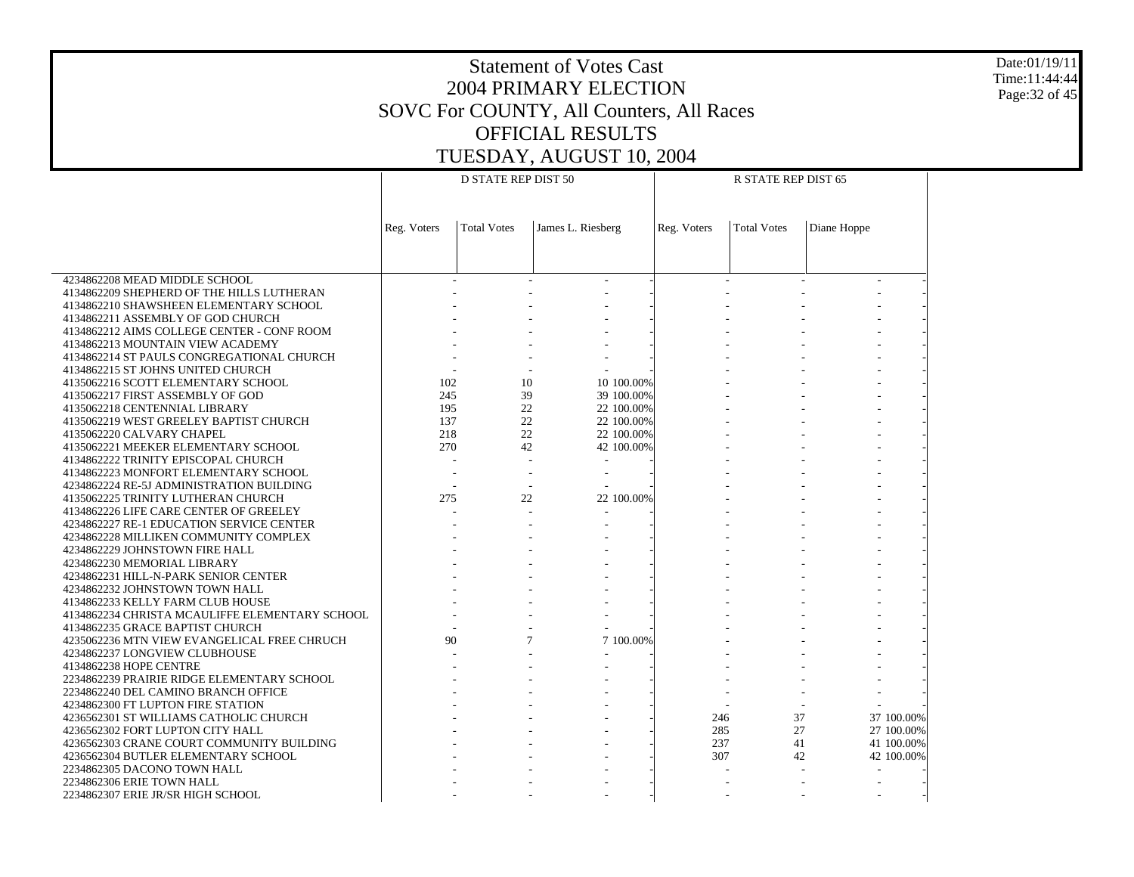Date:01/19/11 Time:11:44:44 Page:32 of 45

|                                                                                |             | <b>D STATE REP DIST 50</b> |                   |             | R STATE REP DIST 65 |             |
|--------------------------------------------------------------------------------|-------------|----------------------------|-------------------|-------------|---------------------|-------------|
|                                                                                |             |                            |                   |             |                     |             |
|                                                                                |             |                            |                   |             |                     |             |
|                                                                                |             |                            |                   |             |                     |             |
|                                                                                | Reg. Voters | <b>Total Votes</b>         | James L. Riesberg | Reg. Voters | <b>Total Votes</b>  | Diane Hoppe |
|                                                                                |             |                            |                   |             |                     |             |
|                                                                                |             |                            |                   |             |                     |             |
| 4234862208 MEAD MIDDLE SCHOOL                                                  |             |                            |                   |             |                     |             |
| 4134862209 SHEPHERD OF THE HILLS LUTHERAN                                      |             |                            |                   |             |                     |             |
| 4134862210 SHAWSHEEN ELEMENTARY SCHOOL                                         |             |                            |                   |             |                     |             |
| 4134862211 ASSEMBLY OF GOD CHURCH                                              |             |                            |                   |             |                     |             |
|                                                                                |             |                            |                   |             |                     |             |
| 4134862212 AIMS COLLEGE CENTER - CONF ROOM<br>4134862213 MOUNTAIN VIEW ACADEMY |             |                            |                   |             |                     |             |
| 4134862214 ST PAULS CONGREGATIONAL CHURCH                                      |             |                            |                   |             |                     |             |
|                                                                                |             |                            |                   |             |                     |             |
| 4134862215 ST JOHNS UNITED CHURCH<br>4135062216 SCOTT ELEMENTARY SCHOOL        | 102         | 10                         | 10 100.00%        |             |                     |             |
| 4135062217 FIRST ASSEMBLY OF GOD                                               |             |                            |                   |             |                     |             |
|                                                                                | 245<br>195  | 39<br>22                   | 39 100.00%        |             |                     |             |
| 4135062218 CENTENNIAL LIBRARY                                                  |             |                            | 22 100.00%        |             |                     |             |
| 4135062219 WEST GREELEY BAPTIST CHURCH                                         | 137         | 22                         | 22 100.00%        |             |                     |             |
| 4135062220 CALVARY CHAPEL                                                      | 218         | 22                         | 22 100.00%        |             |                     |             |
| 4135062221 MEEKER ELEMENTARY SCHOOL                                            | 270         | 42                         | 42 100.00%        |             |                     |             |
| 4134862222 TRINITY EPISCOPAL CHURCH                                            |             |                            | $\blacksquare$    |             |                     |             |
| 4134862223 MONFORT ELEMENTARY SCHOOL                                           |             |                            |                   |             |                     |             |
| 4234862224 RE-5J ADMINISTRATION BUILDING                                       |             |                            |                   |             |                     |             |
| 4135062225 TRINITY LUTHERAN CHURCH                                             | 275         | 22                         | 22 100.00%        |             |                     |             |
| 4134862226 LIFE CARE CENTER OF GREELEY                                         |             | $\overline{a}$             |                   |             |                     |             |
| 4234862227 RE-1 EDUCATION SERVICE CENTER                                       |             |                            |                   |             |                     |             |
| 4234862228 MILLIKEN COMMUNITY COMPLEX                                          |             |                            |                   |             |                     |             |
| 4234862229 JOHNSTOWN FIRE HALL                                                 |             |                            |                   |             |                     |             |
| 4234862230 MEMORIAL LIBRARY                                                    |             |                            |                   |             |                     |             |
| 4234862231 HILL-N-PARK SENIOR CENTER                                           |             |                            |                   |             |                     |             |
| 4234862232 JOHNSTOWN TOWN HALL                                                 |             |                            |                   |             |                     |             |
| 4134862233 KELLY FARM CLUB HOUSE                                               |             |                            |                   |             |                     |             |
| 4134862234 CHRISTA MCAULIFFE ELEMENTARY SCHOOL                                 |             |                            |                   |             |                     |             |
| 4134862235 GRACE BAPTIST CHURCH                                                |             |                            |                   |             |                     |             |
| 4235062236 MTN VIEW EVANGELICAL FREE CHRUCH                                    | 90          | 7                          | 7 100.00%         |             |                     |             |
| 4234862237 LONGVIEW CLUBHOUSE                                                  |             |                            |                   |             |                     |             |
| 4134862238 HOPE CENTRE                                                         |             |                            |                   |             |                     |             |
| 2234862239 PRAIRIE RIDGE ELEMENTARY SCHOOL                                     |             |                            |                   |             |                     |             |
| 2234862240 DEL CAMINO BRANCH OFFICE                                            |             |                            |                   |             |                     |             |
| 4234862300 FT LUPTON FIRE STATION                                              |             |                            |                   |             |                     |             |
| 4236562301 ST WILLIAMS CATHOLIC CHURCH                                         |             |                            |                   | 246         | 37                  | 37 100.00%  |
| 4236562302 FORT LUPTON CITY HALL                                               |             |                            |                   | 285         | 27                  | 27 100.00%  |
| 4236562303 CRANE COURT COMMUNITY BUILDING                                      |             |                            |                   | 237         | 41                  | 41 100.00%  |
| 4236562304 BUTLER ELEMENTARY SCHOOL                                            |             |                            |                   | 307         | 42                  | 42 100.00%  |
| 2234862305 DACONO TOWN HALL                                                    |             |                            |                   |             |                     |             |
| 2234862306 ERIE TOWN HALL                                                      |             |                            |                   |             |                     |             |
| 2234862307 ERIE JR/SR HIGH SCHOOL                                              |             |                            |                   |             |                     |             |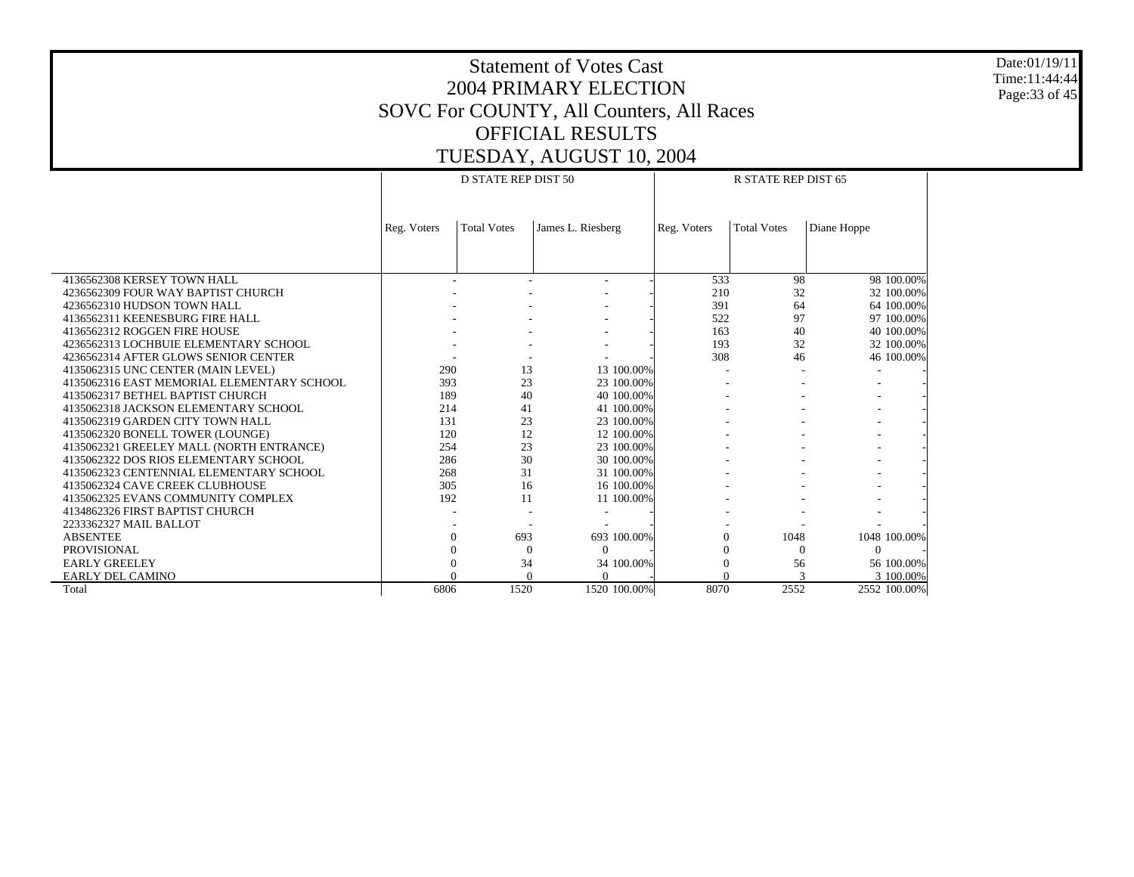Date:01/19/11 Time:11:44:44 Page:33 of 45

|                                            |             | D STATE REP DIST 50 |                   |             | <b>R STATE REP DIST 65</b> |              |
|--------------------------------------------|-------------|---------------------|-------------------|-------------|----------------------------|--------------|
|                                            |             |                     |                   |             |                            |              |
|                                            |             |                     |                   |             |                            |              |
|                                            | Reg. Voters | <b>Total Votes</b>  | James L. Riesberg | Reg. Voters | <b>Total Votes</b>         | Diane Hoppe  |
|                                            |             |                     |                   |             |                            |              |
|                                            |             |                     |                   |             |                            |              |
|                                            |             |                     |                   |             |                            |              |
| 4136562308 KERSEY TOWN HALL                |             |                     |                   | 533         | 98                         | 98 100.00%   |
| 4236562309 FOUR WAY BAPTIST CHURCH         |             |                     |                   | 210         | 32                         | 32 100.00%   |
| 4236562310 HUDSON TOWN HALL                |             |                     |                   | 391         | 64                         | 64 100,00%   |
| 4136562311 KEENESBURG FIRE HALL            |             |                     |                   | 522         | 97                         | 97 100.00%   |
| 4136562312 ROGGEN FIRE HOUSE               |             |                     |                   | 163         | 40                         | 40 100.00%   |
| 4236562313 LOCHBUIE ELEMENTARY SCHOOL      |             |                     |                   | 193         | 32                         | 32 100.00%   |
| 4236562314 AFTER GLOWS SENIOR CENTER       |             |                     |                   | 308         | 46                         | 46 100.00%   |
| 4135062315 UNC CENTER (MAIN LEVEL)         | 290         | 13                  | 13 100.00%        |             |                            |              |
| 4135062316 EAST MEMORIAL ELEMENTARY SCHOOL | 393         | 23                  | 23 100.00%        |             |                            |              |
| 4135062317 BETHEL BAPTIST CHURCH           | 189         | 40                  | 40 100.00%        |             |                            |              |
| 4135062318 JACKSON ELEMENTARY SCHOOL       | 214         | 41                  | 41 100.00%        |             |                            |              |
| 4135062319 GARDEN CITY TOWN HALL           | 131         | 23                  | 23 100.00%        |             |                            |              |
| 4135062320 BONELL TOWER (LOUNGE)           | 120         | 12                  | 12 100.00%        |             |                            |              |
| 4135062321 GREELEY MALL (NORTH ENTRANCE)   | 254         | 23                  | 23 100.00%        |             |                            |              |
| 4135062322 DOS RIOS ELEMENTARY SCHOOL      | 286         | 30                  | 30 100.00%        |             |                            |              |
| 4135062323 CENTENNIAL ELEMENTARY SCHOOL    | 268         | 31                  | 31 100.00%        |             |                            |              |
| 4135062324 CAVE CREEK CLUBHOUSE            | 305         | 16                  | 16 100.00%        |             |                            |              |
| 4135062325 EVANS COMMUNITY COMPLEX         | 192         | 11                  | 11 100.00%        |             |                            |              |
| 4134862326 FIRST BAPTIST CHURCH            |             |                     |                   |             |                            |              |
| 2233362327 MAIL BALLOT                     |             |                     |                   |             |                            |              |
| <b>ABSENTEE</b>                            | $\Omega$    | 693                 | 693 100.00%       | $\Omega$    | 1048                       | 1048 100.00% |
| <b>PROVISIONAL</b>                         |             | $\Omega$            | $\Omega$          | $\Omega$    | $\Omega$                   | $\Omega$     |
| <b>EARLY GREELEY</b>                       |             | 34                  | 34 100.00%        |             | 56                         | 56 100.00%   |
| <b>EARLY DEL CAMINO</b>                    |             |                     |                   |             |                            | 3 100,00%    |
| Total                                      | 6806        | 1520                | 1520 100.00%      | 8070        | 2552                       | 2552 100.00% |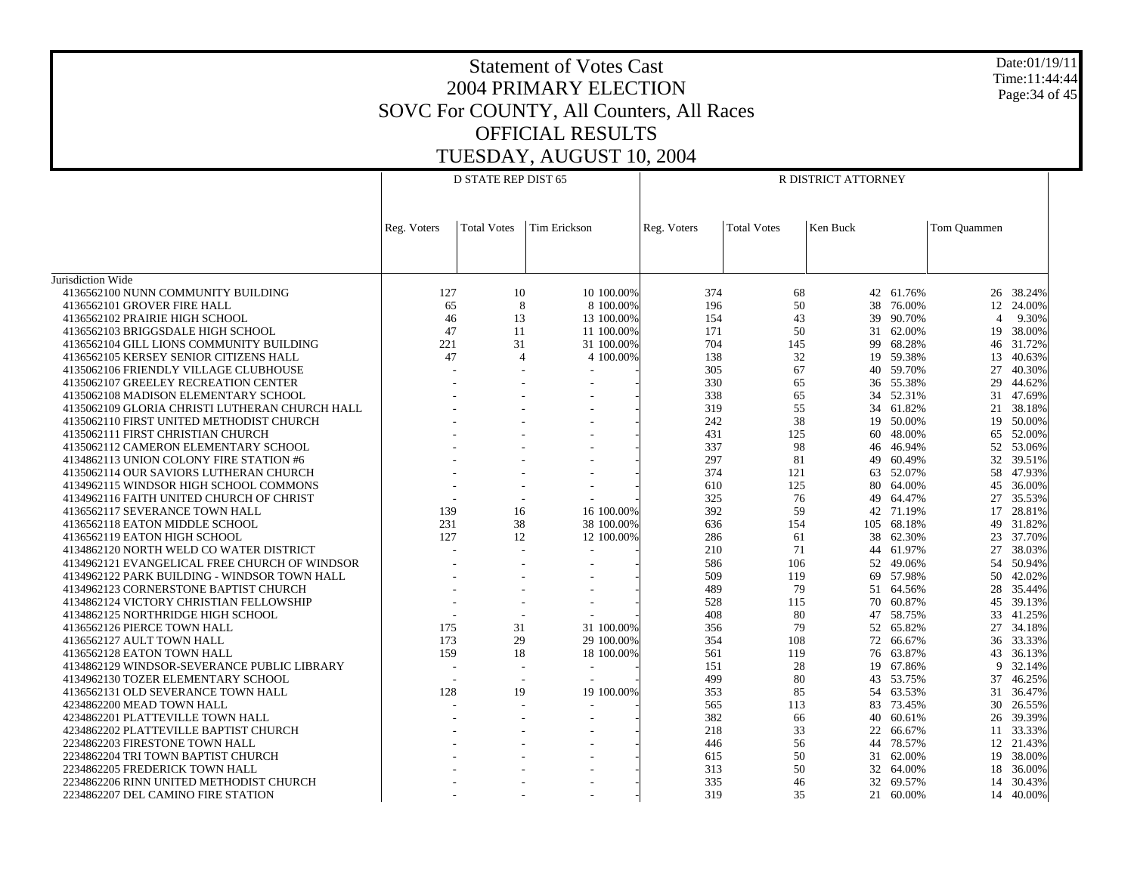Date:01/19/11 Time:11:44:44 Page:34 of 45

|                                                |             | <b>D STATE REP DIST 65</b> |                          | R DISTRICT ATTORNEY |                    |          |            |                |           |  |
|------------------------------------------------|-------------|----------------------------|--------------------------|---------------------|--------------------|----------|------------|----------------|-----------|--|
|                                                |             |                            |                          |                     |                    |          |            |                |           |  |
|                                                |             |                            |                          |                     |                    |          |            |                |           |  |
|                                                | Reg. Voters | <b>Total Votes</b>         | <b>Tim Erickson</b>      | Reg. Voters         | <b>Total Votes</b> | Ken Buck |            | Tom Ouammen    |           |  |
|                                                |             |                            |                          |                     |                    |          |            |                |           |  |
|                                                |             |                            |                          |                     |                    |          |            |                |           |  |
| Jurisdiction Wide                              |             |                            |                          |                     |                    |          |            |                |           |  |
| 4136562100 NUNN COMMUNITY BUILDING             | 127         | 10                         | 10 100.00%               | 374                 | 68                 |          | 42 61.76%  |                | 26 38.24% |  |
| 4136562101 GROVER FIRE HALL                    | 65          | 8                          | 8 100.00%                | 196                 | 50                 | 38       | 76.00%     |                | 12 24.00% |  |
| 4136562102 PRAIRIE HIGH SCHOOL                 | 46          | 13                         | 13 100.00%               | 154                 | 43                 |          | 39 90.70%  | $\overline{4}$ | 9.30%     |  |
| 4136562103 BRIGGSDALE HIGH SCHOOL              | 47          | 11                         | 11 100.00%               | 171                 | 50                 | 31       | 62.00%     |                | 19 38.00% |  |
| 4136562104 GILL LIONS COMMUNITY BUILDING       | 221         | 31                         | 31 100.00%               | 704                 | 145                |          | 99 68.28%  |                | 46 31.72% |  |
| 4136562105 KERSEY SENIOR CITIZENS HALL         | 47          | $\overline{4}$             | 4 100.00%                | 138                 | 32                 |          | 19 59.38%  | 13             | 40.63%    |  |
| 4135062106 FRIENDLY VILLAGE CLUBHOUSE          |             |                            |                          | 305                 | 67                 | 40       | 59.70%     | 27             | 40.30%    |  |
| 4135062107 GREELEY RECREATION CENTER           |             |                            |                          | 330                 | 65                 | 36       | 55.38%     | 29             | 44.62%    |  |
| 4135062108 MADISON ELEMENTARY SCHOOL           |             |                            |                          | 338                 | 65                 | 34       | 52.31%     | 31             | 47.69%    |  |
|                                                |             |                            |                          | 319                 | 55                 |          |            | 21             |           |  |
| 4135062109 GLORIA CHRISTI LUTHERAN CHURCH HALL |             |                            |                          | 242                 | 38                 |          | 34 61.82%  | 19             | 38.18%    |  |
| 4135062110 FIRST UNITED METHODIST CHURCH       |             |                            |                          |                     |                    | 19       | 50.00%     |                | 50.00%    |  |
| 4135062111 FIRST CHRISTIAN CHURCH              |             |                            |                          | 431                 | 125                | 60       | 48.00%     |                | 65 52.00% |  |
| 4135062112 CAMERON ELEMENTARY SCHOOL           |             |                            |                          | 337                 | 98                 | 46       | 46.94%     | 52             | 53.06%    |  |
| 4134862113 UNION COLONY FIRE STATION #6        |             |                            |                          | 297                 | 81                 | 49       | 60.49%     |                | 32 39.51% |  |
| 4135062114 OUR SAVIORS LUTHERAN CHURCH         |             |                            |                          | 374                 | 121                | 63       | 52.07%     | 58             | 47.93%    |  |
| 4134962115 WINDSOR HIGH SCHOOL COMMONS         |             |                            |                          | 610                 | 125                | 80       | 64.00%     | 45             | 36.00%    |  |
| 4134962116 FAITH UNITED CHURCH OF CHRIST       |             |                            |                          | 325                 | 76                 | 49       | 64.47%     | 27             | 35.53%    |  |
| 4136562117 SEVERANCE TOWN HALL                 | 139         | 16                         | 16 100,00%               | 392                 | 59                 | 42       | 71.19%     |                | 17 28.81% |  |
| 4136562118 EATON MIDDLE SCHOOL                 | 231         | 38                         | 38 100.00%               | 636                 | 154                |          | 105 68.18% | 49             | 31.82%    |  |
| 4136562119 EATON HIGH SCHOOL                   | 127         | 12                         | 12 100.00%               | 286                 | 61                 |          | 38 62.30%  |                | 23 37.70% |  |
| 4134862120 NORTH WELD CO WATER DISTRICT        |             |                            |                          | 210                 | 71                 | 44       | 61.97%     | 27             | 38.03%    |  |
| 4134962121 EVANGELICAL FREE CHURCH OF WINDSOR  |             |                            |                          | 586                 | 106                |          | 52 49.06%  | 54             | 50.94%    |  |
| 4134962122 PARK BUILDING - WINDSOR TOWN HALL   |             |                            |                          | 509                 | 119                | 69       | 57.98%     | 50             | 42.02%    |  |
| 4134962123 CORNERSTONE BAPTIST CHURCH          |             |                            |                          | 489                 | 79                 | 51       | 64.56%     | 28             | 35.44%    |  |
| 4134862124 VICTORY CHRISTIAN FELLOWSHIP        |             |                            |                          | 528                 | 115                | 70       | 60.87%     |                | 45 39.13% |  |
| 4134862125 NORTHRIDGE HIGH SCHOOL              |             |                            |                          | 408                 | 80                 |          | 47 58.75%  | 33             | 41.25%    |  |
| 4136562126 PIERCE TOWN HALL                    | 175         | 31                         | 31 100.00%               | 356                 | 79                 |          | 52 65.82%  |                | 27 34.18% |  |
| 4136562127 AULT TOWN HALL                      | 173         | 29                         | 29 100.00%               | 354                 | 108                | 72       | 66.67%     | 36             | 33.33%    |  |
| 4136562128 EATON TOWN HALL                     | 159         | 18                         | 18 100.00%               | 561                 | 119                |          | 76 63.87%  | 43             | 36.13%    |  |
| 4134862129 WINDSOR-SEVERANCE PUBLIC LIBRARY    |             |                            |                          | 151                 | 28                 | 19       | 67.86%     | 9              | 32.14%    |  |
| 4134962130 TOZER ELEMENTARY SCHOOL             |             |                            | $\overline{\phantom{a}}$ | 499                 | 80                 |          | 43 53.75%  | 37             | 46.25%    |  |
| 4136562131 OLD SEVERANCE TOWN HALL             | 128         | 19                         | 19 100.00%               | 353                 | 85                 | 54       | 63.53%     | 31             | 36.47%    |  |
| 4234862200 MEAD TOWN HALL                      |             |                            |                          | 565                 | 113                |          | 83 73.45%  | 30             | 26.55%    |  |
| 4234862201 PLATTEVILLE TOWN HALL               |             |                            |                          | 382                 | 66                 | 40       | 60.61%     | 26             | 39.39%    |  |
| 4234862202 PLATTEVILLE BAPTIST CHURCH          |             |                            |                          | 218                 | 33                 | 22       | 66.67%     |                | 11 33.33% |  |
| 2234862203 FIRESTONE TOWN HALL                 |             |                            |                          | 446                 | 56                 | 44       | 78.57%     |                | 12 21.43% |  |
| 2234862204 TRI TOWN BAPTIST CHURCH             |             |                            |                          | 615                 | 50                 | 31       | 62.00%     |                | 19 38.00% |  |
| 2234862205 FREDERICK TOWN HALL                 |             |                            |                          | 313                 | 50                 | 32       | 64.00%     | 18             | 36.00%    |  |
| 2234862206 RINN UNITED METHODIST CHURCH        |             |                            |                          | 335                 | 46                 | 32       | 69.57%     | 14             | 30.43%    |  |
| 2234862207 DEL CAMINO FIRE STATION             |             |                            |                          | 319                 | 35                 |          | 21 60.00%  |                | 14 40.00% |  |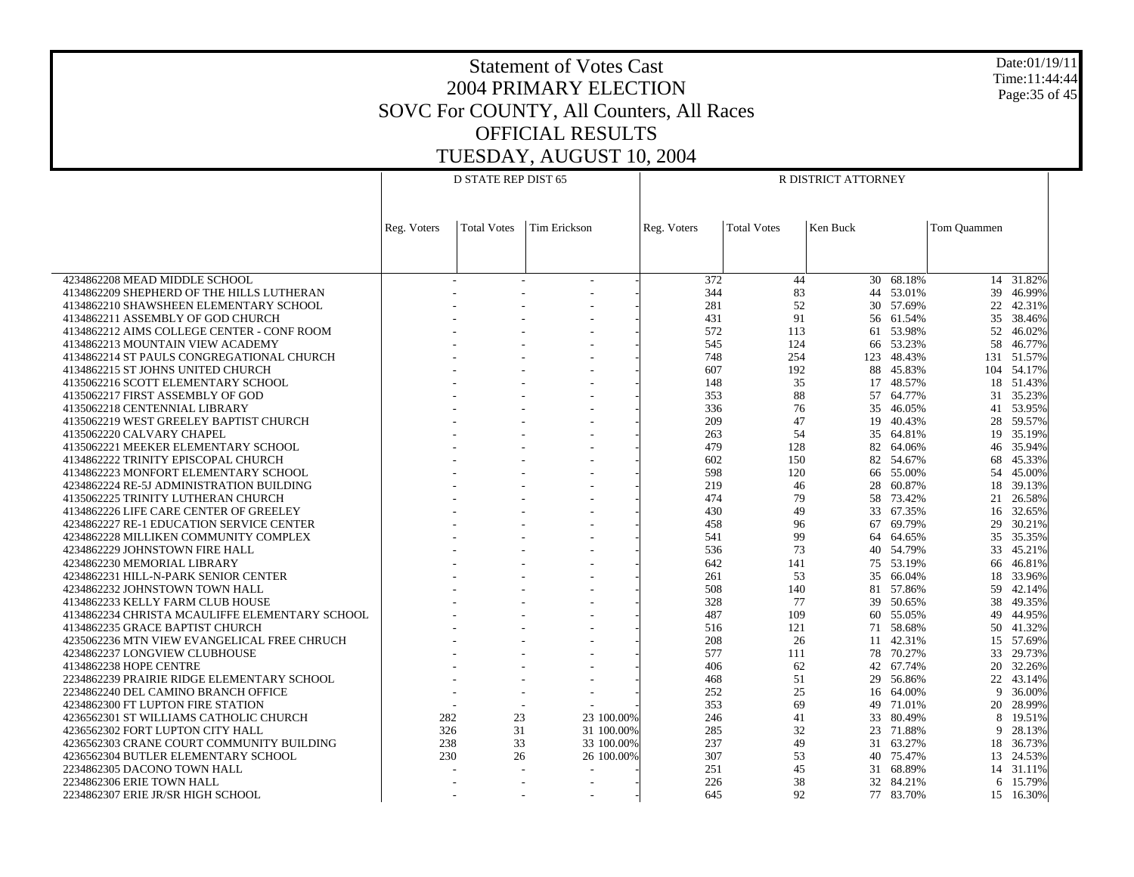Date:01/19/11 Time:11:44:44 Page:35 of 45

|                                                                                    | <b>D STATE REP DIST 65</b> |                    |                     | R DISTRICT ATTORNEY |                    |          |                     |             |                     |  |
|------------------------------------------------------------------------------------|----------------------------|--------------------|---------------------|---------------------|--------------------|----------|---------------------|-------------|---------------------|--|
|                                                                                    |                            |                    |                     |                     |                    |          |                     |             |                     |  |
|                                                                                    |                            |                    |                     |                     |                    |          |                     |             |                     |  |
|                                                                                    |                            |                    | <b>Tim Erickson</b> |                     |                    | Ken Buck |                     |             |                     |  |
|                                                                                    | Reg. Voters                | <b>Total Votes</b> |                     | Reg. Voters         | <b>Total Votes</b> |          |                     | Tom Quammen |                     |  |
|                                                                                    |                            |                    |                     |                     |                    |          |                     |             |                     |  |
|                                                                                    |                            |                    |                     |                     |                    |          |                     |             |                     |  |
| 4234862208 MEAD MIDDLE SCHOOL                                                      |                            |                    |                     | 372                 | 44                 |          | 30 68.18%           |             | 14 31.82%           |  |
| 4134862209 SHEPHERD OF THE HILLS LUTHERAN                                          |                            |                    |                     | 344                 | 83                 |          | 44 53.01%           | 39          | 46.99%              |  |
| 4134862210 SHAWSHEEN ELEMENTARY SCHOOL                                             |                            |                    |                     | 281                 | 52                 |          | 30 57.69%           | 22          | 42.31%              |  |
| 4134862211 ASSEMBLY OF GOD CHURCH                                                  |                            |                    |                     | 431                 | 91                 |          | 56 61.54%           | 35          | 38.46%              |  |
| 4134862212 AIMS COLLEGE CENTER - CONF ROOM                                         |                            |                    |                     | 572                 | 113                |          | 61 53.98%           | 52          | 46.02%              |  |
| 4134862213 MOUNTAIN VIEW ACADEMY                                                   |                            |                    |                     | 545                 | 124                |          | 66 53.23%           | 58          | 46.77%              |  |
| 4134862214 ST PAULS CONGREGATIONAL CHURCH                                          |                            |                    |                     | 748                 | 254                | 123      | 48.43%              | 131         | 51.57%              |  |
| 4134862215 ST JOHNS UNITED CHURCH                                                  |                            |                    |                     | 607                 | 192                |          | 88 45.83%           |             | 104 54.17%          |  |
| 4135062216 SCOTT ELEMENTARY SCHOOL                                                 |                            |                    |                     | 148                 | 35                 |          | 17 48.57%           | 18          | 51.43%              |  |
| 4135062217 FIRST ASSEMBLY OF GOD                                                   |                            |                    |                     | 353                 | 88                 |          | 57 64.77%           | 31          | 35.23%              |  |
| 4135062218 CENTENNIAL LIBRARY                                                      |                            |                    |                     | 336                 | 76                 |          | 35 46.05%           | 41          | 53.95%              |  |
| 4135062219 WEST GREELEY BAPTIST CHURCH                                             |                            |                    |                     | 209                 | 47                 | 19       | 40.43%              | 28          | 59.57%              |  |
| 4135062220 CALVARY CHAPEL                                                          |                            |                    |                     | 263                 | 54                 |          | 35 64.81%           | 19          | 35.19%              |  |
| 4135062221 MEEKER ELEMENTARY SCHOOL                                                |                            |                    |                     | 479                 | 128                |          | 82 64.06%           | 46          | 35.94%              |  |
| 4134862222 TRINITY EPISCOPAL CHURCH                                                |                            |                    |                     | 602                 | 150                |          | 82 54.67%           | 68          | 45.33%              |  |
| 4134862223 MONFORT ELEMENTARY SCHOOL                                               |                            |                    |                     | 598                 | 120                |          | 66 55.00%           | 54          | 45.00%              |  |
|                                                                                    |                            |                    |                     | 219                 | 46                 | 28       |                     | 18          | 39.13%              |  |
| 4234862224 RE-5J ADMINISTRATION BUILDING<br>4135062225 TRINITY LUTHERAN CHURCH     |                            |                    |                     | 474                 | 79                 | 58       | 60.87%<br>73.42%    | 21          | 26.58%              |  |
|                                                                                    |                            |                    |                     | 430                 | 49                 |          | 33 67.35%           |             |                     |  |
| 4134862226 LIFE CARE CENTER OF GREELEY<br>4234862227 RE-1 EDUCATION SERVICE CENTER |                            |                    |                     | 458                 | 96                 | 67       | 69.79%              | 29          | 16 32.65%<br>30.21% |  |
|                                                                                    |                            |                    |                     | 541                 | 99                 |          |                     |             |                     |  |
| 4234862228 MILLIKEN COMMUNITY COMPLEX                                              |                            |                    |                     | 536                 | 73                 | 64       | 64.65%<br>40 54.79% | 33          | 35 35.35%           |  |
| 4234862229 JOHNSTOWN FIRE HALL                                                     |                            |                    |                     |                     |                    |          |                     |             | 45.21%              |  |
| 4234862230 MEMORIAL LIBRARY                                                        |                            |                    |                     | 642                 | 141                |          | 75 53.19%           | 66          | 46.81%              |  |
| 4234862231 HILL-N-PARK SENIOR CENTER                                               |                            |                    |                     | 261                 | 53                 |          | 35 66.04%           | 18          | 33.96%              |  |
| 4234862232 JOHNSTOWN TOWN HALL                                                     |                            |                    |                     | 508                 | 140                |          | 81 57.86%           | 59          | 42.14%              |  |
| 4134862233 KELLY FARM CLUB HOUSE                                                   |                            |                    |                     | 328                 | 77                 |          | 39 50.65%           | 38          | 49.35%              |  |
| 4134862234 CHRISTA MCAULIFFE ELEMENTARY SCHOOL                                     |                            |                    |                     | 487                 | 109                |          | 60 55.05%           | 49          | 44.95%              |  |
| 4134862235 GRACE BAPTIST CHURCH                                                    |                            |                    |                     | 516                 | 121                |          | 71 58.68%           | 50          | 41.32%              |  |
| 4235062236 MTN VIEW EVANGELICAL FREE CHRUCH                                        |                            |                    |                     | 208                 | 26                 |          | 11 42.31%           | 15          | 57.69%              |  |
| 4234862237 LONGVIEW CLUBHOUSE                                                      |                            |                    |                     | 577                 | 111                |          | 78 70.27%           | 33          | 29.73%              |  |
| 4134862238 HOPE CENTRE                                                             |                            |                    |                     | 406                 | 62                 |          | 42 67.74%           | 20          | 32.26%              |  |
| 2234862239 PRAIRIE RIDGE ELEMENTARY SCHOOL                                         |                            |                    |                     | 468                 | 51                 | 29       | 56.86%              | 22          | 43.14%              |  |
| 2234862240 DEL CAMINO BRANCH OFFICE                                                |                            |                    |                     | 252                 | 25                 |          | 16 64.00%           | 9           | 36.00%              |  |
| 4234862300 FT LUPTON FIRE STATION                                                  |                            |                    |                     | 353                 | 69                 |          | 49 71.01%           | 20          | 28.99%              |  |
| 4236562301 ST WILLIAMS CATHOLIC CHURCH                                             | 282                        | 23                 | 23 100,00%          | 246                 | 41                 |          | 33 80.49%           | 8           | 19.51%              |  |
| 4236562302 FORT LUPTON CITY HALL                                                   | 326                        | 31                 | 31 100.00%          | 285                 | 32                 |          | 23 71.88%           | 9           | 28.13%              |  |
| 4236562303 CRANE COURT COMMUNITY BUILDING                                          | 238                        | 33                 | 33 100,00%          | 237                 | 49                 | 31       | 63.27%              | 18          | 36.73%              |  |
| 4236562304 BUTLER ELEMENTARY SCHOOL                                                | 230                        | 26                 | 26 100.00%          | 307                 | 53                 |          | 40 75.47%           |             | 13 24.53%           |  |
| 2234862305 DACONO TOWN HALL                                                        |                            |                    |                     | 251                 | 45                 | 31       | 68.89%              |             | 14 31.11%           |  |
| 2234862306 ERIE TOWN HALL                                                          |                            |                    |                     | 226                 | 38                 |          | 32 84.21%           |             | 6 15.79%            |  |
| 2234862307 ERIE JR/SR HIGH SCHOOL                                                  |                            |                    |                     | 645                 | 92                 |          | 77 83.70%           |             | 15 16.30%           |  |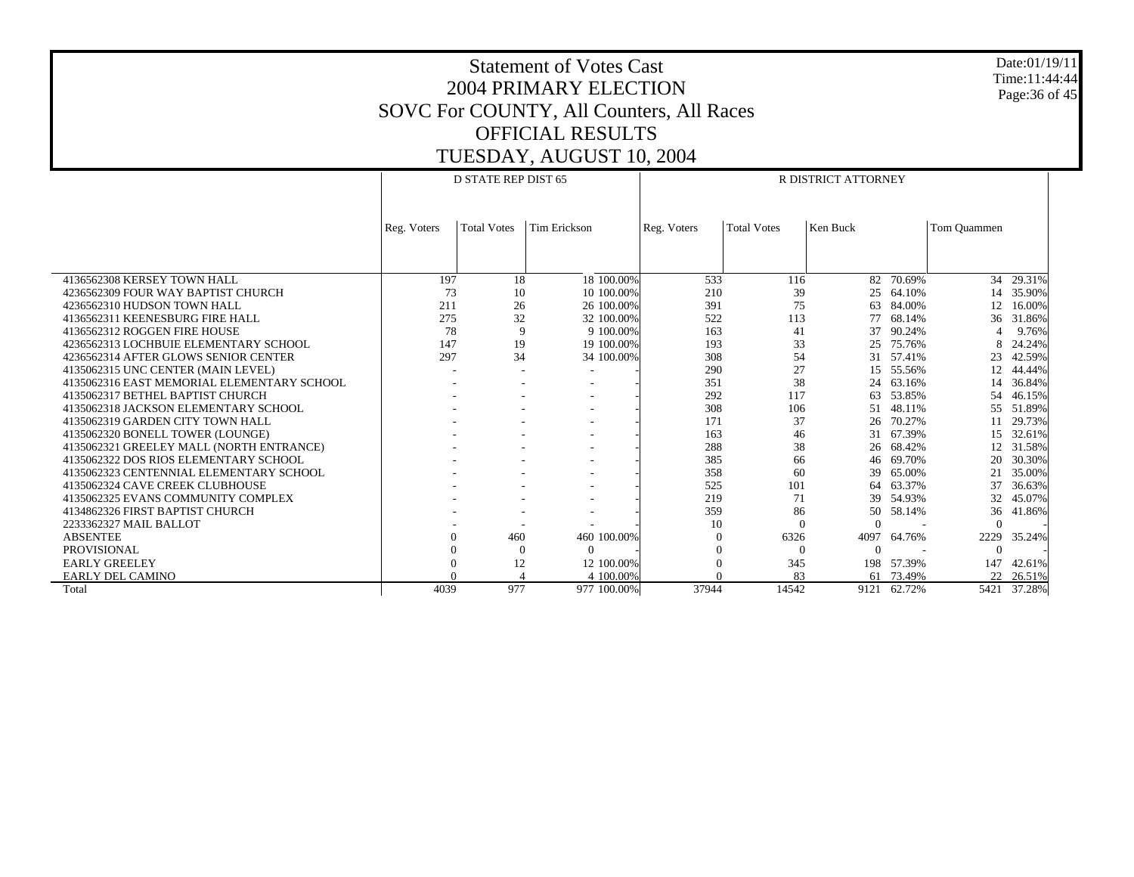Date:01/19/11 Time:11:44:44 Page:36 of 45

|                                            |             | D STATE REP DIST 65 |              | R DISTRICT ATTORNEY |                    |          |            |             |           |  |
|--------------------------------------------|-------------|---------------------|--------------|---------------------|--------------------|----------|------------|-------------|-----------|--|
|                                            |             |                     |              |                     |                    |          |            |             |           |  |
|                                            |             |                     |              |                     |                    |          |            |             |           |  |
|                                            | Reg. Voters | <b>Total Votes</b>  | Tim Erickson | Reg. Voters         | <b>Total Votes</b> | Ken Buck |            | Tom Quammen |           |  |
|                                            |             |                     |              |                     |                    |          |            |             |           |  |
|                                            |             |                     |              |                     |                    |          |            |             |           |  |
|                                            |             |                     |              |                     |                    |          |            |             |           |  |
| 4136562308 KERSEY TOWN HALL                | 197         | 18                  | 18 100.00%   | 533                 | 116<br>39          |          | 82 70.69%  |             | 34 29.31% |  |
| 4236562309 FOUR WAY BAPTIST CHURCH         | 73          | 10                  | 10 100.00%   | 210                 |                    |          | 25 64.10%  |             | 14 35.90% |  |
| 4236562310 HUDSON TOWN HALL                | 211         | 26                  | 26 100,00%   | 391                 | 75                 | 63       | 84.00%     | 12          | 16.00%    |  |
| 4136562311 KEENESBURG FIRE HALL            | 275         | 32                  | 32 100.00%   | 522                 | 113                | 77       | 68.14%     | 36          | 31.86%    |  |
| 4136562312 ROGGEN FIRE HOUSE               | 78          | 9                   | 9 100.00%    | 163                 | 41                 | 37       | 90.24%     |             | 9.76%     |  |
| 4236562313 LOCHBUIE ELEMENTARY SCHOOL      | 147         | 19                  | 19 100,00%   | 193                 | 33                 | 25       | 75.76%     | 8           | 24.24%    |  |
| 4236562314 AFTER GLOWS SENIOR CENTER       | 297         | 34                  | 34 100.00%   | 308                 | 54                 | 31       | 57.41%     | 23          | 42.59%    |  |
| 4135062315 UNC CENTER (MAIN LEVEL)         |             |                     |              | 290                 | 27                 |          | 15 55.56%  | 12.         | 44.44%    |  |
| 4135062316 EAST MEMORIAL ELEMENTARY SCHOOL |             |                     |              | 351                 | 38                 | 24       | 63.16%     |             | 14 36.84% |  |
| 4135062317 BETHEL BAPTIST CHURCH           |             |                     |              | 292                 | 117                | 63       | 53.85%     | 54          | 46.15%    |  |
| 4135062318 JACKSON ELEMENTARY SCHOOL       |             |                     |              | 308                 | 106                | 51       | 48.11%     | 55          | 51.89%    |  |
| 4135062319 GARDEN CITY TOWN HALL           |             |                     |              | 171                 | 37                 | 26       | 70.27%     |             | 29.73%    |  |
| 4135062320 BONELL TOWER (LOUNGE)           |             |                     |              | 163                 | 46                 |          | 31 67.39%  |             | 15 32.61% |  |
| 4135062321 GREELEY MALL (NORTH ENTRANCE)   |             |                     |              | 288                 | 38                 |          | 26 68.42%  |             | 12 31.58% |  |
| 4135062322 DOS RIOS ELEMENTARY SCHOOL      |             |                     |              | 385                 | 66                 | 46       | 69.70%     | 20          | 30.30%    |  |
| 4135062323 CENTENNIAL ELEMENTARY SCHOOL    |             |                     |              | 358                 | 60                 | 39       | 65.00%     | 21          | 35.00%    |  |
| 4135062324 CAVE CREEK CLUBHOUSE            |             |                     |              | 525                 | 101                |          | 64 63.37%  | 37          | 36.63%    |  |
| 4135062325 EVANS COMMUNITY COMPLEX         |             |                     |              | 219                 | 71                 | 39       | 54.93%     | 32          | 45.07%    |  |
| 4134862326 FIRST BAPTIST CHURCH            |             |                     |              | 359                 | 86                 | 50       | 58.14%     | 36          | 41.86%    |  |
| 2233362327 MAIL BALLOT                     |             |                     |              | 10                  | $\Omega$           | $\Omega$ |            | $\Omega$    |           |  |
| <b>ABSENTEE</b>                            |             | 460                 | 460 100.00%  |                     | 6326               | 4097     | 64.76%     | 2229        | 35.24%    |  |
| <b>PROVISIONAL</b>                         |             | $\theta$            | $\Omega$     |                     | $\mathbf{0}$       | $\Omega$ |            | $\Omega$    |           |  |
| <b>EARLY GREELEY</b>                       |             | 12                  | 12 100.00%   |                     | 345                |          | 198 57.39% | 147         | 42.61%    |  |
| <b>EARLY DEL CAMINO</b>                    |             |                     | 4 100,00%    |                     | 83                 | 61       | 73.49%     | 22          | 26.51%    |  |
| Total                                      | 4039        | 977                 | 977 100.00%  | 37944               | 14542              | 9121     | 62.72%     | 5421        | 37.28%    |  |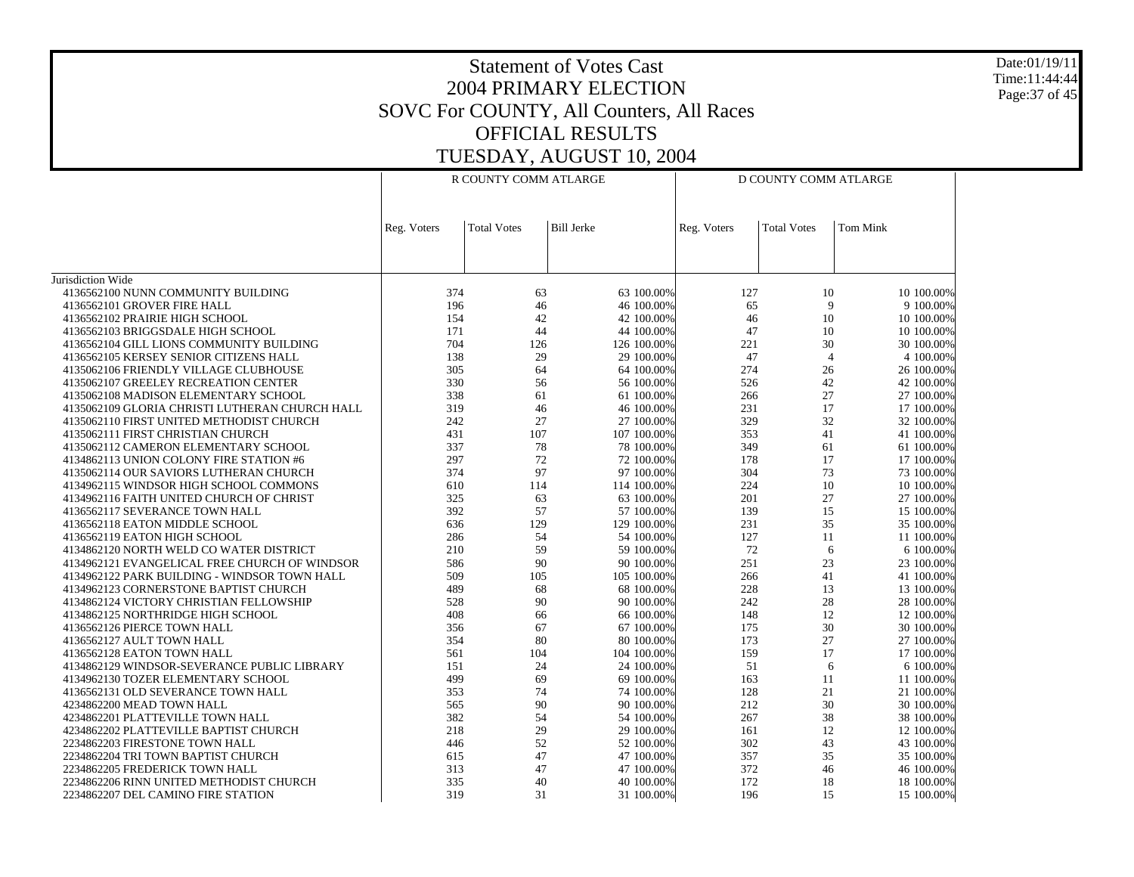Date:01/19/11 Time:11:44:44 Page:37 of 45

|                                                | R COUNTY COMM ATLARGE |                    |                   | D COUNTY COMM ATLARGE |                    |                 |  |
|------------------------------------------------|-----------------------|--------------------|-------------------|-----------------------|--------------------|-----------------|--|
|                                                | Reg. Voters           | <b>Total Votes</b> | <b>Bill Jerke</b> | Reg. Voters           | <b>Total Votes</b> | <b>Tom Mink</b> |  |
|                                                |                       |                    |                   |                       |                    |                 |  |
|                                                |                       |                    |                   |                       |                    |                 |  |
| Jurisdiction Wide                              |                       |                    |                   |                       |                    |                 |  |
| 4136562100 NUNN COMMUNITY BUILDING             | 374                   | 63                 | 63 100.00%        | 127                   | 10                 | 10 100.00%      |  |
| 4136562101 GROVER FIRE HALL                    | 196                   | 46                 | 46 100.00%        | 65                    | 9                  | 9 100.00%       |  |
| 4136562102 PRAIRIE HIGH SCHOOL                 | 154                   | 42                 | 42 100.00%        | 46                    | 10                 | 10 100.00%      |  |
| 4136562103 BRIGGSDALE HIGH SCHOOL              | 171                   | 44                 | 44 100.00%        | 47                    | 10                 | 10 100,00%      |  |
| 4136562104 GILL LIONS COMMUNITY BUILDING       | 704                   | 126                | 126 100.00%       | 221                   | 30                 | 30 100.00%      |  |
| 4136562105 KERSEY SENIOR CITIZENS HALL         | 138                   | 29                 | 29 100.00%        | 47                    | $\overline{4}$     | 4 100.00%       |  |
| 4135062106 FRIENDLY VILLAGE CLUBHOUSE          | 305                   | 64                 | 64 100.00%        | 274                   | 26                 | 26 100.00%      |  |
| 4135062107 GREELEY RECREATION CENTER           | 330                   | 56                 | 56 100.00%        | 526                   | 42                 | 42 100.00%      |  |
| 4135062108 MADISON ELEMENTARY SCHOOL           | 338                   | 61                 | 61 100.00%        | 266                   | 27                 | 27 100.00%      |  |
| 4135062109 GLORIA CHRISTI LUTHERAN CHURCH HALL | 319                   | 46                 | 46 100.00%        | 231                   | 17                 | 17 100.00%      |  |
| 4135062110 FIRST UNITED METHODIST CHURCH       | 242                   | 27                 | 27 100.00%        | 329                   | 32                 | 32 100.00%      |  |
| 4135062111 FIRST CHRISTIAN CHURCH              | 431                   | 107                | 107 100.00%       | 353                   | 41                 | 41 100.00%      |  |
| 4135062112 CAMERON ELEMENTARY SCHOOL           | 337                   | 78                 | 78 100.00%        | 349                   | 61                 | 61 100.00%      |  |
| 4134862113 UNION COLONY FIRE STATION #6        | 297                   | 72                 | 72 100.00%        | 178                   | 17                 | 17 100.00%      |  |
| 4135062114 OUR SAVIORS LUTHERAN CHURCH         | 374                   | 97                 | 97 100.00%        | 304                   | 73                 | 73 100.00%      |  |
| 4134962115 WINDSOR HIGH SCHOOL COMMONS         | 610                   | 114                | 114 100.00%       | 224                   | 10                 | 10 100.00%      |  |
| 4134962116 FAITH UNITED CHURCH OF CHRIST       | 325                   | 63                 | 63 100.00%        | 201                   | 27                 | 27 100.00%      |  |
| 4136562117 SEVERANCE TOWN HALL                 | 392                   | 57                 | 57 100.00%        | 139                   | 15                 | 15 100.00%      |  |
| 4136562118 EATON MIDDLE SCHOOL                 | 636                   | 129                | 129 100.00%       | 231                   | 35                 | 35 100.00%      |  |
| 4136562119 EATON HIGH SCHOOL                   | 286                   | 54                 | 54 100.00%        | 127                   | 11                 | 11 100.00%      |  |
| 4134862120 NORTH WELD CO WATER DISTRICT        | 210                   | 59                 | 59 100.00%        | 72                    | 6                  | 6 100.00%       |  |
| 4134962121 EVANGELICAL FREE CHURCH OF WINDSOR  | 586                   | 90                 | 90 100.00%        | 251                   | 23                 | 23 100.00%      |  |
| 4134962122 PARK BUILDING - WINDSOR TOWN HALL   | 509                   | 105                | 105 100.00%       | 266                   | 41                 | 41 100.00%      |  |
| 4134962123 CORNERSTONE BAPTIST CHURCH          | 489                   | 68                 | 68 100.00%        | 228                   | 13                 | 13 100.00%      |  |
|                                                | 528                   | 90                 |                   | 242                   | 28                 |                 |  |
| 4134862124 VICTORY CHRISTIAN FELLOWSHIP        |                       |                    | 90 100.00%        | 148                   |                    | 28 100.00%      |  |
| 4134862125 NORTHRIDGE HIGH SCHOOL              | 408                   | 66                 | 66 100.00%        | 175                   | 12<br>30           | 12 100.00%      |  |
| 4136562126 PIERCE TOWN HALL                    | 356                   | 67                 | 67 100.00%        |                       |                    | 30 100.00%      |  |
| 4136562127 AULT TOWN HALL                      | 354                   | 80                 | 80 100.00%        | 173                   | 27                 | 27 100,00%      |  |
| 4136562128 EATON TOWN HALL                     | 561                   | 104                | 104 100.00%       | 159                   | 17                 | 17 100.00%      |  |
| 4134862129 WINDSOR-SEVERANCE PUBLIC LIBRARY    | 151                   | 24                 | 24 100.00%        | 51                    | 6                  | 6 100.00%       |  |
| 4134962130 TOZER ELEMENTARY SCHOOL             | 499                   | 69                 | 69 100.00%        | 163                   | 11                 | 11 100.00%      |  |
| 4136562131 OLD SEVERANCE TOWN HALL             | 353                   | 74                 | 74 100.00%        | 128                   | 21                 | 21 100,00%      |  |
| 4234862200 MEAD TOWN HALL                      | 565                   | 90                 | 90 100.00%        | 212                   | 30                 | 30 100.00%      |  |
| 4234862201 PLATTEVILLE TOWN HALL               | 382                   | 54                 | 54 100.00%        | 267                   | 38                 | 38 100.00%      |  |
| 4234862202 PLATTEVILLE BAPTIST CHURCH          | 218                   | 29                 | 29 100.00%        | 161                   | 12                 | 12 100.00%      |  |
| 2234862203 FIRESTONE TOWN HALL                 | 446                   | 52                 | 52 100.00%        | 302                   | 43                 | 43 100.00%      |  |
| 2234862204 TRI TOWN BAPTIST CHURCH             | 615                   | 47                 | 47 100.00%        | 357                   | 35                 | 35 100.00%      |  |
| 2234862205 FREDERICK TOWN HALL                 | 313                   | 47                 | 47 100.00%        | 372                   | 46                 | 46 100.00%      |  |
| 2234862206 RINN UNITED METHODIST CHURCH        | 335                   | 40                 | 40 100.00%        | 172                   | 18                 | 18 100.00%      |  |
| 2234862207 DEL CAMINO FIRE STATION             | 319                   | 31                 | 31 100.00%        | 196                   | 15                 | 15 100.00%      |  |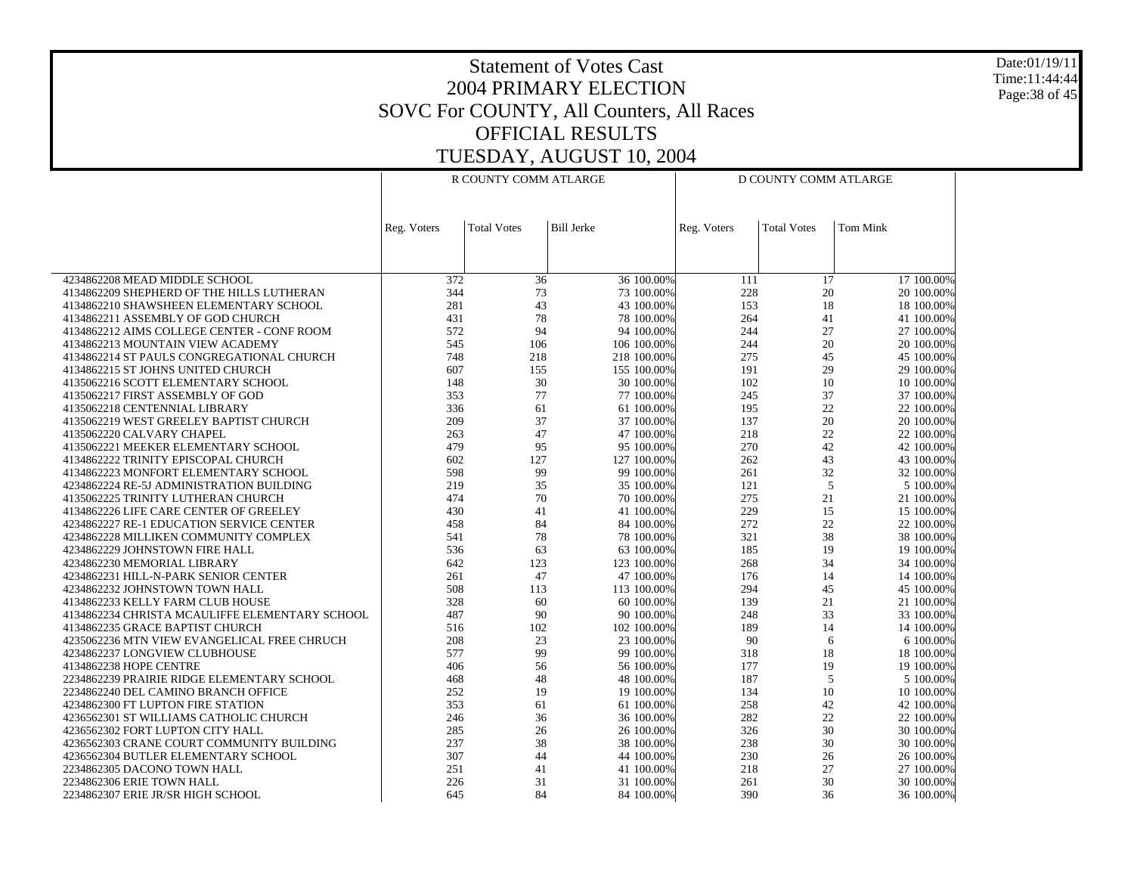Date:01/19/11 Time:11:44:44 Page:38 of 45

|                                                | R COUNTY COMM ATLARGE |                    |                   | D COUNTY COMM ATLARGE |                    |                 |  |
|------------------------------------------------|-----------------------|--------------------|-------------------|-----------------------|--------------------|-----------------|--|
|                                                |                       |                    |                   |                       |                    |                 |  |
|                                                | Reg. Voters           | <b>Total Votes</b> | <b>Bill Jerke</b> | Reg. Voters           | <b>Total Votes</b> | <b>Tom Mink</b> |  |
|                                                |                       |                    |                   |                       |                    |                 |  |
| 4234862208 MEAD MIDDLE SCHOOL                  | 372                   | 36                 | 36 100.00%        | 111                   | 17                 | 17 100.00%      |  |
| 4134862209 SHEPHERD OF THE HILLS LUTHERAN      | 344                   | 73                 | 73 100.00%        | 228                   | 20                 | 20 100.00%      |  |
| 4134862210 SHAWSHEEN ELEMENTARY SCHOOL         | 281                   | 43                 | 43 100.00%        | 153                   | 18                 | 18 100,00%      |  |
| 4134862211 ASSEMBLY OF GOD CHURCH              | 431                   | 78                 | 78 100.00%        | 264                   | 41                 | 41 100.00%      |  |
| 4134862212 AIMS COLLEGE CENTER - CONF ROOM     | 572                   | 94                 | 94 100.00%        | 244                   | 27                 | 27 100,00%      |  |
| 4134862213 MOUNTAIN VIEW ACADEMY               | 545                   | 106                | 106 100.00%       | 244                   | 20                 | 20 100.00%      |  |
| 4134862214 ST PAULS CONGREGATIONAL CHURCH      | 748                   | 218                | 218 100.00%       | 275                   | 45                 | 45 100.00%      |  |
| 4134862215 ST JOHNS UNITED CHURCH              | 607                   | 155                | 155 100.00%       | 191                   | 29                 | 29 100.00%      |  |
| 4135062216 SCOTT ELEMENTARY SCHOOL             | 148                   | 30                 | 30 100.00%        | 102                   | 10                 | 10 100.00%      |  |
| 4135062217 FIRST ASSEMBLY OF GOD               | 353                   | 77                 | 77 100.00%        | 245                   | 37                 | 37 100.00%      |  |
| 4135062218 CENTENNIAL LIBRARY                  | 336                   | 61                 | 61 100.00%        | 195                   | 22                 | 22 100.00%      |  |
| 4135062219 WEST GREELEY BAPTIST CHURCH         | 209                   | 37                 | 37 100.00%        | 137                   | 20                 | 20 100.00%      |  |
| 4135062220 CALVARY CHAPEL                      | 263                   | 47                 | 47 100.00%        | 218                   | 22                 | 22 100.00%      |  |
| 4135062221 MEEKER ELEMENTARY SCHOOL            | 479                   | 95                 | 95 100.00%        | 270                   | 42                 | 42 100.00%      |  |
| 4134862222 TRINITY EPISCOPAL CHURCH            | 602                   | 127                | 127 100.00%       | 262                   | 43                 | 43 100.00%      |  |
| 4134862223 MONFORT ELEMENTARY SCHOOL           | 598                   | 99                 | 99 100.00%        | 261                   | 32                 | 32 100.00%      |  |
| 4234862224 RE-5J ADMINISTRATION BUILDING       | 219                   | 35                 | 35 100.00%        | 121                   | 5                  | 5 100.00%       |  |
| 4135062225 TRINITY LUTHERAN CHURCH             | 474                   | 70                 | 70 100.00%        | 275                   | 21                 | 21 100.00%      |  |
| 4134862226 LIFE CARE CENTER OF GREELEY         | 430                   | 41                 | 41 100.00%        | 229                   | 15                 | 15 100.00%      |  |
| 4234862227 RE-1 EDUCATION SERVICE CENTER       | 458                   | 84                 | 84 100.00%        | 272                   | $22\,$             | 22 100.00%      |  |
| 4234862228 MILLIKEN COMMUNITY COMPLEX          | 541                   | 78                 | 78 100.00%        | 321                   | 38                 | 38 100.00%      |  |
| 4234862229 JOHNSTOWN FIRE HALL                 | 536                   | 63                 | 63 100.00%        | 185                   | 19                 | 19 100.00%      |  |
| 4234862230 MEMORIAL LIBRARY                    | 642                   | 123                | 123 100.00%       | 268                   | 34                 | 34 100.00%      |  |
| 4234862231 HILL-N-PARK SENIOR CENTER           | 261                   | 47                 | 47 100.00%        | 176                   | 14                 | 14 100.00%      |  |
| 4234862232 JOHNSTOWN TOWN HALL                 | 508                   | 113                | 113 100.00%       | 294                   | 45                 | 45 100.00%      |  |
| 4134862233 KELLY FARM CLUB HOUSE               | 328                   | 60                 | 60 100.00%        | 139                   | 21                 | 21 100.00%      |  |
| 4134862234 CHRISTA MCAULIFFE ELEMENTARY SCHOOL | 487                   | 90                 | 90 100.00%        | 248                   | 33                 | 33 100.00%      |  |
| 4134862235 GRACE BAPTIST CHURCH                | 516                   | 102                | 102 100.00%       | 189                   | 14                 | 14 100.00%      |  |
| 4235062236 MTN VIEW EVANGELICAL FREE CHRUCH    | 208                   | 23                 | 23 100.00%        | 90                    | 6                  | 6 100.00%       |  |
| 4234862237 LONGVIEW CLUBHOUSE                  | 577                   | 99                 | 99 100.00%        | 318                   | 18                 | 18 100.00%      |  |
| 4134862238 HOPE CENTRE                         | 406                   | 56                 | 56 100.00%        | 177                   | 19                 | 19 100.00%      |  |
| 2234862239 PRAIRIE RIDGE ELEMENTARY SCHOOL     | 468                   | 48                 | 48 100.00%        | 187                   | 5                  | 5 100.00%       |  |
| 2234862240 DEL CAMINO BRANCH OFFICE            | 252                   | 19                 | 19 100.00%        | 134                   | 10                 | 10 100.00%      |  |
| 4234862300 FT LUPTON FIRE STATION              | 353                   | 61                 | 61 100.00%        | 258                   | 42                 | 42 100.00%      |  |
| 4236562301 ST WILLIAMS CATHOLIC CHURCH         | 246                   | 36                 | 36 100.00%        | 282                   | 22                 | 22 100.00%      |  |
| 4236562302 FORT LUPTON CITY HALL               | 285                   | 26                 | 26 100.00%        | 326                   | 30                 | 30 100.00%      |  |
| 4236562303 CRANE COURT COMMUNITY BUILDING      | 237                   | 38                 | 38 100.00%        | 238                   | 30                 | 30 100.00%      |  |
| 4236562304 BUTLER ELEMENTARY SCHOOL            | 307                   | 44                 | 44 100.00%        | 230                   | 26                 | 26 100.00%      |  |
| 2234862305 DACONO TOWN HALL                    | 251                   | 41                 | 41 100.00%        | 218                   | 27                 | 27 100.00%      |  |
| 2234862306 ERIE TOWN HALL                      | 226                   | 31                 | 31 100.00%        | 261                   | 30                 | 30 100.00%      |  |
| 2234862307 ERIE JR/SR HIGH SCHOOL              | 645                   | 84                 | 84 100.00%        | 390                   | 36                 | 36 100.00%      |  |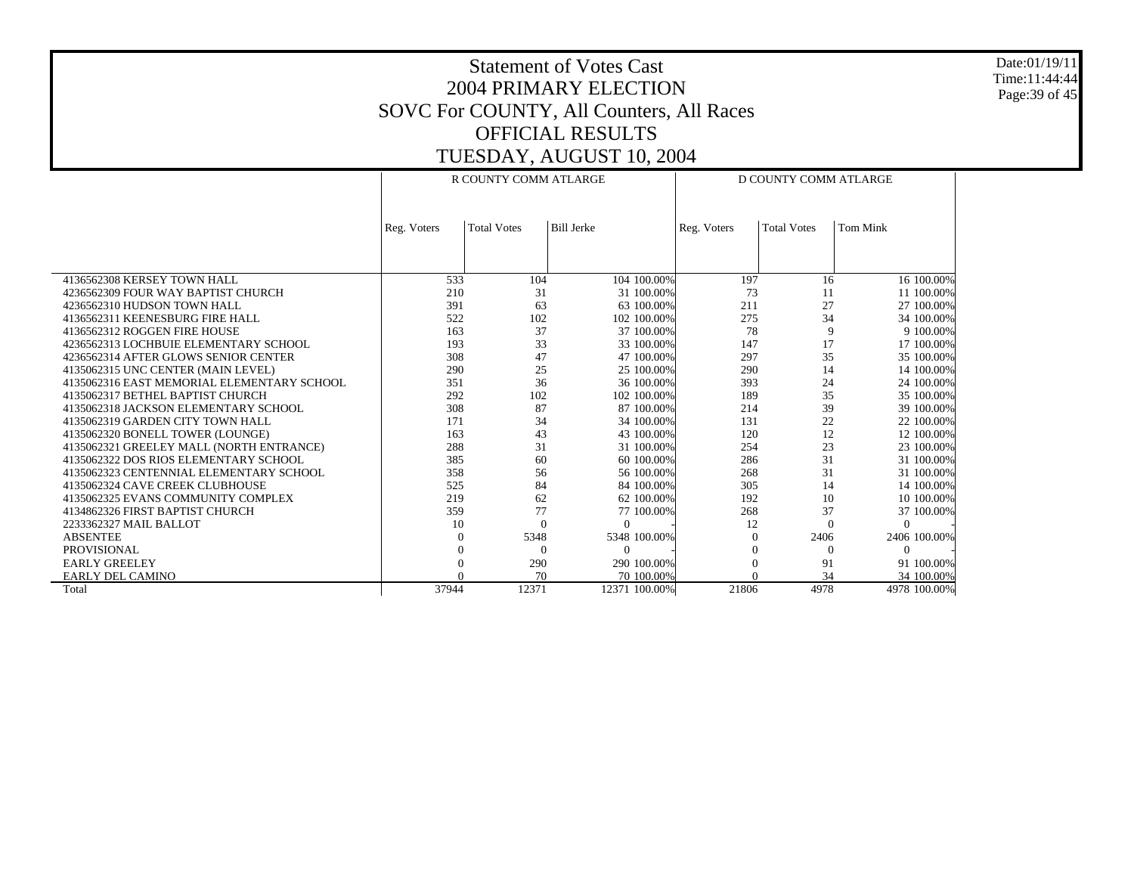Date:01/19/11 Time:11:44:44 Page:39 of 45

|                                            | R COUNTY COMM ATLARGE |                    |                   | D COUNTY COMM ATLARGE |                    |                 |  |
|--------------------------------------------|-----------------------|--------------------|-------------------|-----------------------|--------------------|-----------------|--|
|                                            | Reg. Voters           | <b>Total Votes</b> | <b>Bill Jerke</b> | Reg. Voters           | <b>Total Votes</b> | <b>Tom Mink</b> |  |
|                                            |                       |                    |                   |                       |                    |                 |  |
|                                            |                       |                    |                   |                       |                    |                 |  |
|                                            |                       |                    |                   |                       |                    |                 |  |
| 4136562308 KERSEY TOWN HALL                | 533                   | 104                | 104 100.00%       | 197                   | 16                 | 16 100.00%      |  |
| 4236562309 FOUR WAY BAPTIST CHURCH         | 210                   | 31                 | 31 100.00%        | 73                    | 11                 | 11 100.00%      |  |
| 4236562310 HUDSON TOWN HALL                | 391                   | 63                 | 63 100.00%        | 211                   | 27                 | 27 100.00%      |  |
| 4136562311 KEENESBURG FIRE HALL            | 522                   | 102                | 102 100.00%       | 275                   | 34                 | 34 100.00%      |  |
| 4136562312 ROGGEN FIRE HOUSE               | 163                   | 37                 | 37 100.00%        | 78                    | 9                  | 9 100.00%       |  |
| 4236562313 LOCHBUIE ELEMENTARY SCHOOL      | 193                   | 33                 | 33 100.00%        | 147                   | 17                 | 17 100.00%      |  |
| 4236562314 AFTER GLOWS SENIOR CENTER       | 308                   | 47                 | 47 100.00%        | 297                   | 35                 | 35 100.00%      |  |
| 4135062315 UNC CENTER (MAIN LEVEL)         | 290                   | 25                 | 25 100.00%        | 290                   | 14                 | 14 100.00%      |  |
| 4135062316 EAST MEMORIAL ELEMENTARY SCHOOL | 351                   | 36                 | 36 100.00%        | 393                   | 24                 | 24 100.00%      |  |
| 4135062317 BETHEL BAPTIST CHURCH           | 292                   | 102                | 102 100.00%       | 189                   | 35                 | 35 100.00%      |  |
| 4135062318 JACKSON ELEMENTARY SCHOOL       | 308                   | 87                 | 87 100.00%        | 214                   | 39                 | 39 100.00%      |  |
| 4135062319 GARDEN CITY TOWN HALL           | 171                   | 34                 | 34 100.00%        | 131                   | 22                 | 22 100.00%      |  |
| 4135062320 BONELL TOWER (LOUNGE)           | 163                   | 43                 | 43 100.00%        | 120                   | 12                 | 12 100.00%      |  |
| 4135062321 GREELEY MALL (NORTH ENTRANCE)   | 288                   | 31                 | 31 100.00%        | 254                   | 23                 | 23 100.00%      |  |
| 4135062322 DOS RIOS ELEMENTARY SCHOOL      | 385                   | 60                 | 60 100.00%        | 286                   | 31                 | 31 100.00%      |  |
| 4135062323 CENTENNIAL ELEMENTARY SCHOOL    | 358                   | 56                 | 56 100.00%        | 268                   | 31                 | 31 100.00%      |  |
| 4135062324 CAVE CREEK CLUBHOUSE            | 525                   | 84                 | 84 100,00%        | 305                   | 14                 | 14 100.00%      |  |
| 4135062325 EVANS COMMUNITY COMPLEX         | 219                   | 62                 | 62 100.00%        | 192                   | 10                 | 10 100.00%      |  |
| 4134862326 FIRST BAPTIST CHURCH            | 359                   | 77                 | 77 100.00%        | 268                   | 37                 | 37 100.00%      |  |
| 2233362327 MAIL BALLOT                     | 10                    | $\Omega$           | $\Omega$          | 12                    | $\Omega$           | $\Omega$        |  |
| <b>ABSENTEE</b>                            |                       | 5348               | 5348 100.00%      | $\Omega$              | 2406               | 2406 100.00%    |  |
| PROVISIONAL                                |                       |                    | $\Omega$          |                       | $^{0}$             | $\theta$        |  |
| <b>EARLY GREELEY</b>                       |                       | 290                | 290 100,00%       | $\Omega$              | 91                 | 91 100.00%      |  |
| EARLY DEL CAMINO                           |                       | 70                 | 70 100.00%        |                       | 34                 | 34 100.00%      |  |
| Total                                      | 37944                 | 12371              | 12371 100.00%     | 21806                 | 4978               | 4978 100.00%    |  |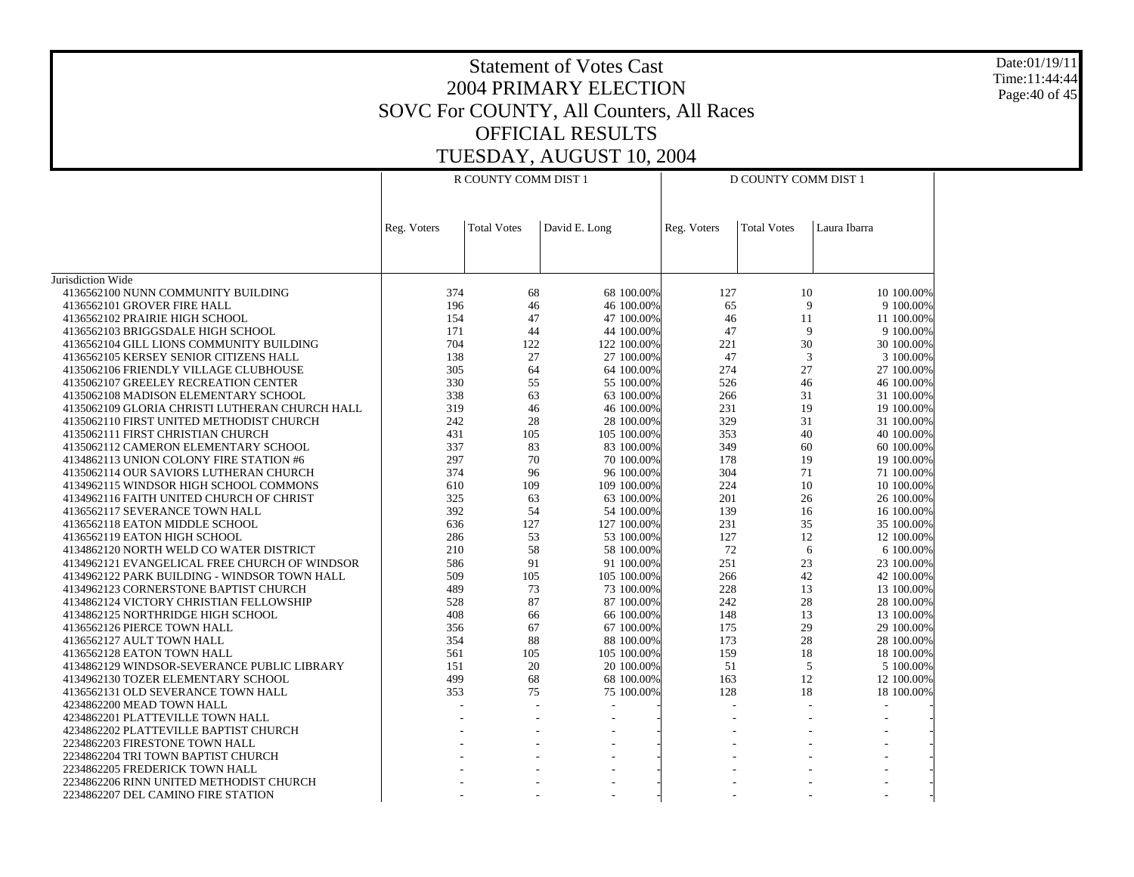Date:01/19/11 Time:11:44:44 Page:40 of 45

|                                                | R COUNTY COMM DIST 1 |                    |                          | D COUNTY COMM DIST 1 |                    |              |
|------------------------------------------------|----------------------|--------------------|--------------------------|----------------------|--------------------|--------------|
|                                                | Reg. Voters          | <b>Total Votes</b> | David E. Long            | Reg. Voters          | <b>Total Votes</b> | Laura Ibarra |
|                                                |                      |                    |                          |                      |                    |              |
| Jurisdiction Wide                              |                      |                    |                          |                      |                    |              |
| 4136562100 NUNN COMMUNITY BUILDING             | 374                  | 68                 | 68 100.00%               | 127                  | 10                 | 10 100.00%   |
| 4136562101 GROVER FIRE HALL                    | 196                  | 46                 | 46 100.00%               | 65                   | 9                  | 9 100.00%    |
| 4136562102 PRAIRIE HIGH SCHOOL                 | 154                  | 47                 | 47 100.00%               | 46                   | 11                 | 11 100.00%   |
| 4136562103 BRIGGSDALE HIGH SCHOOL              | 171                  | 44                 | 44 100.00%               | 47                   | 9                  | 9 100.00%    |
| 4136562104 GILL LIONS COMMUNITY BUILDING       | 704                  | 122                | 122 100.00%              | 221                  | 30                 | 30 100.00%   |
| 4136562105 KERSEY SENIOR CITIZENS HALL         | 138                  | 27                 | 27 100.00%               | 47                   | 3                  | 3 100.00%    |
| 4135062106 FRIENDLY VILLAGE CLUBHOUSE          | 305                  | 64                 | 64 100.00%               | 274                  | 27                 | 27 100.00%   |
| 4135062107 GREELEY RECREATION CENTER           | 330                  | 55                 | 55 100.00%               | 526                  | 46                 | 46 100.00%   |
| 4135062108 MADISON ELEMENTARY SCHOOL           | 338                  | 63                 | 63 100.00%               | 266                  | 31                 | 31 100.00%   |
| 4135062109 GLORIA CHRISTI LUTHERAN CHURCH HALL | 319                  | 46                 | 46 100.00%               | 231                  | 19                 | 19 100.00%   |
| 4135062110 FIRST UNITED METHODIST CHURCH       | 242                  | 28                 | 28 100,00%               | 329                  | 31                 | 31 100,00%   |
| 4135062111 FIRST CHRISTIAN CHURCH              | 431                  | 105                | 105 100.00%              | 353                  | 40                 | 40 100.00%   |
| 4135062112 CAMERON ELEMENTARY SCHOOL           | 337                  | 83                 | 83 100.00%               | 349                  | 60                 | 60 100,00%   |
| 4134862113 UNION COLONY FIRE STATION #6        | 297                  | 70                 | 70 100.00%               | 178                  | 19                 | 19 100.00%   |
| 4135062114 OUR SAVIORS LUTHERAN CHURCH         | 374                  | 96                 | 96 100.00%               | 304                  | 71                 | 71 100.00%   |
| 4134962115 WINDSOR HIGH SCHOOL COMMONS         | 610                  | 109                | 109 100.00%              | 224                  | 10                 | 10 100.00%   |
| 4134962116 FAITH UNITED CHURCH OF CHRIST       | 325                  | 63                 | 63 100.00%               | 201                  | 26                 | 26 100.00%   |
| 4136562117 SEVERANCE TOWN HALL                 | 392                  | 54                 | 54 100.00%               | 139                  | 16                 | 16 100.00%   |
|                                                | 636                  | 127                | 127 100.00%              | 231                  | 35                 |              |
| 4136562118 EATON MIDDLE SCHOOL                 |                      |                    |                          |                      | 12                 | 35 100.00%   |
| 4136562119 EATON HIGH SCHOOL                   | 286                  | 53                 | 53 100.00%               | 127<br>72            |                    | 12 100.00%   |
| 4134862120 NORTH WELD CO WATER DISTRICT        | 210                  | 58                 | 58 100.00%               |                      | 6                  | 6 100.00%    |
| 4134962121 EVANGELICAL FREE CHURCH OF WINDSOR  | 586                  | 91                 | 91 100.00%               | 251                  | 23                 | 23 100.00%   |
| 4134962122 PARK BUILDING - WINDSOR TOWN HALL   | 509                  | 105                | 105 100.00%              | 266                  | 42                 | 42 100.00%   |
| 4134962123 CORNERSTONE BAPTIST CHURCH          | 489                  | 73                 | 73 100,00%               | 228                  | 13                 | 13 100,00%   |
| 4134862124 VICTORY CHRISTIAN FELLOWSHIP        | 528                  | 87                 | 87 100.00%               | 242                  | 28                 | 28 100.00%   |
| 4134862125 NORTHRIDGE HIGH SCHOOL              | 408                  | 66                 | 66 100.00%               | 148                  | 13                 | 13 100,00%   |
| 4136562126 PIERCE TOWN HALL                    | 356                  | 67                 | 67 100.00%               | 175                  | 29                 | 29 100.00%   |
| 4136562127 AULT TOWN HALL                      | 354                  | 88                 | 88 100.00%               | 173                  | 28                 | 28 100.00%   |
| 4136562128 EATON TOWN HALL                     | 561                  | 105                | 105 100.00%              | 159                  | 18                 | 18 100.00%   |
| 4134862129 WINDSOR-SEVERANCE PUBLIC LIBRARY    | 151                  | 20                 | 20 100.00%               | 51                   | 5                  | 5 100.00%    |
| 4134962130 TOZER ELEMENTARY SCHOOL             | 499                  | 68                 | 68 100.00%               | 163                  | 12                 | 12 100.00%   |
| 4136562131 OLD SEVERANCE TOWN HALL             | 353                  | 75                 | 75 100.00%               | 128                  | 18                 | 18 100.00%   |
| 4234862200 MEAD TOWN HALL                      |                      |                    | $\overline{\phantom{a}}$ | L.                   |                    | $\sim$       |
| 4234862201 PLATTEVILLE TOWN HALL               |                      |                    |                          |                      |                    |              |
| 4234862202 PLATTEVILLE BAPTIST CHURCH          |                      |                    |                          |                      |                    |              |
| 2234862203 FIRESTONE TOWN HALL                 |                      |                    |                          |                      |                    |              |
| 2234862204 TRI TOWN BAPTIST CHURCH             |                      |                    |                          |                      |                    |              |
| 2234862205 FREDERICK TOWN HALL                 |                      |                    |                          |                      |                    |              |
| 2234862206 RINN UNITED METHODIST CHURCH        |                      |                    |                          |                      |                    |              |
| 2234862207 DEL CAMINO FIRE STATION             |                      |                    |                          |                      |                    |              |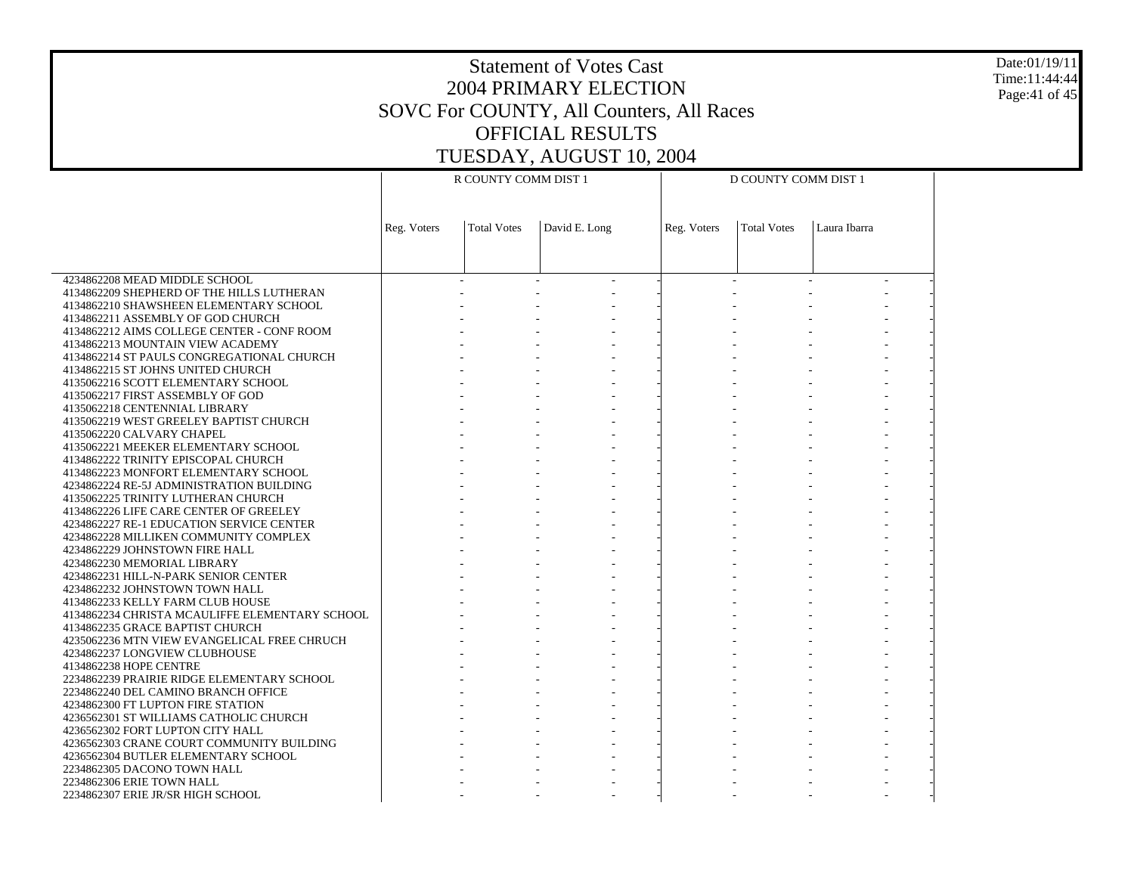Date:01/19/11 Time:11:44:44 Page:41 of 45

|                                                | R COUNTY COMM DIST 1 |                    |               | D COUNTY COMM DIST 1 |                    |              |  |
|------------------------------------------------|----------------------|--------------------|---------------|----------------------|--------------------|--------------|--|
|                                                |                      |                    |               |                      |                    |              |  |
|                                                |                      |                    |               |                      |                    |              |  |
|                                                |                      |                    |               |                      |                    |              |  |
|                                                | Reg. Voters          | <b>Total Votes</b> | David E. Long | Reg. Voters          | <b>Total Votes</b> | Laura Ibarra |  |
|                                                |                      |                    |               |                      |                    |              |  |
|                                                |                      |                    |               |                      |                    |              |  |
| 4234862208 MEAD MIDDLE SCHOOL                  |                      |                    |               |                      |                    |              |  |
| 4134862209 SHEPHERD OF THE HILLS LUTHERAN      |                      |                    |               |                      |                    |              |  |
| 4134862210 SHAWSHEEN ELEMENTARY SCHOOL         |                      |                    |               |                      |                    |              |  |
| 4134862211 ASSEMBLY OF GOD CHURCH              |                      |                    |               |                      |                    |              |  |
| 4134862212 AIMS COLLEGE CENTER - CONF ROOM     |                      |                    |               |                      |                    |              |  |
| 4134862213 MOUNTAIN VIEW ACADEMY               |                      |                    |               |                      |                    |              |  |
| 4134862214 ST PAULS CONGREGATIONAL CHURCH      |                      |                    |               |                      |                    |              |  |
|                                                |                      |                    |               |                      |                    |              |  |
| 4134862215 ST JOHNS UNITED CHURCH              |                      |                    |               |                      |                    |              |  |
| 4135062216 SCOTT ELEMENTARY SCHOOL             |                      |                    |               |                      |                    |              |  |
| 4135062217 FIRST ASSEMBLY OF GOD               |                      |                    |               |                      |                    |              |  |
| 4135062218 CENTENNIAL LIBRARY                  |                      |                    |               |                      |                    |              |  |
| 4135062219 WEST GREELEY BAPTIST CHURCH         |                      |                    |               |                      |                    |              |  |
| 4135062220 CALVARY CHAPEL                      |                      |                    |               |                      |                    |              |  |
| 4135062221 MEEKER ELEMENTARY SCHOOL            |                      |                    |               |                      |                    |              |  |
| 4134862222 TRINITY EPISCOPAL CHURCH            |                      |                    |               |                      |                    |              |  |
| 4134862223 MONFORT ELEMENTARY SCHOOL           |                      |                    |               |                      |                    |              |  |
| 4234862224 RE-5J ADMINISTRATION BUILDING       |                      |                    |               |                      |                    |              |  |
| 4135062225 TRINITY LUTHERAN CHURCH             |                      |                    |               |                      |                    |              |  |
| 4134862226 LIFE CARE CENTER OF GREELEY         |                      |                    |               |                      |                    |              |  |
| 4234862227 RE-1 EDUCATION SERVICE CENTER       |                      |                    |               |                      |                    |              |  |
| 4234862228 MILLIKEN COMMUNITY COMPLEX          |                      |                    |               |                      |                    |              |  |
| 4234862229 JOHNSTOWN FIRE HALL                 |                      |                    |               |                      |                    |              |  |
| 4234862230 MEMORIAL LIBRARY                    |                      |                    |               |                      |                    |              |  |
| 4234862231 HILL-N-PARK SENIOR CENTER           |                      |                    |               |                      |                    |              |  |
| 4234862232 JOHNSTOWN TOWN HALL                 |                      |                    |               |                      |                    |              |  |
| 4134862233 KELLY FARM CLUB HOUSE               |                      |                    |               |                      |                    |              |  |
| 4134862234 CHRISTA MCAULIFFE ELEMENTARY SCHOOL |                      |                    |               |                      |                    |              |  |
| 4134862235 GRACE BAPTIST CHURCH                |                      |                    |               |                      |                    |              |  |
| 4235062236 MTN VIEW EVANGELICAL FREE CHRUCH    |                      |                    |               |                      |                    |              |  |
| 4234862237 LONGVIEW CLUBHOUSE                  |                      |                    |               |                      |                    |              |  |
| 4134862238 HOPE CENTRE                         |                      |                    |               |                      |                    |              |  |
| 2234862239 PRAIRIE RIDGE ELEMENTARY SCHOOL     |                      |                    |               |                      |                    |              |  |
| 2234862240 DEL CAMINO BRANCH OFFICE            |                      |                    |               |                      |                    |              |  |
| 4234862300 FT LUPTON FIRE STATION              |                      |                    |               |                      |                    |              |  |
| 4236562301 ST WILLIAMS CATHOLIC CHURCH         |                      |                    |               |                      |                    |              |  |
| 4236562302 FORT LUPTON CITY HALL               |                      |                    |               |                      |                    |              |  |
| 4236562303 CRANE COURT COMMUNITY BUILDING      |                      |                    |               |                      |                    |              |  |
| 4236562304 BUTLER ELEMENTARY SCHOOL            |                      |                    |               |                      |                    |              |  |
| 2234862305 DACONO TOWN HALL                    |                      |                    |               |                      |                    |              |  |
| 2234862306 ERIE TOWN HALL                      |                      |                    |               |                      |                    |              |  |
| 2234862307 ERIE JR/SR HIGH SCHOOL              |                      |                    |               |                      |                    |              |  |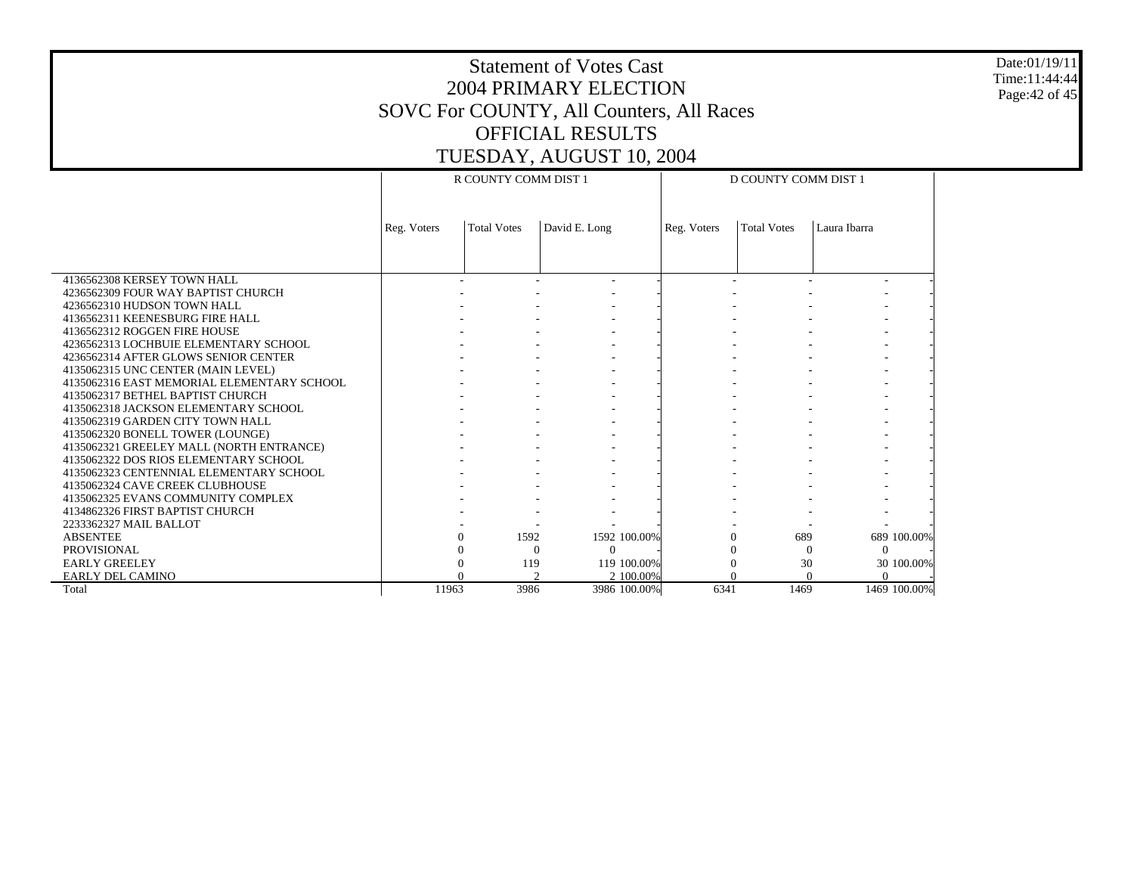Date:01/19/11 Time:11:44:44 Page:42 of 45

|                                            | R COUNTY COMM DIST 1 |                    |               |              | D COUNTY COMM DIST 1 |                    |              |              |
|--------------------------------------------|----------------------|--------------------|---------------|--------------|----------------------|--------------------|--------------|--------------|
|                                            |                      |                    |               |              |                      |                    |              |              |
|                                            |                      |                    |               |              |                      |                    |              |              |
|                                            | Reg. Voters          | <b>Total Votes</b> | David E. Long |              | Reg. Voters          | <b>Total Votes</b> | Laura Ibarra |              |
|                                            |                      |                    |               |              |                      |                    |              |              |
|                                            |                      |                    |               |              |                      |                    |              |              |
| 4136562308 KERSEY TOWN HALL                |                      |                    |               |              |                      |                    |              |              |
| 4236562309 FOUR WAY BAPTIST CHURCH         |                      |                    |               |              |                      |                    |              |              |
| 4236562310 HUDSON TOWN HALL                |                      |                    |               |              |                      |                    |              |              |
| 4136562311 KEENESBURG FIRE HALL            |                      |                    |               |              |                      |                    |              |              |
| 4136562312 ROGGEN FIRE HOUSE               |                      |                    |               |              |                      |                    |              |              |
| 4236562313 LOCHBUIE ELEMENTARY SCHOOL      |                      |                    |               |              |                      |                    |              |              |
| 4236562314 AFTER GLOWS SENIOR CENTER       |                      |                    |               |              |                      |                    |              |              |
| 4135062315 UNC CENTER (MAIN LEVEL)         |                      |                    |               |              |                      |                    |              |              |
| 4135062316 EAST MEMORIAL ELEMENTARY SCHOOL |                      |                    |               |              |                      |                    |              |              |
| 4135062317 BETHEL BAPTIST CHURCH           |                      |                    |               |              |                      |                    |              |              |
| 4135062318 JACKSON ELEMENTARY SCHOOL       |                      |                    |               |              |                      |                    |              |              |
| 4135062319 GARDEN CITY TOWN HALL           |                      |                    |               |              |                      |                    |              |              |
| 4135062320 BONELL TOWER (LOUNGE)           |                      |                    |               |              |                      |                    |              |              |
| 4135062321 GREELEY MALL (NORTH ENTRANCE)   |                      |                    |               |              |                      |                    |              |              |
| 4135062322 DOS RIOS ELEMENTARY SCHOOL      |                      |                    |               |              |                      |                    |              |              |
| 4135062323 CENTENNIAL ELEMENTARY SCHOOL    |                      |                    |               |              |                      |                    |              |              |
| 4135062324 CAVE CREEK CLUBHOUSE            |                      |                    |               |              |                      |                    |              |              |
| 4135062325 EVANS COMMUNITY COMPLEX         |                      |                    |               |              |                      |                    |              |              |
| 4134862326 FIRST BAPTIST CHURCH            |                      |                    |               |              |                      |                    |              |              |
| 2233362327 MAIL BALLOT                     |                      |                    |               |              |                      |                    |              |              |
| <b>ABSENTEE</b>                            |                      | 1592<br>0          |               | 1592 100.00% | $\Omega$             | 689                |              | 689 100.00%  |
| <b>PROVISIONAL</b>                         |                      | $\Omega$           |               | $\Omega$     |                      | $\Omega$           | $\Omega$     |              |
| <b>EARLY GREELEY</b>                       |                      | 119                |               | 119 100,00%  |                      | 30                 |              | 30 100.00%   |
| EARLY DEL CAMINO                           |                      | $\Delta$           |               | 2 100,00%    | $\Omega$             | $\Omega$           | $\Omega$     |              |
| Total                                      | 11963                | 3986               |               | 3986 100.00% | 6341                 | 1469               |              | 1469 100.00% |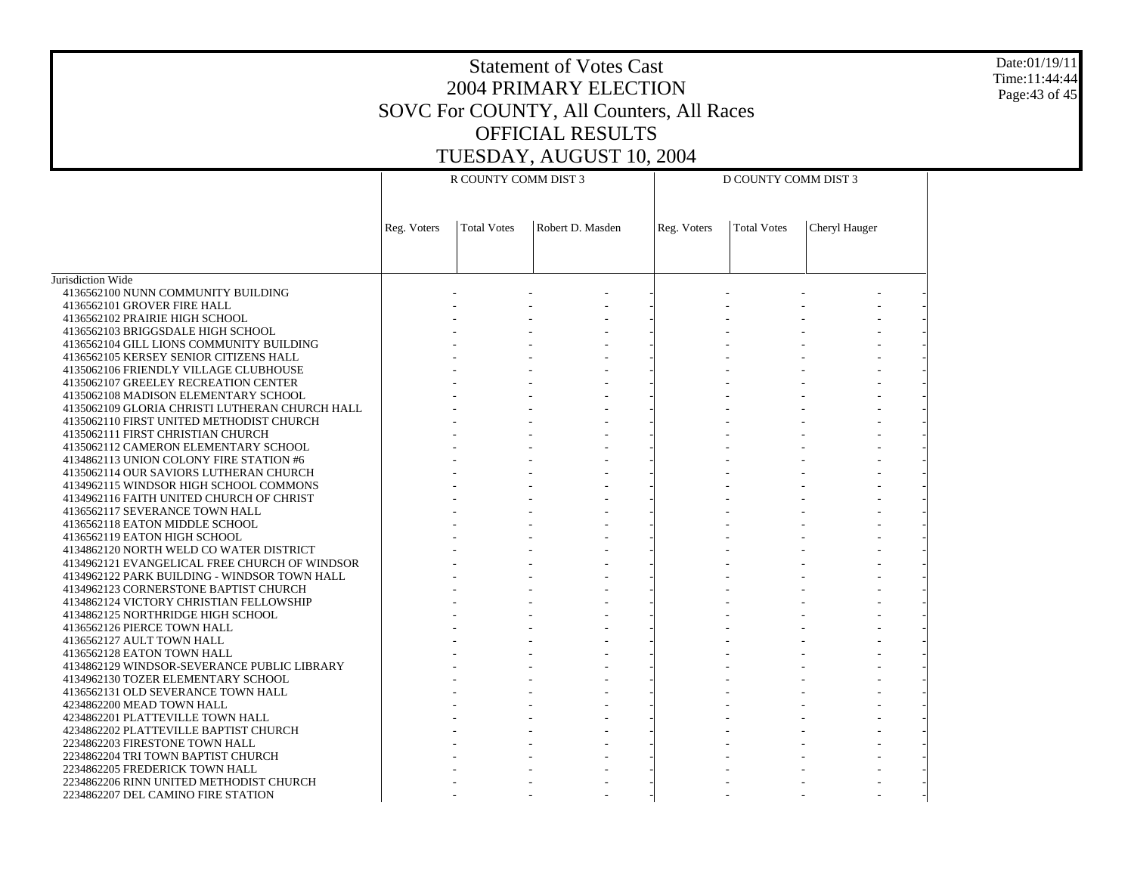Date:01/19/11 Time:11:44:44 Page:43 of 45

|                                                | R COUNTY COMM DIST 3 |                    |                  | D COUNTY COMM DIST 3 |                    |               |  |
|------------------------------------------------|----------------------|--------------------|------------------|----------------------|--------------------|---------------|--|
|                                                |                      |                    |                  |                      |                    |               |  |
|                                                |                      |                    |                  |                      |                    |               |  |
|                                                |                      |                    |                  |                      |                    |               |  |
|                                                | Reg. Voters          | <b>Total Votes</b> | Robert D. Masden | Reg. Voters          | <b>Total Votes</b> | Cheryl Hauger |  |
|                                                |                      |                    |                  |                      |                    |               |  |
|                                                |                      |                    |                  |                      |                    |               |  |
|                                                |                      |                    |                  |                      |                    |               |  |
| Jurisdiction Wide                              |                      |                    |                  |                      |                    |               |  |
| 4136562100 NUNN COMMUNITY BUILDING             |                      |                    |                  |                      |                    |               |  |
| 4136562101 GROVER FIRE HALL                    |                      |                    |                  |                      |                    |               |  |
| 4136562102 PRAIRIE HIGH SCHOOL                 |                      |                    |                  |                      |                    |               |  |
| 4136562103 BRIGGSDALE HIGH SCHOOL              |                      |                    |                  |                      |                    |               |  |
| 4136562104 GILL LIONS COMMUNITY BUILDING       |                      |                    |                  |                      |                    |               |  |
| 4136562105 KERSEY SENIOR CITIZENS HALL         |                      |                    |                  |                      |                    |               |  |
| 4135062106 FRIENDLY VILLAGE CLUBHOUSE          |                      |                    |                  |                      |                    |               |  |
| 4135062107 GREELEY RECREATION CENTER           |                      |                    |                  |                      |                    |               |  |
| 4135062108 MADISON ELEMENTARY SCHOOL           |                      |                    |                  |                      |                    |               |  |
| 4135062109 GLORIA CHRISTI LUTHERAN CHURCH HALL |                      |                    |                  |                      |                    |               |  |
| 4135062110 FIRST UNITED METHODIST CHURCH       |                      |                    |                  |                      |                    |               |  |
| 4135062111 FIRST CHRISTIAN CHURCH              |                      |                    |                  |                      |                    |               |  |
| 4135062112 CAMERON ELEMENTARY SCHOOL           |                      |                    |                  |                      |                    |               |  |
| 4134862113 UNION COLONY FIRE STATION #6        |                      |                    |                  |                      |                    |               |  |
| 4135062114 OUR SAVIORS LUTHERAN CHURCH         |                      |                    |                  |                      |                    |               |  |
| 4134962115 WINDSOR HIGH SCHOOL COMMONS         |                      |                    |                  |                      |                    |               |  |
| 4134962116 FAITH UNITED CHURCH OF CHRIST       |                      |                    |                  |                      |                    |               |  |
| 4136562117 SEVERANCE TOWN HALL                 |                      |                    |                  |                      |                    |               |  |
| 4136562118 EATON MIDDLE SCHOOL                 |                      |                    |                  |                      |                    |               |  |
| 4136562119 EATON HIGH SCHOOL                   |                      |                    |                  |                      |                    |               |  |
| 4134862120 NORTH WELD CO WATER DISTRICT        |                      |                    |                  |                      |                    |               |  |
| 4134962121 EVANGELICAL FREE CHURCH OF WINDSOR  |                      |                    |                  |                      |                    |               |  |
| 4134962122 PARK BUILDING - WINDSOR TOWN HALL   |                      |                    |                  |                      |                    |               |  |
| 4134962123 CORNERSTONE BAPTIST CHURCH          |                      |                    |                  |                      |                    |               |  |
| 4134862124 VICTORY CHRISTIAN FELLOWSHIP        |                      |                    |                  |                      |                    |               |  |
| 4134862125 NORTHRIDGE HIGH SCHOOL              |                      |                    |                  |                      |                    |               |  |
| 4136562126 PIERCE TOWN HALL                    |                      |                    |                  |                      |                    |               |  |
| 4136562127 AULT TOWN HALL                      |                      |                    |                  |                      |                    |               |  |
| 4136562128 EATON TOWN HALL                     |                      |                    |                  |                      |                    |               |  |
| 4134862129 WINDSOR-SEVERANCE PUBLIC LIBRARY    |                      |                    |                  |                      |                    |               |  |
| 4134962130 TOZER ELEMENTARY SCHOOL             |                      |                    |                  |                      |                    |               |  |
| 4136562131 OLD SEVERANCE TOWN HALL             |                      |                    |                  |                      |                    |               |  |
| 4234862200 MEAD TOWN HALL                      |                      |                    |                  |                      |                    |               |  |
| 4234862201 PLATTEVILLE TOWN HALL               |                      |                    |                  |                      |                    |               |  |
| 4234862202 PLATTEVILLE BAPTIST CHURCH          |                      |                    |                  |                      |                    |               |  |
| 2234862203 FIRESTONE TOWN HALL                 |                      |                    |                  |                      |                    |               |  |
| 2234862204 TRI TOWN BAPTIST CHURCH             |                      |                    |                  |                      |                    |               |  |
| 2234862205 FREDERICK TOWN HALL                 |                      |                    |                  |                      |                    |               |  |
| 2234862206 RINN UNITED METHODIST CHURCH        |                      |                    |                  |                      |                    |               |  |
| 2234862207 DEL CAMINO FIRE STATION             |                      |                    |                  |                      |                    |               |  |
|                                                |                      |                    |                  |                      |                    |               |  |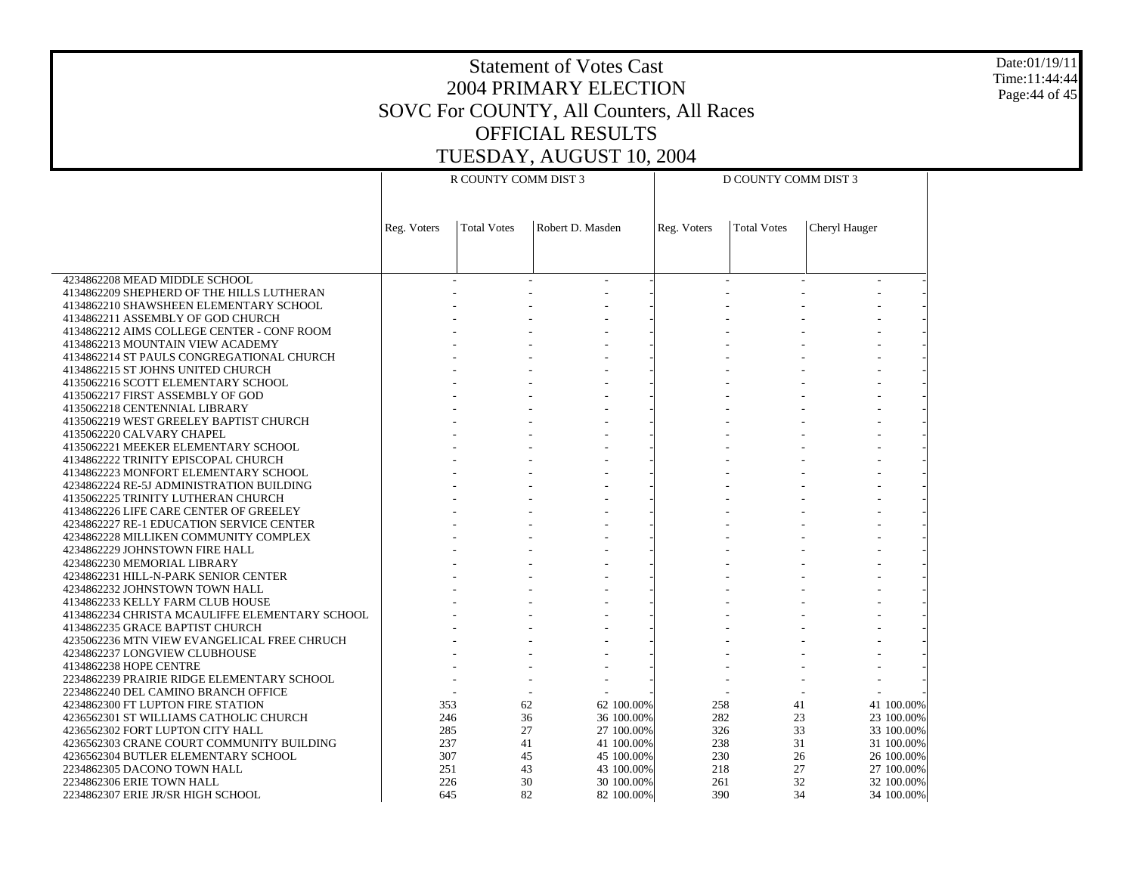Date:01/19/11 Time:11:44:44 Page:44 of 45

|                                                | R COUNTY COMM DIST 3 |                    |                  | D COUNTY COMM DIST 3 |                    |               |  |
|------------------------------------------------|----------------------|--------------------|------------------|----------------------|--------------------|---------------|--|
|                                                |                      |                    |                  |                      |                    |               |  |
|                                                |                      |                    |                  |                      |                    |               |  |
|                                                |                      |                    |                  |                      |                    |               |  |
|                                                | Reg. Voters          | <b>Total Votes</b> | Robert D. Masden | Reg. Voters          | <b>Total Votes</b> | Cheryl Hauger |  |
|                                                |                      |                    |                  |                      |                    |               |  |
|                                                |                      |                    |                  |                      |                    |               |  |
|                                                |                      |                    |                  |                      |                    |               |  |
| 4234862208 MEAD MIDDLE SCHOOL                  |                      |                    |                  |                      |                    |               |  |
| 4134862209 SHEPHERD OF THE HILLS LUTHERAN      |                      |                    |                  |                      |                    |               |  |
| 4134862210 SHAWSHEEN ELEMENTARY SCHOOL         |                      |                    |                  |                      |                    |               |  |
| 4134862211 ASSEMBLY OF GOD CHURCH              |                      |                    |                  |                      |                    |               |  |
| 4134862212 AIMS COLLEGE CENTER - CONF ROOM     |                      |                    |                  |                      |                    |               |  |
| 4134862213 MOUNTAIN VIEW ACADEMY               |                      |                    |                  |                      |                    |               |  |
| 4134862214 ST PAULS CONGREGATIONAL CHURCH      |                      |                    |                  |                      |                    |               |  |
| 4134862215 ST JOHNS UNITED CHURCH              |                      |                    |                  |                      |                    |               |  |
| 4135062216 SCOTT ELEMENTARY SCHOOL             |                      |                    |                  |                      |                    |               |  |
| 4135062217 FIRST ASSEMBLY OF GOD               |                      |                    |                  |                      |                    |               |  |
| 4135062218 CENTENNIAL LIBRARY                  |                      |                    |                  |                      |                    |               |  |
| 4135062219 WEST GREELEY BAPTIST CHURCH         |                      |                    |                  |                      |                    |               |  |
| 4135062220 CALVARY CHAPEL                      |                      |                    |                  |                      |                    |               |  |
| 4135062221 MEEKER ELEMENTARY SCHOOL            |                      |                    |                  |                      |                    |               |  |
| 4134862222 TRINITY EPISCOPAL CHURCH            |                      |                    |                  |                      |                    |               |  |
| 4134862223 MONFORT ELEMENTARY SCHOOL           |                      |                    |                  |                      |                    |               |  |
| 4234862224 RE-5J ADMINISTRATION BUILDING       |                      |                    |                  |                      |                    |               |  |
| 4135062225 TRINITY LUTHERAN CHURCH             |                      |                    |                  |                      |                    |               |  |
| 4134862226 LIFE CARE CENTER OF GREELEY         |                      |                    |                  |                      |                    |               |  |
| 4234862227 RE-1 EDUCATION SERVICE CENTER       |                      |                    |                  |                      |                    |               |  |
| 4234862228 MILLIKEN COMMUNITY COMPLEX          |                      |                    |                  |                      |                    |               |  |
| 4234862229 JOHNSTOWN FIRE HALL                 |                      |                    |                  |                      |                    |               |  |
| 4234862230 MEMORIAL LIBRARY                    |                      |                    |                  |                      |                    |               |  |
| 4234862231 HILL-N-PARK SENIOR CENTER           |                      |                    |                  |                      |                    |               |  |
| 4234862232 JOHNSTOWN TOWN HALL                 |                      |                    |                  |                      |                    |               |  |
| 4134862233 KELLY FARM CLUB HOUSE               |                      |                    |                  |                      |                    |               |  |
| 4134862234 CHRISTA MCAULIFFE ELEMENTARY SCHOOL |                      |                    |                  |                      |                    |               |  |
| 4134862235 GRACE BAPTIST CHURCH                |                      |                    |                  |                      |                    |               |  |
| 4235062236 MTN VIEW EVANGELICAL FREE CHRUCH    |                      |                    |                  |                      |                    |               |  |
| 4234862237 LONGVIEW CLUBHOUSE                  |                      |                    |                  |                      |                    |               |  |
| 4134862238 HOPE CENTRE                         |                      |                    |                  |                      |                    |               |  |
| 2234862239 PRAIRIE RIDGE ELEMENTARY SCHOOL     |                      |                    |                  |                      |                    |               |  |
| 2234862240 DEL CAMINO BRANCH OFFICE            |                      |                    |                  |                      |                    |               |  |
| 4234862300 FT LUPTON FIRE STATION              | 353                  | 62                 | 62 100.00%       | 258                  | 41                 | 41 100.00%    |  |
| 4236562301 ST WILLIAMS CATHOLIC CHURCH         | 246                  | 36                 | 36 100.00%       | 282                  | 23                 | 23 100.00%    |  |
| 4236562302 FORT LUPTON CITY HALL               | 285                  | 27                 | 27 100.00%       | 326                  | 33                 | 33 100.00%    |  |
| 4236562303 CRANE COURT COMMUNITY BUILDING      | 237                  | 41                 | 41 100,00%       | 238                  | 31                 | 31 100.00%    |  |
| 4236562304 BUTLER ELEMENTARY SCHOOL            | 307                  | 45                 | 45 100.00%       | 230                  | 26                 | 26 100.00%    |  |
| 2234862305 DACONO TOWN HALL                    | 251                  | 43                 | 43 100,00%       | 218                  | 27                 | 27 100,00%    |  |
| 2234862306 ERIE TOWN HALL                      | 226                  | 30                 | 30 100.00%       | 261                  | 32                 | 32 100,00%    |  |
| 2234862307 ERIE JR/SR HIGH SCHOOL              | 645                  | 82                 | 82 100.00%       | 390                  | 34                 | 34 100.00%    |  |